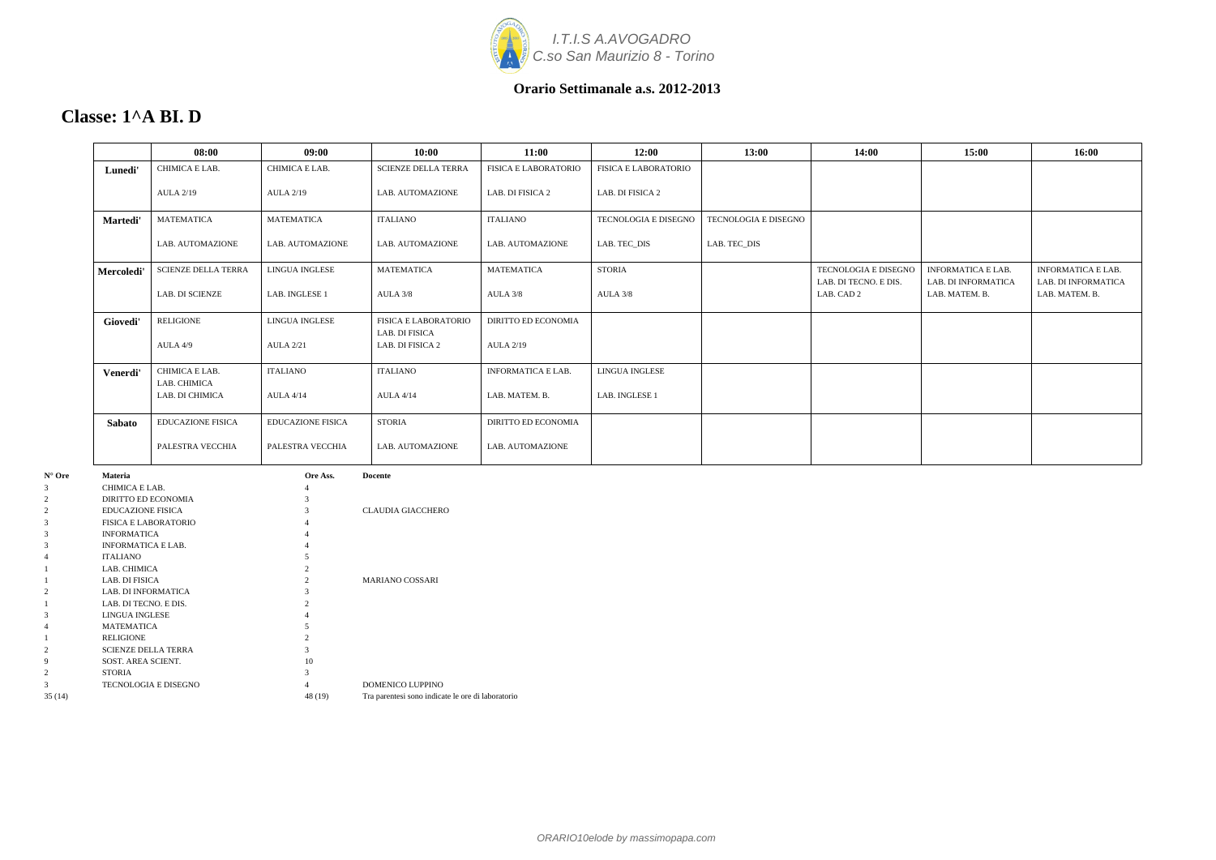

### **Classe: 1^A BI. D**

|               | 08:00                          | 09:00                    | 10:00                              | 11:00                       | 12:00                       | 13:00                       | 14:00                               | 15:00                                 | 16:00                                 |
|---------------|--------------------------------|--------------------------|------------------------------------|-----------------------------|-----------------------------|-----------------------------|-------------------------------------|---------------------------------------|---------------------------------------|
| Lunedi'       | CHIMICA E LAB.                 | CHIMICA E LAB.           | <b>SCIENZE DELLA TERRA</b>         | <b>FISICA E LABORATORIO</b> | <b>FISICA E LABORATORIO</b> |                             |                                     |                                       |                                       |
|               | <b>AULA 2/19</b>               | <b>AULA 2/19</b>         | LAB. AUTOMAZIONE                   | LAB. DI FISICA 2            | LAB. DI FISICA 2            |                             |                                     |                                       |                                       |
| Martedi'      | <b>MATEMATICA</b>              | <b>MATEMATICA</b>        | <b>ITALIANO</b>                    | <b>ITALIANO</b>             | TECNOLOGIA E DISEGNO        | <b>TECNOLOGIA E DISEGNO</b> |                                     |                                       |                                       |
|               | LAB. AUTOMAZIONE               | LAB. AUTOMAZIONE         | LAB. AUTOMAZIONE                   | LAB. AUTOMAZIONE            | LAB. TEC_DIS                | LAB. TEC_DIS                |                                     |                                       |                                       |
| Mercoledi'    | <b>SCIENZE DELLA TERRA</b>     | LINGUA INGLESE           | <b>MATEMATICA</b>                  | <b>MATEMATICA</b>           | <b>STORIA</b>               |                             | TECNOLOGIA E DISEGNO                | <b>INFORMATICA E LAB.</b>             | <b>INFORMATICA E LAB.</b>             |
|               | <b>LAB. DI SCIENZE</b>         | LAB. INGLESE 1           | AULA 3/8                           | AULA 3/8                    | AULA 3/8                    |                             | LAB. DI TECNO. E DIS.<br>LAB. CAD 2 | LAB. DI INFORMATICA<br>LAB. MATEM. B. | LAB. DI INFORMATICA<br>LAB. MATEM. B. |
| Giovedi'      | <b>RELIGIONE</b>               | LINGUA INGLESE           | <b>FISICA E LABORATORIO</b>        | <b>DIRITTO ED ECONOMIA</b>  |                             |                             |                                     |                                       |                                       |
|               | AULA 4/9                       | <b>AULA 2/21</b>         | LAB. DI FISICA<br>LAB. DI FISICA 2 | <b>AULA 2/19</b>            |                             |                             |                                     |                                       |                                       |
| Venerdi'      | CHIMICA E LAB.<br>LAB. CHIMICA | <b>ITALIANO</b>          | <b>ITALIANO</b>                    | INFORMATICA E LAB.          | LINGUA INGLESE              |                             |                                     |                                       |                                       |
|               | LAB. DI CHIMICA                | <b>AULA 4/14</b>         | <b>AULA 4/14</b>                   | LAB. MATEM. B.              | LAB. INGLESE 1              |                             |                                     |                                       |                                       |
| <b>Sabato</b> | <b>EDUCAZIONE FISICA</b>       | <b>EDUCAZIONE FISICA</b> | <b>STORIA</b>                      | <b>DIRITTO ED ECONOMIA</b>  |                             |                             |                                     |                                       |                                       |
|               | PALESTRA VECCHIA               | PALESTRA VECCHIA         | LAB. AUTOMAZIONE                   | LAB. AUTOMAZIONE            |                             |                             |                                     |                                       |                                       |

| $N^{\circ}$ Ore | <b>Materia</b>             | Ore Ass.       | <b>Docente</b>                                    |
|-----------------|----------------------------|----------------|---------------------------------------------------|
| 3               | CHIMICA E LAB.             | 4              |                                                   |
| 2               | DIRITTO ED ECONOMIA        | 3              |                                                   |
| 2               | <b>EDUCAZIONE FISICA</b>   | 3              | <b>CLAUDIA GIACCHERO</b>                          |
| 3               | FISICA E LABORATORIO       | 4              |                                                   |
| 3               | <b>INFORMATICA</b>         | 4              |                                                   |
| 3               | <b>INFORMATICA E LAB.</b>  | 4              |                                                   |
| 4               | <b>ITALIANO</b>            | 5              |                                                   |
|                 | LAB. CHIMICA               | 2              |                                                   |
|                 | LAB. DI FISICA             | $\mathfrak{D}$ | <b>MARIANO COSSARI</b>                            |
| 2               | <b>LAB. DI INFORMATICA</b> | 3              |                                                   |
|                 | LAB. DI TECNO. E DIS.      | $\overline{c}$ |                                                   |
| 3               | LINGUA INGLESE             | 4              |                                                   |
| 4               | MATEMATICA                 | 5              |                                                   |
|                 | <b>RELIGIONE</b>           | 2              |                                                   |
| $\overline{c}$  | <b>SCIENZE DELLA TERRA</b> | 3              |                                                   |
| 9               | SOST. AREA SCIENT.         | 10             |                                                   |
| 2               | <b>STORIA</b>              | 3              |                                                   |
| 3               | TECNOLOGIA E DISEGNO       | 4              | DOMENICO LUPPINO                                  |
| 35(14)          |                            | 48 (19)        | Tra parentesi sono indicate le ore di laboratorio |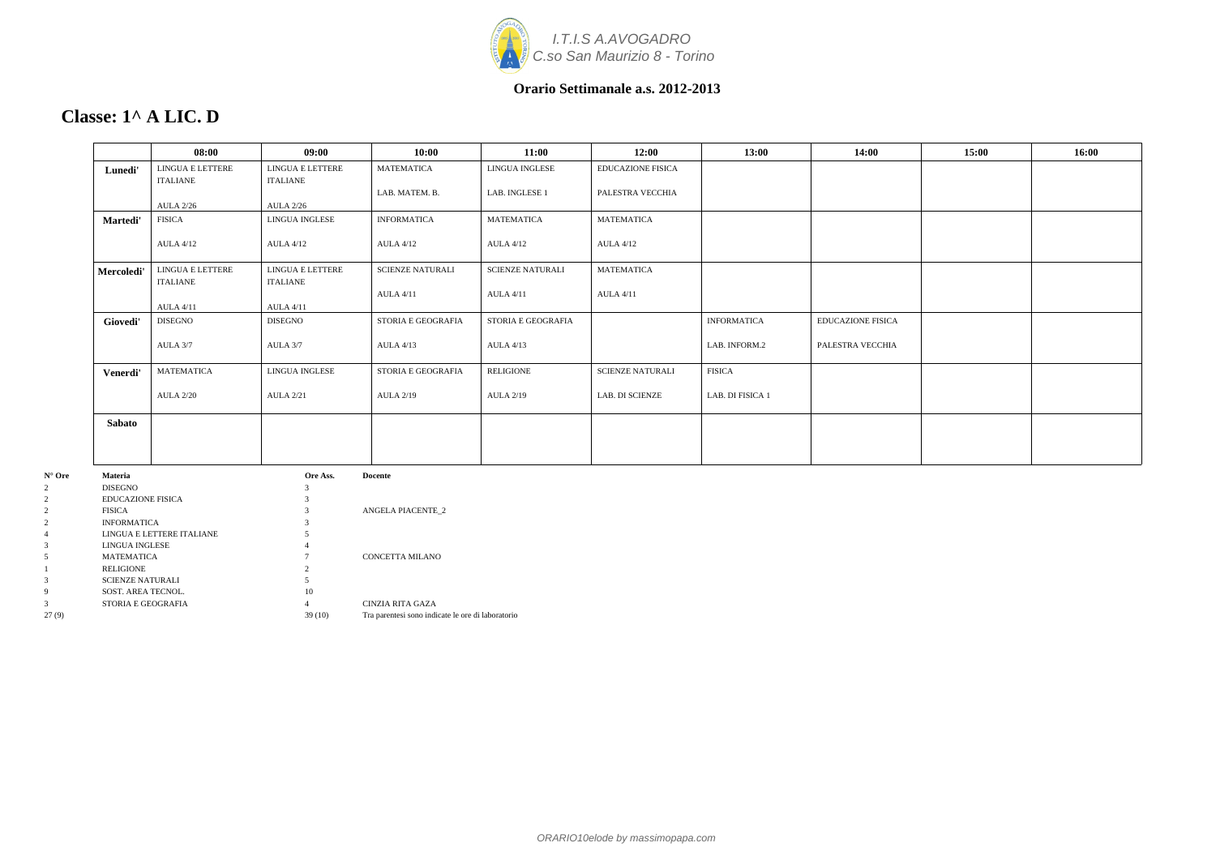

# **Classe: 1^ A LIC. D**

| LINGUA E LETTERE<br>ITALIANE<br><b>AULA 2/26</b><br><b>FISICA</b> | LINGUA E LETTERE<br>ITALIANE<br><b>AULA 2/26</b><br>LINGUA INGLESE | <b>MATEMATICA</b><br>LAB. MATEM. B. | LINGUA INGLESE<br>LAB. INGLESE 1 | <b>EDUCAZIONE FISICA</b><br>PALESTRA VECCHIA |                    |                          |  |
|-------------------------------------------------------------------|--------------------------------------------------------------------|-------------------------------------|----------------------------------|----------------------------------------------|--------------------|--------------------------|--|
|                                                                   |                                                                    |                                     |                                  |                                              |                    |                          |  |
|                                                                   |                                                                    |                                     |                                  |                                              |                    |                          |  |
|                                                                   |                                                                    | <b>INFORMATICA</b>                  | <b>MATEMATICA</b>                | <b>MATEMATICA</b>                            |                    |                          |  |
| <b>AULA 4/12</b>                                                  | <b>AULA 4/12</b>                                                   | <b>AULA 4/12</b>                    | <b>AULA 4/12</b>                 | <b>AULA 4/12</b>                             |                    |                          |  |
| LINGUA E LETTERE<br><b>ITALIANE</b>                               | LINGUA E LETTERE<br>ITALIANE                                       | <b>SCIENZE NATURALI</b>             | <b>SCIENZE NATURALI</b>          | <b>MATEMATICA</b>                            |                    |                          |  |
| <b>AULA 4/11</b>                                                  | <b>AULA 4/11</b>                                                   | <b>AULA 4/11</b>                    | <b>AULA 4/11</b>                 | <b>AULA 4/11</b>                             |                    |                          |  |
| <b>DISEGNO</b>                                                    | DISEGNO                                                            | STORIA E GEOGRAFIA                  | STORIA E GEOGRAFIA               |                                              | <b>INFORMATICA</b> | <b>EDUCAZIONE FISICA</b> |  |
| AULA 3/7                                                          | AULA 3/7                                                           | <b>AULA 4/13</b>                    | <b>AULA 4/13</b>                 |                                              | LAB. INFORM.2      | PALESTRA VECCHIA         |  |
| MATEMATICA                                                        | <b>LINGUA INGLESE</b>                                              | <b>STORIA E GEOGRAFIA</b>           | <b>RELIGIONE</b>                 | <b>SCIENZE NATURALI</b>                      | <b>FISICA</b>      |                          |  |
| <b>AULA 2/20</b>                                                  | <b>AULA 2/21</b>                                                   | <b>AULA 2/19</b>                    | <b>AULA 2/19</b>                 | LAB. DI SCIENZE                              | LAB. DI FISICA 1   |                          |  |
|                                                                   |                                                                    |                                     |                                  |                                              |                    |                          |  |
|                                                                   |                                                                    |                                     |                                  |                                              |                    |                          |  |
|                                                                   |                                                                    | Ore Ass.                            | <b>Docente</b>                   |                                              |                    |                          |  |

| $\overline{2}$ | <b>DISEGNO</b>            |        |                                                   |
|----------------|---------------------------|--------|---------------------------------------------------|
| 2              | <b>EDUCAZIONE FISICA</b>  |        |                                                   |
| $\overline{2}$ | <b>FISICA</b>             |        | <b>ANGELA PIACENTE 2</b>                          |
| $\overline{2}$ | <b>INFORMATICA</b>        |        |                                                   |
| $\overline{4}$ | LINGUA E LETTERE ITALIANE |        |                                                   |
| 3              | LINGUA INGLESE            |        |                                                   |
| 5              | <b>MATEMATICA</b>         |        | CONCETTA MILANO                                   |
|                | <b>RELIGIONE</b>          |        |                                                   |
| 3              | <b>SCIENZE NATURALI</b>   |        |                                                   |
| 9              | SOST. AREA TECNOL.        | 10     |                                                   |
| 3              | STORIA E GEOGRAFIA        |        | CINZIA RITA GAZA                                  |
| 27(9)          |                           | 39(10) | Tra parentesi sono indicate le ore di laboratorio |
|                |                           |        |                                                   |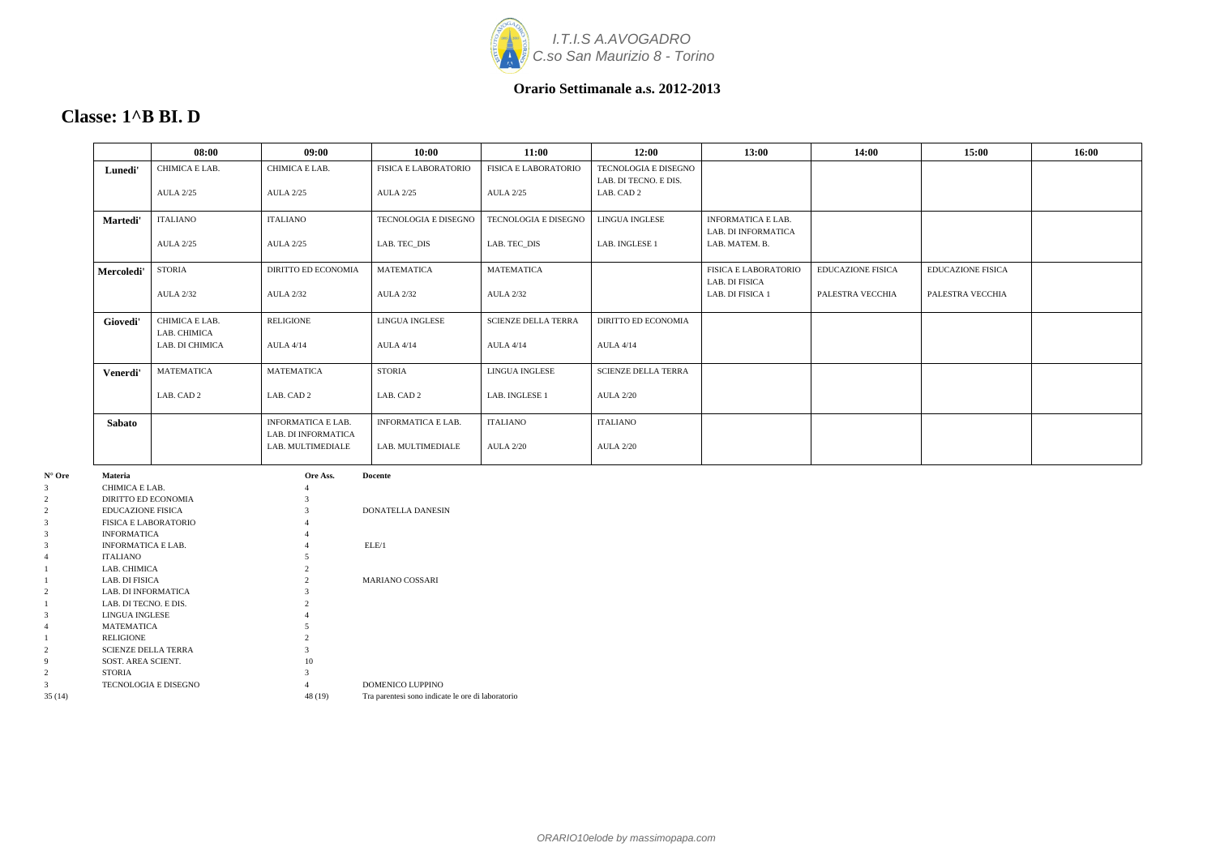

|                 | 08:00                          | 09:00                                            | 10:00                       | 11:00                       | 12:00                                         | 13:00                                            | 14:00                    | 15:00                    | 16:00 |
|-----------------|--------------------------------|--------------------------------------------------|-----------------------------|-----------------------------|-----------------------------------------------|--------------------------------------------------|--------------------------|--------------------------|-------|
| Lunedi'         | CHIMICA E LAB.                 | CHIMICA E LAB.                                   | <b>FISICA E LABORATORIO</b> | <b>FISICA E LABORATORIO</b> | TECNOLOGIA E DISEGNO<br>LAB. DI TECNO. E DIS. |                                                  |                          |                          |       |
|                 | <b>AULA 2/25</b>               | <b>AULA 2/25</b>                                 | <b>AULA 2/25</b>            | <b>AULA 2/25</b>            | LAB. CAD 2                                    |                                                  |                          |                          |       |
| <b>Martedi'</b> | <b>ITALIANO</b>                | ITALIANO                                         | <b>TECNOLOGIA E DISEGNO</b> | TECNOLOGIA E DISEGNO        | <b>LINGUA INGLESE</b>                         | <b>INFORMATICA E LAB.</b><br>LAB. DI INFORMATICA |                          |                          |       |
|                 | <b>AULA 2/25</b>               | <b>AULA 2/25</b>                                 | LAB. TEC_DIS                | LAB. TEC_DIS                | LAB. INGLESE 1                                | LAB. MATEM. B.                                   |                          |                          |       |
| Mercoledi'      | STORIA                         | <b>DIRITTO ED ECONOMIA</b>                       | <b>MATEMATICA</b>           | MATEMATICA                  |                                               | <b>FISICA E LABORATORIO</b><br>LAB. DI FISICA    | <b>EDUCAZIONE FISICA</b> | <b>EDUCAZIONE FISICA</b> |       |
|                 | <b>AULA 2/32</b>               | <b>AULA 2/32</b>                                 | <b>AULA 2/32</b>            | <b>AULA 2/32</b>            |                                               | LAB. DI FISICA 1                                 | PALESTRA VECCHIA         | PALESTRA VECCHIA         |       |
| Giovedi'        | CHIMICA E LAB.<br>LAB. CHIMICA | <b>RELIGIONE</b>                                 | <b>LINGUA INGLESE</b>       | <b>SCIENZE DELLA TERRA</b>  | <b>DIRITTO ED ECONOMIA</b>                    |                                                  |                          |                          |       |
|                 | LAB. DI CHIMICA                | <b>AULA 4/14</b>                                 | <b>AULA 4/14</b>            | <b>AULA 4/14</b>            | <b>AULA 4/14</b>                              |                                                  |                          |                          |       |
| Venerdi'        | <b>MATEMATICA</b>              | <b>MATEMATICA</b>                                | <b>STORIA</b>               | LINGUA INGLESE              | <b>SCIENZE DELLA TERRA</b>                    |                                                  |                          |                          |       |
|                 | LAB. CAD 2                     | LAB. CAD 2                                       | LAB. CAD 2                  | LAB. INGLESE 1              | <b>AULA 2/20</b>                              |                                                  |                          |                          |       |
| <b>Sabato</b>   |                                | <b>INFORMATICA E LAB.</b><br>LAB. DI INFORMATICA | <b>INFORMATICA E LAB.</b>   | <b>ITALIANO</b>             | <b>ITALIANO</b>                               |                                                  |                          |                          |       |
|                 |                                | LAB. MULTIMEDIALE                                | LAB. MULTIMEDIALE           | <b>AULA 2/20</b>            | <b>AULA 2/20</b>                              |                                                  |                          |                          |       |
|                 |                                |                                                  |                             |                             |                                               |                                                  |                          |                          |       |

| $N^{\circ}$ Ore | <b>Materia</b>              | Ore Ass. | <b>Docente</b>                                    |
|-----------------|-----------------------------|----------|---------------------------------------------------|
| 3               | CHIMICA E LAB.              | 4        |                                                   |
| $\overline{2}$  | DIRITTO ED ECONOMIA         | 3        |                                                   |
| 2               | <b>EDUCAZIONE FISICA</b>    | 3        | <b>DONATELLA DANESIN</b>                          |
| 3               | <b>FISICA E LABORATORIO</b> |          |                                                   |
| 3               | <b>INFORMATICA</b>          |          |                                                   |
| 3               | <b>INFORMATICA E LAB.</b>   | 4        | ELE/1                                             |
| 4               | <b>ITALIANO</b>             |          |                                                   |
|                 | LAB. CHIMICA                |          |                                                   |
|                 | LAB. DI FISICA              |          | <b>MARIANO COSSARI</b>                            |
| 2               | <b>LAB. DI INFORMATICA</b>  |          |                                                   |
|                 | LAB. DI TECNO. E DIS.       |          |                                                   |
| 3               | <b>LINGUA INGLESE</b>       |          |                                                   |
| 4               | <b>MATEMATICA</b>           |          |                                                   |
|                 | <b>RELIGIONE</b>            | 2        |                                                   |
| 2               | <b>SCIENZE DELLA TERRA</b>  | 3        |                                                   |
| 9               | SOST. AREA SCIENT.          | 10       |                                                   |
| $\overline{c}$  | <b>STORIA</b>               | 3        |                                                   |
| 3               | <b>TECNOLOGIA E DISEGNO</b> | 4        | <b>DOMENICO LUPPINO</b>                           |
| 35(14)          |                             | 48 (19)  | Tra parentesi sono indicate le ore di laboratorio |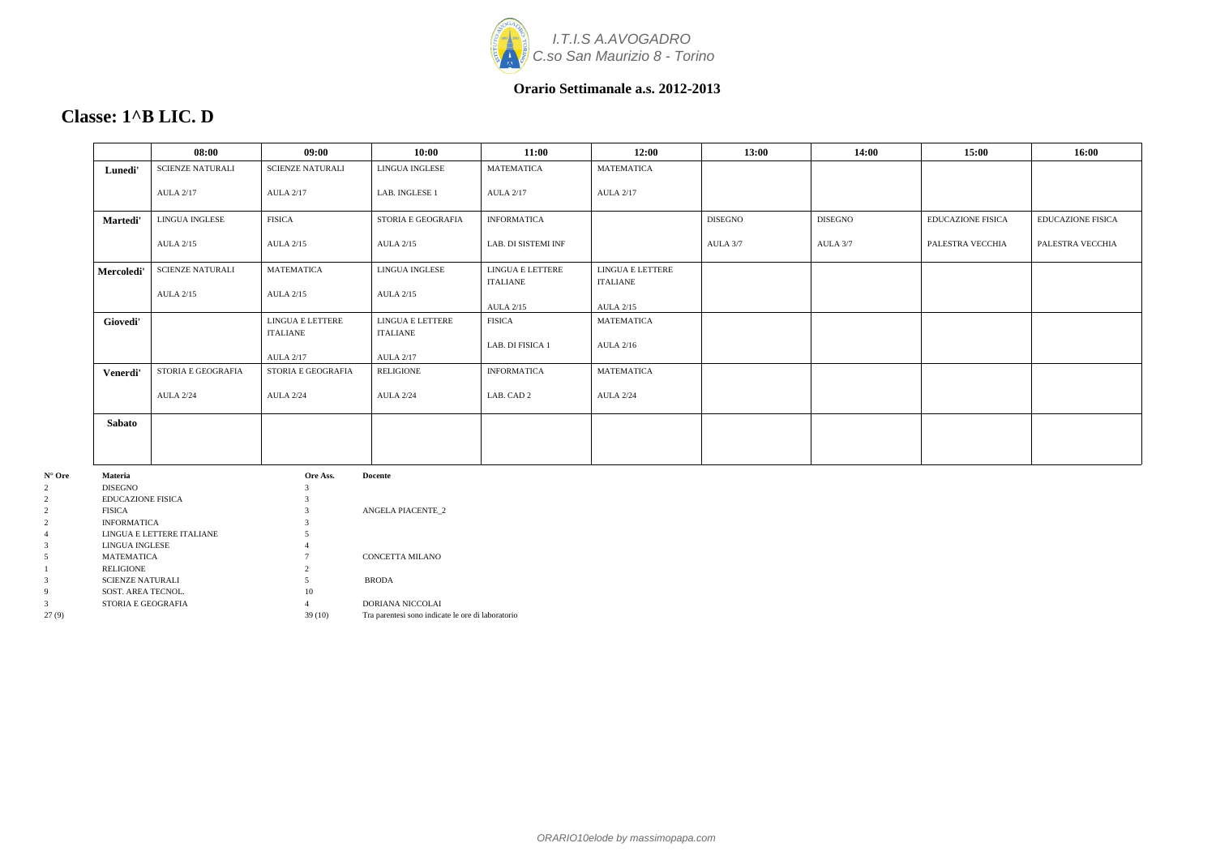

# **Classe: 1^B LIC. D**

|            | 08:00                   | 09:00                               | 10:00                               | 11:00                               | 12:00                        | 13:00          | 14:00          | 15:00                    | 16:00                    |
|------------|-------------------------|-------------------------------------|-------------------------------------|-------------------------------------|------------------------------|----------------|----------------|--------------------------|--------------------------|
| Lunedi'    | <b>SCIENZE NATURALI</b> | <b>SCIENZE NATURALI</b>             | LINGUA INGLESE                      | <b>MATEMATICA</b>                   | <b>MATEMATICA</b>            |                |                |                          |                          |
|            | <b>AULA 2/17</b>        | <b>AULA 2/17</b>                    | LAB. INGLESE 1                      | <b>AULA 2/17</b>                    | <b>AULA 2/17</b>             |                |                |                          |                          |
| Martedi'   | <b>LINGUA INGLESE</b>   | <b>FISICA</b>                       | STORIA E GEOGRAFIA                  | <b>INFORMATICA</b>                  |                              | <b>DISEGNO</b> | <b>DISEGNO</b> | <b>EDUCAZIONE FISICA</b> | <b>EDUCAZIONE FISICA</b> |
|            | <b>AULA 2/15</b>        | <b>AULA 2/15</b>                    | <b>AULA 2/15</b>                    | LAB. DI SISTEMI INF                 |                              | AULA 3/7       | AULA 3/7       | PALESTRA VECCHIA         | PALESTRA VECCHIA         |
| Mercoledi' | <b>SCIENZE NATURALI</b> | <b>MATEMATICA</b>                   | LINGUA INGLESE                      | LINGUA E LETTERE                    | LINGUA E LETTERE             |                |                |                          |                          |
|            | <b>AULA 2/15</b>        | <b>AULA 2/15</b>                    | <b>AULA 2/15</b>                    | <b>ITALIANE</b><br><b>AULA 2/15</b> | ITALIANE<br><b>AULA 2/15</b> |                |                |                          |                          |
| Giovedi'   |                         | LINGUA E LETTERE                    | LINGUA E LETTERE                    | <b>FISICA</b>                       | MATEMATICA                   |                |                |                          |                          |
|            |                         | <b>ITALIANE</b><br><b>AULA 2/17</b> | <b>ITALIANE</b><br><b>AULA 2/17</b> | LAB. DI FISICA 1                    | <b>AULA 2/16</b>             |                |                |                          |                          |
| Venerdi'   | STORIA E GEOGRAFIA      | STORIA E GEOGRAFIA                  | RELIGIONE                           | <b>INFORMATICA</b>                  | <b>MATEMATICA</b>            |                |                |                          |                          |
|            | <b>AULA 2/24</b>        | <b>AULA 2/24</b>                    | <b>AULA 2/24</b>                    | LAB. CAD 2                          | <b>AULA 2/24</b>             |                |                |                          |                          |
| Sabato     |                         |                                     |                                     |                                     |                              |                |                |                          |                          |
| Materia    |                         | $\alpha$ re $\Delta$ ss             | Docente                             |                                     |                              |                |                |                          |                          |

| $N^{\circ}$ Ore | <b>Materia</b>            | Ore Ass. | <b>Docente</b>                                    |
|-----------------|---------------------------|----------|---------------------------------------------------|
| 2               | <b>DISEGNO</b>            |          |                                                   |
| 2               | <b>EDUCAZIONE FISICA</b>  |          |                                                   |
| $\overline{2}$  | <b>FISICA</b>             |          | <b>ANGELA PIACENTE 2</b>                          |
| $\mathcal{L}$   | <b>INFORMATICA</b>        |          |                                                   |
| 4               | LINGUA E LETTERE ITALIANE |          |                                                   |
| 3               | LINGUA INGLESE            |          |                                                   |
| 5               | <b>MATEMATICA</b>         |          | CONCETTA MILANO                                   |
|                 | <b>RELIGIONE</b>          |          |                                                   |
| 3               | <b>SCIENZE NATURALI</b>   |          | <b>BRODA</b>                                      |
| 9               | SOST. AREA TECNOL.        | 10       |                                                   |
| 3               | STORIA E GEOGRAFIA        | 4        | <b>DORIANA NICCOLAI</b>                           |
| 27(9)           |                           | 39(10)   | Tra parentesi sono indicate le ore di laboratorio |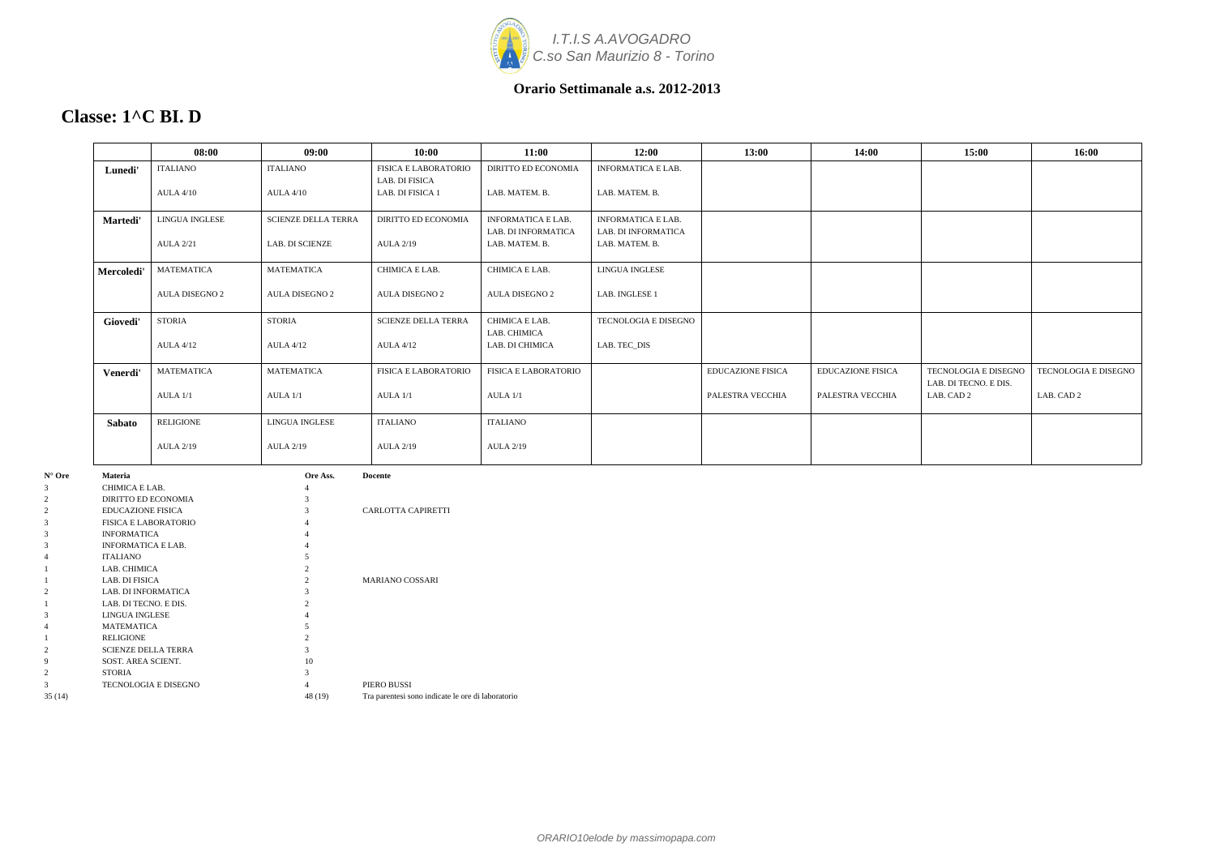

### **Classe: 1^C BI. D**

|               | 08:00                 | 09:00                      | 10:00                              | 11:00                          | 12:00                     | 13:00                    | 14:00                    | 15:00                               | 16:00                |
|---------------|-----------------------|----------------------------|------------------------------------|--------------------------------|---------------------------|--------------------------|--------------------------|-------------------------------------|----------------------|
| Lunedi'       | <b>ITALIANO</b>       | <b>ITALIANO</b>            | <b>FISICA E LABORATORIO</b>        | <b>DIRITTO ED ECONOMIA</b>     | <b>INFORMATICA E LAB.</b> |                          |                          |                                     |                      |
|               | <b>AULA 4/10</b>      | <b>AULA 4/10</b>           | LAB. DI FISICA<br>LAB. DI FISICA 1 | LAB. MATEM. B.                 | LAB. MATEM. B.            |                          |                          |                                     |                      |
|               |                       |                            |                                    |                                |                           |                          |                          |                                     |                      |
| Martedi'      | <b>LINGUA INGLESE</b> | <b>SCIENZE DELLA TERRA</b> | <b>DIRITTO ED ECONOMIA</b>         | <b>INFORMATICA E LAB.</b>      | <b>INFORMATICA E LAB.</b> |                          |                          |                                     |                      |
|               |                       |                            |                                    | LAB. DI INFORMATICA            | LAB. DI INFORMATICA       |                          |                          |                                     |                      |
|               | <b>AULA 2/21</b>      | <b>LAB. DI SCIENZE</b>     | <b>AULA 2/19</b>                   | LAB. MATEM. B.                 | LAB. MATEM. B.            |                          |                          |                                     |                      |
| Mercoledi'    | <b>MATEMATICA</b>     | <b>MATEMATICA</b>          | CHIMICA E LAB.                     | CHIMICA E LAB.                 | LINGUA INGLESE            |                          |                          |                                     |                      |
|               | <b>AULA DISEGNO 2</b> | <b>AULA DISEGNO 2</b>      | <b>AULA DISEGNO 2</b>              | <b>AULA DISEGNO 2</b>          | LAB. INGLESE 1            |                          |                          |                                     |                      |
| Giovedi'      | <b>STORIA</b>         | <b>STORIA</b>              | <b>SCIENZE DELLA TERRA</b>         | CHIMICA E LAB.<br>LAB. CHIMICA | TECNOLOGIA E DISEGNO      |                          |                          |                                     |                      |
|               | <b>AULA 4/12</b>      | <b>AULA 4/12</b>           | <b>AULA 4/12</b>                   | LAB. DI CHIMICA                | LAB. TEC_DIS              |                          |                          |                                     |                      |
| Venerdi'      | <b>MATEMATICA</b>     | <b>MATEMATICA</b>          | <b>FISICA E LABORATORIO</b>        | <b>FISICA E LABORATORIO</b>    |                           | <b>EDUCAZIONE FISICA</b> | <b>EDUCAZIONE FISICA</b> | TECNOLOGIA E DISEGNO                | TECNOLOGIA E DISEGNO |
|               | AULA 1/1              | AULA 1/1                   | AULA 1/1                           | AULA 1/1                       |                           | PALESTRA VECCHIA         | PALESTRA VECCHIA         | LAB. DI TECNO. E DIS.<br>LAB. CAD 2 | LAB. CAD 2           |
| <b>Sabato</b> | <b>RELIGIONE</b>      | LINGUA INGLESE             | <b>ITALIANO</b>                    | <b>ITALIANO</b>                |                           |                          |                          |                                     |                      |
|               | <b>AULA 2/19</b>      | <b>AULA 2/19</b>           | <b>AULA 2/19</b>                   | <b>AULA 2/19</b>               |                           |                          |                          |                                     |                      |

| $N^{\circ}$ Ore | <b>Materia</b>              | Ore Ass.       | <b>Docente</b>                                    |
|-----------------|-----------------------------|----------------|---------------------------------------------------|
| 3               | CHIMICA E LAB.              | 4              |                                                   |
| 2               | DIRITTO ED ECONOMIA         | 3              |                                                   |
| $\overline{2}$  | <b>EDUCAZIONE FISICA</b>    | 3              | CARLOTTA CAPIRETTI                                |
| 3               | <b>FISICA E LABORATORIO</b> |                |                                                   |
| 3               | <b>INFORMATICA</b>          |                |                                                   |
| 3               | <b>INFORMATICA E LAB.</b>   | 4              |                                                   |
| 4               | <b>ITALIANO</b>             |                |                                                   |
|                 | LAB. CHIMICA                |                |                                                   |
|                 | LAB. DI FISICA              | $\mathfrak{D}$ | <b>MARIANO COSSARI</b>                            |
| $\overline{2}$  | <b>LAB. DI INFORMATICA</b>  |                |                                                   |
|                 | LAB. DI TECNO. E DIS.       |                |                                                   |
| 3               | <b>LINGUA INGLESE</b>       |                |                                                   |
| 4               | <b>MATEMATICA</b>           |                |                                                   |
|                 | <b>RELIGIONE</b>            | 2              |                                                   |
| 2               | <b>SCIENZE DELLA TERRA</b>  | 3              |                                                   |
| 9               | SOST. AREA SCIENT.          | 10             |                                                   |
| 2               | <b>STORIA</b>               | 3              |                                                   |
| 3               | TECNOLOGIA E DISEGNO        | 4              | PIERO BUSSI                                       |
| 35 (14)         |                             | 48 (19)        | Tra parentesi sono indicate le ore di laboratorio |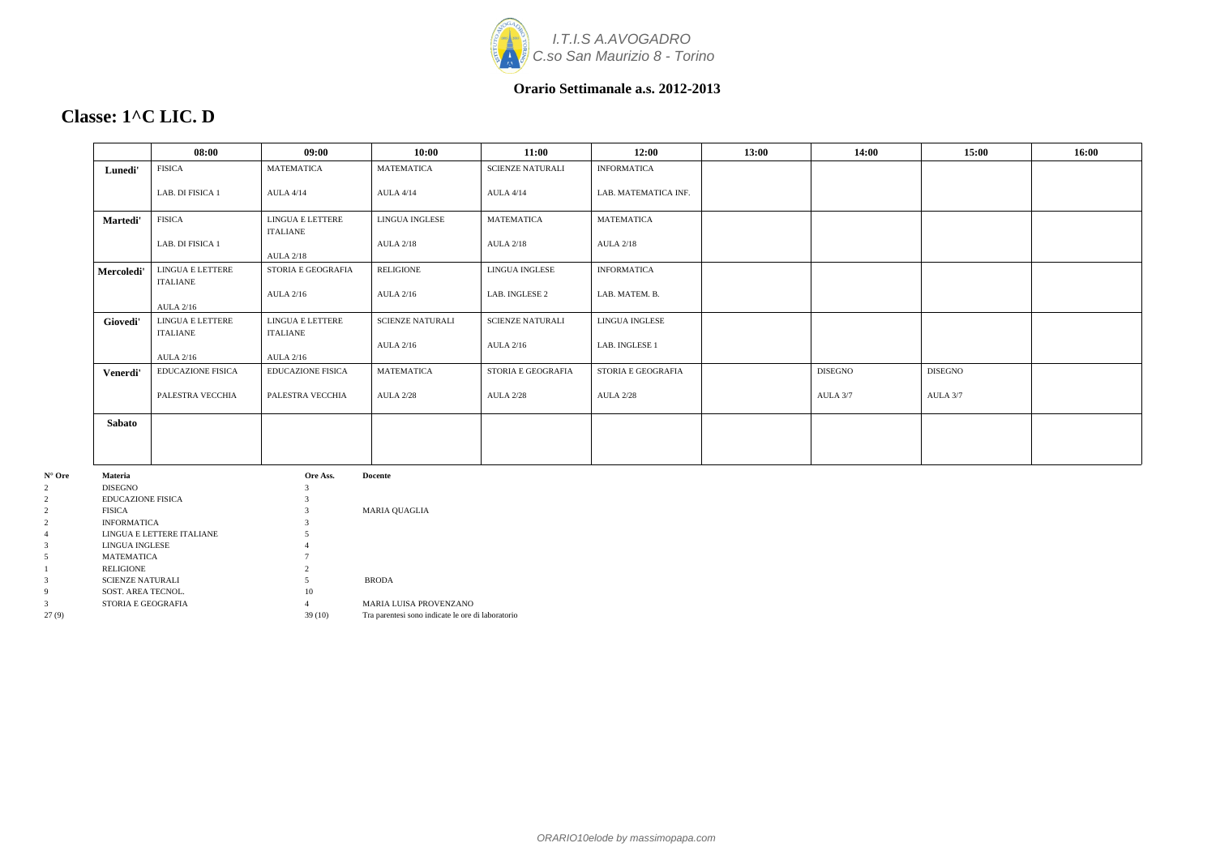

# **Classe: 1^C LIC. D**

|               | 08:00                        | 09:00                               | 10:00                   | 11:00                   | 12:00                | 13:00 | 14:00          | 15:00          | 16:00 |
|---------------|------------------------------|-------------------------------------|-------------------------|-------------------------|----------------------|-------|----------------|----------------|-------|
| Lunedi'       | <b>FISICA</b>                | <b>MATEMATICA</b>                   | <b>MATEMATICA</b>       | <b>SCIENZE NATURALI</b> | <b>INFORMATICA</b>   |       |                |                |       |
|               | LAB. DI FISICA 1             | <b>AULA 4/14</b>                    | <b>AULA 4/14</b>        | <b>AULA 4/14</b>        | LAB. MATEMATICA INF. |       |                |                |       |
| Martedi'      | <b>FISICA</b>                | LINGUA E LETTERE<br><b>ITALIANE</b> | LINGUA INGLESE          | <b>MATEMATICA</b>       | <b>MATEMATICA</b>    |       |                |                |       |
|               | LAB. DI FISICA 1             | <b>AULA 2/18</b>                    | <b>AULA 2/18</b>        | <b>AULA 2/18</b>        | <b>AULA 2/18</b>     |       |                |                |       |
| Mercoledi'    | LINGUA E LETTERE<br>ITALIANE | STORIA E GEOGRAFIA                  | <b>RELIGIONE</b>        | <b>LINGUA INGLESE</b>   | <b>INFORMATICA</b>   |       |                |                |       |
|               | <b>AULA 2/16</b>             | <b>AULA 2/16</b>                    | <b>AULA 2/16</b>        | LAB. INGLESE 2          | LAB. MATEM. B.       |       |                |                |       |
| Giovedi'      | LINGUA E LETTERE<br>ITALIANE | LINGUA E LETTERE<br><b>ITALIANE</b> | <b>SCIENZE NATURALI</b> | <b>SCIENZE NATURALI</b> | LINGUA INGLESE       |       |                |                |       |
|               | <b>AULA 2/16</b>             | <b>AULA 2/16</b>                    | <b>AULA 2/16</b>        | <b>AULA 2/16</b>        | LAB. INGLESE 1       |       |                |                |       |
| Venerdi'      | <b>EDUCAZIONE FISICA</b>     | <b>EDUCAZIONE FISICA</b>            | <b>MATEMATICA</b>       | STORIA E GEOGRAFIA      | STORIA E GEOGRAFIA   |       | <b>DISEGNO</b> | <b>DISEGNO</b> |       |
|               | PALESTRA VECCHIA             | PALESTRA VECCHIA                    | <b>AULA 2/28</b>        | <b>AULA 2/28</b>        | <b>AULA 2/28</b>     |       | AULA 3/7       | AULA 3/7       |       |
| <b>Sabato</b> |                              |                                     |                         |                         |                      |       |                |                |       |
|               |                              |                                     |                         |                         |                      |       |                |                |       |

| N° Ore | Materia                   | Ore Ass. | Docente                                           |
|--------|---------------------------|----------|---------------------------------------------------|
|        | <b>DISEGNO</b>            |          |                                                   |
|        | <b>EDUCAZIONE FISICA</b>  |          |                                                   |
|        | <b>FISICA</b>             |          | <b>MARIA OUAGLIA</b>                              |
|        | <b>INFORMATICA</b>        |          |                                                   |
| 4      | LINGUA E LETTERE ITALIANE |          |                                                   |
| 3      | LINGUA INGLESE            |          |                                                   |
|        | <b>MATEMATICA</b>         |          |                                                   |
|        | <b>RELIGIONE</b>          |          |                                                   |
| 3      | <b>SCIENZE NATURALI</b>   |          | <b>BRODA</b>                                      |
| 9      | SOST. AREA TECNOL.        | 10       |                                                   |
| 3      | STORIA E GEOGRAFIA        | 4        | <b>MARIA LUISA PROVENZANO</b>                     |
| 27(9)  |                           | 39(10)   | Tra parentesi sono indicate le ore di laboratorio |
|        |                           |          |                                                   |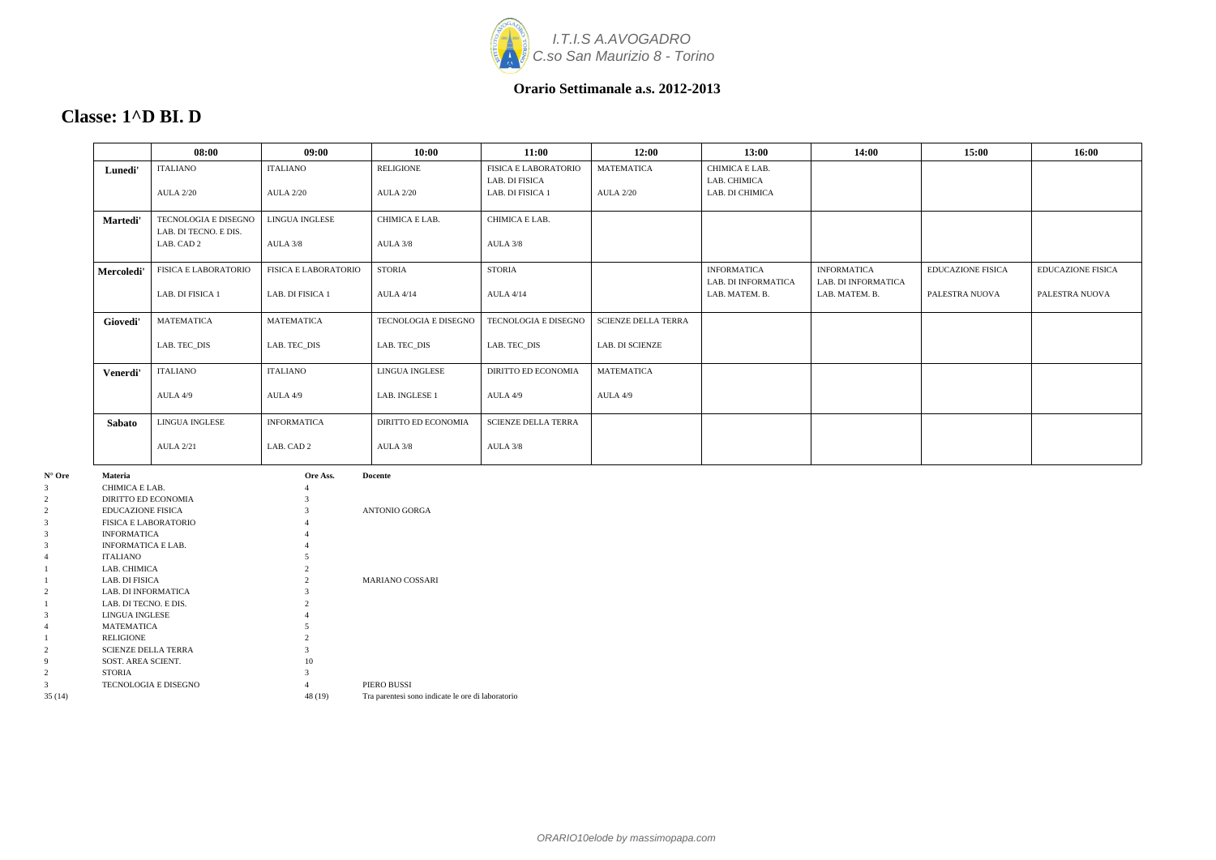

### **Classe: 1^D BI. D**

|            | 08:00                                         | 09:00                       | 10:00                      | 11:00                                         | 12:00                      | 13:00                                            | 14:00                                            | 15:00                    | 16:00                    |
|------------|-----------------------------------------------|-----------------------------|----------------------------|-----------------------------------------------|----------------------------|--------------------------------------------------|--------------------------------------------------|--------------------------|--------------------------|
| Lunedi'    | <b>ITALIANO</b>                               | <b>ITALIANO</b>             | <b>RELIGIONE</b>           | <b>FISICA E LABORATORIO</b><br>LAB. DI FISICA | <b>MATEMATICA</b>          | CHIMICA E LAB.<br>LAB. CHIMICA                   |                                                  |                          |                          |
|            | <b>AULA 2/20</b>                              | <b>AULA 2/20</b>            | <b>AULA 2/20</b>           | LAB. DI FISICA 1                              | <b>AULA 2/20</b>           | LAB. DI CHIMICA                                  |                                                  |                          |                          |
| Martedi'   | TECNOLOGIA E DISEGNO<br>LAB. DI TECNO. E DIS. | <b>LINGUA INGLESE</b>       | CHIMICA E LAB.             | CHIMICA E LAB.                                |                            |                                                  |                                                  |                          |                          |
|            | LAB. CAD 2                                    | AULA 3/8                    | AULA 3/8                   | AULA 3/8                                      |                            |                                                  |                                                  |                          |                          |
| Mercoledi' | <b>FISICA E LABORATORIO</b>                   | <b>FISICA E LABORATORIO</b> | <b>STORIA</b>              | <b>STORIA</b>                                 |                            | <b>INFORMATICA</b><br><b>LAB. DI INFORMATICA</b> | <b>INFORMATICA</b><br><b>LAB. DI INFORMATICA</b> | <b>EDUCAZIONE FISICA</b> | <b>EDUCAZIONE FISICA</b> |
|            | LAB. DI FISICA 1                              | LAB. DI FISICA 1            | <b>AULA 4/14</b>           | <b>AULA 4/14</b>                              |                            | LAB. MATEM. B.                                   | LAB. MATEM. B.                                   | PALESTRA NUOVA           | PALESTRA NUOVA           |
| Giovedi'   | <b>MATEMATICA</b>                             | <b>MATEMATICA</b>           | TECNOLOGIA E DISEGNO       | TECNOLOGIA E DISEGNO                          | <b>SCIENZE DELLA TERRA</b> |                                                  |                                                  |                          |                          |
|            | LAB. TEC DIS                                  | LAB. TEC_DIS                | LAB. TEC_DIS               | LAB. TEC DIS                                  | <b>LAB. DI SCIENZE</b>     |                                                  |                                                  |                          |                          |
| Venerdi'   | <b>ITALIANO</b>                               | <b>ITALIANO</b>             | LINGUA INGLESE             | <b>DIRITTO ED ECONOMIA</b>                    | <b>MATEMATICA</b>          |                                                  |                                                  |                          |                          |
|            | AULA 4/9                                      | AULA 4/9                    | LAB. INGLESE 1             | AULA 4/9                                      | AULA 4/9                   |                                                  |                                                  |                          |                          |
| Sabato     | LINGUA INGLESE                                | <b>INFORMATICA</b>          | <b>DIRITTO ED ECONOMIA</b> | <b>SCIENZE DELLA TERRA</b>                    |                            |                                                  |                                                  |                          |                          |
|            | <b>AULA 2/21</b>                              | LAB. CAD 2                  | AULA 3/8                   | AULA 3/8                                      |                            |                                                  |                                                  |                          |                          |

| $N^{\circ}$ Ore | <b>Materia</b>              | Ore Ass. | <b>Docente</b>                                    |
|-----------------|-----------------------------|----------|---------------------------------------------------|
| 3               | CHIMICA E LAB.              | 4        |                                                   |
| 2               | DIRITTO ED ECONOMIA         | 3        |                                                   |
| 2               | <b>EDUCAZIONE FISICA</b>    | 3        | <b>ANTONIO GORGA</b>                              |
| 3               | <b>FISICA E LABORATORIO</b> | 4        |                                                   |
| 3               | <b>INFORMATICA</b>          | 4        |                                                   |
| 3               | <b>INFORMATICA E LAB.</b>   | 4        |                                                   |
|                 | <b>ITALIANO</b>             | 5        |                                                   |
|                 | LAB. CHIMICA                | 2        |                                                   |
|                 | LAB. DI FISICA              | 2        | <b>MARIANO COSSARI</b>                            |
|                 | LAB. DI INFORMATICA         | 3        |                                                   |
|                 | LAB. DI TECNO. E DIS.       | 2        |                                                   |
| 3               | <b>LINGUA INGLESE</b>       | 4        |                                                   |
|                 | <b>MATEMATICA</b>           | 5        |                                                   |
|                 | <b>RELIGIONE</b>            | 2        |                                                   |
| 2               | <b>SCIENZE DELLA TERRA</b>  | 3        |                                                   |
| 9               | SOST. AREA SCIENT.          | 10       |                                                   |
| 2               | <b>STORIA</b>               | 3        |                                                   |
| 3               | <b>TECNOLOGIA E DISEGNO</b> | 4        | PIERO BUSSI                                       |
| 35(14)          |                             | 48 (19)  | Tra parentesi sono indicate le ore di laboratorio |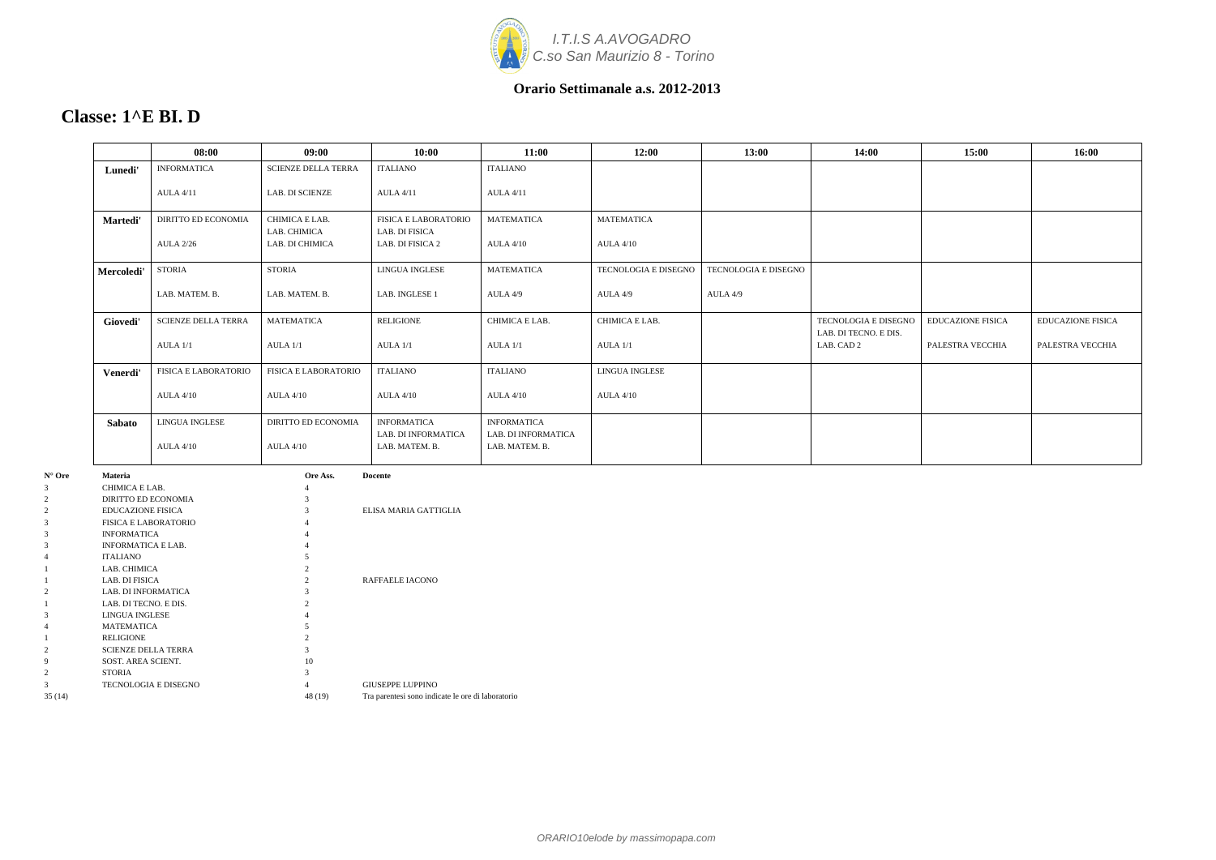

|              | 08:00                       | 09:00                                                                         | 10:00                                        | 11:00                                 | 12:00                 | 13:00                | 14:00                               | 15:00                    | 16:00                    |
|--------------|-----------------------------|-------------------------------------------------------------------------------|----------------------------------------------|---------------------------------------|-----------------------|----------------------|-------------------------------------|--------------------------|--------------------------|
| Lunedi'      | <b>INFORMATICA</b>          | <b>SCIENZE DELLA TERRA</b>                                                    | <b>ITALIANO</b>                              | <b>ITALIANO</b>                       |                       |                      |                                     |                          |                          |
|              | <b>AULA 4/11</b>            | <b>LAB. DI SCIENZE</b>                                                        | <b>AULA 4/11</b>                             | <b>AULA 4/11</b>                      |                       |                      |                                     |                          |                          |
| Martedi'     | DIRITTO ED ECONOMIA         | CHIMICA E LAB.                                                                | <b>FISICA E LABORATORIO</b>                  | <b>MATEMATICA</b>                     | <b>MATEMATICA</b>     |                      |                                     |                          |                          |
|              | <b>AULA 2/26</b>            | LAB. CHIMICA<br>LAB. DI CHIMICA                                               | LAB. DI FISICA<br>LAB. DI FISICA 2           | <b>AULA 4/10</b>                      | <b>AULA 4/10</b>      |                      |                                     |                          |                          |
| Mercoledi'   | <b>STORIA</b>               | <b>STORIA</b>                                                                 | <b>LINGUA INGLESE</b>                        | <b>MATEMATICA</b>                     | TECNOLOGIA E DISEGNO  | TECNOLOGIA E DISEGNO |                                     |                          |                          |
|              | LAB. MATEM. B.              | LAB. MATEM. B.                                                                | LAB. INGLESE 1                               | AULA 4/9                              | AULA 4/9              | AULA 4/9             |                                     |                          |                          |
| Giovedi'     | <b>SCIENZE DELLA TERRA</b>  | <b>MATEMATICA</b>                                                             | <b>RELIGIONE</b>                             | CHIMICA E LAB.                        | CHIMICA E LAB.        |                      | <b>TECNOLOGIA E DISEGNO</b>         | <b>EDUCAZIONE FISICA</b> | <b>EDUCAZIONE FISICA</b> |
|              | AULA 1/1                    | AULA 1/1                                                                      | AULA 1/1                                     | AULA 1/1                              | AULA 1/1              |                      | LAB. DI TECNO. E DIS.<br>LAB. CAD 2 | PALESTRA VECCHIA         | PALESTRA VECCHIA         |
| Venerdi'     | <b>FISICA E LABORATORIO</b> | <b>FISICA E LABORATORIO</b>                                                   | <b>ITALIANO</b>                              | <b>ITALIANO</b>                       | <b>LINGUA INGLESE</b> |                      |                                     |                          |                          |
|              | <b>AULA 4/10</b>            | AULA 4/10                                                                     | <b>AULA 4/10</b>                             | <b>AULA 4/10</b>                      | <b>AULA 4/10</b>      |                      |                                     |                          |                          |
| Sabato       | LINGUA INGLESE              | <b>DIRITTO ED ECONOMIA</b>                                                    | <b>INFORMATICA</b>                           | <b>INFORMATICA</b>                    |                       |                      |                                     |                          |                          |
|              | <b>AULA 4/10</b>            | $ALIA$ 4/10                                                                   | <b>LAB. DI INFORMATICA</b><br>LAB. MATEM. B. | LAB. DI INFORMATICA<br>LAB. MATEM. B. |                       |                      |                                     |                          |                          |
| $\mathbf{M}$ |                             | $\mathbf{Q}_{\text{new}}$ $\mathbf{A}_{\text{new}}$ $\mathbf{Q}_{\text{new}}$ |                                              |                                       |                       |                      |                                     |                          |                          |

| $N^{\circ}$ Ore | <b>Materia</b>              | Ore Ass.       | <b>Docente</b>                                    |
|-----------------|-----------------------------|----------------|---------------------------------------------------|
| 3               | CHIMICA E LAB.              | 4              |                                                   |
| $\overline{c}$  | DIRITTO ED ECONOMIA         | 3              |                                                   |
| 2               | <b>EDUCAZIONE FISICA</b>    | 3              | ELISA MARIA GATTIGLIA                             |
| 3               | <b>FISICA E LABORATORIO</b> | 4              |                                                   |
| 3               | <b>INFORMATICA</b>          | 4              |                                                   |
| 3               | <b>INFORMATICA E LAB.</b>   | $\overline{4}$ |                                                   |
| 4               | <b>ITALIANO</b>             | 5              |                                                   |
|                 | LAB. CHIMICA                | 2              |                                                   |
|                 | LAB. DI FISICA              | $\overline{c}$ | RAFFAELE IACONO                                   |
| 2               | <b>LAB. DI INFORMATICA</b>  | 3              |                                                   |
|                 | LAB. DI TECNO. E DIS.       | $\mathfrak{D}$ |                                                   |
| 3               | LINGUA INGLESE              | 4              |                                                   |
| 4               | <b>MATEMATICA</b>           | 5              |                                                   |
| 1               | <b>RELIGIONE</b>            | $\overline{c}$ |                                                   |
| $\overline{c}$  | <b>SCIENZE DELLA TERRA</b>  | 3              |                                                   |
| 9               | SOST. AREA SCIENT.          | 10             |                                                   |
| 2               | <b>STORIA</b>               | 3              |                                                   |
| 3               | <b>TECNOLOGIA E DISEGNO</b> | 4              | <b>GIUSEPPE LUPPINO</b>                           |
| 35(14)          |                             | 48 (19)        | Tra parentesi sono indicate le ore di laboratorio |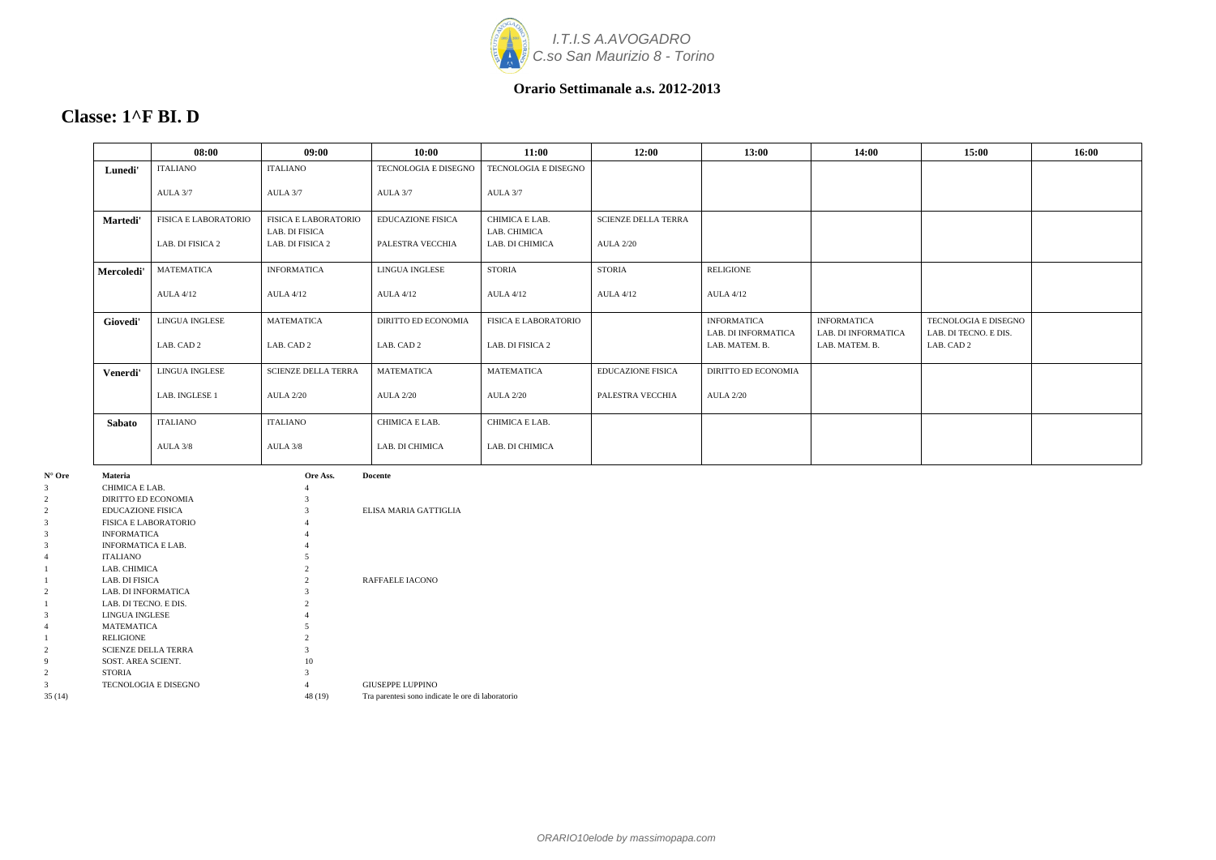

|            | 08:00                | 09:00                              | 10:00                      | 11:00                           | 12:00                      | 13:00                                 | 14:00                                 | 15:00                               | 16:00 |
|------------|----------------------|------------------------------------|----------------------------|---------------------------------|----------------------------|---------------------------------------|---------------------------------------|-------------------------------------|-------|
| Lunedi'    | <b>ITALIANO</b>      | <b>ITALIANO</b>                    | TECNOLOGIA E DISEGNO       | TECNOLOGIA E DISEGNO            |                            |                                       |                                       |                                     |       |
|            | AULA 3/7             | AULA 3/7                           | AULA 3/7                   | AULA 3/7                        |                            |                                       |                                       |                                     |       |
| Martedi'   | FISICA E LABORATORIO | <b>FISICA E LABORATORIO</b>        | <b>EDUCAZIONE FISICA</b>   | CHIMICA E LAB.                  | <b>SCIENZE DELLA TERRA</b> |                                       |                                       |                                     |       |
|            | LAB. DI FISICA 2     | LAB. DI FISICA<br>LAB. DI FISICA 2 | PALESTRA VECCHIA           | LAB. CHIMICA<br>LAB. DI CHIMICA | <b>AULA 2/20</b>           |                                       |                                       |                                     |       |
| Mercoledi' | <b>MATEMATICA</b>    | <b>INFORMATICA</b>                 | LINGUA INGLESE             | <b>STORIA</b>                   | <b>STORIA</b>              | <b>RELIGIONE</b>                      |                                       |                                     |       |
|            | <b>AULA 4/12</b>     | <b>AULA 4/12</b>                   | <b>AULA 4/12</b>           | <b>AULA 4/12</b>                | <b>AULA 4/12</b>           | <b>AULA 4/12</b>                      |                                       |                                     |       |
| Giovedi'   | LINGUA INGLESE       | <b>MATEMATICA</b>                  | <b>DIRITTO ED ECONOMIA</b> | <b>FISICA E LABORATORIO</b>     |                            | <b>INFORMATICA</b>                    | <b>INFORMATICA</b>                    | TECNOLOGIA E DISEGNO                |       |
|            | LAB. CAD 2           | LAB. CAD 2                         | LAB. CAD 2                 | LAB. DI FISICA 2                |                            | LAB. DI INFORMATICA<br>LAB. MATEM. B. | LAB. DI INFORMATICA<br>LAB. MATEM. B. | LAB. DI TECNO. E DIS.<br>LAB. CAD 2 |       |
| Venerdi'   | LINGUA INGLESE       | <b>SCIENZE DELLA TERRA</b>         | <b>MATEMATICA</b>          | <b>MATEMATICA</b>               | <b>EDUCAZIONE FISICA</b>   | <b>DIRITTO ED ECONOMIA</b>            |                                       |                                     |       |
|            | LAB. INGLESE 1       | <b>AULA 2/20</b>                   | <b>AULA 2/20</b>           | <b>AULA 2/20</b>                | PALESTRA VECCHIA           | <b>AULA 2/20</b>                      |                                       |                                     |       |
| Sabato     | <b>ITALIANO</b>      | <b>ITALIANO</b>                    | CHIMICA E LAB.             | CHIMICA E LAB.                  |                            |                                       |                                       |                                     |       |
|            | AULA 3/8             | AULA 3/8                           | LAB. DI CHIMICA            | LAB. DI CHIMICA                 |                            |                                       |                                       |                                     |       |
|            |                      |                                    |                            |                                 |                            |                                       |                                       |                                     |       |

| $N^{\circ}$ Ore | <b>Materia</b>              | Ore Ass.       | <b>Docente</b>                                    |
|-----------------|-----------------------------|----------------|---------------------------------------------------|
| 3               | CHIMICA E LAB.              | 4              |                                                   |
| $\overline{c}$  | DIRITTO ED ECONOMIA         | 3              |                                                   |
| 2               | <b>EDUCAZIONE FISICA</b>    | 3              | ELISA MARIA GATTIGLIA                             |
| 3               | <b>FISICA E LABORATORIO</b> | 4              |                                                   |
| 3               | <b>INFORMATICA</b>          | 4              |                                                   |
| 3               | <b>INFORMATICA E LAB.</b>   | 4              |                                                   |
| 4               | <b>ITALIANO</b>             | 5              |                                                   |
|                 | LAB. CHIMICA                | 2              |                                                   |
|                 | LAB. DI FISICA              | $\overline{c}$ | RAFFAELE IACONO                                   |
| $\overline{c}$  | <b>LAB. DI INFORMATICA</b>  | 3              |                                                   |
|                 | LAB. DI TECNO. E DIS.       | 2              |                                                   |
| 3               | <b>LINGUA INGLESE</b>       |                |                                                   |
| 4               | <b>MATEMATICA</b>           | 5              |                                                   |
|                 | <b>RELIGIONE</b>            | 2              |                                                   |
| 2               | <b>SCIENZE DELLA TERRA</b>  | 3              |                                                   |
| 9               | SOST. AREA SCIENT.          | 10             |                                                   |
| $\overline{c}$  | <b>STORIA</b>               | 3              |                                                   |
| 3               | TECNOLOGIA E DISEGNO        | 4              | <b>GIUSEPPE LUPPINO</b>                           |
| 35(14)          |                             | 48 (19)        | Tra parentesi sono indicate le ore di laboratorio |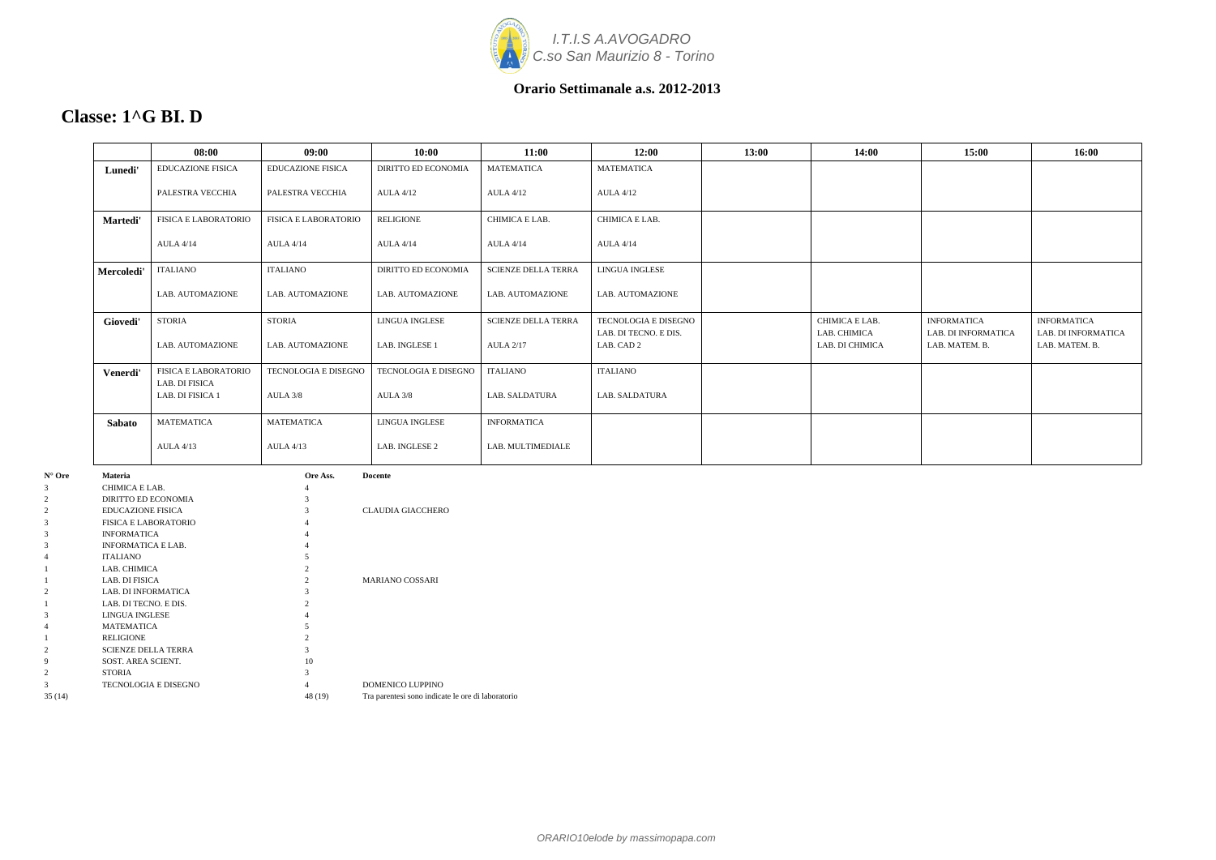

### **Classe: 1^G BI. D**

|            | 08:00                              | 09:00                       | 10:00                      | 11:00                      | 12:00                               | 13:00 | 14:00                           | 15:00                                 | 16:00                                 |
|------------|------------------------------------|-----------------------------|----------------------------|----------------------------|-------------------------------------|-------|---------------------------------|---------------------------------------|---------------------------------------|
| Lunedi'    | <b>EDUCAZIONE FISICA</b>           | <b>EDUCAZIONE FISICA</b>    | <b>DIRITTO ED ECONOMIA</b> | <b>MATEMATICA</b>          | <b>MATEMATICA</b>                   |       |                                 |                                       |                                       |
|            | PALESTRA VECCHIA                   | PALESTRA VECCHIA            | <b>AULA 4/12</b>           | <b>AULA 4/12</b>           | <b>AULA 4/12</b>                    |       |                                 |                                       |                                       |
| Martedi'   | FISICA E LABORATORIO               | <b>FISICA E LABORATORIO</b> | <b>RELIGIONE</b>           | CHIMICA E LAB.             | CHIMICA E LAB.                      |       |                                 |                                       |                                       |
|            | <b>AULA 4/14</b>                   | <b>AULA 4/14</b>            | <b>AULA 4/14</b>           | <b>AULA 4/14</b>           | <b>AULA 4/14</b>                    |       |                                 |                                       |                                       |
| Mercoledi' | <b>ITALIANO</b>                    | <b>ITALIANO</b>             | <b>DIRITTO ED ECONOMIA</b> | <b>SCIENZE DELLA TERRA</b> | <b>LINGUA INGLESE</b>               |       |                                 |                                       |                                       |
|            | LAB. AUTOMAZIONE                   | LAB. AUTOMAZIONE            | LAB. AUTOMAZIONE           | LAB. AUTOMAZIONE           | LAB. AUTOMAZIONE                    |       |                                 |                                       |                                       |
| Giovedi'   | <b>STORIA</b>                      | <b>STORIA</b>               | LINGUA INGLESE             | <b>SCIENZE DELLA TERRA</b> | TECNOLOGIA E DISEGNO                |       | CHIMICA E LAB.                  | <b>INFORMATICA</b>                    | <b>INFORMATICA</b>                    |
|            | LAB. AUTOMAZIONE                   | LAB. AUTOMAZIONE            | LAB. INGLESE 1             | <b>AULA 2/17</b>           | LAB. DI TECNO. E DIS.<br>LAB. CAD 2 |       | LAB. CHIMICA<br>LAB. DI CHIMICA | LAB. DI INFORMATICA<br>LAB. MATEM. B. | LAB. DI INFORMATICA<br>LAB. MATEM. B. |
| Venerdi'   | <b>FISICA E LABORATORIO</b>        | TECNOLOGIA E DISEGNO        | TECNOLOGIA E DISEGNO       | <b>ITALIANO</b>            | <b>ITALIANO</b>                     |       |                                 |                                       |                                       |
|            | LAB. DI FISICA<br>LAB. DI FISICA 1 | AULA 3/8                    | AULA 3/8                   | LAB. SALDATURA             | LAB. SALDATURA                      |       |                                 |                                       |                                       |
| Sabato     | MATEMATICA                         | <b>MATEMATICA</b>           | <b>LINGUA INGLESE</b>      | <b>INFORMATICA</b>         |                                     |       |                                 |                                       |                                       |
|            | <b>AULA 4/13</b>                   | <b>AULA 4/13</b>            | LAB. INGLESE 2             | LAB. MULTIMEDIALE          |                                     |       |                                 |                                       |                                       |

| $N^{\circ}$ Ore | <b>Materia</b>              | Ore Ass. | <b>Docente</b>                                    |
|-----------------|-----------------------------|----------|---------------------------------------------------|
| 3               | CHIMICA E LAB.              | 4        |                                                   |
| $\overline{2}$  | DIRITTO ED ECONOMIA         | 3        |                                                   |
| $\overline{2}$  | <b>EDUCAZIONE FISICA</b>    | 3        | <b>CLAUDIA GIACCHERO</b>                          |
| 3               | <b>FISICA E LABORATORIO</b> |          |                                                   |
| 3               | <b>INFORMATICA</b>          | 4        |                                                   |
| 3               | <b>INFORMATICA E LAB.</b>   | 4        |                                                   |
| 4               | <b>ITALIANO</b>             |          |                                                   |
|                 | LAB. CHIMICA                |          |                                                   |
|                 | LAB. DI FISICA              | 2        | <b>MARIANO COSSARI</b>                            |
| $\overline{2}$  | LAB. DI INFORMATICA         | 3        |                                                   |
|                 | LAB. DI TECNO. E DIS.       |          |                                                   |
| 3               | LINGUA INGLESE              |          |                                                   |
| 4               | <b>MATEMATICA</b>           |          |                                                   |
|                 | <b>RELIGIONE</b>            | 2        |                                                   |
| 2               | <b>SCIENZE DELLA TERRA</b>  | 3        |                                                   |
| 9               | SOST. AREA SCIENT.          | 10       |                                                   |
| $\overline{2}$  | <b>STORIA</b>               |          |                                                   |
| 3               | <b>TECNOLOGIA E DISEGNO</b> | 4        | DOMENICO LUPPINO                                  |
| 35 (14)         |                             | 48 (19)  | Tra parentesi sono indicate le ore di laboratorio |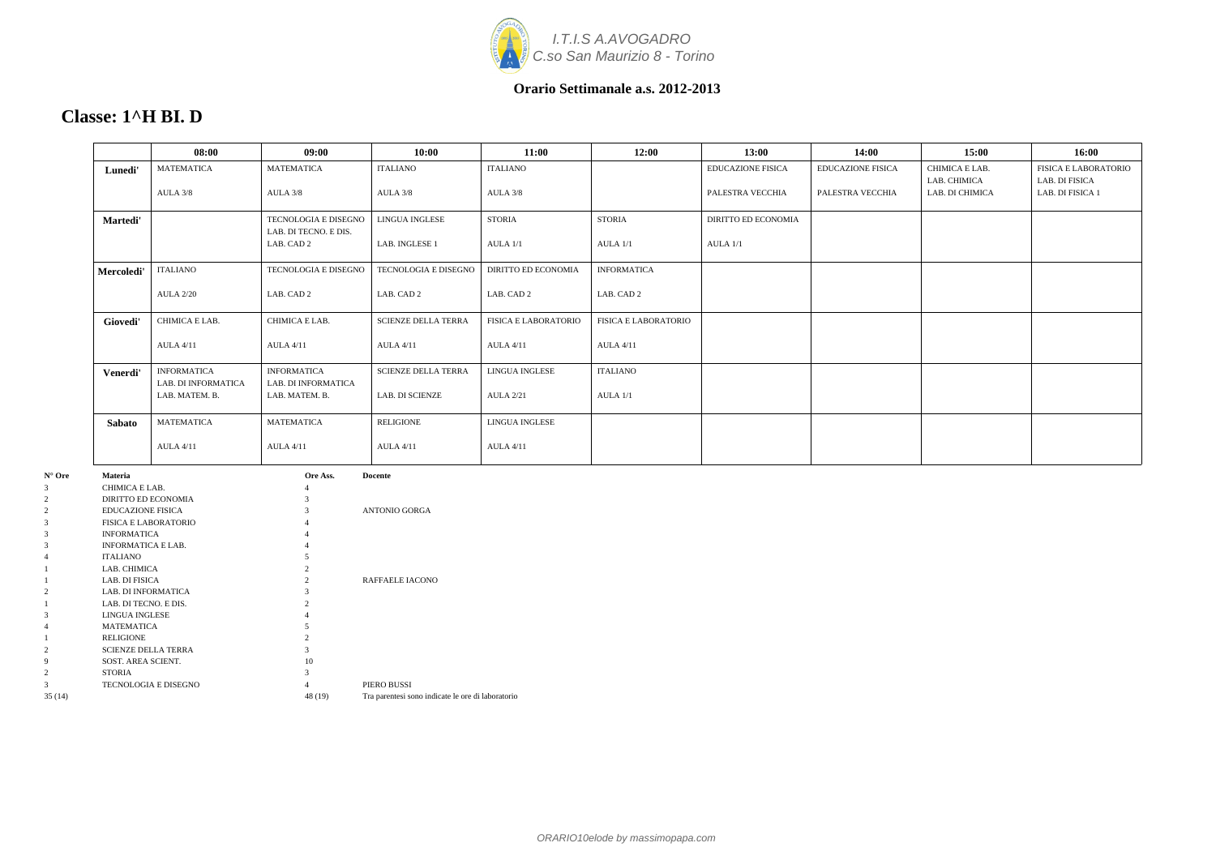

### **Classe: 1^H BI. D**

|               | 08:00               | 09:00                       | 10:00                      | 11:00                       | 12:00                       | 13:00                    | 14:00                    | 15:00           | 16:00                       |
|---------------|---------------------|-----------------------------|----------------------------|-----------------------------|-----------------------------|--------------------------|--------------------------|-----------------|-----------------------------|
| Lunedi'       | <b>MATEMATICA</b>   | <b>MATEMATICA</b>           | <b>ITALIANO</b>            | <b>ITALIANO</b>             |                             | <b>EDUCAZIONE FISICA</b> | <b>EDUCAZIONE FISICA</b> | CHIMICA E LAB.  | <b>FISICA E LABORATORIO</b> |
|               |                     |                             |                            |                             |                             |                          |                          | LAB. CHIMICA    | LAB. DI FISICA              |
|               | AULA 3/8            | AULA 3/8                    | AULA 3/8                   | AULA 3/8                    |                             | PALESTRA VECCHIA         | PALESTRA VECCHIA         | LAB. DI CHIMICA | LAB. DI FISICA 1            |
| Martedi'      |                     | TECNOLOGIA E DISEGNO        | LINGUA INGLESE             | <b>STORIA</b>               | <b>STORIA</b>               | DIRITTO ED ECONOMIA      |                          |                 |                             |
|               |                     | LAB. DI TECNO. E DIS.       |                            |                             |                             |                          |                          |                 |                             |
|               |                     | LAB. CAD 2                  | LAB. INGLESE 1             | AULA 1/1                    | AULA 1/1                    | AULA 1/1                 |                          |                 |                             |
| Mercoledi'    | ITALIANO            | <b>TECNOLOGIA E DISEGNO</b> | TECNOLOGIA E DISEGNO       | <b>DIRITTO ED ECONOMIA</b>  | <b>INFORMATICA</b>          |                          |                          |                 |                             |
|               | <b>AULA 2/20</b>    | LAB. CAD 2                  | LAB. CAD 2                 | LAB. CAD 2                  | LAB. CAD 2                  |                          |                          |                 |                             |
| Giovedi'      | CHIMICA E LAB.      | CHIMICA E LAB.              | <b>SCIENZE DELLA TERRA</b> | <b>FISICA E LABORATORIO</b> | <b>FISICA E LABORATORIO</b> |                          |                          |                 |                             |
|               | <b>AULA 4/11</b>    | <b>AULA 4/11</b>            | <b>AULA 4/11</b>           | <b>AULA 4/11</b>            | <b>AULA 4/11</b>            |                          |                          |                 |                             |
| Venerdi'      | <b>INFORMATICA</b>  | <b>INFORMATICA</b>          | <b>SCIENZE DELLA TERRA</b> | <b>LINGUA INGLESE</b>       | <b>ITALIANO</b>             |                          |                          |                 |                             |
|               | LAB. DI INFORMATICA | LAB. DI INFORMATICA         |                            |                             |                             |                          |                          |                 |                             |
|               | LAB. MATEM. B.      | LAB. MATEM. B.              | <b>LAB. DI SCIENZE</b>     | <b>AULA 2/21</b>            | AULA 1/1                    |                          |                          |                 |                             |
| <b>Sabato</b> | <b>MATEMATICA</b>   | <b>MATEMATICA</b>           | RELIGIONE                  | LINGUA INGLESE              |                             |                          |                          |                 |                             |
|               | <b>AULA 4/11</b>    | <b>AULA 4/11</b>            | <b>AULA 4/11</b>           | <b>AULA 4/11</b>            |                             |                          |                          |                 |                             |

| N° Ore         | Materia                     | Ore Ass.       | Docente                                           |
|----------------|-----------------------------|----------------|---------------------------------------------------|
| 3              | CHIMICA E LAB.              | 4              |                                                   |
| 2              | DIRITTO ED ECONOMIA         |                |                                                   |
| $\overline{2}$ | <b>EDUCAZIONE FISICA</b>    |                | <b>ANTONIO GORGA</b>                              |
| 3              | <b>FISICA E LABORATORIO</b> |                |                                                   |
| 3              | <b>INFORMATICA</b>          | 4              |                                                   |
| 3              | <b>INFORMATICA E LAB.</b>   | 4              |                                                   |
| 4              | <b>ITALIANO</b>             |                |                                                   |
|                | LAB. CHIMICA                | 2              |                                                   |
|                | LAB. DI FISICA              | $\mathfrak{D}$ | RAFFAELE IACONO                                   |
| 2              | LAB. DI INFORMATICA         |                |                                                   |
|                | LAB. DI TECNO. E DIS.       | $\overline{c}$ |                                                   |
| 3              | LINGUA INGLESE              |                |                                                   |
|                | <b>MATEMATICA</b>           |                |                                                   |
|                | <b>RELIGIONE</b>            |                |                                                   |
| 2              | <b>SCIENZE DELLA TERRA</b>  | 3              |                                                   |
| 9              | SOST. AREA SCIENT.          | 10             |                                                   |
| 2              | <b>STORIA</b>               | $\mathcal{F}$  |                                                   |
| 3              | TECNOLOGIA E DISEGNO        | 4              | PIERO BUSSI                                       |
| 35(14)         |                             | 48 (19)        | Tra parentesi sono indicate le ore di laboratorio |
|                |                             |                |                                                   |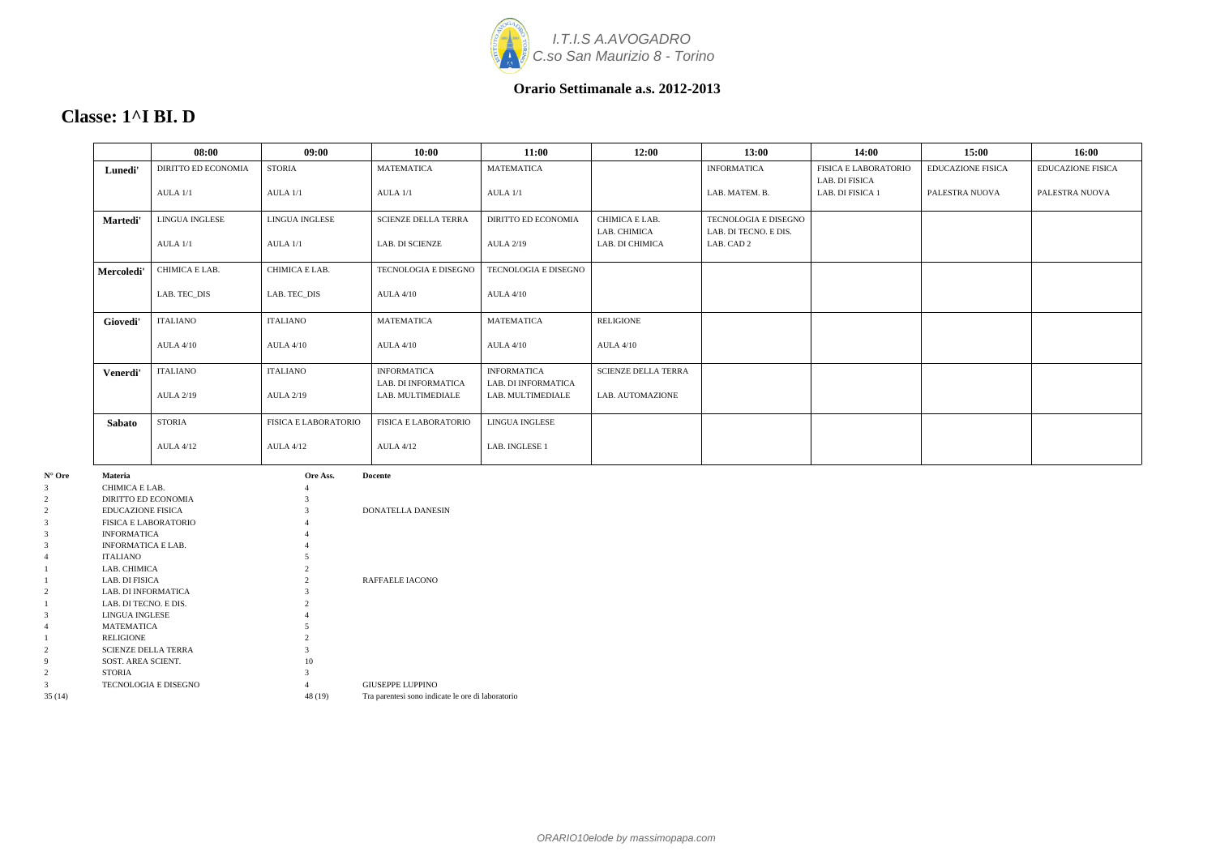

### **Classe: 1^I BI. D**

|            | 08:00                      | 09:00                       | 10:00                       | 11:00                      | 12:00                      | 13:00                       | 14:00                | 15:00                    | 16:00                    |
|------------|----------------------------|-----------------------------|-----------------------------|----------------------------|----------------------------|-----------------------------|----------------------|--------------------------|--------------------------|
| Lunedi'    | <b>DIRITTO ED ECONOMIA</b> | <b>STORIA</b>               | <b>MATEMATICA</b>           | <b>MATEMATICA</b>          |                            | <b>INFORMATICA</b>          | FISICA E LABORATORIO | <b>EDUCAZIONE FISICA</b> | <b>EDUCAZIONE FISICA</b> |
|            | AULA 1/1                   | AULA 1/1                    | $AULA$ $1/1$                | AULA 1/1                   |                            | LAB. MATEM. B.              | LAB. DI FISICA       | PALESTRA NUOVA           | PALESTRA NUOVA           |
|            |                            |                             |                             |                            |                            |                             | LAB. DI FISICA 1     |                          |                          |
| Martedi'   | <b>LINGUA INGLESE</b>      | <b>LINGUA INGLESE</b>       | <b>SCIENZE DELLA TERRA</b>  | <b>DIRITTO ED ECONOMIA</b> | CHIMICA E LAB.             | <b>TECNOLOGIA E DISEGNO</b> |                      |                          |                          |
|            |                            |                             |                             |                            | LAB. CHIMICA               | LAB. DI TECNO. E DIS.       |                      |                          |                          |
|            | AULA 1/1                   | AULA 1/1                    | <b>LAB. DI SCIENZE</b>      | <b>AULA 2/19</b>           | LAB. DI CHIMICA            | LAB. CAD 2                  |                      |                          |                          |
| Mercoledi' | CHIMICA E LAB.             | CHIMICA E LAB.              | TECNOLOGIA E DISEGNO        | TECNOLOGIA E DISEGNO       |                            |                             |                      |                          |                          |
|            |                            |                             |                             |                            |                            |                             |                      |                          |                          |
|            | LAB. TEC_DIS               | LAB. TEC_DIS                | <b>AULA 4/10</b>            | <b>AULA 4/10</b>           |                            |                             |                      |                          |                          |
| Giovedi'   | <b>ITALIANO</b>            | <b>ITALIANO</b>             | <b>MATEMATICA</b>           | <b>MATEMATICA</b>          | <b>RELIGIONE</b>           |                             |                      |                          |                          |
|            |                            |                             |                             |                            |                            |                             |                      |                          |                          |
|            | <b>AULA 4/10</b>           | <b>AULA 4/10</b>            | <b>AULA 4/10</b>            | <b>AULA 4/10</b>           | <b>AULA 4/10</b>           |                             |                      |                          |                          |
| Venerdi'   | <b>ITALIANO</b>            | <b>ITALIANO</b>             | <b>INFORMATICA</b>          | <b>INFORMATICA</b>         | <b>SCIENZE DELLA TERRA</b> |                             |                      |                          |                          |
|            |                            |                             | LAB. DI INFORMATICA         | LAB. DI INFORMATICA        |                            |                             |                      |                          |                          |
|            | <b>AULA 2/19</b>           | <b>AULA 2/19</b>            | LAB. MULTIMEDIALE           | LAB. MULTIMEDIALE          | LAB. AUTOMAZIONE           |                             |                      |                          |                          |
|            |                            |                             |                             |                            |                            |                             |                      |                          |                          |
| Sabato     | <b>STORIA</b>              | <b>FISICA E LABORATORIO</b> | <b>FISICA E LABORATORIO</b> | LINGUA INGLESE             |                            |                             |                      |                          |                          |
|            | <b>AULA 4/12</b>           | <b>AULA 4/12</b>            | <b>AULA 4/12</b>            | LAB. INGLESE 1             |                            |                             |                      |                          |                          |
|            |                            |                             |                             |                            |                            |                             |                      |                          |                          |

| $N^{\circ}$ Ore | <b>Materia</b>              | Ore Ass.       | <b>Docente</b>                                    |
|-----------------|-----------------------------|----------------|---------------------------------------------------|
| 3               | CHIMICA E LAB.              | 4              |                                                   |
| 2               | DIRITTO ED ECONOMIA         | 3              |                                                   |
| $\overline{c}$  | <b>EDUCAZIONE FISICA</b>    | 3              | <b>DONATELLA DANESIN</b>                          |
| 3               | <b>FISICA E LABORATORIO</b> |                |                                                   |
| 3               | <b>INFORMATICA</b>          |                |                                                   |
| 3               | <b>INFORMATICA E LAB.</b>   |                |                                                   |
| 4               | <b>ITALIANO</b>             |                |                                                   |
|                 | LAB. CHIMICA                | 2              |                                                   |
|                 | LAB. DI FISICA              | $\mathfrak{D}$ | RAFFAELE IACONO                                   |
| 2               | <b>LAB. DI INFORMATICA</b>  | 3              |                                                   |
|                 | LAB. DI TECNO. E DIS.       | $\mathfrak{D}$ |                                                   |
| 3               | LINGUA INGLESE              |                |                                                   |
| 4               | <b>MATEMATICA</b>           |                |                                                   |
|                 | <b>RELIGIONE</b>            |                |                                                   |
| $\overline{2}$  | <b>SCIENZE DELLA TERRA</b>  | 3              |                                                   |
| 9               | SOST. AREA SCIENT.          | 10             |                                                   |
| 2               | <b>STORIA</b>               |                |                                                   |
| 3               | <b>TECNOLOGIA E DISEGNO</b> | 4              | <b>GIUSEPPE LUPPINO</b>                           |
| 35(14)          |                             | 48 (19)        | Tra parentesi sono indicate le ore di laboratorio |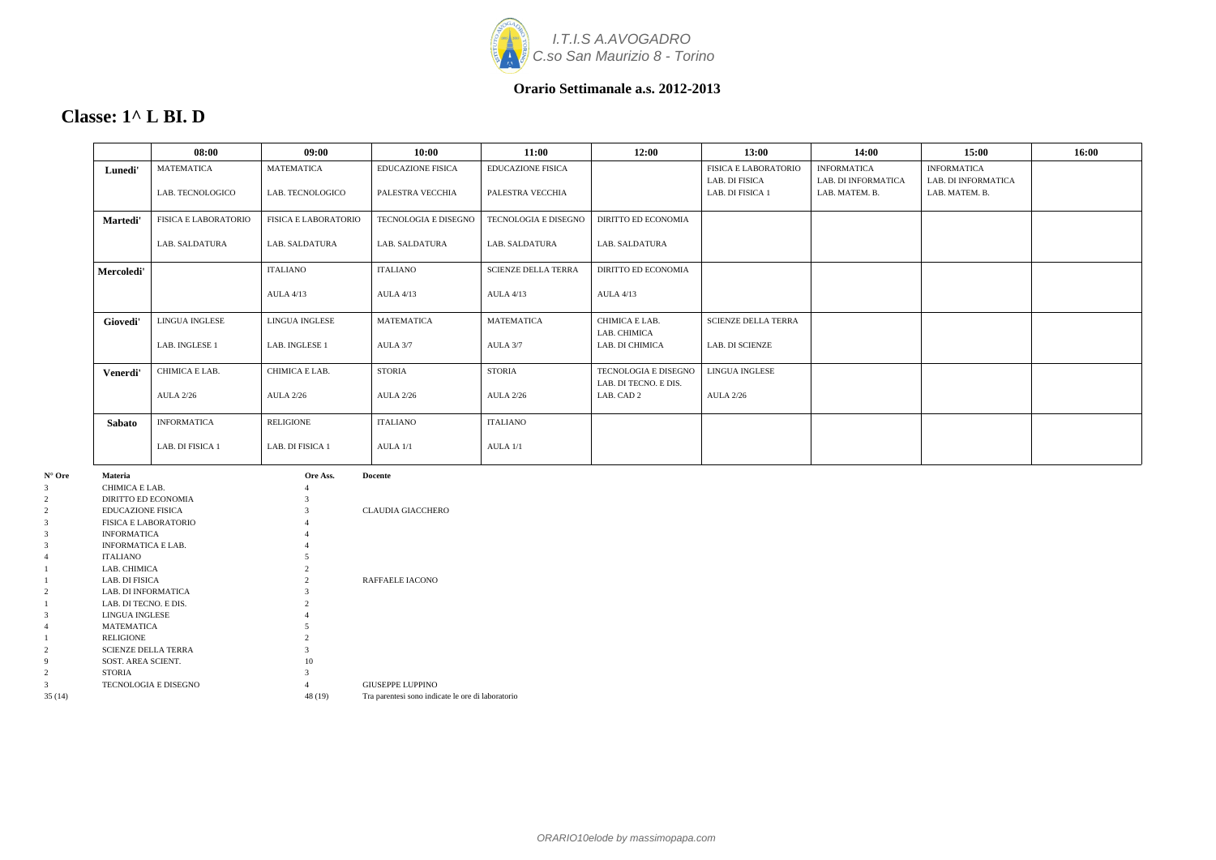

### **Classe: 1^ L BI. D**

|            | 08:00                       | 09:00                       | 10:00                    | 11:00                      | 12:00                                         | 13:00                       | 14:00               | 15:00               | 16:00 |
|------------|-----------------------------|-----------------------------|--------------------------|----------------------------|-----------------------------------------------|-----------------------------|---------------------|---------------------|-------|
| Lunedi'    | <b>MATEMATICA</b>           | <b>MATEMATICA</b>           | <b>EDUCAZIONE FISICA</b> | <b>EDUCAZIONE FISICA</b>   |                                               | <b>FISICA E LABORATORIO</b> | <b>INFORMATICA</b>  | <b>INFORMATICA</b>  |       |
|            | LAB. TECNOLOGICO            |                             | PALESTRA VECCHIA         |                            |                                               | LAB. DI FISICA              | LAB. DI INFORMATICA | LAB. DI INFORMATICA |       |
|            |                             | LAB. TECNOLOGICO            |                          | PALESTRA VECCHIA           |                                               | LAB. DI FISICA 1            | LAB. MATEM. B.      | LAB. MATEM. B.      |       |
| Martedi'   | <b>FISICA E LABORATORIO</b> | <b>FISICA E LABORATORIO</b> | TECNOLOGIA E DISEGNO     | TECNOLOGIA E DISEGNO       | <b>DIRITTO ED ECONOMIA</b>                    |                             |                     |                     |       |
|            | LAB. SALDATURA              | <b>LAB. SALDATURA</b>       | LAB. SALDATURA           | LAB. SALDATURA             | LAB. SALDATURA                                |                             |                     |                     |       |
| Mercoledi' |                             | ITALIANO                    | <b>ITALIANO</b>          | <b>SCIENZE DELLA TERRA</b> | <b>DIRITTO ED ECONOMIA</b>                    |                             |                     |                     |       |
|            |                             | <b>AULA 4/13</b>            | <b>AULA 4/13</b>         | <b>AULA 4/13</b>           | <b>AULA 4/13</b>                              |                             |                     |                     |       |
| Giovedi'   | LINGUA INGLESE              | <b>LINGUA INGLESE</b>       | <b>MATEMATICA</b>        | <b>MATEMATICA</b>          | CHIMICA E LAB.<br>LAB. CHIMICA                | <b>SCIENZE DELLA TERRA</b>  |                     |                     |       |
|            | LAB. INGLESE 1              | LAB. INGLESE 1              | AULA 3/7                 | AULA 3/7                   | LAB. DI CHIMICA                               | LAB. DI SCIENZE             |                     |                     |       |
| Venerdi'   | CHIMICA E LAB.              | CHIMICA E LAB.              | <b>STORIA</b>            | <b>STORIA</b>              | TECNOLOGIA E DISEGNO<br>LAB. DI TECNO. E DIS. | LINGUA INGLESE              |                     |                     |       |
|            | <b>AULA 2/26</b>            | <b>AULA 2/26</b>            | <b>AULA 2/26</b>         | <b>AULA 2/26</b>           | LAB. CAD 2                                    | <b>AULA 2/26</b>            |                     |                     |       |
| Sabato     | <b>INFORMATICA</b>          | <b>RELIGIONE</b>            | <b>ITALIANO</b>          | <b>ITALIANO</b>            |                                               |                             |                     |                     |       |
|            | LAB. DI FISICA 1            | LAB. DI FISICA 1            | AULA 1/1                 | AULA 1/1                   |                                               |                             |                     |                     |       |

| $N^{\circ}$ Ore | <b>Materia</b>              | Ore Ass.      | <b>Docente</b>                                    |
|-----------------|-----------------------------|---------------|---------------------------------------------------|
| 3               | CHIMICA E LAB.              | 4             |                                                   |
| 2               | DIRITTO ED ECONOMIA         | 3             |                                                   |
| 2               | <b>EDUCAZIONE FISICA</b>    | 3             | <b>CLAUDIA GIACCHERO</b>                          |
| 3               | <b>FISICA E LABORATORIO</b> |               |                                                   |
| 3               | <b>INFORMATICA</b>          | 4             |                                                   |
| 3               | <b>INFORMATICA E LAB.</b>   | 4             |                                                   |
| 4               | <b>ITALIANO</b>             |               |                                                   |
|                 | LAB. CHIMICA                |               |                                                   |
|                 | LAB. DI FISICA              | $\mathcal{D}$ | <b>RAFFAELE IACONO</b>                            |
| 2               | LAB. DI INFORMATICA         | 3             |                                                   |
|                 | LAB. DI TECNO. E DIS.       |               |                                                   |
| 3               | LINGUA INGLESE              |               |                                                   |
| 4               | <b>MATEMATICA</b>           |               |                                                   |
|                 | <b>RELIGIONE</b>            | 2             |                                                   |
| $\overline{2}$  | <b>SCIENZE DELLA TERRA</b>  | 3             |                                                   |
| 9               | SOST. AREA SCIENT.          | 10            |                                                   |
| $\overline{2}$  | <b>STORIA</b>               | 3             |                                                   |
| 3               | <b>TECNOLOGIA E DISEGNO</b> | 4             | <b>GIUSEPPE LUPPINO</b>                           |
| 35(14)          |                             | 48 (19)       | Tra parentesi sono indicate le ore di laboratorio |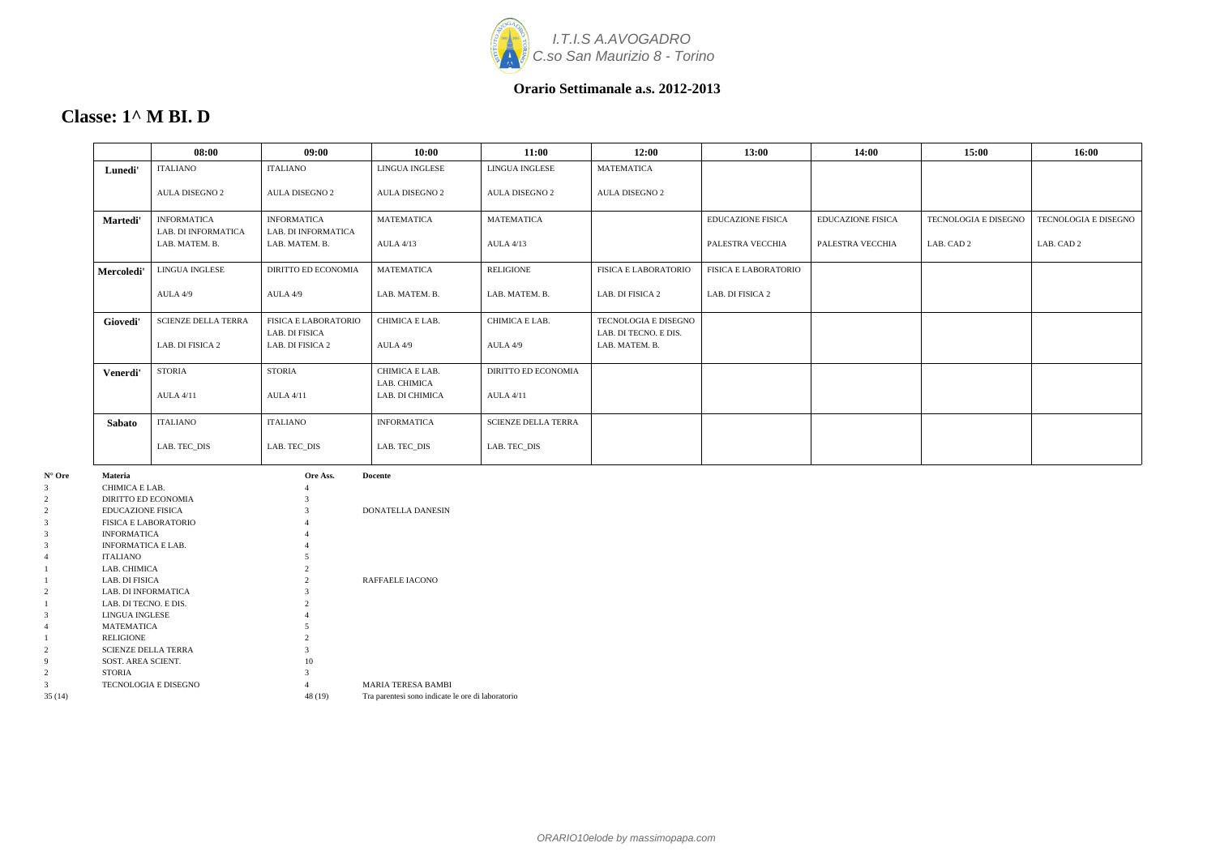

| Classe: $1^{\wedge}$ M BI. D |  |  |
|------------------------------|--|--|
|                              |  |  |

|            | 08:00                                 | 09:00                                 | 10:00                           | 11:00                      | 12:00                                   | 13:00                       | 14:00                    | 15:00                       | 16:00                       |
|------------|---------------------------------------|---------------------------------------|---------------------------------|----------------------------|-----------------------------------------|-----------------------------|--------------------------|-----------------------------|-----------------------------|
| Lunedi'    | <b>ITALIANO</b>                       | <b>ITALIANO</b>                       | <b>LINGUA INGLESE</b>           | <b>LINGUA INGLESE</b>      | <b>MATEMATICA</b>                       |                             |                          |                             |                             |
|            | <b>AULA DISEGNO 2</b>                 | <b>AULA DISEGNO 2</b>                 | <b>AULA DISEGNO 2</b>           | <b>AULA DISEGNO 2</b>      | <b>AULA DISEGNO 2</b>                   |                             |                          |                             |                             |
| Martedi'   | <b>INFORMATICA</b>                    | <b>INFORMATICA</b>                    | <b>MATEMATICA</b>               | <b>MATEMATICA</b>          |                                         | <b>EDUCAZIONE FISICA</b>    | <b>EDUCAZIONE FISICA</b> | <b>TECNOLOGIA E DISEGNO</b> | <b>TECNOLOGIA E DISEGNO</b> |
|            | LAB. DI INFORMATICA<br>LAB. MATEM. B. | LAB. DI INFORMATICA<br>LAB. MATEM. B. | <b>AULA 4/13</b>                | <b>AULA 4/13</b>           |                                         | PALESTRA VECCHIA            | PALESTRA VECCHIA         | LAB. CAD 2                  | LAB. CAD 2                  |
| Mercoledi' | LINGUA INGLESE                        | <b>DIRITTO ED ECONOMIA</b>            | <b>MATEMATICA</b>               | <b>RELIGIONE</b>           | <b>FISICA E LABORATORIO</b>             | <b>FISICA E LABORATORIO</b> |                          |                             |                             |
|            | AULA 4/9                              | AULA 4/9                              | LAB. MATEM. B.                  | LAB. MATEM. B.             | LAB. DI FISICA 2                        | LAB. DI FISICA 2            |                          |                             |                             |
| Giovedi'   | <b>SCIENZE DELLA TERRA</b>            | <b>FISICA E LABORATORIO</b>           | CHIMICA E LAB.                  | CHIMICA E LAB.             | TECNOLOGIA E DISEGNO                    |                             |                          |                             |                             |
|            | LAB. DI FISICA 2                      | LAB. DI FISICA<br>LAB. DI FISICA 2    | AULA 4/9                        | AULA 4/9                   | LAB. DI TECNO. E DIS.<br>LAB. MATEM. B. |                             |                          |                             |                             |
| Venerdi'   | <b>STORIA</b>                         | <b>STORIA</b>                         | CHIMICA E LAB.                  | DIRITTO ED ECONOMIA        |                                         |                             |                          |                             |                             |
|            | <b>AULA 4/11</b>                      | <b>AULA 4/11</b>                      | LAB. CHIMICA<br>LAB. DI CHIMICA | <b>AULA 4/11</b>           |                                         |                             |                          |                             |                             |
| Sabato     | <b>ITALIANO</b>                       | <b>ITALIANO</b>                       | <b>INFORMATICA</b>              | <b>SCIENZE DELLA TERRA</b> |                                         |                             |                          |                             |                             |
|            | LAB. TEC_DIS                          | LAB. TEC_DIS                          | LAB. TEC_DIS                    | LAB. TEC_DIS               |                                         |                             |                          |                             |                             |

| $N^{\circ}$ Ore | <b>Materia</b>              | Ore Ass. | <b>Docente</b>                                    |
|-----------------|-----------------------------|----------|---------------------------------------------------|
| 3               | CHIMICA E LAB.              | 4        |                                                   |
| 2               | DIRITTO ED ECONOMIA         | 3        |                                                   |
| $\overline{2}$  | <b>EDUCAZIONE FISICA</b>    | 3        | <b>DONATELLA DANESIN</b>                          |
| 3               | <b>FISICA E LABORATORIO</b> | 4        |                                                   |
| 3               | <b>INFORMATICA</b>          | 4        |                                                   |
| 3               | <b>INFORMATICA E LAB.</b>   | 4        |                                                   |
| 4               | <b>ITALIANO</b>             | 5        |                                                   |
|                 | LAB. CHIMICA                | 2        |                                                   |
|                 | LAB. DI FISICA              | 2        | <b>RAFFAELE IACONO</b>                            |
| $\overline{2}$  | <b>LAB. DI INFORMATICA</b>  | 3        |                                                   |
|                 | LAB. DI TECNO. E DIS.       | 2        |                                                   |
| 3               | <b>LINGUA INGLESE</b>       |          |                                                   |
| 4               | <b>MATEMATICA</b>           | 5        |                                                   |
|                 | <b>RELIGIONE</b>            | 2        |                                                   |
| 2               | <b>SCIENZE DELLA TERRA</b>  | 3        |                                                   |
| 9               | SOST. AREA SCIENT.          | 10       |                                                   |
| 2               | <b>STORIA</b>               | 3        |                                                   |
| 3               | TECNOLOGIA E DISEGNO        | 4        | <b>MARIA TERESA BAMBI</b>                         |
| 35(14)          |                             | 48 (19)  | Tra parentesi sono indicate le ore di laboratorio |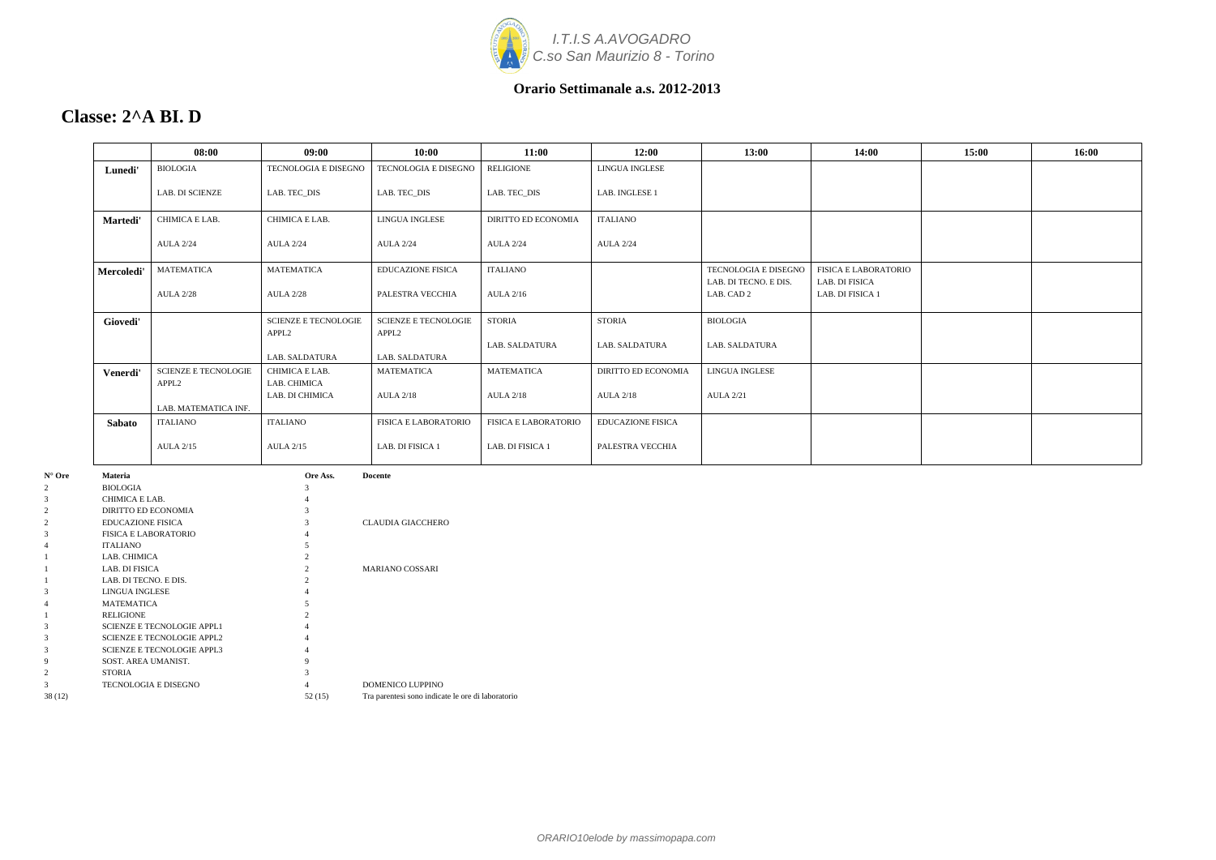

### **Classe: 2^A BI. D**

| Lunedi'<br>Martedi' | <b>BIOLOGIA</b><br><b>LAB. DI SCIENZE</b>        | TECNOLOGIA E DISEGNO<br>LAB. TEC DIS             | TECNOLOGIA E DISEGNO                             | <b>RELIGIONE</b>            | <b>LINGUA INGLESE</b>      |                                               |                                        |  |
|---------------------|--------------------------------------------------|--------------------------------------------------|--------------------------------------------------|-----------------------------|----------------------------|-----------------------------------------------|----------------------------------------|--|
|                     |                                                  |                                                  |                                                  |                             |                            |                                               |                                        |  |
|                     |                                                  |                                                  | LAB. TEC_DIS                                     | LAB. TEC_DIS                | LAB. INGLESE 1             |                                               |                                        |  |
|                     | CHIMICA E LAB.                                   | CHIMICA E LAB.                                   | LINGUA INGLESE                                   | DIRITTO ED ECONOMIA         | <b>ITALIANO</b>            |                                               |                                        |  |
|                     | <b>AULA 2/24</b>                                 | <b>AULA 2/24</b>                                 | <b>AULA 2/24</b>                                 | <b>AULA 2/24</b>            | <b>AULA 2/24</b>           |                                               |                                        |  |
| Mercoledi'          | MATEMATICA                                       | <b>MATEMATICA</b>                                | <b>EDUCAZIONE FISICA</b>                         | ITALIANO                    |                            | TECNOLOGIA E DISEGNO<br>LAB. DI TECNO. E DIS. | FISICA E LABORATORIO<br>LAB. DI FISICA |  |
|                     | <b>AULA 2/28</b>                                 | <b>AULA 2/28</b>                                 | PALESTRA VECCHIA                                 | <b>AULA 2/16</b>            |                            | LAB. CAD 2                                    | LAB. DI FISICA 1                       |  |
| Giovedi'            |                                                  | <b>SCIENZE E TECNOLOGIE</b><br>APPL <sub>2</sub> | <b>SCIENZE E TECNOLOGIE</b><br>APPL <sub>2</sub> | STORIA                      | <b>STORIA</b>              | <b>BIOLOGIA</b>                               |                                        |  |
|                     |                                                  | LAB. SALDATURA                                   | LAB. SALDATURA                                   | LAB. SALDATURA              | <b>LAB. SALDATURA</b>      | LAB. SALDATURA                                |                                        |  |
| Venerdi'            | <b>SCIENZE E TECNOLOGIE</b><br>APPL <sub>2</sub> | CHIMICA E LAB.<br>LAB. CHIMICA                   | <b>MATEMATICA</b>                                | <b>MATEMATICA</b>           | <b>DIRITTO ED ECONOMIA</b> | <b>LINGUA INGLESE</b>                         |                                        |  |
|                     | LAB. MATEMATICA INF.                             | LAB. DI CHIMICA                                  | <b>AULA 2/18</b>                                 | <b>AULA 2/18</b>            | <b>AULA 2/18</b>           | <b>AULA 2/21</b>                              |                                        |  |
| <b>Sabato</b>       | <b>ITALIANO</b>                                  | ITALIANO                                         | <b>FISICA E LABORATORIO</b>                      | <b>FISICA E LABORATORIO</b> | <b>EDUCAZIONE FISICA</b>   |                                               |                                        |  |
|                     | <b>AULA 2/15</b>                                 | <b>AULA 2/15</b>                                 | LAB. DI FISICA 1                                 | LAB. DI FISICA 1            | PALESTRA VECCHIA           |                                               |                                        |  |

| 2      | <b>BIOLOGIA</b>                   |        |                                                   |
|--------|-----------------------------------|--------|---------------------------------------------------|
| 3      | CHIMICA E LAB.                    |        |                                                   |
| 2      | DIRITTO ED ECONOMIA               |        |                                                   |
|        | <b>EDUCAZIONE FISICA</b>          |        | <b>CLAUDIA GIACCHERO</b>                          |
| 3      | <b>FISICA E LABORATORIO</b>       |        |                                                   |
|        | <b>ITALIANO</b>                   |        |                                                   |
|        | LAB. CHIMICA                      |        |                                                   |
|        | LAB. DI FISICA                    |        | <b>MARIANO COSSARI</b>                            |
|        | LAB. DI TECNO. E DIS.             |        |                                                   |
| 3      | LINGUA INGLESE                    |        |                                                   |
|        | <b>MATEMATICA</b>                 |        |                                                   |
|        | <b>RELIGIONE</b>                  |        |                                                   |
| 3      | <b>SCIENZE E TECNOLOGIE APPL1</b> |        |                                                   |
| 3      | <b>SCIENZE E TECNOLOGIE APPL2</b> |        |                                                   |
| 3      | <b>SCIENZE E TECNOLOGIE APPL3</b> |        |                                                   |
| 9      | SOST. AREA UMANIST.               | 9      |                                                   |
|        | <b>STORIA</b>                     |        |                                                   |
| 3      | <b>TECNOLOGIA E DISEGNO</b>       |        | DOMENICO LUPPINO                                  |
| 38(12) |                                   | 52(15) | Tra parentesi sono indicate le ore di laboratorio |
|        |                                   |        |                                                   |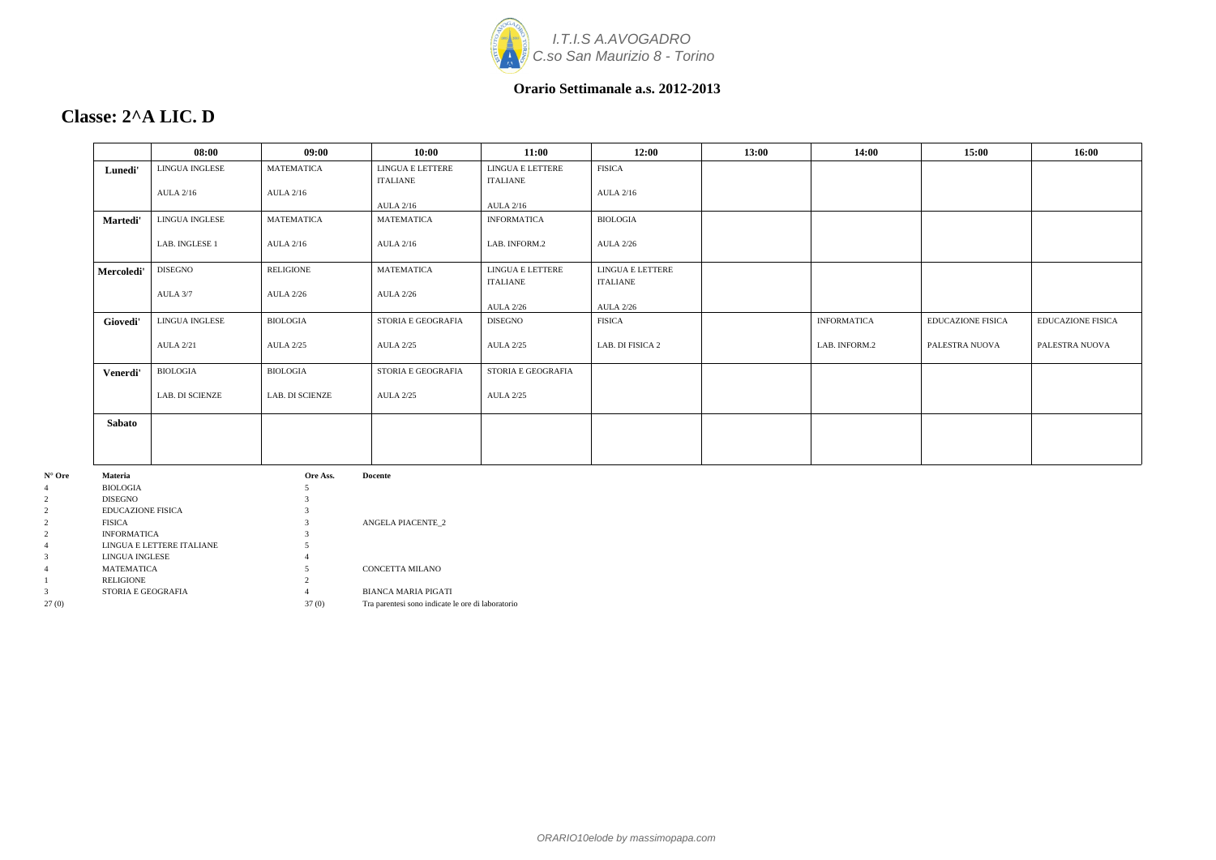

### **Classe: 2^A LIC. D**

|                 |                                       | 08:00            | 09:00             | 10:00                    | 11:00                            | 12:00            | 13:00 | 14:00              | 15:00                    | 16:00                    |
|-----------------|---------------------------------------|------------------|-------------------|--------------------------|----------------------------------|------------------|-------|--------------------|--------------------------|--------------------------|
|                 | Lunedi'                               | LINGUA INGLESE   | <b>MATEMATICA</b> | LINGUA E LETTERE         | LINGUA E LETTERE                 | <b>FISICA</b>    |       |                    |                          |                          |
|                 |                                       |                  |                   | <b>ITALIANE</b>          | ITALIANE                         |                  |       |                    |                          |                          |
|                 |                                       | <b>AULA 2/16</b> | <b>AULA 2/16</b>  |                          |                                  | <b>AULA 2/16</b> |       |                    |                          |                          |
|                 |                                       |                  |                   | <b>AULA 2/16</b>         | <b>AULA 2/16</b>                 |                  |       |                    |                          |                          |
|                 | Martedi'                              | LINGUA INGLESE   | <b>MATEMATICA</b> | MATEMATICA               | <b>INFORMATICA</b>               | <b>BIOLOGIA</b>  |       |                    |                          |                          |
|                 |                                       | LAB. INGLESE 1   | <b>AULA 2/16</b>  | <b>AULA 2/16</b>         | LAB. INFORM.2                    | <b>AULA 2/26</b> |       |                    |                          |                          |
|                 |                                       |                  |                   |                          |                                  |                  |       |                    |                          |                          |
|                 | Mercoledi'                            | <b>DISEGNO</b>   | <b>RELIGIONE</b>  | MATEMATICA               | ${\rm LINGUA}$ E ${\rm LETTERE}$ | LINGUA E LETTERE |       |                    |                          |                          |
|                 |                                       |                  |                   |                          | <b>ITALIANE</b>                  | <b>ITALIANE</b>  |       |                    |                          |                          |
|                 |                                       | AULA 3/7         | <b>AULA 2/26</b>  | <b>AULA 2/26</b>         | <b>AULA 2/26</b>                 | <b>AULA 2/26</b> |       |                    |                          |                          |
|                 |                                       | LINGUA INGLESE   | <b>BIOLOGIA</b>   | STORIA E GEOGRAFIA       | <b>DISEGNO</b>                   | <b>FISICA</b>    |       | <b>INFORMATICA</b> | <b>EDUCAZIONE FISICA</b> | <b>EDUCAZIONE FISICA</b> |
|                 | Giovedi'                              |                  |                   |                          |                                  |                  |       |                    |                          |                          |
|                 |                                       | <b>AULA 2/21</b> | <b>AULA 2/25</b>  | <b>AULA 2/25</b>         | <b>AULA 2/25</b>                 | LAB. DI FISICA 2 |       | LAB. INFORM.2      | PALESTRA NUOVA           | PALESTRA NUOVA           |
|                 |                                       |                  |                   |                          |                                  |                  |       |                    |                          |                          |
|                 | Venerdi'                              | <b>BIOLOGIA</b>  | <b>BIOLOGIA</b>   | STORIA E GEOGRAFIA       | STORIA E GEOGRAFIA               |                  |       |                    |                          |                          |
|                 |                                       | LAB. DI SCIENZE  | LAB. DI SCIENZE   | <b>AULA 2/25</b>         | <b>AULA 2/25</b>                 |                  |       |                    |                          |                          |
|                 |                                       |                  |                   |                          |                                  |                  |       |                    |                          |                          |
|                 | Sabato                                |                  |                   |                          |                                  |                  |       |                    |                          |                          |
|                 |                                       |                  |                   |                          |                                  |                  |       |                    |                          |                          |
|                 |                                       |                  |                   |                          |                                  |                  |       |                    |                          |                          |
|                 |                                       |                  |                   |                          |                                  |                  |       |                    |                          |                          |
| $N^{\circ}$ Ore | Materia<br>Ore Ass.<br><b>Docente</b> |                  |                   |                          |                                  |                  |       |                    |                          |                          |
| 4<br>2          | <b>BIOLOGIA</b><br>DISEGNO            |                  |                   |                          |                                  |                  |       |                    |                          |                          |
| $\overline{2}$  | <b>EDUCAZIONE FISICA</b>              |                  |                   |                          |                                  |                  |       |                    |                          |                          |
| 2               | <b>FISICA</b>                         |                  |                   | <b>ANGELA PIACENTE_2</b> |                                  |                  |       |                    |                          |                          |
| 2               | <b>INFORMATICA</b>                    |                  |                   |                          |                                  |                  |       |                    |                          |                          |

4 LINGUA E LETTERE ITALIANE 5 3 LINGUA INGLESE 4

1 RELIGIONE 2<br>3 STORIA E GEOGRAFIA 4

4 MATEMATICA 5 CONCETTA MILANO

3 STORIA E GEOGRAFIA 4 BIANCA MARIA PIGATI

27 (0) 37 (0) Tra parentesi sono indicate le ore di laboratorio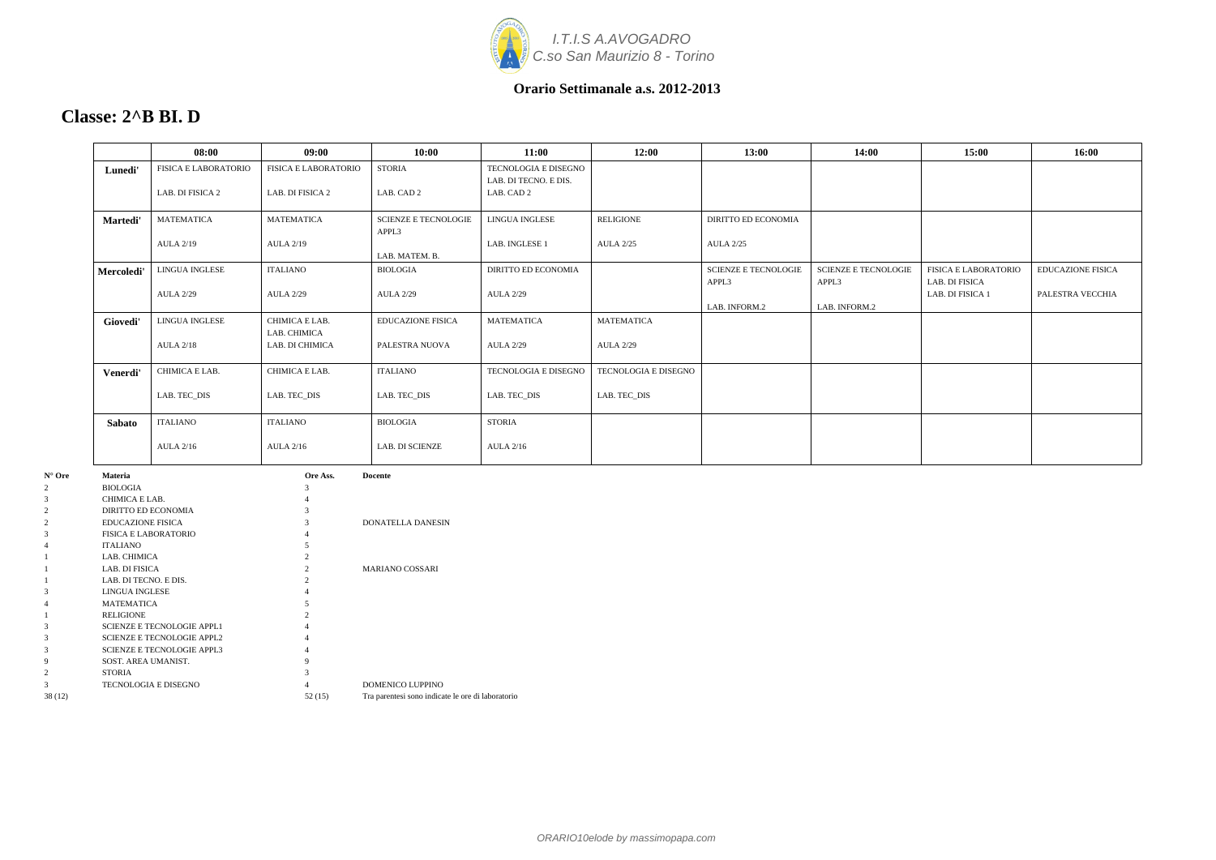

### **Classe: 2^B BI. D**

|            | 08:00                       | 09:00                          | 10:00                                | 11:00                                         | 12:00                | 13:00                                | 14:00                                | 15:00                                  | 16:00                    |
|------------|-----------------------------|--------------------------------|--------------------------------------|-----------------------------------------------|----------------------|--------------------------------------|--------------------------------------|----------------------------------------|--------------------------|
| Lunedi'    | <b>FISICA E LABORATORIO</b> | <b>FISICA E LABORATORIO</b>    | <b>STORIA</b>                        | TECNOLOGIA E DISEGNO<br>LAB. DI TECNO. E DIS. |                      |                                      |                                      |                                        |                          |
|            | LAB. DI FISICA 2            | LAB. DI FISICA 2               | LAB. CAD 2                           | LAB. CAD 2                                    |                      |                                      |                                      |                                        |                          |
| Martedi'   | <b>MATEMATICA</b>           | <b>MATEMATICA</b>              | <b>SCIENZE E TECNOLOGIE</b><br>APPL3 | LINGUA INGLESE                                | <b>RELIGIONE</b>     | <b>DIRITTO ED ECONOMIA</b>           |                                      |                                        |                          |
|            | <b>AULA 2/19</b>            | <b>AULA 2/19</b>               | LAB. MATEM. B.                       | LAB. INGLESE 1                                | <b>AULA 2/25</b>     | <b>AULA 2/25</b>                     |                                      |                                        |                          |
| Mercoledi' | <b>LINGUA INGLESE</b>       | <b>ITALIANO</b>                | <b>BIOLOGIA</b>                      | <b>DIRITTO ED ECONOMIA</b>                    |                      | <b>SCIENZE E TECNOLOGIE</b><br>APPL3 | <b>SCIENZE E TECNOLOGIE</b><br>APPL3 | FISICA E LABORATORIO<br>LAB. DI FISICA | <b>EDUCAZIONE FISICA</b> |
|            | <b>AULA 2/29</b>            | <b>AULA 2/29</b>               | <b>AULA 2/29</b>                     | <b>AULA 2/29</b>                              |                      | LAB. INFORM.2                        | LAB. INFORM.2                        | LAB. DI FISICA 1                       | PALESTRA VECCHIA         |
| Giovedi'   | <b>LINGUA INGLESE</b>       | CHIMICA E LAB.<br>LAB. CHIMICA | <b>EDUCAZIONE FISICA</b>             | <b>MATEMATICA</b>                             | <b>MATEMATICA</b>    |                                      |                                      |                                        |                          |
|            | <b>AULA 2/18</b>            | LAB. DI CHIMICA                | PALESTRA NUOVA                       | <b>AULA 2/29</b>                              | <b>AULA 2/29</b>     |                                      |                                      |                                        |                          |
| Venerdi'   | CHIMICA E LAB.              | CHIMICA E LAB.                 | <b>ITALIANO</b>                      | <b>TECNOLOGIA E DISEGNO</b>                   | TECNOLOGIA E DISEGNO |                                      |                                      |                                        |                          |
|            | LAB. TEC_DIS                | LAB. TEC_DIS                   | LAB. TEC_DIS                         | LAB. TEC_DIS                                  | LAB. TEC_DIS         |                                      |                                      |                                        |                          |
| Sabato     | <b>ITALIANO</b>             | <b>ITALIANO</b>                | <b>BIOLOGIA</b>                      | <b>STORIA</b>                                 |                      |                                      |                                      |                                        |                          |
|            | <b>AULA 2/16</b>            | <b>AULA 2/16</b>               | <b>LAB. DI SCIENZE</b>               | <b>AULA 2/16</b>                              |                      |                                      |                                      |                                        |                          |
|            |                             |                                |                                      |                                               |                      |                                      |                                      |                                        |                          |

| $N^{\circ}$ Ore | <b>Materia</b>                    | Ore Ass.                    | <b>Docente</b>                                    |
|-----------------|-----------------------------------|-----------------------------|---------------------------------------------------|
| 2               | <b>BIOLOGIA</b>                   | 3                           |                                                   |
| 3               | CHIMICA E LAB.                    | 4                           |                                                   |
| 2               | DIRITTO ED ECONOMIA               | 3                           |                                                   |
| 2               | <b>EDUCAZIONE FISICA</b>          | 3                           | <b>DONATELLA DANESIN</b>                          |
| 3               | <b>FISICA E LABORATORIO</b>       |                             |                                                   |
| 4               | <b>ITALIANO</b>                   | 5                           |                                                   |
|                 | LAB. CHIMICA                      | $\overline{c}$              |                                                   |
|                 | LAB. DI FISICA                    | $\overline{c}$              | <b>MARIANO COSSARI</b>                            |
|                 | LAB. DI TECNO. E DIS.             | $\mathcal{D}_{\mathcal{L}}$ |                                                   |
| 3               | LINGUA INGLESE                    | 4                           |                                                   |
| 4               | <b>MATEMATICA</b>                 | 5                           |                                                   |
|                 | <b>RELIGIONE</b>                  | $\mathfrak{D}$              |                                                   |
| 3               | <b>SCIENZE E TECNOLOGIE APPL1</b> | 4                           |                                                   |
| 3               | <b>SCIENZE E TECNOLOGIE APPL2</b> | 4                           |                                                   |
| 3               | <b>SCIENZE E TECNOLOGIE APPL3</b> | 4                           |                                                   |
| 9               | SOST. AREA UMANIST.               | 9                           |                                                   |
| $\overline{c}$  | <b>STORIA</b>                     | 3                           |                                                   |
| 3               | <b>TECNOLOGIA E DISEGNO</b>       | 4                           | <b>DOMENICO LUPPINO</b>                           |
| 38 (12)         |                                   | 52(15)                      | Tra parentesi sono indicate le ore di laboratorio |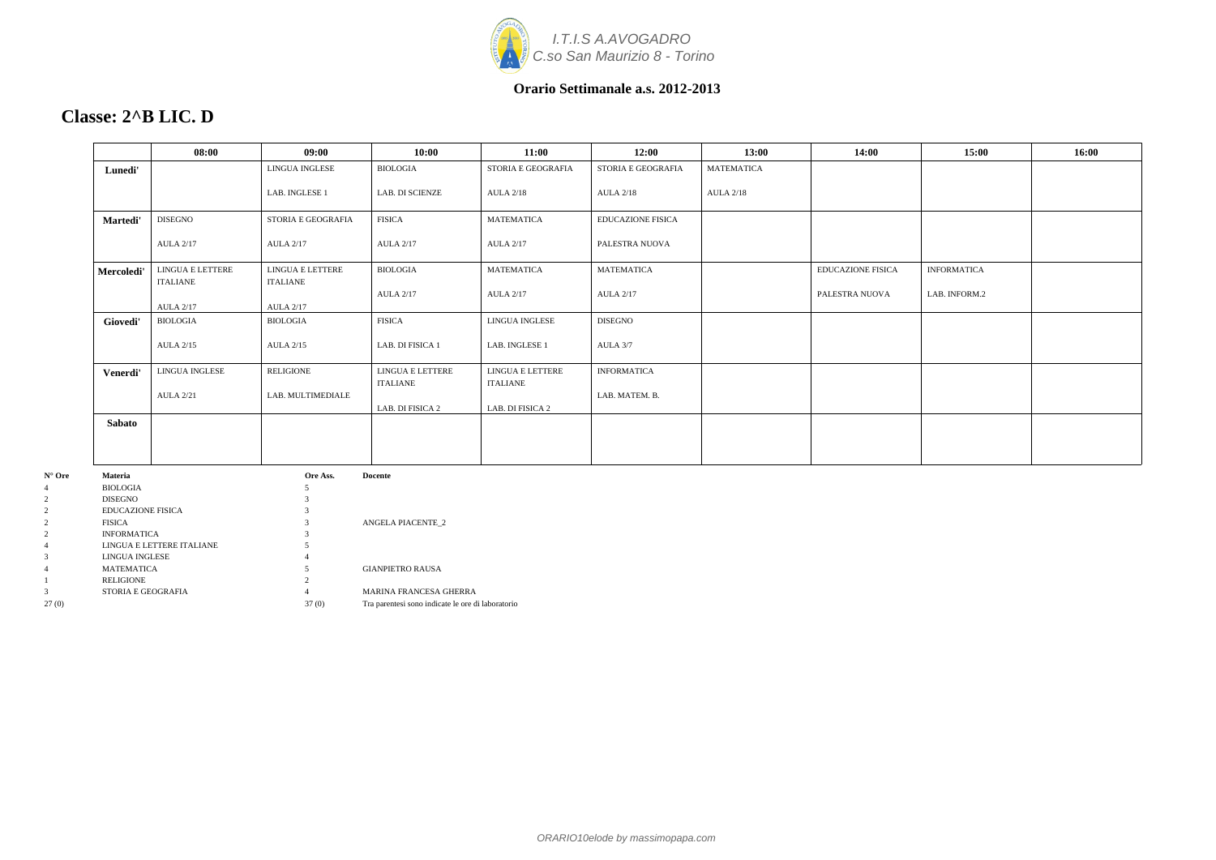

### **Classe: 2^B LIC. D**

|                                     | 08:00                        | 09:00                        | 10:00                        | 11:00                        | 12:00                    | 13:00             | 14:00             | 15:00              | 16:00 |
|-------------------------------------|------------------------------|------------------------------|------------------------------|------------------------------|--------------------------|-------------------|-------------------|--------------------|-------|
| Lunedi'                             |                              | LINGUA INGLESE               | <b>BIOLOGIA</b>              | STORIA E GEOGRAFIA           | STORIA E GEOGRAFIA       | <b>MATEMATICA</b> |                   |                    |       |
|                                     |                              | LAB. INGLESE 1               | LAB. DI SCIENZE              | <b>AULA 2/18</b>             | <b>AULA 2/18</b>         | <b>AULA 2/18</b>  |                   |                    |       |
| <b>Martedi'</b>                     | <b>DISEGNO</b>               | STORIA E GEOGRAFIA           | <b>FISICA</b>                | <b>MATEMATICA</b>            | <b>EDUCAZIONE FISICA</b> |                   |                   |                    |       |
|                                     | <b>AULA 2/17</b>             | <b>AULA 2/17</b>             | <b>AULA 2/17</b>             | <b>AULA 2/17</b>             | PALESTRA NUOVA           |                   |                   |                    |       |
| Mercoledi'                          | LINGUA E LETTERE<br>ITALIANE | LINGUA E LETTERE<br>ITALIANE | <b>BIOLOGIA</b>              | <b>MATEMATICA</b>            | <b>MATEMATICA</b>        |                   | EDUCAZIONE FISICA | <b>INFORMATICA</b> |       |
|                                     | <b>AULA 2/17</b>             | <b>AULA 2/17</b>             | <b>AULA 2/17</b>             | <b>AULA 2/17</b>             | <b>AULA 2/17</b>         |                   | PALESTRA NUOVA    | LAB. INFORM.2      |       |
| Giovedi'                            | <b>BIOLOGIA</b>              | <b>BIOLOGIA</b>              | <b>FISICA</b>                | LINGUA INGLESE               | <b>DISEGNO</b>           |                   |                   |                    |       |
|                                     | <b>AULA 2/15</b>             | <b>AULA 2/15</b>             | LAB. DI FISICA 1             | LAB. INGLESE 1               | AULA 3/7                 |                   |                   |                    |       |
| Venerdi'                            | LINGUA INGLESE               | RELIGIONE                    | LINGUA E LETTERE<br>ITALIANE | LINGUA E LETTERE<br>ITALIANE | <b>INFORMATICA</b>       |                   |                   |                    |       |
|                                     | <b>AULA 2/21</b>             | LAB. MULTIMEDIALE            | LAB. DI FISICA 2             | LAB. DI FISICA 2             | LAB. MATEM. B.           |                   |                   |                    |       |
| Sabato                              |                              |                              |                              |                              |                          |                   |                   |                    |       |
|                                     |                              |                              |                              |                              |                          |                   |                   |                    |       |
| Materia                             |                              | Ore Ass.                     | <b>Docente</b>               |                              |                          |                   |                   |                    |       |
| <b>BIOLOGIA</b>                     |                              |                              |                              |                              |                          |                   |                   |                    |       |
| <b>DISEGNO</b><br>FNICAZIONF FIRICA |                              | $\overline{a}$               |                              |                              |                          |                   |                   |                    |       |

| N° Ore | Materia                   | Ore Ass. | vocente                                           |
|--------|---------------------------|----------|---------------------------------------------------|
| 4      | <b>BIOLOGIA</b>           |          |                                                   |
|        | <b>DISEGNO</b>            |          |                                                   |
|        | EDUCAZIONE FISICA         |          |                                                   |
|        | <b>FISICA</b>             |          | <b>ANGELA PIACENTE 2</b>                          |
|        | <b>INFORMATICA</b>        |          |                                                   |
|        | LINGUA E LETTERE ITALIANE |          |                                                   |
|        | LINGUA INGLESE            | 4        |                                                   |
|        | <b>MATEMATICA</b>         |          | <b>GIANPIETRO RAUSA</b>                           |
|        | <b>RELIGIONE</b>          |          |                                                   |
|        | STORIA E GEOGRAFIA        | 4        | <b>MARINA FRANCESA GHERRA</b>                     |
| 27(0)  |                           | 37(0)    | Tra parentesi sono indicate le ore di laboratorio |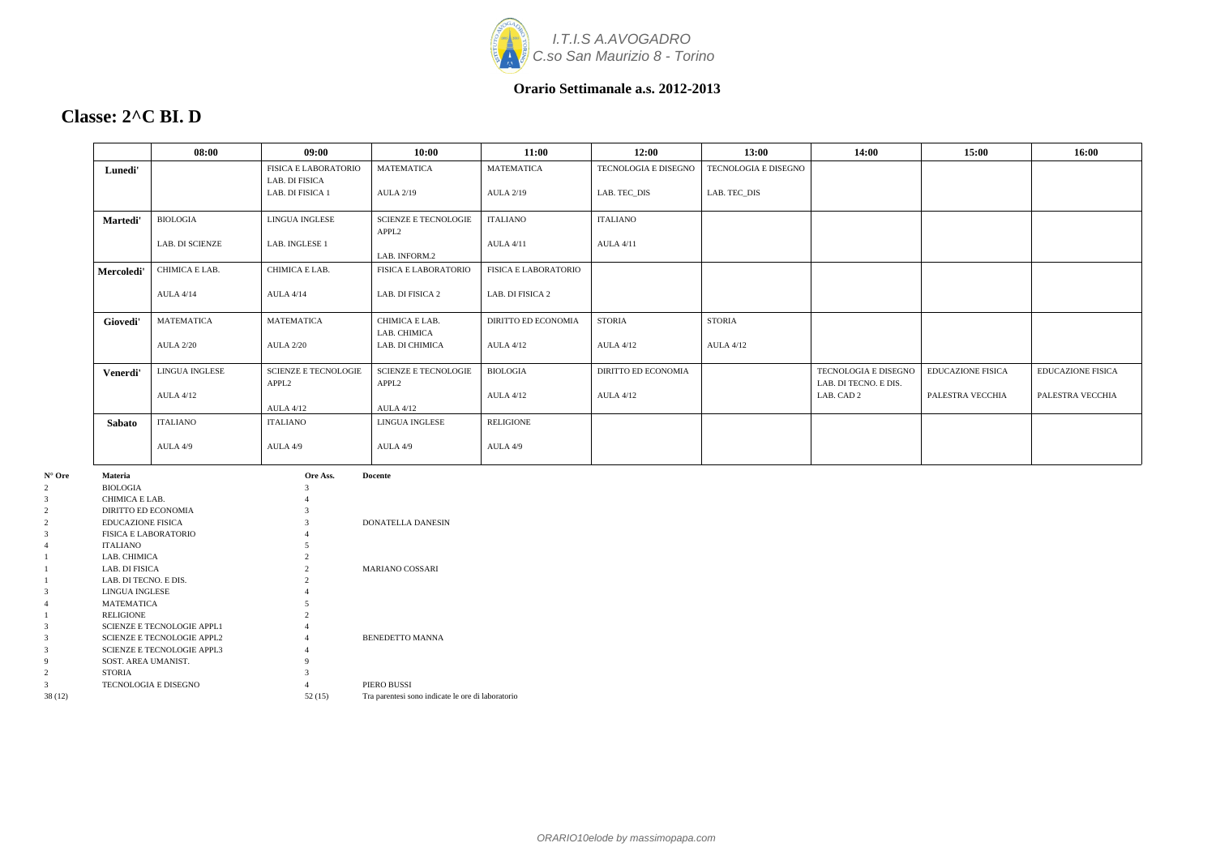

### **Classe: 2^C BI. D**

|            | 08:00                  | 09:00                                            | 10:00                                            | 11:00                | 12:00                      | 13:00                       | 14:00                                         | 15:00                    | 16:00                    |
|------------|------------------------|--------------------------------------------------|--------------------------------------------------|----------------------|----------------------------|-----------------------------|-----------------------------------------------|--------------------------|--------------------------|
| Lunedi'    |                        | <b>FISICA E LABORATORIO</b><br>LAB. DI FISICA    | <b>MATEMATICA</b>                                | <b>MATEMATICA</b>    | TECNOLOGIA E DISEGNO       | <b>TECNOLOGIA E DISEGNO</b> |                                               |                          |                          |
|            |                        | LAB. DI FISICA 1                                 | <b>AULA 2/19</b>                                 | <b>AULA 2/19</b>     | LAB. TEC_DIS               | LAB. TEC_DIS                |                                               |                          |                          |
| Martedi'   | <b>BIOLOGIA</b>        | LINGUA INGLESE                                   | <b>SCIENZE E TECNOLOGIE</b><br>APPL <sub>2</sub> | <b>ITALIANO</b>      | <b>ITALIANO</b>            |                             |                                               |                          |                          |
|            | <b>LAB. DI SCIENZE</b> | LAB. INGLESE 1                                   | LAB. INFORM.2                                    | <b>AULA 4/11</b>     | <b>AULA 4/11</b>           |                             |                                               |                          |                          |
| Mercoledi' | CHIMICA E LAB.         | CHIMICA E LAB.                                   | <b>FISICA E LABORATORIO</b>                      | FISICA E LABORATORIO |                            |                             |                                               |                          |                          |
|            | <b>AULA 4/14</b>       | <b>AULA 4/14</b>                                 | LAB. DI FISICA 2                                 | LAB. DI FISICA 2     |                            |                             |                                               |                          |                          |
| Giovedi'   | <b>MATEMATICA</b>      | <b>MATEMATICA</b>                                | CHIMICA E LAB.<br>LAB. CHIMICA                   | DIRITTO ED ECONOMIA  | <b>STORIA</b>              | <b>STORIA</b>               |                                               |                          |                          |
|            | <b>AULA 2/20</b>       | <b>AULA 2/20</b>                                 | LAB. DI CHIMICA                                  | <b>AULA 4/12</b>     | <b>AULA 4/12</b>           | <b>AULA 4/12</b>            |                                               |                          |                          |
| Venerdi'   | LINGUA INGLESE         | <b>SCIENZE E TECNOLOGIE</b><br>APPL <sub>2</sub> | <b>SCIENZE E TECNOLOGIE</b><br>APPL <sub>2</sub> | <b>BIOLOGIA</b>      | <b>DIRITTO ED ECONOMIA</b> |                             | TECNOLOGIA E DISEGNO<br>LAB. DI TECNO. E DIS. | <b>EDUCAZIONE FISICA</b> | <b>EDUCAZIONE FISICA</b> |
|            | <b>AULA 4/12</b>       | <b>AULA 4/12</b>                                 | <b>AULA 4/12</b>                                 | <b>AULA 4/12</b>     | <b>AULA 4/12</b>           |                             | LAB. CAD 2                                    | PALESTRA VECCHIA         | PALESTRA VECCHIA         |
| Sabato     | <b>ITALIANO</b>        | <b>ITALIANO</b>                                  | <b>LINGUA INGLESE</b>                            | <b>RELIGIONE</b>     |                            |                             |                                               |                          |                          |
|            | AULA 4/9               | AULA 4/9                                         | AULA 4/9                                         | AULA 4/9             |                            |                             |                                               |                          |                          |
| Materia    |                        | Ore Ass.                                         | <b>Docente</b>                                   |                      |                            |                             |                                               |                          |                          |

| $N^{\circ}$ Ore | <b>Materia</b>                    | Ore Ass.       | <b>Docente</b>                                    |
|-----------------|-----------------------------------|----------------|---------------------------------------------------|
| 2               | <b>BIOLOGIA</b>                   | 3              |                                                   |
| 3               | CHIMICA E LAB.                    |                |                                                   |
| $\overline{2}$  | DIRITTO ED ECONOMIA               |                |                                                   |
| $\overline{2}$  | <b>EDUCAZIONE FISICA</b>          |                | <b>DONATELLA DANESIN</b>                          |
| 3               | <b>FISICA E LABORATORIO</b>       |                |                                                   |
| 4               | <b>ITALIANO</b>                   |                |                                                   |
|                 | LAB. CHIMICA                      | 2              |                                                   |
|                 | LAB. DI FISICA                    | $\mathfrak{D}$ | <b>MARIANO COSSARI</b>                            |
|                 | LAB. DI TECNO. E DIS.             | $\mathfrak{D}$ |                                                   |
| 3               | <b>LINGUA INGLESE</b>             |                |                                                   |
| 4               | <b>MATEMATICA</b>                 |                |                                                   |
|                 | <b>RELIGIONE</b>                  |                |                                                   |
| 3               | <b>SCIENZE E TECNOLOGIE APPL1</b> |                |                                                   |
| 3               | <b>SCIENZE E TECNOLOGIE APPL2</b> |                | <b>BENEDETTO MANNA</b>                            |
| 3               | <b>SCIENZE E TECNOLOGIE APPL3</b> |                |                                                   |
| 9               | SOST. AREA UMANIST.               | 9              |                                                   |
| 2               | <b>STORIA</b>                     |                |                                                   |
| 3               | <b>TECNOLOGIA E DISEGNO</b>       | 4              | PIERO BUSSI                                       |
| 38 (12)         |                                   | 52(15)         | Tra parentesi sono indicate le ore di laboratorio |
|                 |                                   |                |                                                   |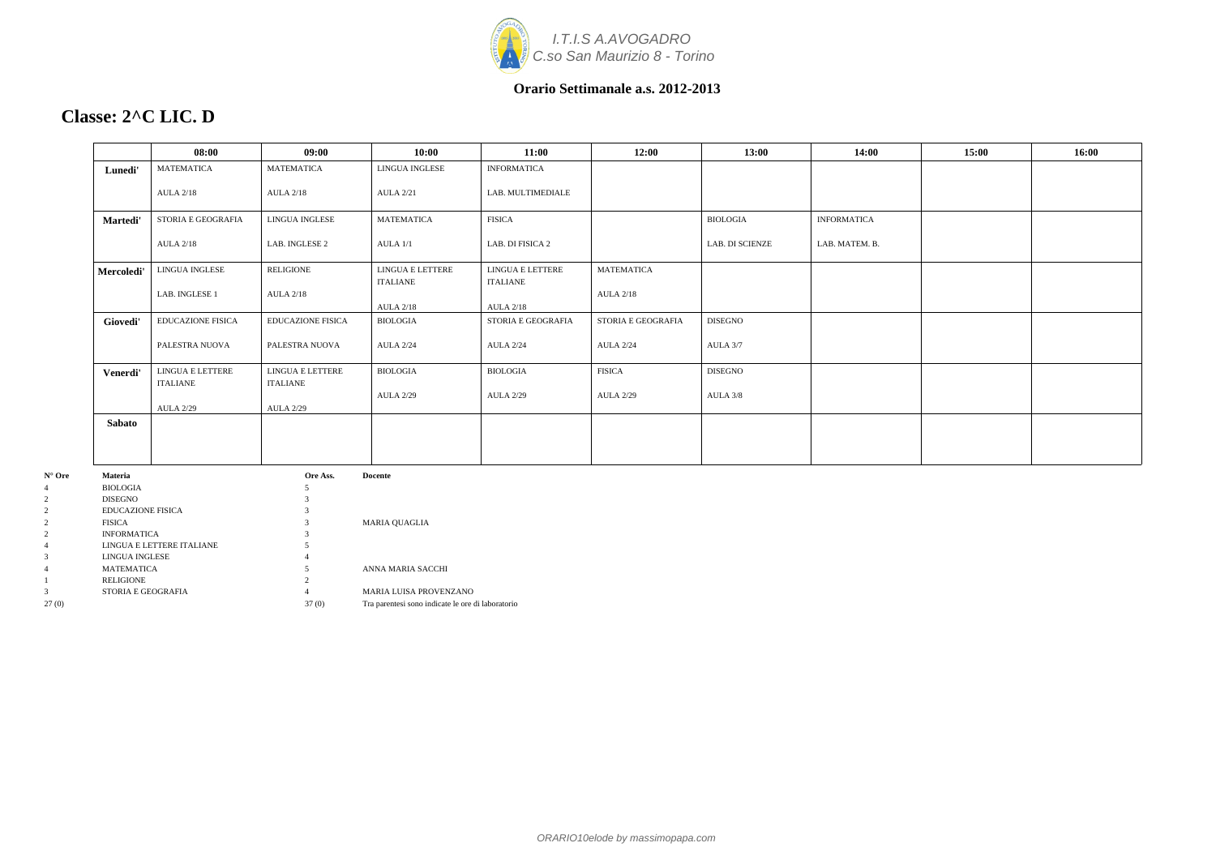

### **Classe: 2^C LIC. D**

|                                       | 08:00                               | 09:00                               | 10:00                               | 11:00                               | 12:00              | 13:00           | 14:00              | 15:00 | 16:00 |
|---------------------------------------|-------------------------------------|-------------------------------------|-------------------------------------|-------------------------------------|--------------------|-----------------|--------------------|-------|-------|
| Lunedi'                               | MATEMATICA                          | <b>MATEMATICA</b>                   | LINGUA INGLESE                      | <b>INFORMATICA</b>                  |                    |                 |                    |       |       |
|                                       | <b>AULA 2/18</b>                    | <b>AULA 2/18</b>                    | <b>AULA 2/21</b>                    | LAB. MULTIMEDIALE                   |                    |                 |                    |       |       |
| Martedi'                              | STORIA E GEOGRAFIA                  | LINGUA INGLESE                      | <b>MATEMATICA</b>                   | <b>FISICA</b>                       |                    | <b>BIOLOGIA</b> | <b>INFORMATICA</b> |       |       |
|                                       | <b>AULA 2/18</b>                    | LAB. INGLESE 2                      | AULA 1/1                            | LAB. DI FISICA 2                    |                    | LAB. DI SCIENZE | LAB. MATEM. B.     |       |       |
| Mercoledi'                            | LINGUA INGLESE                      | RELIGIONE                           | LINGUA E LETTERE<br><b>ITALIANE</b> | LINGUA E LETTERE<br><b>ITALIANE</b> | <b>MATEMATICA</b>  |                 |                    |       |       |
|                                       | LAB. INGLESE 1                      | <b>AULA 2/18</b>                    | <b>AULA 2/18</b>                    | <b>AULA 2/18</b>                    | <b>AULA 2/18</b>   |                 |                    |       |       |
| Giovedi'                              | <b>EDUCAZIONE FISICA</b>            | <b>EDUCAZIONE FISICA</b>            | <b>BIOLOGIA</b>                     | STORIA E GEOGRAFIA                  | STORIA E GEOGRAFIA | <b>DISEGNO</b>  |                    |       |       |
|                                       | PALESTRA NUOVA                      | PALESTRA NUOVA                      | <b>AULA 2/24</b>                    | <b>AULA 2/24</b>                    | <b>AULA 2/24</b>   | AULA 3/7        |                    |       |       |
| Venerdi'                              | LINGUA E LETTERE<br><b>ITALIANE</b> | LINGUA E LETTERE<br><b>ITALIANE</b> | <b>BIOLOGIA</b>                     | <b>BIOLOGIA</b>                     | <b>FISICA</b>      | <b>DISEGNO</b>  |                    |       |       |
|                                       | <b>AULA 2/29</b>                    | <b>AULA 2/29</b>                    | <b>AULA 2/29</b>                    | <b>AULA 2/29</b>                    | <b>AULA 2/29</b>   | AULA 3/8        |                    |       |       |
| <b>Sabato</b>                         |                                     |                                     |                                     |                                     |                    |                 |                    |       |       |
|                                       |                                     |                                     |                                     |                                     |                    |                 |                    |       |       |
| Materia<br><b>BIOLOGIA</b><br>DISEGNO |                                     | Ore Ass.                            | <b>Docente</b>                      |                                     |                    |                 |                    |       |       |
| <b>EDUCAZIONE FISICA</b>              |                                     |                                     |                                     |                                     |                    |                 |                    |       |       |
| TTQTA                                 |                                     |                                     | $\overline{111}$                    |                                     |                    |                 |                    |       |       |

| $\overline{4}$ | <b>BIOLOGIA</b>           |       |                                                   |
|----------------|---------------------------|-------|---------------------------------------------------|
| $\overline{2}$ | <b>DISEGNO</b>            |       |                                                   |
| $\overline{2}$ | <b>EDUCAZIONE FISICA</b>  |       |                                                   |
| $\overline{2}$ | <b>FISICA</b>             |       | <b>MARIA OUAGLIA</b>                              |
| $\overline{2}$ | <b>INFORMATICA</b>        |       |                                                   |
| $\overline{4}$ | LINGUA E LETTERE ITALIANE |       |                                                   |
| 3              | LINGUA INGLESE            |       |                                                   |
| $\overline{4}$ | <b>MATEMATICA</b>         |       | ANNA MARIA SACCHI                                 |
|                | <b>RELIGIONE</b>          |       |                                                   |
| 3              | STORIA E GEOGRAFIA        |       | <b>MARIA LUISA PROVENZANO</b>                     |
| 27(0)          |                           | 37(0) | Tra parentesi sono indicate le ore di laboratorio |
|                |                           |       |                                                   |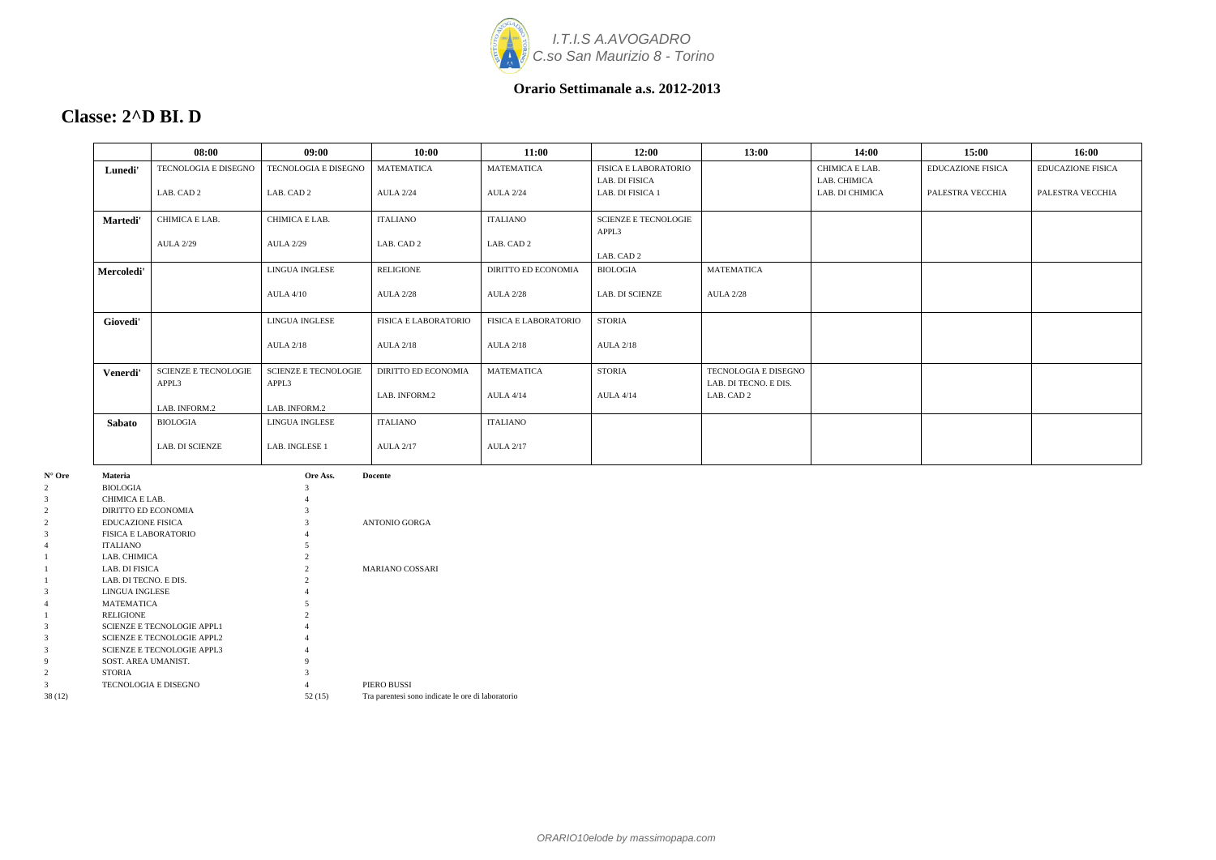

### **Classe: 2^D BI. D**

|                 | 08:00                                | 09:00                                | 10:00                                       | 11:00                                 | 12:00                                         | 13:00                                                              | 14:00                          | 15:00                    | 16:00                    |
|-----------------|--------------------------------------|--------------------------------------|---------------------------------------------|---------------------------------------|-----------------------------------------------|--------------------------------------------------------------------|--------------------------------|--------------------------|--------------------------|
| Lunedi'         | <b>TECNOLOGIA E DISEGNO</b>          | <b>TECNOLOGIA E DISEGNO</b>          | <b>MATEMATICA</b>                           | <b>MATEMATICA</b>                     | <b>FISICA E LABORATORIO</b><br>LAB. DI FISICA |                                                                    | CHIMICA E LAB.<br>LAB. CHIMICA | <b>EDUCAZIONE FISICA</b> | <b>EDUCAZIONE FISICA</b> |
|                 | LAB. CAD 2                           | LAB. CAD 2                           | <b>AULA 2/24</b>                            | <b>AULA 2/24</b>                      | LAB. DI FISICA 1                              |                                                                    | LAB. DI CHIMICA                | PALESTRA VECCHIA         | PALESTRA VECCHIA         |
| <b>Martedi'</b> | CHIMICA E LAB.                       | CHIMICA E LAB.                       | <b>ITALIANO</b>                             | <b>ITALIANO</b>                       | <b>SCIENZE E TECNOLOGIE</b><br>APPL3          |                                                                    |                                |                          |                          |
|                 | <b>AULA 2/29</b>                     | <b>AULA 2/29</b>                     | LAB. CAD 2                                  | LAB. CAD 2                            | LAB. CAD 2                                    |                                                                    |                                |                          |                          |
| Mercoledi'      |                                      | LINGUA INGLESE                       | <b>RELIGIONE</b>                            | <b>DIRITTO ED ECONOMIA</b>            | BIOLOGIA                                      | <b>MATEMATICA</b>                                                  |                                |                          |                          |
|                 |                                      | ALIA 4/10                            | <b>AULA 2/28</b>                            | <b>AULA 2/28</b>                      | LAB. DI SCIENZE                               | <b>AULA 2/28</b>                                                   |                                |                          |                          |
| Giovedi'        |                                      | <b>LINGUA INGLESE</b>                | <b>FISICA E LABORATORIO</b>                 | <b>FISICA E LABORATORIO</b>           | <b>STORIA</b>                                 |                                                                    |                                |                          |                          |
|                 |                                      | <b>AULA 2/18</b>                     | <b>AULA 2/18</b>                            | <b>AULA 2/18</b>                      | <b>AULA 2/18</b>                              |                                                                    |                                |                          |                          |
| Venerdi'        | <b>SCIENZE E TECNOLOGIE</b><br>APPL3 | <b>SCIENZE E TECNOLOGIE</b><br>APPL3 | <b>DIRITTO ED ECONOMIA</b><br>LAB. INFORM.2 | <b>MATEMATICA</b><br><b>AULA 4/14</b> | <b>STORIA</b><br><b>AULA 4/14</b>             | <b>TECNOLOGIA E DISEGNO</b><br>LAB. DI TECNO. E DIS.<br>LAB. CAD 2 |                                |                          |                          |
|                 | LAB. INFORM.2                        | LAB. INFORM.2                        |                                             |                                       |                                               |                                                                    |                                |                          |                          |
| Sabato          | BIOLOGIA                             | LINGUA INGLESE                       | <b>ITALIANO</b>                             | <b>ITALIANO</b>                       |                                               |                                                                    |                                |                          |                          |
|                 | LAB. DI SCIENZE                      | LAB. INGLESE 1                       | <b>AULA 2/17</b>                            | <b>AULA 2/17</b>                      |                                               |                                                                    |                                |                          |                          |

| $N^{\circ}$ Ore | <b>Materia</b>                    | Ore Ass. | <b>Docente</b>                                    |
|-----------------|-----------------------------------|----------|---------------------------------------------------|
| 2               | <b>BIOLOGIA</b>                   | 3        |                                                   |
| 3               | CHIMICA E LAB.                    |          |                                                   |
| 2               | DIRITTO ED ECONOMIA               |          |                                                   |
| 2               | <b>EDUCAZIONE FISICA</b>          | 3        | <b>ANTONIO GORGA</b>                              |
| 3               | <b>FISICA E LABORATORIO</b>       |          |                                                   |
| 4               | <b>ITALIANO</b>                   |          |                                                   |
|                 | LAB. CHIMICA                      |          |                                                   |
|                 | LAB. DI FISICA                    |          | <b>MARIANO COSSARI</b>                            |
|                 | LAB. DI TECNO. E DIS.             |          |                                                   |
| 3               | LINGUA INGLESE                    |          |                                                   |
| 4               | <b>MATEMATICA</b>                 |          |                                                   |
| 1               | <b>RELIGIONE</b>                  |          |                                                   |
| 3               | <b>SCIENZE E TECNOLOGIE APPL1</b> |          |                                                   |
| 3               | <b>SCIENZE E TECNOLOGIE APPL2</b> | 4        |                                                   |
| 3               | <b>SCIENZE E TECNOLOGIE APPL3</b> |          |                                                   |
| 9               | SOST. AREA UMANIST.               | 9        |                                                   |
| 2               | <b>STORIA</b>                     |          |                                                   |
| 3               | TECNOLOGIA E DISEGNO              |          | PIERO BUSSI                                       |
| 38 (12)         |                                   | 52(15)   | Tra parentesi sono indicate le ore di laboratorio |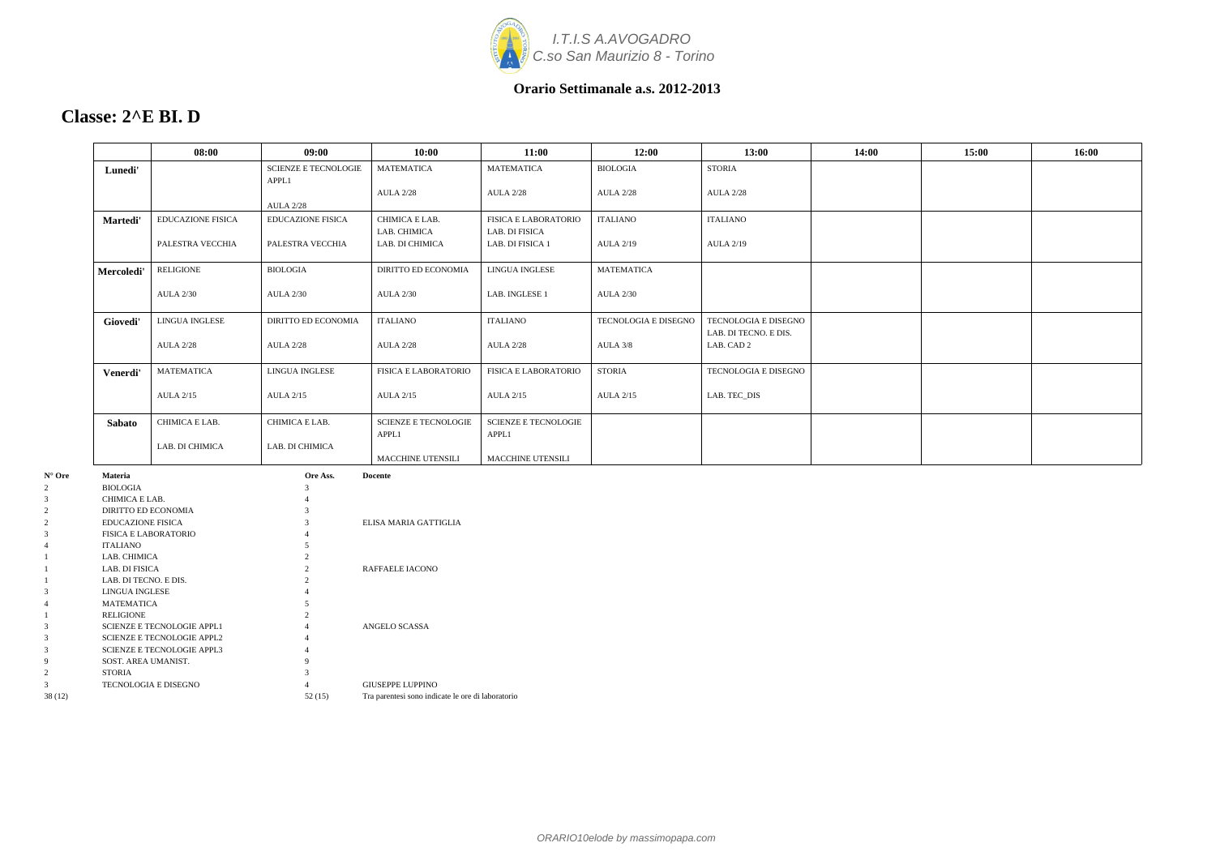

### **Classe: 2^E BI. D**

|            | 08:00                    | 09:00                                | 10:00                                | 11:00                                  | 12:00                | 13:00                                                | 14:00 | 15:00 | 16:00 |
|------------|--------------------------|--------------------------------------|--------------------------------------|----------------------------------------|----------------------|------------------------------------------------------|-------|-------|-------|
| Lunedi'    |                          | <b>SCIENZE E TECNOLOGIE</b><br>APPL1 | <b>MATEMATICA</b>                    | <b>MATEMATICA</b>                      | <b>BIOLOGIA</b>      | <b>STORIA</b>                                        |       |       |       |
|            |                          | <b>AULA 2/28</b>                     | <b>AULA 2/28</b>                     | <b>AULA 2/28</b>                       | <b>AULA 2/28</b>     | <b>AULA 2/28</b>                                     |       |       |       |
| Martedi'   | <b>EDUCAZIONE FISICA</b> | <b>EDUCAZIONE FISICA</b>             | CHIMICA E LAB.<br>LAB. CHIMICA       | FISICA E LABORATORIO<br>LAB. DI FISICA | ITALIANO             | <b>ITALIANO</b>                                      |       |       |       |
|            | PALESTRA VECCHIA         | PALESTRA VECCHIA                     | LAB. DI CHIMICA                      | LAB. DI FISICA 1                       | <b>AULA 2/19</b>     | <b>AULA 2/19</b>                                     |       |       |       |
| Mercoledi' | <b>RELIGIONE</b>         | <b>BIOLOGIA</b>                      | <b>DIRITTO ED ECONOMIA</b>           | <b>LINGUA INGLESE</b>                  | <b>MATEMATICA</b>    |                                                      |       |       |       |
|            | <b>AULA 2/30</b>         | <b>AULA 2/30</b>                     | <b>AULA 2/30</b>                     | LAB. INGLESE 1                         | <b>AULA 2/30</b>     |                                                      |       |       |       |
| Giovedi'   | LINGUA INGLESE           | <b>DIRITTO ED ECONOMIA</b>           | <b>ITALIANO</b>                      | <b>ITALIANO</b>                        | TECNOLOGIA E DISEGNO | <b>TECNOLOGIA E DISEGNO</b><br>LAB. DI TECNO. E DIS. |       |       |       |
|            | <b>AULA 2/28</b>         | <b>AULA 2/28</b>                     | <b>AULA 2/28</b>                     | <b>AULA 2/28</b>                       | AULA 3/8             | LAB. CAD 2                                           |       |       |       |
| Venerdi'   | <b>MATEMATICA</b>        | LINGUA INGLESE                       | <b>FISICA E LABORATORIO</b>          | <b>FISICA E LABORATORIO</b>            | <b>STORIA</b>        | <b>TECNOLOGIA E DISEGNO</b>                          |       |       |       |
|            | <b>AULA 2/15</b>         | <b>AULA 2/15</b>                     | <b>AULA 2/15</b>                     | <b>AULA 2/15</b>                       | <b>AULA 2/15</b>     | LAB. TEC_DIS                                         |       |       |       |
| Sabato     | CHIMICA E LAB.           | CHIMICA E LAB.                       | <b>SCIENZE E TECNOLOGIE</b><br>APPL1 | <b>SCIENZE E TECNOLOGIE</b><br>APPL1   |                      |                                                      |       |       |       |
|            | LAB. DI CHIMICA          | LAB. DI CHIMICA                      | <b>MACCHINE UTENSILI</b>             | <b>MACCHINE UTENSILI</b>               |                      |                                                      |       |       |       |
| Materia    |                          | Ore Ass.                             | <b>Docente</b>                       |                                        |                      |                                                      |       |       |       |

| $N^{\circ}$ Ore | <b>Materia</b>                    | Ore Ass. | <b>Docente</b>                                    |
|-----------------|-----------------------------------|----------|---------------------------------------------------|
| 2               | <b>BIOLOGIA</b>                   | 3        |                                                   |
| 3               | CHIMICA E LAB.                    |          |                                                   |
| $\overline{2}$  | DIRITTO ED ECONOMIA               |          |                                                   |
| $\overline{2}$  | <b>EDUCAZIONE FISICA</b>          | 3        | ELISA MARIA GATTIGLIA                             |
| 3               | <b>FISICA E LABORATORIO</b>       |          |                                                   |
| 4               | <b>ITALIANO</b>                   |          |                                                   |
|                 | LAB. CHIMICA                      |          |                                                   |
|                 | LAB. DI FISICA                    |          | RAFFAELE IACONO                                   |
|                 | LAB. DI TECNO. E DIS.             |          |                                                   |
| 3               | <b>LINGUA INGLESE</b>             |          |                                                   |
| 4               | <b>MATEMATICA</b>                 |          |                                                   |
|                 | <b>RELIGIONE</b>                  |          |                                                   |
| 3               | <b>SCIENZE E TECNOLOGIE APPL1</b> |          | ANGELO SCASSA                                     |
| 3               | <b>SCIENZE E TECNOLOGIE APPL2</b> |          |                                                   |
| 3               | <b>SCIENZE E TECNOLOGIE APPL3</b> |          |                                                   |
| 9               | SOST. AREA UMANIST.               | 9        |                                                   |
| 2               | <b>STORIA</b>                     |          |                                                   |
| 3               | <b>TECNOLOGIA E DISEGNO</b>       |          | <b>GIUSEPPE LUPPINO</b>                           |
| 38 (12)         |                                   | 52(15)   | Tra parentesi sono indicate le ore di laboratorio |
|                 |                                   |          |                                                   |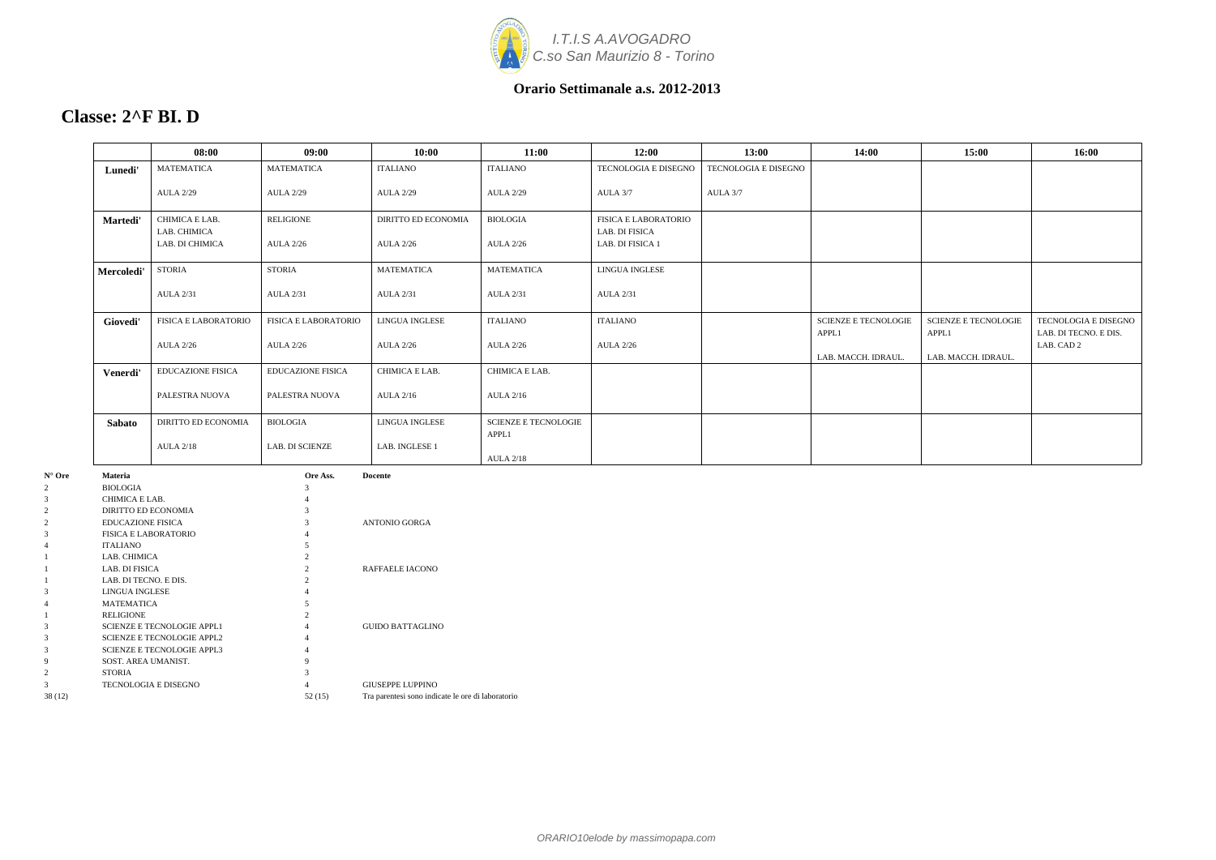

### **Classe: 2^F BI. D**

|            | 08:00                           | 09:00                       | 10:00                      | 11:00                       | 12:00                              | 13:00                | 14:00                                | 15:00                                | 16:00                                         |
|------------|---------------------------------|-----------------------------|----------------------------|-----------------------------|------------------------------------|----------------------|--------------------------------------|--------------------------------------|-----------------------------------------------|
| Lunedi'    | <b>MATEMATICA</b>               | <b>MATEMATICA</b>           | <b>ITALIANO</b>            | <b>ITALIANO</b>             | TECNOLOGIA E DISEGNO               | TECNOLOGIA E DISEGNO |                                      |                                      |                                               |
|            | <b>AULA 2/29</b>                | <b>AULA 2/29</b>            | <b>AULA 2/29</b>           | <b>AULA 2/29</b>            | AULA 3/7                           | AULA 3/7             |                                      |                                      |                                               |
| Martedi'   | CHIMICA E LAB.                  | <b>RELIGIONE</b>            | <b>DIRITTO ED ECONOMIA</b> | <b>BIOLOGIA</b>             | <b>FISICA E LABORATORIO</b>        |                      |                                      |                                      |                                               |
|            | LAB. CHIMICA<br>LAB. DI CHIMICA | <b>AULA 2/26</b>            | <b>AULA 2/26</b>           | <b>AULA 2/26</b>            | LAB. DI FISICA<br>LAB. DI FISICA 1 |                      |                                      |                                      |                                               |
| Mercoledi' | <b>STORIA</b>                   | <b>STORIA</b>               | <b>MATEMATICA</b>          | <b>MATEMATICA</b>           | <b>LINGUA INGLESE</b>              |                      |                                      |                                      |                                               |
|            | <b>AULA 2/31</b>                | <b>AULA 2/31</b>            | <b>AULA 2/31</b>           | <b>AULA 2/31</b>            | <b>AULA 2/31</b>                   |                      |                                      |                                      |                                               |
| Giovedi'   | <b>FISICA E LABORATORIO</b>     | <b>FISICA E LABORATORIO</b> | <b>LINGUA INGLESE</b>      | <b>ITALIANO</b>             | <b>ITALIANO</b>                    |                      | <b>SCIENZE E TECNOLOGIE</b><br>APPL1 | <b>SCIENZE E TECNOLOGIE</b><br>APPL1 | TECNOLOGIA E DISEGNO<br>LAB. DI TECNO. E DIS. |
|            | <b>AULA 2/26</b>                | <b>AULA 2/26</b>            | <b>AULA 2/26</b>           | <b>AULA 2/26</b>            | <b>AULA 2/26</b>                   |                      |                                      |                                      | LAB. CAD 2                                    |
|            |                                 |                             |                            |                             |                                    |                      | LAB. MACCH. IDRAUL.                  | LAB. MACCH. IDRAUL.                  |                                               |
| Venerdi'   | <b>EDUCAZIONE FISICA</b>        | <b>EDUCAZIONE FISICA</b>    | CHIMICA E LAB.             | CHIMICA E LAB.              |                                    |                      |                                      |                                      |                                               |
|            | PALESTRA NUOVA                  | PALESTRA NUOVA              | <b>AULA 2/16</b>           | <b>AULA 2/16</b>            |                                    |                      |                                      |                                      |                                               |
| Sabato     | DIRITTO ED ECONOMIA             | <b>BIOLOGIA</b>             | LINGUA INGLESE             | <b>SCIENZE E TECNOLOGIE</b> |                                    |                      |                                      |                                      |                                               |
|            | <b>AULA 2/18</b>                | <b>LAB. DI SCIENZE</b>      | LAB. INGLESE 1             | APPL1<br><b>AULA 2/18</b>   |                                    |                      |                                      |                                      |                                               |

| $N^{\circ}$ Ore | <b>Materia</b>                    | Ore Ass.       | <b>Docente</b>                                    |
|-----------------|-----------------------------------|----------------|---------------------------------------------------|
| 2               | <b>BIOLOGIA</b>                   | 3              |                                                   |
| 3               | CHIMICA E LAB.                    |                |                                                   |
| 2               | DIRITTO ED ECONOMIA               |                |                                                   |
| $\overline{2}$  | <b>EDUCAZIONE FISICA</b>          |                | ANTONIO GORGA                                     |
| 3               | <b>FISICA E LABORATORIO</b>       |                |                                                   |
| 4               | <b>ITALIANO</b>                   |                |                                                   |
|                 | LAB. CHIMICA                      |                |                                                   |
|                 | LAB. DI FISICA                    | $\mathfrak{D}$ | RAFFAELE IACONO                                   |
|                 | LAB. DI TECNO. E DIS.             |                |                                                   |
| 3               | <b>LINGUA INGLESE</b>             |                |                                                   |
| 4               | <b>MATEMATICA</b>                 |                |                                                   |
|                 | <b>RELIGIONE</b>                  |                |                                                   |
| 3               | <b>SCIENZE E TECNOLOGIE APPL1</b> | 4              | <b>GUIDO BATTAGLINO</b>                           |
| 3               | <b>SCIENZE E TECNOLOGIE APPL2</b> |                |                                                   |
| 3               | <b>SCIENZE E TECNOLOGIE APPL3</b> |                |                                                   |
| 9               | SOST. AREA UMANIST.               | 9              |                                                   |
| $\overline{2}$  | <b>STORIA</b>                     |                |                                                   |
| 3               | <b>TECNOLOGIA E DISEGNO</b>       |                | <b>GIUSEPPE LUPPINO</b>                           |
| 38(12)          |                                   | 52(15)         | Tra parentesi sono indicate le ore di laboratorio |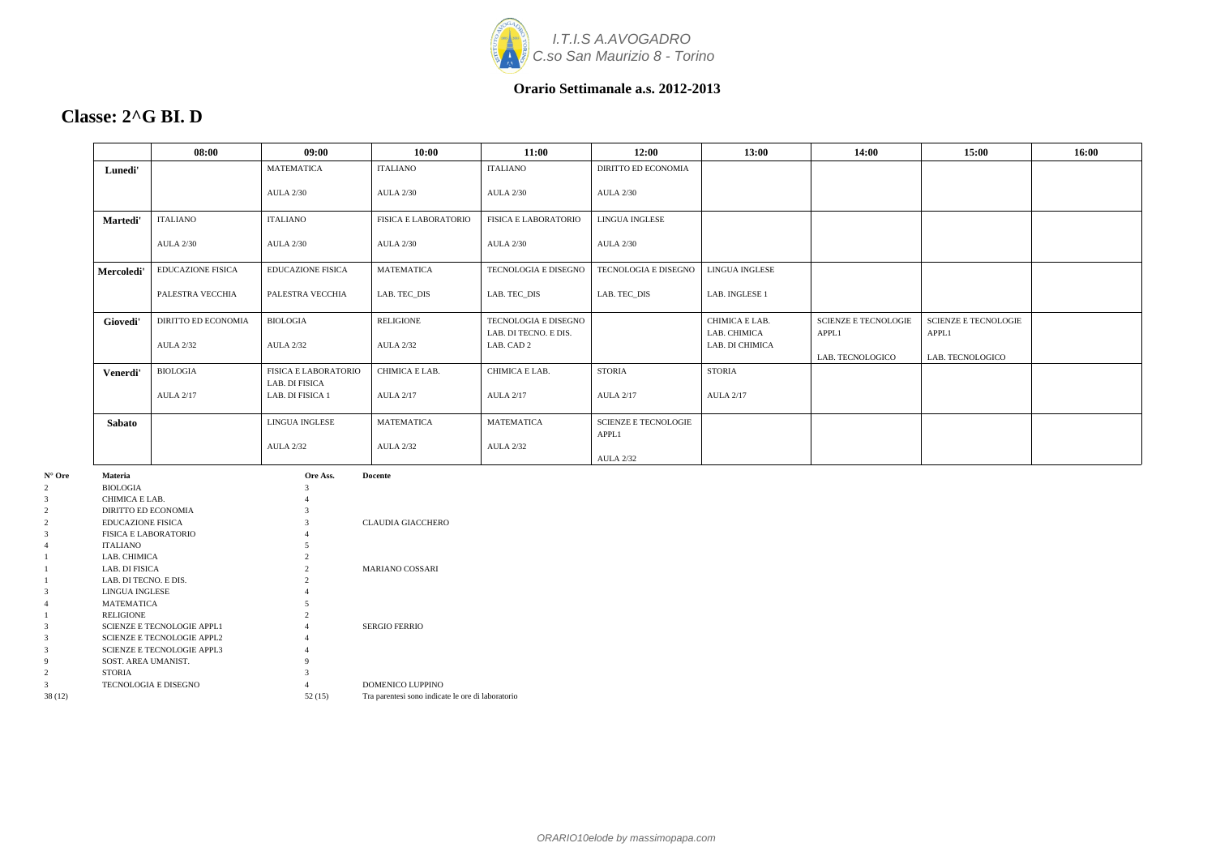

### **Classe: 2^G BI. D**

|            | 08:00                      | 09:00                              | 10:00                       | 11:00                               | 12:00                       | 13:00                           | 14:00                       | 15:00                       | 16:00 |
|------------|----------------------------|------------------------------------|-----------------------------|-------------------------------------|-----------------------------|---------------------------------|-----------------------------|-----------------------------|-------|
| Lunedi'    |                            | <b>MATEMATICA</b>                  | <b>ITALIANO</b>             | <b>ITALIANO</b>                     | <b>DIRITTO ED ECONOMIA</b>  |                                 |                             |                             |       |
|            |                            | <b>AULA 2/30</b>                   | <b>AULA 2/30</b>            | <b>AULA 2/30</b>                    | <b>AULA 2/30</b>            |                                 |                             |                             |       |
| Martedi'   | <b>ITALIANO</b>            | <b>ITALIANO</b>                    | <b>FISICA E LABORATORIO</b> | <b>FISICA E LABORATORIO</b>         | <b>LINGUA INGLESE</b>       |                                 |                             |                             |       |
|            | <b>AULA 2/30</b>           | <b>AULA 2/30</b>                   | <b>AULA 2/30</b>            | <b>AULA 2/30</b>                    | <b>AULA 2/30</b>            |                                 |                             |                             |       |
| Mercoledi' | <b>EDUCAZIONE FISICA</b>   | <b>EDUCAZIONE FISICA</b>           | <b>MATEMATICA</b>           | <b>TECNOLOGIA E DISEGNO</b>         | TECNOLOGIA E DISEGNO        | LINGUA INGLESE                  |                             |                             |       |
|            | PALESTRA VECCHIA           | PALESTRA VECCHIA                   | LAB. TEC_DIS                | LAB. TEC_DIS                        | LAB. TEC_DIS                | LAB. INGLESE 1                  |                             |                             |       |
| Giovedi'   | <b>DIRITTO ED ECONOMIA</b> | <b>BIOLOGIA</b>                    | RELIGIONE                   | TECNOLOGIA E DISEGNO                |                             | CHIMICA E LAB.                  | <b>SCIENZE E TECNOLOGIE</b> | <b>SCIENZE E TECNOLOGIE</b> |       |
|            | <b>AULA 2/32</b>           | <b>AULA 2/32</b>                   | <b>AULA 2/32</b>            | LAB. DI TECNO. E DIS.<br>LAB. CAD 2 |                             | LAB. CHIMICA<br>LAB. DI CHIMICA | APPL1<br>LAB. TECNOLOGICO   | APPL1<br>LAB. TECNOLOGICO   |       |
| Venerdi'   | <b>BIOLOGIA</b>            | <b>FISICA E LABORATORIO</b>        | CHIMICA E LAB.              | CHIMICA E LAB.                      | <b>STORIA</b>               | <b>STORIA</b>                   |                             |                             |       |
|            | <b>AULA 2/17</b>           | LAB. DI FISICA<br>LAB. DI FISICA 1 | <b>AULA 2/17</b>            | <b>AULA 2/17</b>                    | <b>AULA 2/17</b>            | <b>AULA 2/17</b>                |                             |                             |       |
| Sabato     |                            | <b>LINGUA INGLESE</b>              | <b>MATEMATICA</b>           | <b>MATEMATICA</b>                   | <b>SCIENZE E TECNOLOGIE</b> |                                 |                             |                             |       |
|            |                            | <b>AULA 2/32</b>                   | <b>AULA 2/32</b>            | <b>AULA 2/32</b>                    | APPL1<br><b>AULA 2/32</b>   |                                 |                             |                             |       |

| $N^{\circ}$ Ore | <b>Materia</b>                    | Ore Ass. | <b>Docente</b>                                    |
|-----------------|-----------------------------------|----------|---------------------------------------------------|
| 2               | <b>BIOLOGIA</b>                   | 3        |                                                   |
| 3               | CHIMICA E LAB.                    |          |                                                   |
| $\overline{2}$  | DIRITTO ED ECONOMIA               |          |                                                   |
| 2               | <b>EDUCAZIONE FISICA</b>          |          | <b>CLAUDIA GIACCHERO</b>                          |
| 3               | <b>FISICA E LABORATORIO</b>       |          |                                                   |
| 4               | <b>ITALIANO</b>                   | 5        |                                                   |
|                 | LAB. CHIMICA                      | 2        |                                                   |
|                 | LAB. DI FISICA                    |          | <b>MARIANO COSSARI</b>                            |
|                 | LAB. DI TECNO. E DIS.             |          |                                                   |
| 3               | LINGUA INGLESE                    |          |                                                   |
| 4               | <b>MATEMATICA</b>                 |          |                                                   |
|                 | <b>RELIGIONE</b>                  |          |                                                   |
| 3               | <b>SCIENZE E TECNOLOGIE APPL1</b> | 4        | <b>SERGIO FERRIO</b>                              |
| 3               | <b>SCIENZE E TECNOLOGIE APPL2</b> |          |                                                   |
| 3               | <b>SCIENZE E TECNOLOGIE APPL3</b> | 4        |                                                   |
| 9               | SOST. AREA UMANIST.               | 9        |                                                   |
| $\overline{2}$  | <b>STORIA</b>                     |          |                                                   |
| 3               | <b>TECNOLOGIA E DISEGNO</b>       |          | DOMENICO LUPPINO                                  |
| 38 (12)         |                                   | 52(15)   | Tra parentesi sono indicate le ore di laboratorio |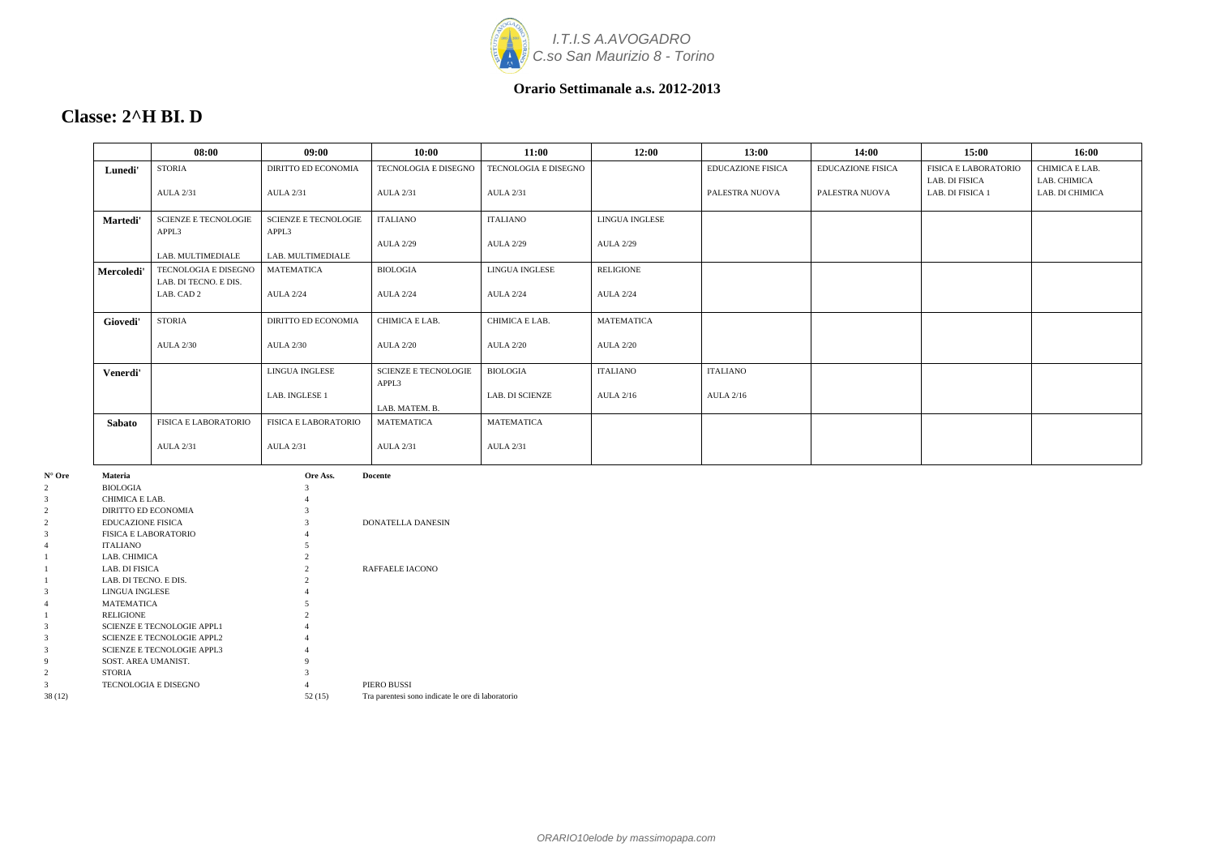

### **Classe: 2^H BI. D**

|            | 08:00                                         | 09:00                                | 10:00                                | 11:00                               | 12:00                                     | 13:00                    | 14:00                    | 15:00                                         | 16:00                          |
|------------|-----------------------------------------------|--------------------------------------|--------------------------------------|-------------------------------------|-------------------------------------------|--------------------------|--------------------------|-----------------------------------------------|--------------------------------|
| Lunedi'    | <b>STORIA</b>                                 | <b>DIRITTO ED ECONOMIA</b>           | TECNOLOGIA E DISEGNO                 | <b>TECNOLOGIA E DISEGNO</b>         |                                           | <b>EDUCAZIONE FISICA</b> | <b>EDUCAZIONE FISICA</b> | <b>FISICA E LABORATORIO</b><br>LAB. DI FISICA | CHIMICA E LAB.<br>LAB. CHIMICA |
|            | <b>AULA 2/31</b>                              | <b>AULA 2/31</b>                     | <b>AULA 2/31</b>                     | <b>AULA 2/31</b>                    |                                           | PALESTRA NUOVA           | PALESTRA NUOVA           | LAB. DI FISICA 1                              | LAB. DI CHIMICA                |
| Martedi'   | <b>SCIENZE E TECNOLOGIE</b><br>APPL3          | <b>SCIENZE E TECNOLOGIE</b><br>APPL3 | <b>ITALIANO</b><br><b>AULA 2/29</b>  | <b>ITALIANO</b><br><b>AULA 2/29</b> | <b>LINGUA INGLESE</b><br><b>AULA 2/29</b> |                          |                          |                                               |                                |
|            | LAB. MULTIMEDIALE                             | LAB. MULTIMEDIALE                    |                                      |                                     |                                           |                          |                          |                                               |                                |
| Mercoledi' | TECNOLOGIA E DISEGNO<br>LAB. DI TECNO. E DIS. | <b>MATEMATICA</b>                    | <b>BIOLOGIA</b>                      | LINGUA INGLESE                      | <b>RELIGIONE</b>                          |                          |                          |                                               |                                |
|            | LAB. CAD 2                                    | <b>AULA 2/24</b>                     | <b>AULA 2/24</b>                     | <b>AULA 2/24</b>                    | <b>AULA 2/24</b>                          |                          |                          |                                               |                                |
| Giovedi'   | <b>STORIA</b>                                 | <b>DIRITTO ED ECONOMIA</b>           | CHIMICA E LAB.                       | CHIMICA E LAB.                      | <b>MATEMATICA</b>                         |                          |                          |                                               |                                |
|            | <b>AULA 2/30</b>                              | <b>AULA 2/30</b>                     | <b>AULA 2/20</b>                     | <b>AULA 2/20</b>                    | <b>AULA 2/20</b>                          |                          |                          |                                               |                                |
| Venerdi'   |                                               | LINGUA INGLESE                       | <b>SCIENZE E TECNOLOGIE</b><br>APPL3 | <b>BIOLOGIA</b>                     | <b>ITALIANO</b>                           | <b>ITALIANO</b>          |                          |                                               |                                |
|            |                                               | LAB. INGLESE 1                       | LAB. MATEM. B.                       | <b>LAB. DI SCIENZE</b>              | <b>AULA 2/16</b>                          | <b>AULA 2/16</b>         |                          |                                               |                                |
| Sabato     | <b>FISICA E LABORATORIO</b>                   | <b>FISICA E LABORATORIO</b>          | <b>MATEMATICA</b>                    | <b>MATEMATICA</b>                   |                                           |                          |                          |                                               |                                |
|            | <b>AULA 2/31</b>                              | <b>AULA 2/31</b>                     | <b>AULA 2/31</b>                     | <b>AULA 2/31</b>                    |                                           |                          |                          |                                               |                                |

| $N^{\circ}$ Ore | <b>Materia</b>                    | Ore Ass.       | <b>Docente</b>                                    |
|-----------------|-----------------------------------|----------------|---------------------------------------------------|
| 2               | <b>BIOLOGIA</b>                   | 3              |                                                   |
| 3               | CHIMICA E LAB.                    |                |                                                   |
| $\overline{2}$  | DIRITTO ED ECONOMIA               |                |                                                   |
| $\overline{c}$  | <b>EDUCAZIONE FISICA</b>          |                | DONATELLA DANESIN                                 |
| 3               | <b>FISICA E LABORATORIO</b>       |                |                                                   |
| $\overline{4}$  | <b>ITALIANO</b>                   |                |                                                   |
|                 | LAB. CHIMICA                      | 2              |                                                   |
|                 | LAB. DI FISICA                    | $\mathfrak{D}$ | RAFFAELE IACONO                                   |
|                 | LAB. DI TECNO. E DIS.             |                |                                                   |
| 3               | <b>LINGUA INGLESE</b>             |                |                                                   |
| 4               | <b>MATEMATICA</b>                 |                |                                                   |
|                 | <b>RELIGIONE</b>                  |                |                                                   |
| 3               | <b>SCIENZE E TECNOLOGIE APPL1</b> |                |                                                   |
| 3               | <b>SCIENZE E TECNOLOGIE APPL2</b> |                |                                                   |
| 3               | <b>SCIENZE E TECNOLOGIE APPL3</b> |                |                                                   |
| 9               | SOST. AREA UMANIST.               | 9              |                                                   |
| $\overline{c}$  | <b>STORIA</b>                     |                |                                                   |
| 3               | <b>TECNOLOGIA E DISEGNO</b>       |                | PIERO BUSSI                                       |
| 38(12)          |                                   | 52(15)         | Tra parentesi sono indicate le ore di laboratorio |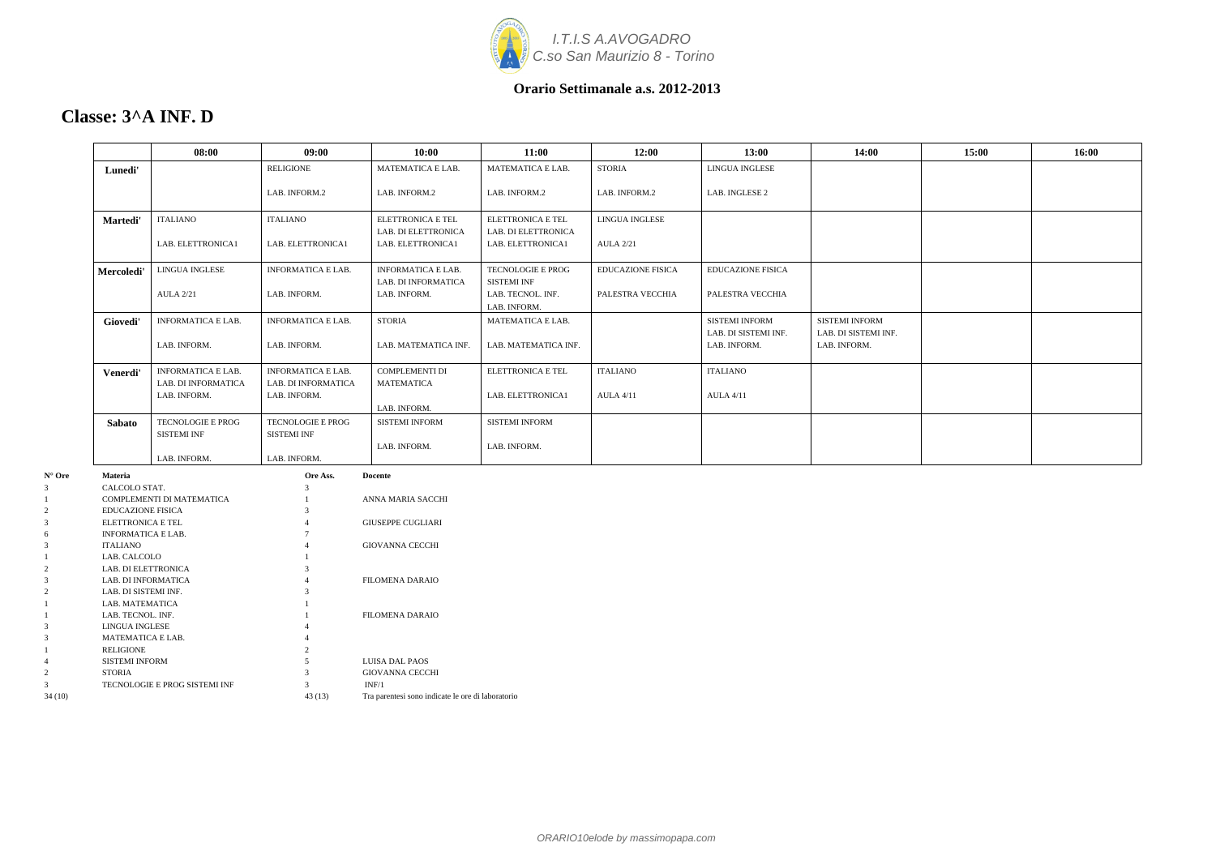

### **Classe: 3^A INF. D**

|                                                | 08:00                     | 09:00                     | 10:00                    | 11:00                    | 12:00                    | 13:00                    | 14:00                 | 15:00 | 16:00 |
|------------------------------------------------|---------------------------|---------------------------|--------------------------|--------------------------|--------------------------|--------------------------|-----------------------|-------|-------|
| Lunedi'                                        |                           | <b>RELIGIONE</b>          | MATEMATICA E LAB.        | MATEMATICA E LAB.        | <b>STORIA</b>            | LINGUA INGLESE           |                       |       |       |
|                                                |                           | LAB. INFORM.2             | LAB. INFORM.2            | LAB. INFORM.2            | LAB. INFORM.2            | LAB. INGLESE 2           |                       |       |       |
| Martedi'                                       | <b>ITALIANO</b>           | ITALIANO                  | <b>ELETTRONICA E TEL</b> | <b>ELETTRONICA E TEL</b> | <b>LINGUA INGLESE</b>    |                          |                       |       |       |
|                                                |                           |                           | LAB. DI ELETTRONICA      | LAB. DI ELETTRONICA      |                          |                          |                       |       |       |
|                                                | LAB. ELETTRONICA1         | LAB. ELETTRONICA1         | LAB. ELETTRONICA1        | LAB. ELETTRONICA1        | <b>AULA 2/21</b>         |                          |                       |       |       |
| Mercoledi                                      | LINGUA INGLESE            | <b>INFORMATICA E LAB.</b> | INFORMATICA E LAB.       | TECNOLOGIE E PROG        | <b>EDUCAZIONE FISICA</b> | <b>EDUCAZIONE FISICA</b> |                       |       |       |
|                                                |                           |                           | LAB. DI INFORMATICA      | <b>SISTEMI INF</b>       |                          |                          |                       |       |       |
|                                                | <b>AULA 2/21</b>          | LAB. INFORM.              | LAB. INFORM.             | LAB. TECNOL. INF.        | PALESTRA VECCHIA         | PALESTRA VECCHIA         |                       |       |       |
|                                                |                           |                           |                          | LAB. INFORM.             |                          |                          |                       |       |       |
| Giovedi'                                       | <b>INFORMATICA E LAB.</b> | <b>INFORMATICA E LAB.</b> | <b>STORIA</b>            | MATEMATICA E LAB.        |                          | <b>SISTEMI INFORM</b>    | <b>SISTEMI INFORM</b> |       |       |
|                                                |                           |                           |                          |                          |                          | LAB. DI SISTEMI INF.     | LAB. DI SISTEMI INF.  |       |       |
|                                                | LAB. INFORM.              | LAB. INFORM.              | LAB. MATEMATICA INF.     | LAB. MATEMATICA INF.     |                          | LAB. INFORM.             | LAB. INFORM.          |       |       |
| Venerdi'                                       | <b>INFORMATICA E LAB.</b> | <b>INFORMATICA E LAB.</b> | <b>COMPLEMENTI DI</b>    | <b>ELETTRONICA E TEL</b> | <b>ITALIANO</b>          | <b>ITALIANO</b>          |                       |       |       |
|                                                | LAB. DI INFORMATICA       | LAB. DI INFORMATICA       | <b>MATEMATICA</b>        |                          |                          |                          |                       |       |       |
|                                                | LAB. INFORM.              | LAB. INFORM.              |                          | LAB. ELETTRONICA1        | <b>AULA 4/11</b>         | <b>AULA 4/11</b>         |                       |       |       |
|                                                |                           |                           | LAB. INFORM.             |                          |                          |                          |                       |       |       |
| <b>Sabato</b>                                  | TECNOLOGIE E PROG         | TECNOLOGIE E PROG         | <b>SISTEMI INFORM</b>    | <b>SISTEMI INFORM</b>    |                          |                          |                       |       |       |
|                                                | <b>SISTEMI INF</b>        | <b>SISTEMI INF</b>        |                          |                          |                          |                          |                       |       |       |
|                                                |                           |                           | LAB. INFORM.             | LAB. INFORM.             |                          |                          |                       |       |       |
|                                                | LAB. INFORM.              | LAB. INFORM.              |                          |                          |                          |                          |                       |       |       |
| <b>Materia</b>                                 |                           | Ore Ass.                  | <b>Docente</b>           |                          |                          |                          |                       |       |       |
| CALCOLO STAT.                                  |                           |                           |                          |                          |                          |                          |                       |       |       |
|                                                | COMPLEMENTI DI MATEMATICA |                           | ANNA MARIA SACCHI        |                          |                          |                          |                       |       |       |
| <b>EDUCAZIONE FISICA</b>                       |                           |                           |                          |                          |                          |                          |                       |       |       |
| ELETTRONICA E TEL<br><b>INFORMATICA E LAB.</b> |                           |                           | <b>GIUSEPPE CUGLIARI</b> |                          |                          |                          |                       |       |       |
|                                                |                           |                           |                          |                          |                          |                          |                       |       |       |

| $N^{\circ}$ Ore | <b>Materia</b>                | Ore Ass.       | <b>Docente</b>                                    |
|-----------------|-------------------------------|----------------|---------------------------------------------------|
| 3               | CALCOLO STAT.                 | 3              |                                                   |
|                 | COMPLEMENTI DI MATEMATICA     |                | ANNA MARIA SACCHI                                 |
| 2               | <b>EDUCAZIONE FISICA</b>      | 3              |                                                   |
| 3               | ELETTRONICA E TEL             |                | <b>GIUSEPPE CUGLIARI</b>                          |
| 6               | <b>INFORMATICA E LAB.</b>     |                |                                                   |
| 3               | <b>ITALIANO</b>               |                | <b>GIOVANNA CECCHI</b>                            |
|                 | LAB. CALCOLO                  |                |                                                   |
| $\overline{c}$  | LAB. DI ELETTRONICA           | 3              |                                                   |
| 3               | LAB. DI INFORMATICA           |                | <b>FILOMENA DARAIO</b>                            |
| 2               | LAB. DI SISTEMI INF.          | 3              |                                                   |
|                 | LAB. MATEMATICA               |                |                                                   |
|                 | LAB. TECNOL. INF.             |                | <b>FILOMENA DARAIO</b>                            |
| 3               | LINGUA INGLESE                |                |                                                   |
| 3               | <b>MATEMATICA E LAB.</b>      |                |                                                   |
|                 | <b>RELIGIONE</b>              | $\overline{c}$ |                                                   |
| 4               | <b>SISTEMI INFORM</b>         | 5              | LUISA DAL PAOS                                    |
| 2               | <b>STORIA</b>                 |                | <b>GIOVANNA CECCHI</b>                            |
| 3               | TECNOLOGIE E PROG SISTEMI INF | 3              | INF/1                                             |
| 34(10)          |                               | 43 (13)        | Tra parentesi sono indicate le ore di laboratorio |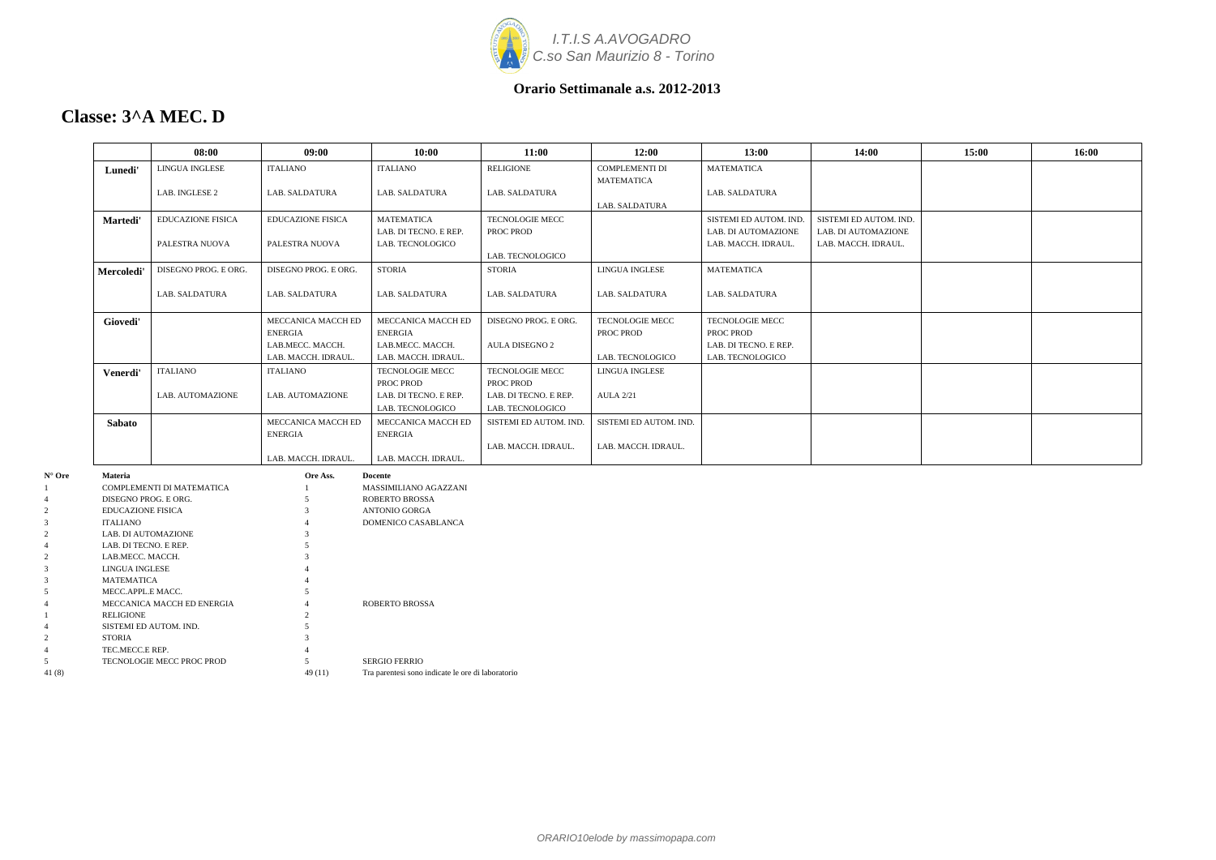

### **Classe: 3^A MEC. D**

|                   |                                        | 08:00                     | 09:00                                | 10:00                                | 11:00                  | 12:00                  | 13:00                                         | 14:00                                         | 15:00 | 16:00 |
|-------------------|----------------------------------------|---------------------------|--------------------------------------|--------------------------------------|------------------------|------------------------|-----------------------------------------------|-----------------------------------------------|-------|-------|
|                   | Lunedi'                                | LINGUA INGLESE            | <b>ITALIANO</b>                      | <b>ITALIANO</b>                      | <b>RELIGIONE</b>       | <b>COMPLEMENTI DI</b>  | <b>MATEMATICA</b>                             |                                               |       |       |
|                   |                                        |                           |                                      |                                      |                        | <b>MATEMATICA</b>      |                                               |                                               |       |       |
|                   |                                        | LAB. INGLESE 2            | LAB. SALDATURA                       | LAB. SALDATURA                       | <b>LAB. SALDATURA</b>  | LAB. SALDATURA         | LAB. SALDATURA                                |                                               |       |       |
|                   |                                        | <b>EDUCAZIONE FISICA</b>  |                                      | <b>MATEMATICA</b>                    | <b>TECNOLOGIE MECC</b> |                        |                                               |                                               |       |       |
|                   | Martedi'                               |                           | <b>EDUCAZIONE FISICA</b>             | LAB. DI TECNO. E REP.                | PROC PROD              |                        | SISTEMI ED AUTOM. IND.<br>LAB. DI AUTOMAZIONE | SISTEMI ED AUTOM. IND.<br>LAB. DI AUTOMAZIONE |       |       |
|                   |                                        | PALESTRA NUOVA            | PALESTRA NUOVA                       | LAB. TECNOLOGICO                     |                        |                        | LAB. MACCH. IDRAUL.                           | LAB. MACCH. IDRAUL.                           |       |       |
|                   |                                        |                           |                                      |                                      | LAB. TECNOLOGICO       |                        |                                               |                                               |       |       |
|                   | Mercoledi'                             | DISEGNO PROG. E ORG.      | DISEGNO PROG. E ORG.                 | <b>STORIA</b>                        | <b>STORIA</b>          | <b>LINGUA INGLESE</b>  | <b>MATEMATICA</b>                             |                                               |       |       |
|                   |                                        |                           |                                      |                                      |                        |                        |                                               |                                               |       |       |
|                   |                                        | LAB. SALDATURA            | LAB. SALDATURA                       | LAB. SALDATURA                       | LAB. SALDATURA         | LAB. SALDATURA         | LAB. SALDATURA                                |                                               |       |       |
|                   | Giovedi'                               |                           | MECCANICA MACCH ED                   | MECCANICA MACCH ED                   | DISEGNO PROG. E ORG.   | <b>TECNOLOGIE MECC</b> | <b>TECNOLOGIE MECC</b>                        |                                               |       |       |
|                   |                                        |                           | <b>ENERGIA</b>                       | ENERGIA                              |                        | PROC PROD              | PROC PROD                                     |                                               |       |       |
|                   |                                        |                           | LAB.MECC. MACCH.                     | LAB.MECC. MACCH.                     | <b>AULA DISEGNO 2</b>  |                        | LAB. DI TECNO. E REP.                         |                                               |       |       |
|                   |                                        |                           | LAB. MACCH. IDRAUL.                  | LAB. MACCH. IDRAUL.                  |                        | LAB. TECNOLOGICO       | LAB. TECNOLOGICO                              |                                               |       |       |
|                   | Venerdi'                               | <b>ITALIANO</b>           | <b>ITALIANO</b>                      | TECNOLOGIE MECC                      | <b>TECNOLOGIE MECC</b> | <b>LINGUA INGLESE</b>  |                                               |                                               |       |       |
|                   |                                        |                           |                                      | PROC PROD                            | PROC PROD              |                        |                                               |                                               |       |       |
|                   |                                        | LAB. AUTOMAZIONE          | LAB. AUTOMAZIONE                     | LAB. DI TECNO. E REP.                | LAB. DI TECNO. E REP.  | <b>AULA 2/21</b>       |                                               |                                               |       |       |
|                   |                                        |                           |                                      | LAB. TECNOLOGICO                     | LAB. TECNOLOGICO       |                        |                                               |                                               |       |       |
|                   | Sabato                                 |                           | MECCANICA MACCH ED<br><b>ENERGIA</b> | MECCANICA MACCH ED<br><b>ENERGIA</b> | SISTEMI ED AUTOM. IND. | SISTEMI ED AUTOM. IND. |                                               |                                               |       |       |
|                   |                                        |                           |                                      |                                      | LAB. MACCH. IDRAUL.    | LAB. MACCH. IDRAUL.    |                                               |                                               |       |       |
|                   |                                        |                           | LAB. MACCH. IDRAUL.                  | LAB. MACCH. IDRAUL.                  |                        |                        |                                               |                                               |       |       |
| $N^{\circ}$ Ore   | <b>Materia</b>                         |                           | Ore Ass.                             | <b>Docente</b>                       |                        |                        |                                               |                                               |       |       |
|                   |                                        | COMPLEMENTI DI MATEMATICA |                                      | MASSIMILIANO AGAZZANI                |                        |                        |                                               |                                               |       |       |
|                   | DISEGNO PROG. E ORG.                   |                           |                                      | <b>ROBERTO BROSSA</b>                |                        |                        |                                               |                                               |       |       |
| 2                 | <b>EDUCAZIONE FISICA</b>               |                           |                                      | <b>ANTONIO GORGA</b>                 |                        |                        |                                               |                                               |       |       |
| $\mathbf{3}$<br>2 | <b>ITALIANO</b><br>LAB. DI AUTOMAZIONE |                           |                                      | DOMENICO CASABLANCA                  |                        |                        |                                               |                                               |       |       |
|                   | LAB. DI TECNO. E REP.                  |                           |                                      |                                      |                        |                        |                                               |                                               |       |       |
|                   | LAB.MECC. MACCH.                       |                           |                                      |                                      |                        |                        |                                               |                                               |       |       |

1 RELIGIONE 2 4 SISTEMI ED AUTOM. IND. 5 2 STORIA 3 4 TEC.MECC.E REP. 4 5 TECNOLOGIE MECC PROC PROD 5 SERGIO FERRIO 41 (8) 49 (11) Tra parentesi sono indicate le ore di laboratorio

3 LINGUA INGLESE 4 3 MATEMATICA 4 5 MECC.APPL.E MACC. 5

4 MECCANICA MACCH ED ENERGIA 4 ROBERTO BROSSA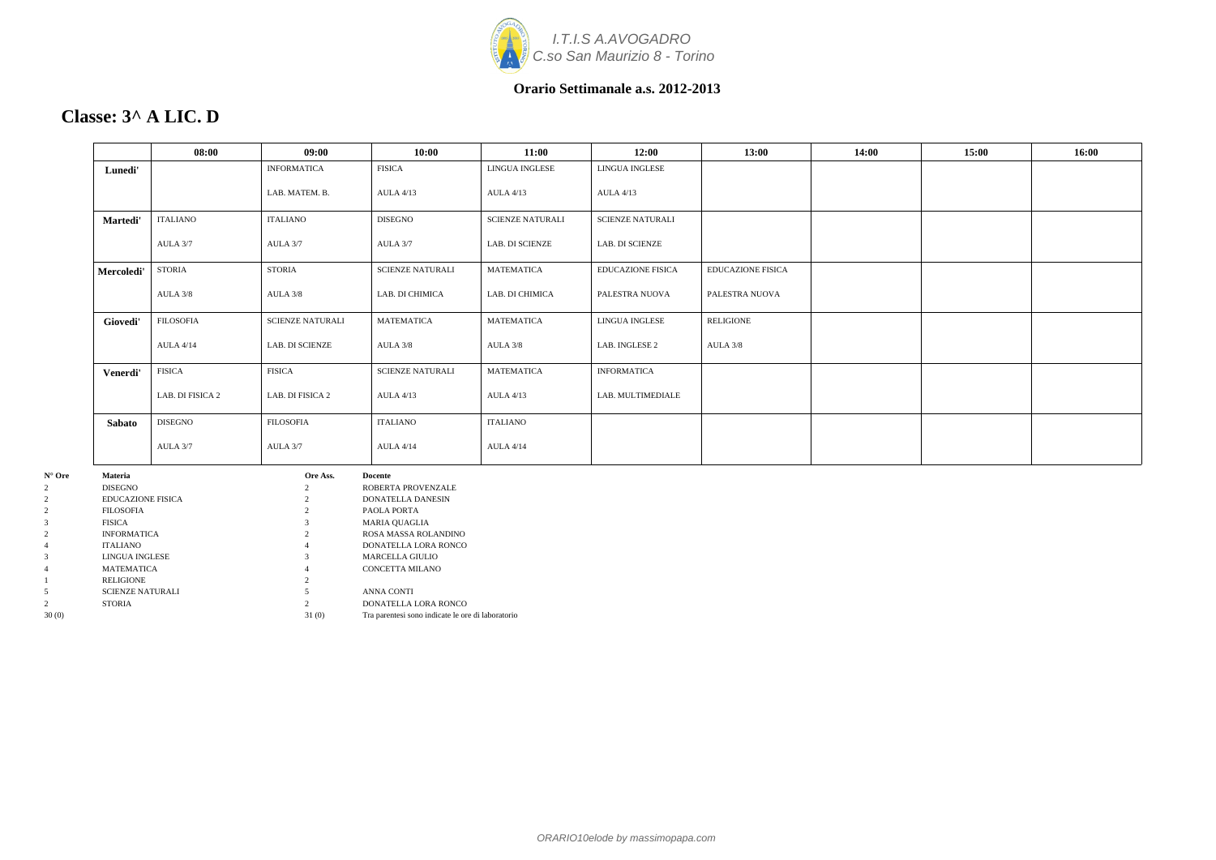

# **Classe: 3^ A LIC. D**

| 08:00            | 09:00                   | 10:00                                | 11:00                   | 12:00                    | 13:00                    | 14:00 | 15:00 | 16:00 |
|------------------|-------------------------|--------------------------------------|-------------------------|--------------------------|--------------------------|-------|-------|-------|
|                  | <b>INFORMATICA</b>      | <b>FISICA</b>                        | LINGUA INGLESE          | LINGUA INGLESE           |                          |       |       |       |
|                  | LAB. MATEM. B.          | <b>AULA 4/13</b>                     | <b>AULA 4/13</b>        | <b>AULA 4/13</b>         |                          |       |       |       |
| <b>ITALIANO</b>  | ITALIANO                | DISEGNO                              | <b>SCIENZE NATURALI</b> | <b>SCIENZE NATURALI</b>  |                          |       |       |       |
| AULA 3/7         | AULA 3/7                | AULA 3/7                             | <b>LAB. DI SCIENZE</b>  | LAB. DI SCIENZE          |                          |       |       |       |
| STORIA           | <b>STORIA</b>           | <b>SCIENZE NATURALI</b>              | <b>MATEMATICA</b>       | <b>EDUCAZIONE FISICA</b> | <b>EDUCAZIONE FISICA</b> |       |       |       |
| AULA 3/8         | AULA 3/8                | LAB. DI CHIMICA                      | LAB. DI CHIMICA         | PALESTRA NUOVA           | PALESTRA NUOVA           |       |       |       |
| <b>FILOSOFIA</b> | <b>SCIENZE NATURALI</b> | <b>MATEMATICA</b>                    | <b>MATEMATICA</b>       | LINGUA INGLESE           | <b>RELIGIONE</b>         |       |       |       |
| <b>AULA 4/14</b> | <b>LAB. DI SCIENZE</b>  | AULA 3/8                             | AULA 3/8                | LAB. INGLESE 2           | AULA 3/8                 |       |       |       |
| <b>FISICA</b>    | <b>FISICA</b>           | <b>SCIENZE NATURALI</b>              | <b>MATEMATICA</b>       | <b>INFORMATICA</b>       |                          |       |       |       |
| LAB. DI FISICA 2 | LAB. DI FISICA 2        | <b>AULA 4/13</b>                     | <b>AULA 4/13</b>        | LAB. MULTIMEDIALE        |                          |       |       |       |
| <b>DISEGNO</b>   | <b>FILOSOFIA</b>        | <b>ITALIANO</b>                      | <b>ITALIANO</b>         |                          |                          |       |       |       |
| AULA 3/7         | AULA 3/7                | <b>AULA 4/14</b>                     | <b>AULA 4/14</b>        |                          |                          |       |       |       |
|                  | Ore Ass.                | <b>Docente</b><br>ROBERTA PROVENZALE |                         |                          |                          |       |       |       |
|                  |                         |                                      |                         |                          |                          |       |       |       |

| $\mathbf{11} \mathbf{U} \mathbf{1} \mathbf{U}$ | wautha                  | VIV ASS. | vvccuc                                            |
|------------------------------------------------|-------------------------|----------|---------------------------------------------------|
| 2                                              | <b>DISEGNO</b>          |          | ROBERTA PROVENZALE                                |
| 2                                              | EDUCAZIONE FISICA       |          | <b>DONATELLA DANESIN</b>                          |
| 2                                              | <b>FILOSOFIA</b>        |          | PAOLA PORTA                                       |
| 3                                              | <b>FISICA</b>           |          | <b>MARIA OUAGLIA</b>                              |
| 2                                              | <b>INFORMATICA</b>      |          | ROSA MASSA ROLANDINO                              |
| 4                                              | <b>ITALIANO</b>         | 4        | DONATELLA LORA RONCO                              |
| 3                                              | LINGUA INGLESE          |          | <b>MARCELLA GIULIO</b>                            |
| 4                                              | <b>MATEMATICA</b>       | 4        | CONCETTA MILANO                                   |
|                                                | <b>RELIGIONE</b>        |          |                                                   |
| 5                                              | <b>SCIENZE NATURALI</b> |          | <b>ANNA CONTI</b>                                 |
| $\overline{c}$                                 | <b>STORIA</b>           |          | DONATELLA LORA RONCO                              |
| 30(0)                                          |                         | 31(0)    | Tra parentesi sono indicate le ore di laboratorio |
|                                                |                         |          |                                                   |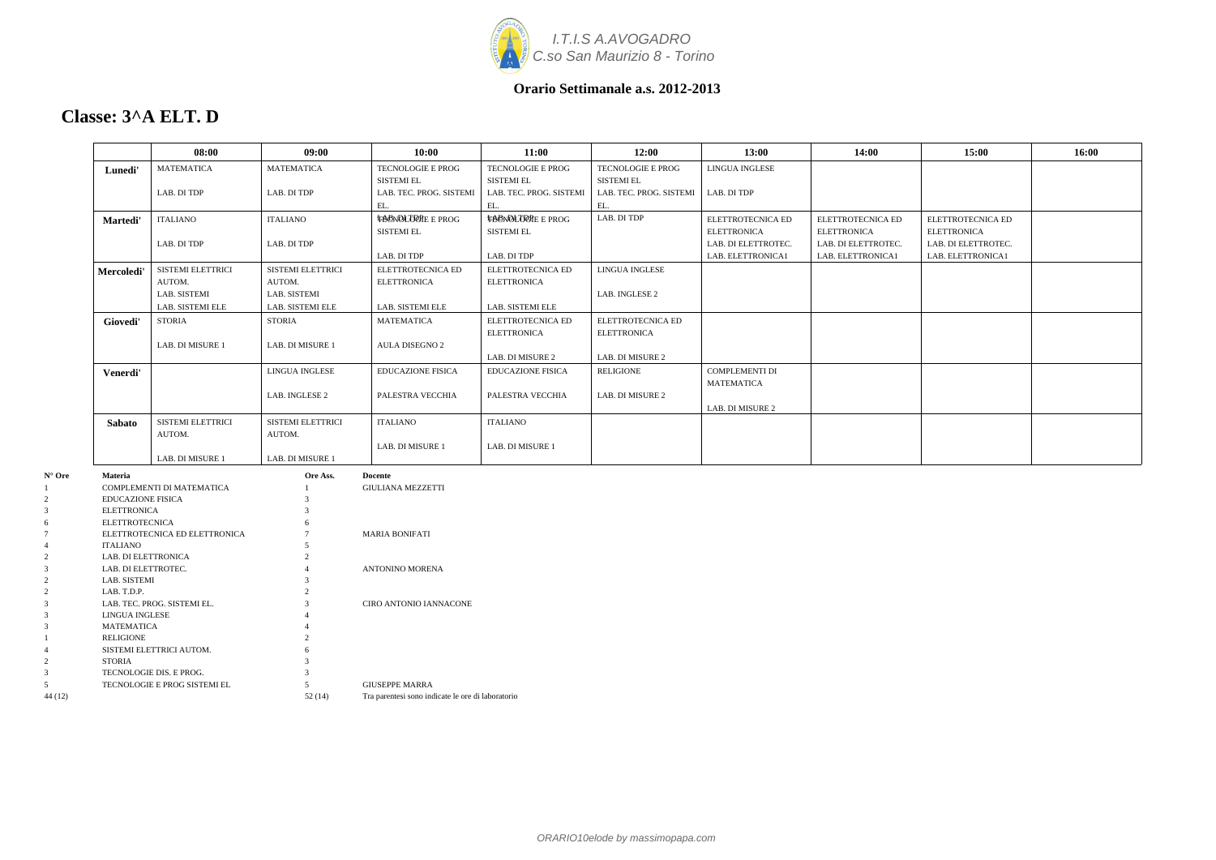

### **Classe: 3^A ELT. D**

|        |                          | 08:00                         | 09:00             | 10:00                    | 11:00                    | 12:00                   | 13:00                 | 14:00               | 15:00               | 16:00 |
|--------|--------------------------|-------------------------------|-------------------|--------------------------|--------------------------|-------------------------|-----------------------|---------------------|---------------------|-------|
|        | Lunedi'                  | <b>MATEMATICA</b>             | <b>MATEMATICA</b> | TECNOLOGIE E PROG        | TECNOLOGIE E PROG        | TECNOLOGIE E PROG       | LINGUA INGLESE        |                     |                     |       |
|        |                          |                               |                   | <b>SISTEMI EL</b>        | SISTEMI EL               | <b>SISTEMI EL</b>       |                       |                     |                     |       |
|        |                          | LAB. DI TDP                   | LAB. DI TDP       | LAB. TEC. PROG. SISTEMI  | LAB. TEC. PROG. SISTEMI  | LAB. TEC. PROG. SISTEMI | LAB. DI TDP           |                     |                     |       |
|        |                          |                               |                   | EL.                      | EL.                      | EL.                     |                       |                     |                     |       |
|        | Martedi'                 | <b>ITALIANO</b>               | <b>ITALIANO</b>   | <b>TACNOLOGIE E PROG</b> | <b>TACNOLOGIE E PROG</b> | LAB. DI TDP             | ELETTROTECNICA ED     | ELETTROTECNICA ED   | ELETTROTECNICA ED   |       |
|        |                          |                               |                   | SISTEMI EL               | SISTEMI EL               |                         | <b>ELETTRONICA</b>    | <b>ELETTRONICA</b>  | <b>ELETTRONICA</b>  |       |
|        |                          | LAB. DI TDP                   | LAB. DI TDP       |                          |                          |                         | LAB. DI ELETTROTEC.   | LAB. DI ELETTROTEC. | LAB. DI ELETTROTEC. |       |
|        |                          |                               |                   | LAB. DI TDP              | LAB. DI TDP              |                         | LAB. ELETTRONICA1     | LAB. ELETTRONICA1   | LAB. ELETTRONICA1   |       |
|        | Mercoledi'               | SISTEMI ELETTRICI             | SISTEMI ELETTRICI | ELETTROTECNICA ED        | ELETTROTECNICA ED        | LINGUA INGLESE          |                       |                     |                     |       |
|        |                          | AUTOM.                        | AUTOM.            | <b>ELETTRONICA</b>       | <b>ELETTRONICA</b>       |                         |                       |                     |                     |       |
|        |                          | LAB. SISTEMI                  | LAB. SISTEMI      |                          |                          | LAB. INGLESE 2          |                       |                     |                     |       |
|        |                          | LAB. SISTEMI ELE              | LAB. SISTEMI ELE  | LAB. SISTEMI ELE         | LAB. SISTEMI ELE         |                         |                       |                     |                     |       |
|        | Giovedi'                 | STORIA                        | <b>STORIA</b>     | <b>MATEMATICA</b>        | ELETTROTECNICA ED        | ELETTROTECNICA ED       |                       |                     |                     |       |
|        |                          |                               |                   |                          | <b>ELETTRONICA</b>       | ELETTRONICA             |                       |                     |                     |       |
|        |                          | LAB. DI MISURE 1              | LAB. DI MISURE 1  | <b>AULA DISEGNO 2</b>    |                          |                         |                       |                     |                     |       |
|        |                          |                               |                   |                          | LAB. DI MISURE 2         | LAB. DI MISURE 2        |                       |                     |                     |       |
|        |                          |                               | LINGUA INGLESE    | <b>EDUCAZIONE FISICA</b> | <b>EDUCAZIONE FISICA</b> | RELIGIONE               | <b>COMPLEMENTI DI</b> |                     |                     |       |
|        | Venerdi'                 |                               |                   |                          |                          |                         | <b>MATEMATICA</b>     |                     |                     |       |
|        |                          |                               | LAB. INGLESE 2    | PALESTRA VECCHIA         | PALESTRA VECCHIA         | LAB. DI MISURE 2        |                       |                     |                     |       |
|        |                          |                               |                   |                          |                          |                         | LAB. DI MISURE 2      |                     |                     |       |
|        |                          | SISTEMI ELETTRICI             | SISTEMI ELETTRICI | <b>ITALIANO</b>          | <b>ITALIANO</b>          |                         |                       |                     |                     |       |
|        | <b>Sabato</b>            | AUTOM.                        | AUTOM.            |                          |                          |                         |                       |                     |                     |       |
|        |                          |                               |                   | LAB. DI MISURE 1         | LAB. DI MISURE 1         |                         |                       |                     |                     |       |
|        |                          | LAB. DI MISURE 1              | LAB. DI MISURE 1  |                          |                          |                         |                       |                     |                     |       |
|        |                          |                               |                   |                          |                          |                         |                       |                     |                     |       |
| N° Ore | Materia                  |                               | Ore Ass.          | Docente                  |                          |                         |                       |                     |                     |       |
|        |                          | COMPLEMENTI DI MATEMATICA     |                   | <b>GIULIANA MEZZETTI</b> |                          |                         |                       |                     |                     |       |
|        | <b>EDUCAZIONE FISICA</b> |                               |                   |                          |                          |                         |                       |                     |                     |       |
|        | <b>ELETTRONICA</b>       |                               |                   |                          |                          |                         |                       |                     |                     |       |
|        | ELETTROTECNICA           | ELETTROTECNICA ED ELETTRONICA |                   | <b>MARIA BONIFATI</b>    |                          |                         |                       |                     |                     |       |
|        | ITALIANO                 |                               |                   |                          |                          |                         |                       |                     |                     |       |
|        | LAB. DI ELETTRONICA      |                               |                   |                          |                          |                         |                       |                     |                     |       |
|        | LAB. DI ELETTROTEC.      |                               |                   | ANTONINO MORENA          |                          |                         |                       |                     |                     |       |
|        | LAB. SISTEMI             |                               |                   |                          |                          |                         |                       |                     |                     |       |
|        | LAB. T.D.P.              |                               | 2                 |                          |                          |                         |                       |                     |                     |       |
|        |                          | LAB. TEC. PROG. SISTEMI EL.   | $\mathcal{R}$     | CIRO ANTONIO IANNACONE   |                          |                         |                       |                     |                     |       |
|        | LINGUA INGLESE           |                               |                   |                          |                          |                         |                       |                     |                     |       |
|        | MATEMATICA               |                               |                   |                          |                          |                         |                       |                     |                     |       |
|        | <b>RELIGIONE</b>         |                               |                   |                          |                          |                         |                       |                     |                     |       |
|        |                          | SISTEMI ELETTRICI AUTOM.      |                   |                          |                          |                         |                       |                     |                     |       |
|        | STORIA                   |                               |                   |                          |                          |                         |                       |                     |                     |       |
|        |                          | TECNOLOGIE DIS. E PROG.       |                   |                          |                          |                         |                       |                     |                     |       |

5 TECNOLOGIE E PROG SISTEMI EL 5 GIUSEPPE MARRA

44 (12) 52 (14) Tra parentesi sono indicate le ore di laboratorio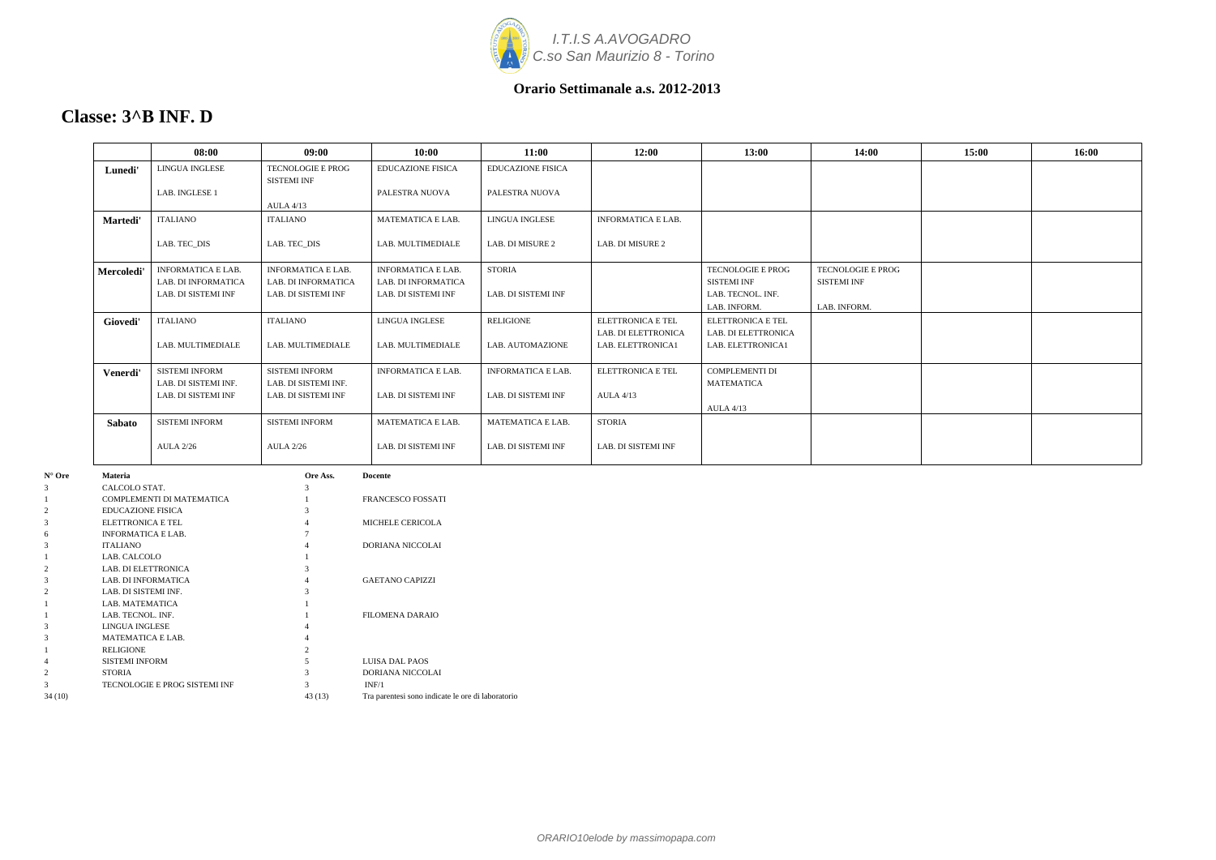

### **Classe: 3^B INF. D**

| <b>LINGUA INGLESE</b>     |                            |                           | 11:00                     | 12:00                     | 13:00                    | 14:00                                              | 15:00 | 16:00 |
|---------------------------|----------------------------|---------------------------|---------------------------|---------------------------|--------------------------|----------------------------------------------------|-------|-------|
|                           | <b>TECNOLOGIE E PROG</b>   | <b>EDUCAZIONE FISICA</b>  | <b>EDUCAZIONE FISICA</b>  |                           |                          |                                                    |       |       |
|                           | <b>SISTEMI INF</b>         |                           |                           |                           |                          |                                                    |       |       |
| LAB. INGLESE 1            |                            | PALESTRA NUOVA            | PALESTRA NUOVA            |                           |                          |                                                    |       |       |
|                           | <b>AULA 4/13</b>           |                           |                           |                           |                          |                                                    |       |       |
| <b>ITALIANO</b>           | ITALIANO                   | <b>MATEMATICA E LAB.</b>  | LINGUA INGLESE            | <b>INFORMATICA E LAB.</b> |                          |                                                    |       |       |
| LAB. TEC_DIS              | LAB. TEC_DIS               | LAB. MULTIMEDIALE         | LAB. DI MISURE 2          | LAB. DI MISURE 2          |                          |                                                    |       |       |
| <b>INFORMATICA E LAB.</b> | <b>INFORMATICA E LAB.</b>  | <b>INFORMATICA E LAB.</b> | <b>STORIA</b>             |                           | TECNOLOGIE E PROG        | TECNOLOGIE E PROG                                  |       |       |
| LAB. DI INFORMATICA       | <b>LAB. DI INFORMATICA</b> | LAB. DI INFORMATICA       |                           |                           | <b>SISTEMI INF</b>       | <b>SISTEMI INF</b>                                 |       |       |
| LAB. DI SISTEMI INF       | LAB. DI SISTEMI INF        | LAB. DI SISTEMI INF       | LAB. DI SISTEMI INF       |                           | LAB. TECNOL. INF.        |                                                    |       |       |
|                           |                            |                           |                           |                           | LAB. INFORM.             | LAB. INFORM.                                       |       |       |
| <b>ITALIANO</b>           | <b>ITALIANO</b>            | LINGUA INGLESE            | <b>RELIGIONE</b>          | <b>ELETTRONICA E TEL</b>  | <b>ELETTRONICA E TEL</b> |                                                    |       |       |
|                           |                            |                           |                           | LAB. DI ELETTRONICA       | LAB. DI ELETTRONICA      |                                                    |       |       |
| LAB. MULTIMEDIALE         | LAB. MULTIMEDIALE          | LAB. MULTIMEDIALE         | LAB. AUTOMAZIONE          | LAB. ELETTRONICA1         | LAB. ELETTRONICA1        |                                                    |       |       |
| SISTEMI INFORM            | <b>SISTEMI INFORM</b>      | <b>INFORMATICA E LAB.</b> | <b>INFORMATICA E LAB.</b> | ELETTRONICA E TEL         | <b>COMPLEMENTI DI</b>    |                                                    |       |       |
| LAB. DI SISTEMI INF.      | LAB. DI SISTEMI INF.       |                           |                           |                           | <b>MATEMATICA</b>        |                                                    |       |       |
| LAB. DI SISTEMI INF       | LAB. DI SISTEMI INF        | LAB. DI SISTEMI INF       | LAB. DI SISTEMI INF       | <b>AULA 4/13</b>          |                          |                                                    |       |       |
|                           |                            |                           |                           |                           | <b>AULA 4/13</b>         |                                                    |       |       |
| <b>SISTEMI INFORM</b>     | <b>SISTEMI INFORM</b>      | MATEMATICA E LAB.         | <b>MATEMATICA E LAB.</b>  | <b>STORIA</b>             |                          |                                                    |       |       |
| <b>AULA 2/26</b>          | <b>AULA 2/26</b>           | LAB. DI SISTEMI INF       | LAB. DI SISTEMI INF       | LAB. DI SISTEMI INF       |                          |                                                    |       |       |
|                           | Ore Ass.                   |                           |                           |                           |                          |                                                    |       |       |
| CALCOLO STAT.             |                            |                           |                           |                           |                          |                                                    |       |       |
|                           |                            |                           | <b>Docente</b>            |                           |                          | COMPLEMENTI DI MATEMATICA<br>ED A MCESCO EQSS A TI |       |       |

| 3              | CALCOLO STAT.                 | 3             |                                                   |
|----------------|-------------------------------|---------------|---------------------------------------------------|
|                | COMPLEMENTI DI MATEMATICA     |               | <b>FRANCESCO FOSSATI</b>                          |
| 1              |                               |               |                                                   |
| $\overline{2}$ | <b>EDUCAZIONE FISICA</b>      |               |                                                   |
| 3              | ELETTRONICA E TEL             |               | MICHELE CERICOLA                                  |
| 6              | <b>INFORMATICA E LAB.</b>     |               |                                                   |
| 3              | <b>ITALIANO</b>               | 4             | DORIANA NICCOLAI                                  |
|                | LAB. CALCOLO                  |               |                                                   |
| $\overline{2}$ | LAB. DI ELETTRONICA           |               |                                                   |
| 3              | LAB. DI INFORMATICA           | 4             | <b>GAETANO CAPIZZI</b>                            |
| $\overline{2}$ | LAB. DI SISTEMI INF.          | 3             |                                                   |
|                | LAB. MATEMATICA               |               |                                                   |
|                | LAB. TECNOL. INF.             |               | <b>FILOMENA DARAIO</b>                            |
| 3              | LINGUA INGLESE                |               |                                                   |
| 3              | <b>MATEMATICA E LAB.</b>      |               |                                                   |
|                | RELIGIONE                     | $\mathcal{D}$ |                                                   |
| 4              | <b>SISTEMI INFORM</b>         |               | LUISA DAL PAOS                                    |
| $\overline{2}$ | <b>STORIA</b>                 |               | DORIANA NICCOLAI                                  |
| 3              | TECNOLOGIE E PROG SISTEMI INF | 3             | INF/1                                             |
| 34 (10)        |                               | 43(13)        | Tra parentesi sono indicate le ore di laboratorio |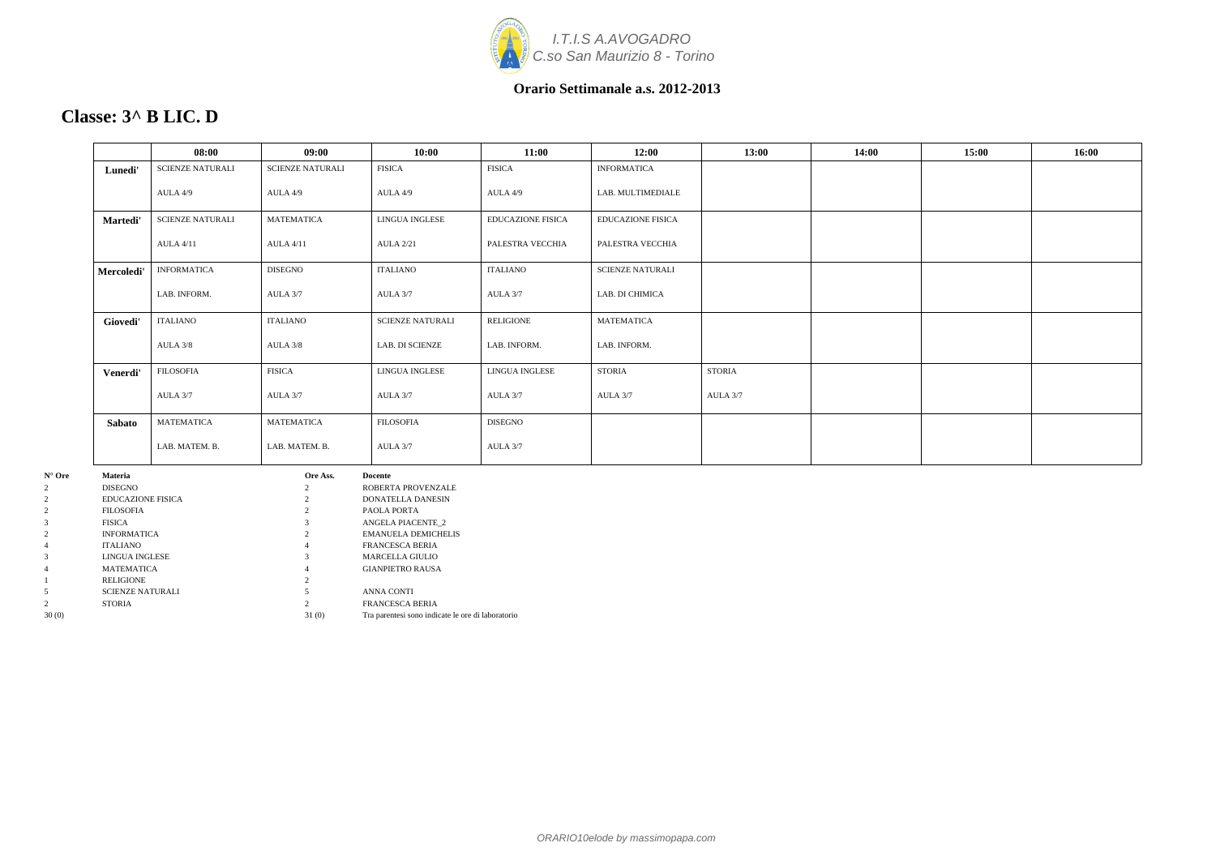

# **Classe: 3^ B LIC. D**

|            | 08:00                   | 09:00                   | 10:00                   | 11:00                    | 12:00                    | 13:00         | 14:00 | 15:00 | 16:00 |
|------------|-------------------------|-------------------------|-------------------------|--------------------------|--------------------------|---------------|-------|-------|-------|
| Lunedi'    | <b>SCIENZE NATURALI</b> | <b>SCIENZE NATURALI</b> | <b>FISICA</b>           | <b>FISICA</b>            | <b>INFORMATICA</b>       |               |       |       |       |
|            | AULA 4/9                | AULA 4/9                | AULA 4/9                | AULA 4/9                 | LAB. MULTIMEDIALE        |               |       |       |       |
| Martedi'   | <b>SCIENZE NATURALI</b> | <b>MATEMATICA</b>       | LINGUA INGLESE          | <b>EDUCAZIONE FISICA</b> | <b>EDUCAZIONE FISICA</b> |               |       |       |       |
|            | <b>AULA 4/11</b>        | <b>AULA 4/11</b>        | <b>AULA 2/21</b>        | PALESTRA VECCHIA         | PALESTRA VECCHIA         |               |       |       |       |
| Mercoledi' | <b>INFORMATICA</b>      | <b>DISEGNO</b>          | <b>ITALIANO</b>         | <b>ITALIANO</b>          | <b>SCIENZE NATURALI</b>  |               |       |       |       |
|            | LAB. INFORM.            | AULA 3/7                | AULA 3/7                | AULA 3/7                 | LAB. DI CHIMICA          |               |       |       |       |
| Giovedi'   | <b>ITALIANO</b>         | <b>ITALIANO</b>         | <b>SCIENZE NATURALI</b> | RELIGIONE                | <b>MATEMATICA</b>        |               |       |       |       |
|            | AULA 3/8                | AULA 3/8                | LAB. DI SCIENZE         | LAB. INFORM.             | LAB. INFORM.             |               |       |       |       |
| Venerdi'   | <b>FILOSOFIA</b>        | <b>FISICA</b>           | LINGUA INGLESE          | <b>LINGUA INGLESE</b>    | <b>STORIA</b>            | <b>STORIA</b> |       |       |       |
|            | AULA 3/7                | AULA 3/7                | AULA 3/7                | AULA 3/7                 | AULA 3/7                 | AULA 3/7      |       |       |       |
| Sabato     | MATEMATICA              | <b>MATEMATICA</b>       | <b>FILOSOFIA</b>        | <b>DISEGNO</b>           |                          |               |       |       |       |
|            | LAB. MATEM. B.          | LAB. MATEM. B.          | AULA 3/7                | AULA 3/7                 |                          |               |       |       |       |
| Materia    |                         | Ore Ass.                | Docente                 |                          |                          |               |       |       |       |

| $N^{\circ}$ Ore | <b>Materia</b>           | Ore Ass.       | <b>Docente</b>                                    |
|-----------------|--------------------------|----------------|---------------------------------------------------|
| 2               | <b>DISEGNO</b>           | 2              | ROBERTA PROVENZALE                                |
| 2               | <b>EDUCAZIONE FISICA</b> |                | <b>DONATELLA DANESIN</b>                          |
| 2               | <b>FILOSOFIA</b>         |                | PAOLA PORTA                                       |
| 3               | <b>FISICA</b>            |                | <b>ANGELA PIACENTE 2</b>                          |
| 2               | <b>INFORMATICA</b>       |                | <b>EMANUELA DEMICHELIS</b>                        |
| 4               | <b>ITALIANO</b>          | 4              | <b>FRANCESCA BERIA</b>                            |
| 3               | LINGUA INGLESE           |                | <b>MARCELLA GIULIO</b>                            |
| 4               | <b>MATEMATICA</b>        | 4              | <b>GIANPIETRO RAUSA</b>                           |
|                 | <b>RELIGIONE</b>         | $\overline{c}$ |                                                   |
| 5               | <b>SCIENZE NATURALI</b>  |                | <b>ANNA CONTI</b>                                 |
| 2               | <b>STORIA</b>            |                | <b>FRANCESCA BERIA</b>                            |
| 30(0)           |                          | 31(0)          | Tra parentesi sono indicate le ore di laboratorio |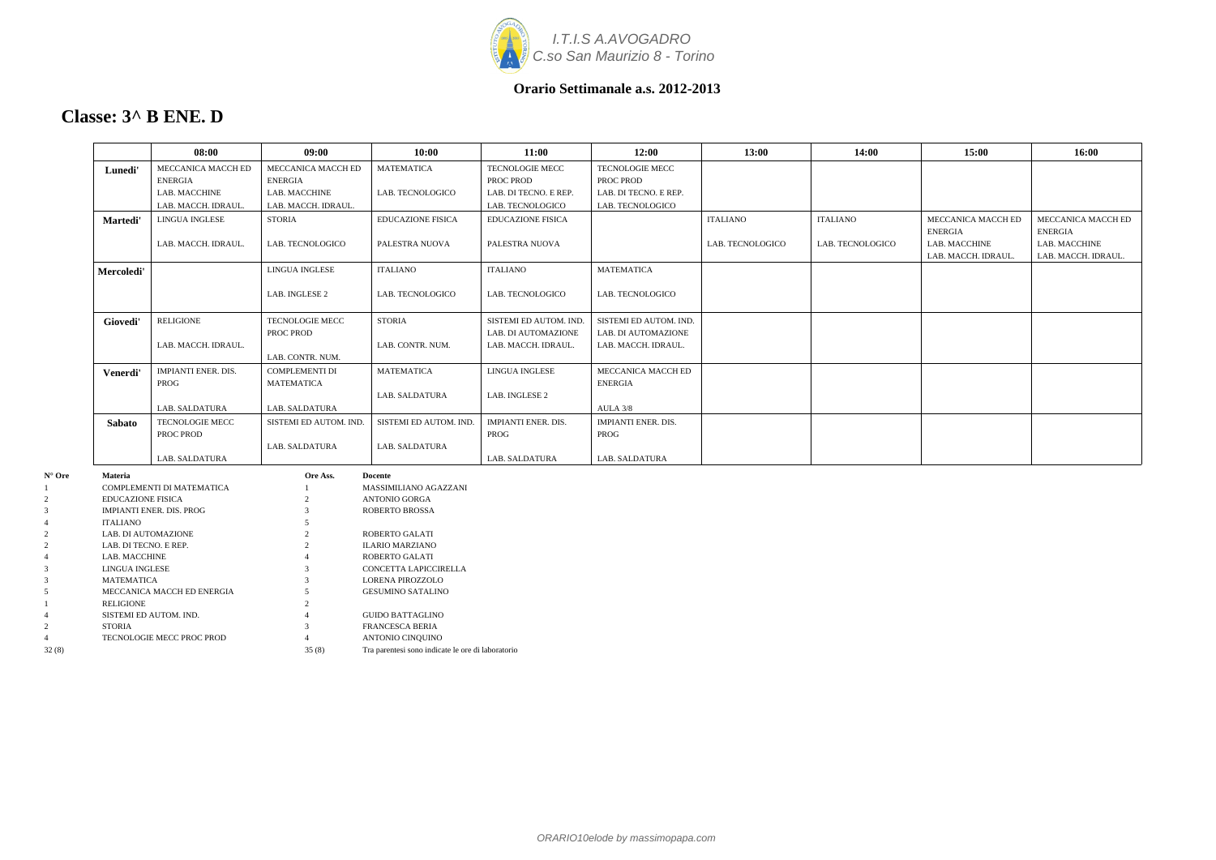

### **Classe: 3^ B ENE. D**

|                          | 08:00                           | 09:00                  | 10:00                    | 11:00                      | 12:00                      | 13:00            | 14:00            | 15:00                                | 16:00                                |
|--------------------------|---------------------------------|------------------------|--------------------------|----------------------------|----------------------------|------------------|------------------|--------------------------------------|--------------------------------------|
| Lunedi'                  | MECCANICA MACCH ED              | MECCANICA MACCH ED     | <b>MATEMATICA</b>        | TECNOLOGIE MECC            | TECNOLOGIE MECC            |                  |                  |                                      |                                      |
|                          | <b>ENERGIA</b>                  | <b>ENERGIA</b>         |                          | PROC PROD                  | PROC PROD                  |                  |                  |                                      |                                      |
|                          | LAB. MACCHINE                   | LAB. MACCHINE          | LAB. TECNOLOGICO         | LAB. DI TECNO. E REP.      | LAB. DI TECNO. E REP.      |                  |                  |                                      |                                      |
|                          | LAB. MACCH. IDRAUL.             | LAB. MACCH. IDRAUL.    |                          | LAB. TECNOLOGICO           | LAB. TECNOLOGICO           |                  |                  |                                      |                                      |
| <b>Martedi'</b>          | LINGUA INGLESE                  | <b>STORIA</b>          | <b>EDUCAZIONE FISICA</b> | <b>EDUCAZIONE FISICA</b>   |                            | <b>ITALIANO</b>  | <b>ITALIANO</b>  | MECCANICA MACCH ED<br><b>ENERGIA</b> | MECCANICA MACCH ED<br>ENERGIA        |
|                          | LAB. MACCH. IDRAUL.             | LAB. TECNOLOGICO       | PALESTRA NUOVA           | PALESTRA NUOVA             |                            | LAB. TECNOLOGICO | LAB. TECNOLOGICO | LAB. MACCHINE<br>LAB. MACCH. IDRAUL  | LAB. MACCHINE<br>LAB. MACCH. IDRAUL. |
| Mercoledi'               |                                 | LINGUA INGLESE         | <b>ITALIANO</b>          | <b>ITALIANO</b>            | <b>MATEMATICA</b>          |                  |                  |                                      |                                      |
|                          |                                 | LAB. INGLESE 2         | LAB. TECNOLOGICO         | LAB. TECNOLOGICO           | LAB. TECNOLOGICO           |                  |                  |                                      |                                      |
| Giovedi'                 | <b>RELIGIONE</b>                | TECNOLOGIE MECC        | <b>STORIA</b>            | SISTEMI ED AUTOM. IND.     | SISTEMI ED AUTOM. IND.     |                  |                  |                                      |                                      |
|                          |                                 | PROC PROD              |                          | LAB. DI AUTOMAZIONE        | LAB. DI AUTOMAZIONE        |                  |                  |                                      |                                      |
|                          | LAB. MACCH. IDRAUL.             |                        | LAB. CONTR. NUM.         | LAB. MACCH. IDRAUL.        | LAB. MACCH. IDRAUL.        |                  |                  |                                      |                                      |
|                          |                                 | LAB. CONTR. NUM.       |                          |                            |                            |                  |                  |                                      |                                      |
| Venerdi'                 | <b>IMPIANTI ENER. DIS.</b>      | <b>COMPLEMENTI DI</b>  | <b>MATEMATICA</b>        | LINGUA INGLESE             | MECCANICA MACCH ED         |                  |                  |                                      |                                      |
|                          | PROG                            | <b>MATEMATICA</b>      |                          |                            | <b>ENERGIA</b>             |                  |                  |                                      |                                      |
|                          |                                 |                        | LAB. SALDATURA           | LAB. INGLESE 2             |                            |                  |                  |                                      |                                      |
|                          | LAB. SALDATURA                  | LAB. SALDATURA         |                          |                            | AULA 3/8                   |                  |                  |                                      |                                      |
| Sabato                   | TECNOLOGIE MECC                 | SISTEMI ED AUTOM. IND. | SISTEMI ED AUTOM. IND.   | <b>IMPIANTI ENER. DIS.</b> | <b>IMPIANTI ENER. DIS.</b> |                  |                  |                                      |                                      |
|                          | PROC PROD                       |                        |                          | PROG                       | PROG                       |                  |                  |                                      |                                      |
|                          |                                 | LAB. SALDATURA         | LAB. SALDATURA           |                            |                            |                  |                  |                                      |                                      |
|                          | LAB. SALDATURA                  |                        |                          | <b>LAB. SALDATURA</b>      | LAB. SALDATURA             |                  |                  |                                      |                                      |
| <b>Materia</b>           |                                 | Ore Ass.               | Docente                  |                            |                            |                  |                  |                                      |                                      |
|                          | COMPLEMENTI DI MATEMATICA       |                        | MASSIMILIANO AGAZZANI    |                            |                            |                  |                  |                                      |                                      |
| <b>EDUCAZIONE FISICA</b> |                                 |                        | <b>ANTONIO GORGA</b>     |                            |                            |                  |                  |                                      |                                      |
|                          | <b>IMPIANTI ENER. DIS. PROG</b> |                        | <b>ROBERTO BROSSA</b>    |                            |                            |                  |                  |                                      |                                      |
| ITALIANO                 |                                 |                        |                          |                            |                            |                  |                  |                                      |                                      |

 LAB. DI AUTOMAZIONE 2 ROBERTO GALATI LAB. DI TECNO. E REP. 2 ILARIO MARZIANO LAB. MACCHINE 4 ROBERTO GALATI LINGUA INGLESE 3 CONCETTA LAPICCIRELLA MATEMATICA 3 LORENA PIROZZOLO MECCANICA MACCH ED ENERGIA 5 GESUMINO SATALINO

4 SISTEMI ED AUTOM. IND. 4 GUIDO BATTAGLINO 2 STORIA 3 FRANCESCA BERIA 2 STORIA 3 FRANCESCA BERIA 4 TECNOLOGIE MECC PROC PROD 4 ANTONIO CINQUINO

32 (8) 35 (8) Tra parentesi sono indicate le ore di laboratorio

1 RELIGIONE 2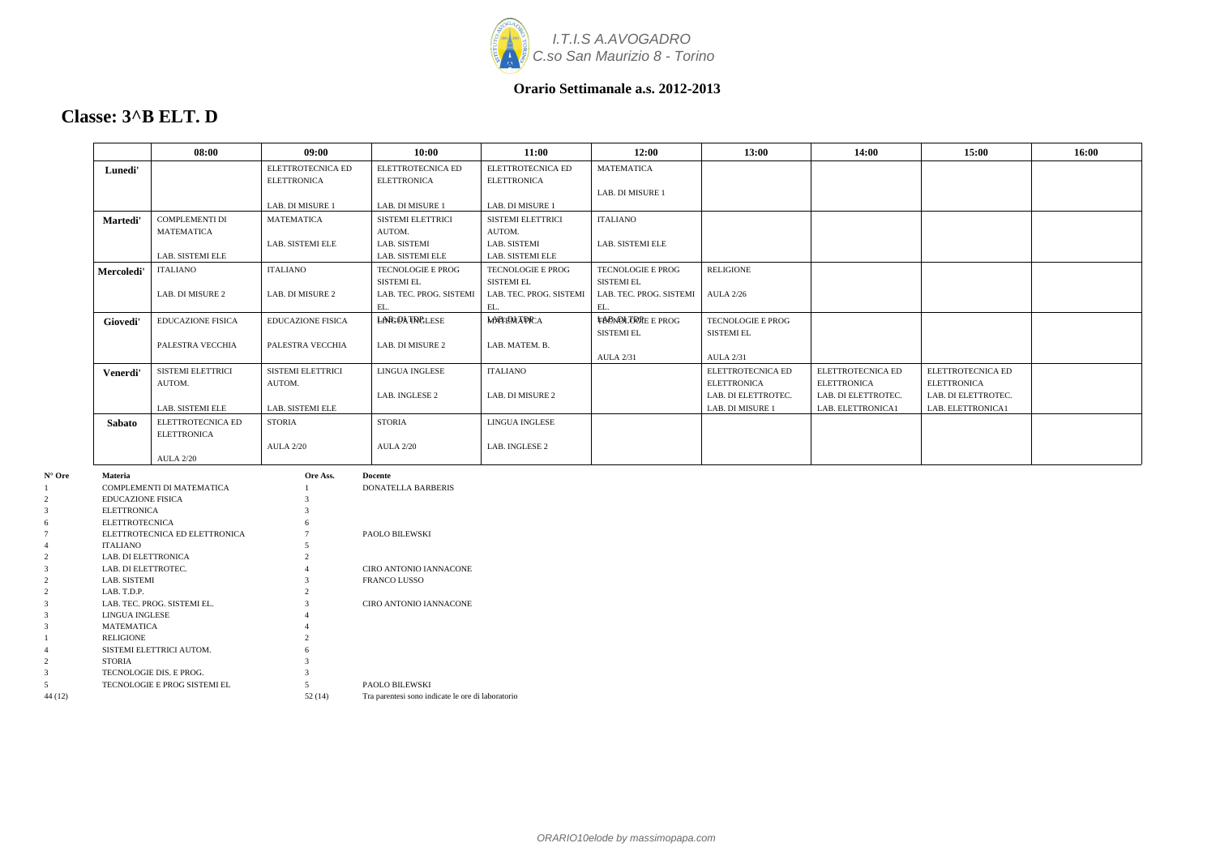

### **Classe: 3^B ELT. D**

|        |                              | 08:00                         | 09:00                    | 10:00                     | 11:00                   | 12:00                    | 13:00               | 14:00               | 15:00               | 16:00 |
|--------|------------------------------|-------------------------------|--------------------------|---------------------------|-------------------------|--------------------------|---------------------|---------------------|---------------------|-------|
|        | Lunedi'                      |                               | ELETTROTECNICA ED        | ELETTROTECNICA ED         | ELETTROTECNICA ED       | <b>MATEMATICA</b>        |                     |                     |                     |       |
|        |                              |                               | <b>ELETTRONICA</b>       | <b>ELETTRONICA</b>        | <b>ELETTRONICA</b>      |                          |                     |                     |                     |       |
|        |                              |                               |                          |                           |                         | LAB. DI MISURE 1         |                     |                     |                     |       |
|        |                              |                               | LAB. DI MISURE 1         | LAB. DI MISURE 1          | LAB. DI MISURE 1        |                          |                     |                     |                     |       |
|        | Martedi'                     | COMPLEMENTI DI                | <b>MATEMATICA</b>        | SISTEMI ELETTRICI         | SISTEMI ELETTRICI       | <b>ITALIANO</b>          |                     |                     |                     |       |
|        |                              | <b>MATEMATICA</b>             |                          | AUTOM.                    | AUTOM.                  |                          |                     |                     |                     |       |
|        |                              |                               | LAB. SISTEMI ELE         | LAB. SISTEMI              | LAB. SISTEMI            | LAB. SISTEMI ELE         |                     |                     |                     |       |
|        |                              | LAB. SISTEMI ELE              |                          | LAB. SISTEMI ELE          | LAB. SISTEMI ELE        |                          |                     |                     |                     |       |
|        | Mercoledi'                   | ITALIANO                      | <b>ITALIANO</b>          | TECNOLOGIE E PROG         | TECNOLOGIE E PROG       | TECNOLOGIE E PROG        | <b>RELIGIONE</b>    |                     |                     |       |
|        |                              |                               |                          | <b>SISTEMI EL</b>         | <b>SISTEMI EL</b>       | <b>SISTEMI EL</b>        |                     |                     |                     |       |
|        |                              | LAB. DI MISURE 2              | LAB. DI MISURE 2         | LAB. TEC. PROG. SISTEMI   | LAB. TEC. PROG. SISTEMI | LAB. TEC. PROG. SISTEMI  | <b>AULA 2/26</b>    |                     |                     |       |
|        |                              |                               |                          | EL.                       | EL.                     | EL.                      |                     |                     |                     |       |
|        | Giovedi'                     | <b>EDUCAZIONE FISICA</b>      | <b>EDUCAZIONE FISICA</b> | <b>LARGOATROLESE</b>      | <b>МАРГЕМ АРРСА</b>     | <b>TACNOLOGRE E PROG</b> | TECNOLOGIE E PROG   |                     |                     |       |
|        |                              |                               |                          |                           |                         | <b>SISTEMI EL</b>        | <b>SISTEMI EL</b>   |                     |                     |       |
|        |                              | PALESTRA VECCHIA              | PALESTRA VECCHIA         | LAB. DI MISURE 2          | LAB. MATEM. B.          |                          |                     |                     |                     |       |
|        |                              |                               |                          |                           |                         | <b>AULA 2/31</b>         | <b>AULA 2/31</b>    |                     |                     |       |
|        | Venerdi'                     | SISTEMI ELETTRICI             | SISTEMI ELETTRICI        | LINGUA INGLESE            | ITALIANO                |                          | ELETTROTECNICA ED   | ELETTROTECNICA ED   | ELETTROTECNICA ED   |       |
|        |                              | AUTOM.                        | AUTOM.                   |                           |                         |                          | <b>ELETTRONICA</b>  | <b>ELETTRONICA</b>  | <b>ELETTRONICA</b>  |       |
|        |                              |                               |                          | LAB. INGLESE 2            | LAB. DI MISURE 2        |                          | LAB. DI ELETTROTEC. | LAB. DI ELETTROTEC. | LAB. DI ELETTROTEC. |       |
|        |                              | LAB. SISTEMI ELE              | LAB. SISTEMI ELE         |                           |                         |                          | LAB. DI MISURE 1    | LAB. ELETTRONICA1   | LAB. ELETTRONICA1   |       |
|        | <b>Sabato</b>                | ELETTROTECNICA ED             | <b>STORIA</b>            | <b>STORIA</b>             | LINGUA INGLESE          |                          |                     |                     |                     |       |
|        |                              | <b>ELETTRONICA</b>            |                          |                           |                         |                          |                     |                     |                     |       |
|        |                              |                               | <b>AULA 2/20</b>         | <b>AULA 2/20</b>          | LAB. INGLESE 2          |                          |                     |                     |                     |       |
|        |                              | <b>AULA 2/20</b>              |                          |                           |                         |                          |                     |                     |                     |       |
| N° Ore | Materia                      |                               | Ore Ass.                 | Docente                   |                         |                          |                     |                     |                     |       |
|        |                              | COMPLEMENTI DI MATEMATICA     |                          | <b>DONATELLA BARBERIS</b> |                         |                          |                     |                     |                     |       |
|        | <b>EDUCAZIONE FISICA</b>     |                               |                          |                           |                         |                          |                     |                     |                     |       |
|        | <b>ELETTRONICA</b>           |                               |                          |                           |                         |                          |                     |                     |                     |       |
|        | <b>ELETTROTECNICA</b>        |                               |                          |                           |                         |                          |                     |                     |                     |       |
|        |                              | ELETTROTECNICA ED ELETTRONICA |                          | PAOLO BILEWSKI            |                         |                          |                     |                     |                     |       |
|        | ITALIANO                     |                               |                          |                           |                         |                          |                     |                     |                     |       |
|        | LAB. DI ELETTRONICA          |                               |                          |                           |                         |                          |                     |                     |                     |       |
|        | LAB. DI ELETTROTEC.          |                               |                          | CIRO ANTONIO IANNACONE    |                         |                          |                     |                     |                     |       |
|        | LAB. SISTEMI                 |                               |                          | <b>FRANCO LUSSO</b>       |                         |                          |                     |                     |                     |       |
|        | LAB. T.D.P.                  |                               |                          |                           |                         |                          |                     |                     |                     |       |
|        |                              | LAB. TEC. PROG. SISTEMI EL.   |                          | CIRO ANTONIO IANNACONE    |                         |                          |                     |                     |                     |       |
|        | LINGUA INGLESE<br>MATEMATICA |                               |                          |                           |                         |                          |                     |                     |                     |       |
|        | RELIGIONE                    |                               | $\mathcal{D}$            |                           |                         |                          |                     |                     |                     |       |
|        |                              |                               |                          |                           |                         |                          |                     |                     |                     |       |

|         | <b>LAB. SISTEMI</b>          | c      | <b>FRANCO LUSSO</b>                               |
|---------|------------------------------|--------|---------------------------------------------------|
|         | LAB. T.D.P.                  |        |                                                   |
|         | LAB. TEC. PROG. SISTEMI EL.  | 3      | CIRO ANTONIO IANNACONE                            |
|         | LINGUA INGLESE               | 4      |                                                   |
|         | <b>MATEMATICA</b>            | 4      |                                                   |
|         | <b>RELIGIONE</b>             | 2      |                                                   |
|         | SISTEMI ELETTRICI AUTOM.     | 6      |                                                   |
|         | <b>STORIA</b>                |        |                                                   |
|         | TECNOLOGIE DIS. E PROG.      |        |                                                   |
|         | TECNOLOGIE E PROG SISTEMI EL |        | PAOLO BILEWSKI                                    |
| 44 (12) |                              | 52(14) | Tra parentesi sono indicate le ore di laboratorio |
|         |                              |        |                                                   |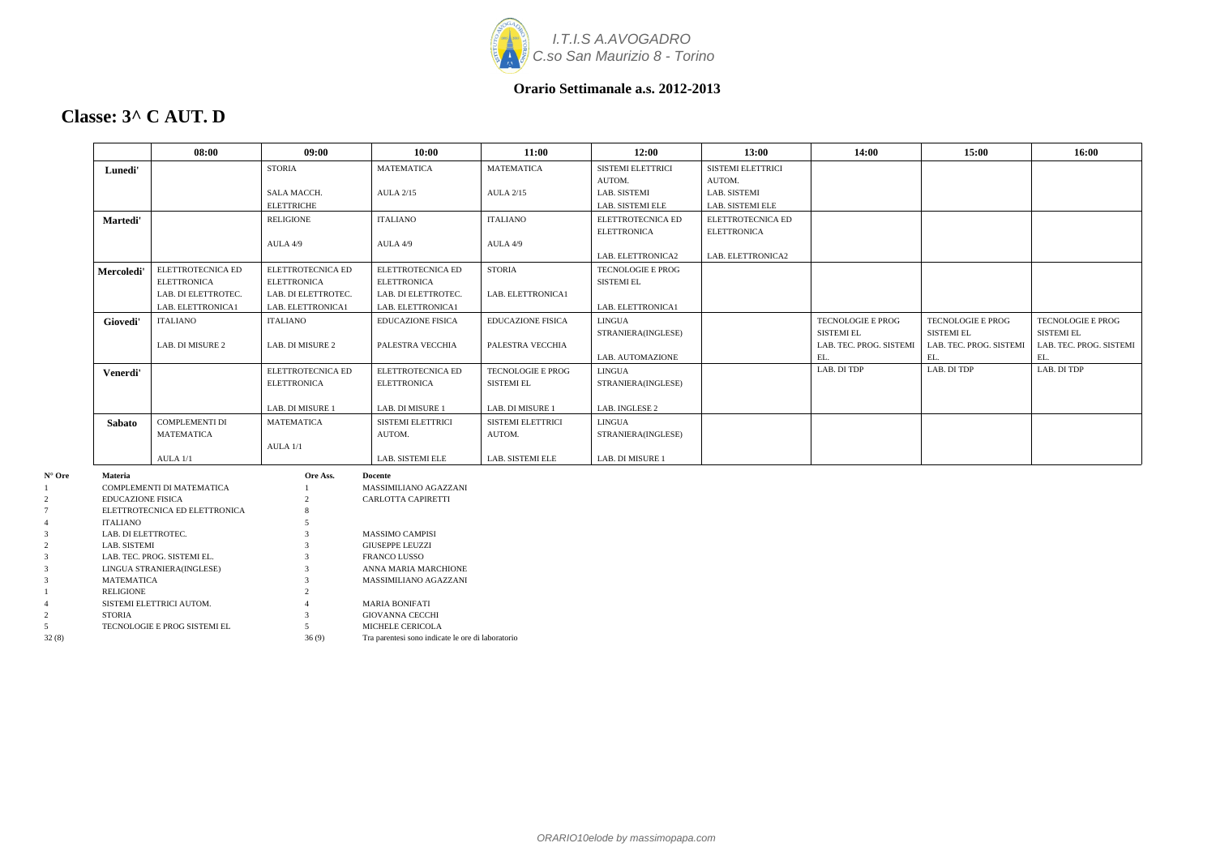

### **Classe: 3^ C AUT. D**

|                            |                                                | 08:00               | 09:00               | 10:00                                             | 11:00                    | 12:00              | 13:00                    | 14:00                   | 15:00                   | 16:00                   |
|----------------------------|------------------------------------------------|---------------------|---------------------|---------------------------------------------------|--------------------------|--------------------|--------------------------|-------------------------|-------------------------|-------------------------|
|                            | Lunedi'                                        |                     | <b>STORIA</b>       | <b>MATEMATICA</b>                                 | <b>MATEMATICA</b>        | SISTEMI ELETTRICI  | <b>SISTEMI ELETTRICI</b> |                         |                         |                         |
|                            |                                                |                     |                     |                                                   |                          | AUTOM.             | AUTOM.                   |                         |                         |                         |
|                            |                                                |                     | SALA MACCH.         | <b>AULA 2/15</b>                                  | <b>AULA 2/15</b>         | LAB. SISTEMI       | LAB. SISTEMI             |                         |                         |                         |
|                            |                                                |                     | <b>ELETTRICHE</b>   |                                                   |                          | LAB. SISTEMI ELE   | LAB. SISTEMI ELE         |                         |                         |                         |
|                            | Martedi'                                       |                     | <b>RELIGIONE</b>    | <b>ITALIANO</b>                                   | <b>ITALIANO</b>          | ELETTROTECNICA ED  | ELETTROTECNICA ED        |                         |                         |                         |
|                            |                                                |                     |                     |                                                   |                          | <b>ELETTRONICA</b> | <b>ELETTRONICA</b>       |                         |                         |                         |
|                            |                                                |                     | AULA 4/9            | AULA 4/9                                          | AULA 4/9                 |                    |                          |                         |                         |                         |
|                            |                                                |                     |                     |                                                   |                          | LAB. ELETTRONICA2  | LAB. ELETTRONICA2        |                         |                         |                         |
|                            | Mercoledi'                                     | ELETTROTECNICA ED   | ELETTROTECNICA ED   | ELETTROTECNICA ED                                 | <b>STORIA</b>            | TECNOLOGIE E PROG  |                          |                         |                         |                         |
|                            | <b>ELETTRONICA</b>                             |                     | <b>ELETTRONICA</b>  | <b>ELETTRONICA</b>                                |                          | <b>SISTEMI EL</b>  |                          |                         |                         |                         |
|                            |                                                | LAB. DI ELETTROTEC. | LAB. DI ELETTROTEC. | LAB. DI ELETTROTEC.                               | LAB. ELETTRONICA1        |                    |                          |                         |                         |                         |
|                            |                                                | LAB. ELETTRONICA1   | LAB. ELETTRONICA1   | LAB. ELETTRONICA1                                 |                          | LAB. ELETTRONICA1  |                          |                         |                         |                         |
|                            | <b>ITALIANO</b><br>Giovedi'                    |                     | <b>ITALIANO</b>     | <b>EDUCAZIONE FISICA</b>                          | <b>EDUCAZIONE FISICA</b> | <b>LINGUA</b>      |                          | TECNOLOGIE E PROG       | TECNOLOGIE E PROG       | TECNOLOGIE E PROG       |
|                            |                                                |                     |                     |                                                   |                          | STRANIERA(INGLESE) |                          | <b>SISTEMI EL</b>       | <b>SISTEMI EL</b>       | <b>SISTEMI EL</b>       |
|                            |                                                | LAB. DI MISURE 2    | LAB. DI MISURE 2    | PALESTRA VECCHIA                                  | PALESTRA VECCHIA         |                    |                          | LAB. TEC. PROG. SISTEMI | LAB. TEC. PROG. SISTEMI | LAB. TEC. PROG. SISTEMI |
|                            |                                                |                     |                     |                                                   |                          | LAB. AUTOMAZIONE   |                          | EL.                     | EL.                     | EL.                     |
|                            | Venerdi'                                       |                     | ELETTROTECNICA ED   | ELETTROTECNICA ED                                 | <b>TECNOLOGIE E PROG</b> | <b>LINGUA</b>      |                          | LAB. DI TDP             | LAB. DI TDP             | LAB. DI TDP             |
|                            |                                                |                     | <b>ELETTRONICA</b>  | <b>ELETTRONICA</b>                                | <b>SISTEMI EL</b>        | STRANIERA(INGLESE) |                          |                         |                         |                         |
|                            |                                                |                     |                     |                                                   |                          |                    |                          |                         |                         |                         |
|                            |                                                |                     | LAB. DI MISURE 1    | LAB. DI MISURE 1                                  | LAB. DI MISURE 1         | LAB. INGLESE 2     |                          |                         |                         |                         |
|                            | Sabato                                         | COMPLEMENTI DI      | <b>MATEMATICA</b>   | <b>SISTEMI ELETTRICI</b>                          | SISTEMI ELETTRICI        | LINGUA             |                          |                         |                         |                         |
|                            | MATEMATICA                                     |                     |                     | AUTOM.                                            | AUTOM.                   | STRANIERA(INGLESE) |                          |                         |                         |                         |
|                            |                                                |                     | AULA 1/1            |                                                   |                          |                    |                          |                         |                         |                         |
|                            | $AULA$ $1/1$                                   |                     |                     | LAB. SISTEMI ELE                                  | LAB. SISTEMI ELE         | LAB. DI MISURE 1   |                          |                         |                         |                         |
| $N^{\circ}$ Ore<br>Materia |                                                |                     | Ore Ass.            | <b>Docente</b>                                    |                          |                    |                          |                         |                         |                         |
|                            | COMPLEMENTI DI MATEMATICA                      |                     |                     | MASSIMILIANO AGAZZANI                             |                          |                    |                          |                         |                         |                         |
|                            | <b>EDUCAZIONE FISICA</b>                       |                     |                     | CARLOTTA CAPIRETTI                                |                          |                    |                          |                         |                         |                         |
|                            | ELETTROTECNICA ED ELETTRONICA                  |                     |                     |                                                   |                          |                    |                          |                         |                         |                         |
|                            | <b>ITALIANO</b>                                |                     |                     |                                                   |                          |                    |                          |                         |                         |                         |
|                            | LAB. DI ELETTROTEC.                            |                     |                     | MASSIMO CAMPISI                                   |                          |                    |                          |                         |                         |                         |
|                            | LAB. SISTEMI                                   |                     |                     | <b>GIUSEPPE LEUZZI</b>                            |                          |                    |                          |                         |                         |                         |
|                            | LAB. TEC. PROG. SISTEMI EL.                    |                     |                     | <b>FRANCO LUSSO</b>                               |                          |                    |                          |                         |                         |                         |
|                            | LINGUA STRANIERA(INGLESE)<br><b>MATEMATICA</b> |                     |                     | ANNA MARIA MARCHIONE<br>MASSIMILIANO AGAZZANI     |                          |                    |                          |                         |                         |                         |
|                            | <b>RELIGIONE</b>                               |                     |                     |                                                   |                          |                    |                          |                         |                         |                         |
|                            | SISTEMI ELETTRICI AUTOM.                       |                     |                     | <b>MARIA BONIFATI</b>                             |                          |                    |                          |                         |                         |                         |
| STORIA                     |                                                |                     |                     | <b>GIOVANNA CECCHI</b>                            |                          |                    |                          |                         |                         |                         |
|                            | TECNOLOGIE E PROG SISTEMI EL                   |                     | $\sim$              | MICHELE CERICOLA                                  |                          |                    |                          |                         |                         |                         |
| 32(8)                      |                                                |                     | 36(9)               | Tra parentesi sono indicate le ore di laboratorio |                          |                    |                          |                         |                         |                         |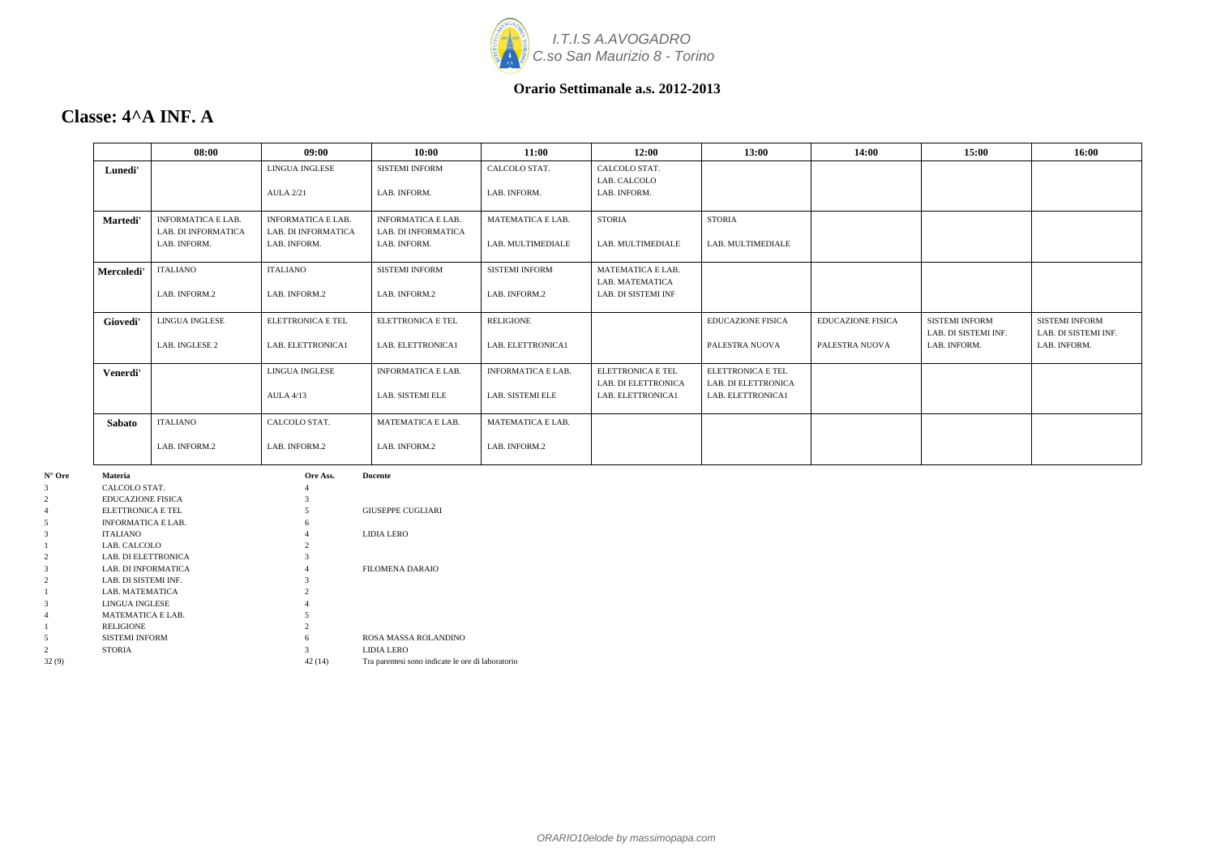

### **Classe: 4^A INF. A**

|               | 08:00                                            | 09:00                                            | 10:00                                            | 11:00                     | 12:00                                           | 13:00                                    | 14:00                    | 15:00                                         | 16:00                                         |
|---------------|--------------------------------------------------|--------------------------------------------------|--------------------------------------------------|---------------------------|-------------------------------------------------|------------------------------------------|--------------------------|-----------------------------------------------|-----------------------------------------------|
| Lunedi'       |                                                  | <b>LINGUA INGLESE</b>                            | <b>SISTEMI INFORM</b>                            | CALCOLO STAT.             | CALCOLO STAT.<br>LAB. CALCOLO                   |                                          |                          |                                               |                                               |
|               |                                                  | <b>AULA 2/21</b>                                 | LAB. INFORM.                                     | LAB. INFORM.              | LAB. INFORM.                                    |                                          |                          |                                               |                                               |
| Martedi'      | <b>INFORMATICA E LAB.</b><br>LAB. DI INFORMATICA | <b>INFORMATICA E LAB.</b><br>LAB. DI INFORMATICA | <b>INFORMATICA E LAB.</b><br>LAB. DI INFORMATICA | <b>MATEMATICA E LAB.</b>  | <b>STORIA</b>                                   | <b>STORIA</b>                            |                          |                                               |                                               |
|               | LAB. INFORM.                                     | LAB. INFORM.                                     | LAB. INFORM.                                     | LAB. MULTIMEDIALE         | LAB. MULTIMEDIALE                               | LAB. MULTIMEDIALE                        |                          |                                               |                                               |
| Mercoledi'    | ITALIANO                                         | <b>ITALIANO</b>                                  | <b>SISTEMI INFORM</b>                            | <b>SISTEMI INFORM</b>     | <b>MATEMATICA E LAB.</b><br>LAB. MATEMATICA     |                                          |                          |                                               |                                               |
|               | LAB. INFORM.2                                    | LAB. INFORM.2                                    | LAB. INFORM.2                                    | LAB. INFORM.2             | LAB. DI SISTEMI INF                             |                                          |                          |                                               |                                               |
| Giovedi'      | <b>LINGUA INGLESE</b>                            | <b>ELETTRONICA E TEL</b>                         | ELETTRONICA E TEL                                | <b>RELIGIONE</b>          |                                                 | <b>EDUCAZIONE FISICA</b>                 | <b>EDUCAZIONE FISICA</b> | <b>SISTEMI INFORM</b><br>LAB. DI SISTEMI INF. | <b>SISTEMI INFORM</b><br>LAB. DI SISTEMI INF. |
|               | LAB. INGLESE 2                                   | LAB. ELETTRONICA1                                | LAB. ELETTRONICA1                                | LAB. ELETTRONICA1         |                                                 | PALESTRA NUOVA                           | PALESTRA NUOVA           | LAB. INFORM.                                  | LAB. INFORM.                                  |
| Venerdi'      |                                                  | LINGUA INGLESE                                   | <b>INFORMATICA E LAB.</b>                        | <b>INFORMATICA E LAB.</b> | ELETTRONICA E TEL<br><b>LAB. DI ELETTRONICA</b> | ELETTRONICA E TEL<br>LAB. DI ELETTRONICA |                          |                                               |                                               |
|               |                                                  | <b>AULA 4/13</b>                                 | LAB. SISTEMI ELE                                 | LAB. SISTEMI ELE          | LAB. ELETTRONICA1                               | LAB. ELETTRONICA1                        |                          |                                               |                                               |
| <b>Sabato</b> | ITALIANO                                         | CALCOLO STAT.                                    | MATEMATICA E LAB.                                | MATEMATICA E LAB.         |                                                 |                                          |                          |                                               |                                               |
|               | LAB. INFORM.2                                    | LAB. INFORM.2                                    | LAB. INFORM.2                                    | LAB. INFORM.2             |                                                 |                                          |                          |                                               |                                               |

| $N^{\circ}$ Ore | <b>Materia</b>            | Ore Ass.       | <b>Docente</b>                                    |
|-----------------|---------------------------|----------------|---------------------------------------------------|
| 3               | CALCOLO STAT.             | 4              |                                                   |
|                 | <b>EDUCAZIONE FISICA</b>  | 3              |                                                   |
|                 | ELETTRONICA E TEL         |                | <b>GIUSEPPE CUGLIARI</b>                          |
| 5               | <b>INFORMATICA E LAB.</b> | 6              |                                                   |
| 3               | <b>ITALIANO</b>           | 4              | <b>LIDIA LERO</b>                                 |
|                 | LAB. CALCOLO              | $\overline{c}$ |                                                   |
| $\overline{c}$  | LAB. DI ELETTRONICA       |                |                                                   |
| 3               | LAB. DI INFORMATICA       | 4              | <b>FILOMENA DARAIO</b>                            |
|                 | LAB. DI SISTEMI INF.      | 3              |                                                   |
|                 | LAB. MATEMATICA           |                |                                                   |
| 3               | LINGUA INGLESE            |                |                                                   |
|                 | <b>MATEMATICA E LAB.</b>  | 5              |                                                   |
|                 | <b>RELIGIONE</b>          | 2              |                                                   |
| 5               | <b>SISTEMI INFORM</b>     | 6              | ROSA MASSA ROLANDINO                              |
| $\mathfrak{D}$  | <b>STORIA</b>             | 3              | <b>LIDIA LERO</b>                                 |
| 32(9)           |                           | 42 (14)        | Tra parentesi sono indicate le ore di laboratorio |
|                 |                           |                |                                                   |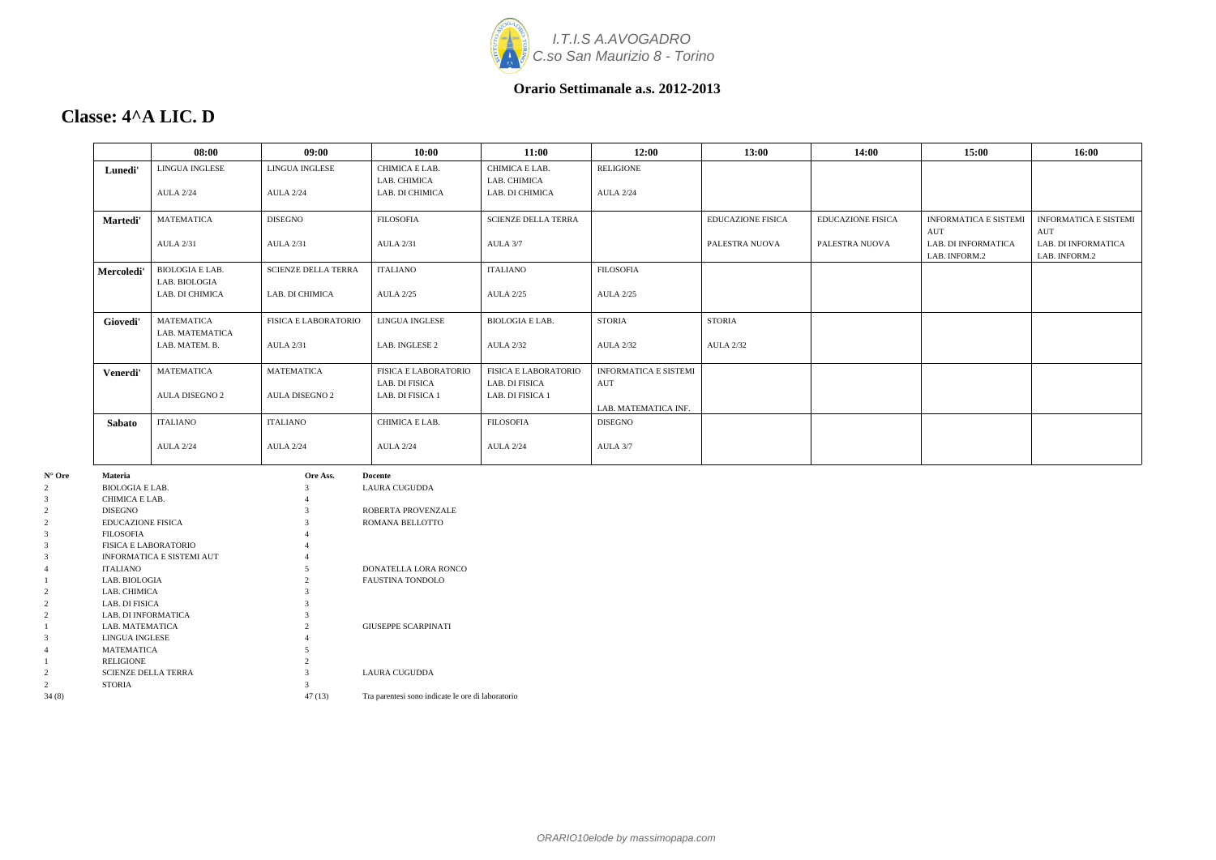

ORARIO10elode by massimopapa.com

#### **Orario Settimanale a.s. 2012-2013**

### **Classe: 4^A LIC. D**

|                 |                                | 08:00                     | 09:00                      | 10:00                      | 11:00                      | 12:00                        | 13:00             | 14:00                    | 15:00                 | 16:00                 |
|-----------------|--------------------------------|---------------------------|----------------------------|----------------------------|----------------------------|------------------------------|-------------------|--------------------------|-----------------------|-----------------------|
|                 | Lunedi'                        | LINGUA INGLESE            | <b>LINGUA INGLESE</b>      | CHIMICA E LAB.             | CHIMICA E LAB.             | <b>RELIGIONE</b>             |                   |                          |                       |                       |
|                 |                                |                           |                            | LAB. CHIMICA               | LAB. CHIMICA               |                              |                   |                          |                       |                       |
|                 |                                | <b>AULA 2/24</b>          | <b>AULA 2/24</b>           | LAB. DI CHIMICA            | LAB. DI CHIMICA            | <b>AULA 2/24</b>             |                   |                          |                       |                       |
|                 |                                |                           |                            |                            |                            |                              |                   |                          |                       |                       |
|                 | Martedi'                       | <b>MATEMATICA</b>         | <b>DISEGNO</b>             | <b>FILOSOFIA</b>           | <b>SCIENZE DELLA TERRA</b> |                              | EDUCAZIONE FISICA | <b>EDUCAZIONE FISICA</b> | INFORMATICA E SISTEMI | INFORMATICA E SISTEMI |
|                 |                                |                           |                            |                            |                            |                              |                   |                          | AUT                   | AUT                   |
|                 |                                | <b>AULA 2/31</b>          | <b>AULA 2/31</b>           | <b>AULA 2/31</b>           | AULA 3/7                   |                              | PALESTRA NUOVA    | PALESTRA NUOVA           | LAB. DI INFORMATICA   | LAB. DI INFORMATICA   |
|                 |                                |                           |                            |                            |                            |                              |                   |                          | LAB. INFORM.2         | LAB. INFORM.2         |
|                 | Mercoledi'                     | <b>BIOLOGIA E LAB.</b>    | <b>SCIENZE DELLA TERRA</b> | <b>ITALIANO</b>            | <b>ITALIANO</b>            | <b>FILOSOFIA</b>             |                   |                          |                       |                       |
|                 |                                | LAB. BIOLOGIA             |                            |                            |                            |                              |                   |                          |                       |                       |
|                 |                                | LAB. DI CHIMICA           | LAB. DI CHIMICA            | <b>AULA 2/25</b>           | <b>AULA 2/25</b>           | <b>AULA 2/25</b>             |                   |                          |                       |                       |
|                 |                                |                           |                            |                            |                            |                              |                   |                          |                       |                       |
|                 | Giovedi'                       | MATEMATICA                | FISICA E LABORATORIO       | LINGUA INGLESE             | BIOLOGIA E LAB.            | <b>STORIA</b>                | STORIA            |                          |                       |                       |
|                 |                                | LAB. MATEMATICA           |                            |                            |                            |                              |                   |                          |                       |                       |
|                 |                                | LAB. MATEM. B.            | <b>AULA 2/31</b>           | LAB. INGLESE 2             | <b>AULA 2/32</b>           | <b>AULA 2/32</b>             | <b>AULA 2/32</b>  |                          |                       |                       |
|                 |                                |                           |                            |                            |                            |                              |                   |                          |                       |                       |
|                 | Venerdi'                       | MATEMATICA                | <b>MATEMATICA</b>          | FISICA E LABORATORIO       | FISICA E LABORATORIO       | <b>INFORMATICA E SISTEMI</b> |                   |                          |                       |                       |
|                 |                                |                           |                            | LAB. DI FISICA             | LAB. DI FISICA             | AUT                          |                   |                          |                       |                       |
|                 |                                | AULA DISEGNO 2            | AULA DISEGNO 2             | LAB. DI FISICA 1           | LAB. DI FISICA 1           |                              |                   |                          |                       |                       |
|                 |                                |                           |                            |                            |                            | LAB. MATEMATICA INF.         |                   |                          |                       |                       |
|                 | Sabato                         | <b>ITALIANO</b>           | <b>ITALIANO</b>            | CHIMICA E LAB.             | <b>FILOSOFIA</b>           | <b>DISEGNO</b>               |                   |                          |                       |                       |
|                 |                                |                           |                            |                            |                            |                              |                   |                          |                       |                       |
|                 |                                | <b>AULA 2/24</b>          | <b>AULA 2/24</b>           | <b>AULA 2/24</b>           | <b>AULA 2/24</b>           | AULA 3/7                     |                   |                          |                       |                       |
|                 |                                |                           |                            |                            |                            |                              |                   |                          |                       |                       |
| $N^{\circ}$ Ore | Materia                        |                           | Ore Ass.                   | Docente                    |                            |                              |                   |                          |                       |                       |
|                 | <b>BIOLOGIA E LAB.</b>         |                           | 3                          | <b>LAURA CUGUDDA</b>       |                            |                              |                   |                          |                       |                       |
|                 | CHIMICA E LAB.                 |                           |                            |                            |                            |                              |                   |                          |                       |                       |
|                 | <b>DISEGNO</b>                 |                           | 3                          | ROBERTA PROVENZALE         |                            |                              |                   |                          |                       |                       |
|                 | EDUCAZIONE FISICA              |                           | $\mathcal{R}$              | ROMANA BELLOTTO            |                            |                              |                   |                          |                       |                       |
|                 | <b>FILOSOFIA</b>               |                           |                            |                            |                            |                              |                   |                          |                       |                       |
|                 | <b>FISICA E LABORATORIO</b>    |                           |                            |                            |                            |                              |                   |                          |                       |                       |
|                 |                                | INFORMATICA E SISTEMI AUT |                            |                            |                            |                              |                   |                          |                       |                       |
|                 | <b>ITALIANO</b>                |                           |                            | DONATELLA LORA RONCO       |                            |                              |                   |                          |                       |                       |
|                 | LAB. BIOLOGIA                  |                           | $\mathcal{L}$<br>3         | FAUSTINA TONDOLO           |                            |                              |                   |                          |                       |                       |
|                 | LAB. CHIMICA<br>LAB. DI FISICA |                           |                            |                            |                            |                              |                   |                          |                       |                       |
|                 | LAB. DI INFORMATICA            |                           | 3                          |                            |                            |                              |                   |                          |                       |                       |
|                 | LAB. MATEMATICA                |                           | $\overline{2}$             | <b>GIUSEPPE SCARPINATI</b> |                            |                              |                   |                          |                       |                       |
|                 | LINGUA INGLESE                 |                           |                            |                            |                            |                              |                   |                          |                       |                       |
|                 | <b>MATEMATICA</b>              |                           | 5 <sup>5</sup>             |                            |                            |                              |                   |                          |                       |                       |

1 RELIGIONE 2<br>2 SCIENZE DELLA TERRA 3

2 STORIA 3

2 SCIENZE DELLA TERRA 3 LAURA CUGUDDA

34 (8) 47 (13) Tra parentesi sono indicate le ore di laboratorio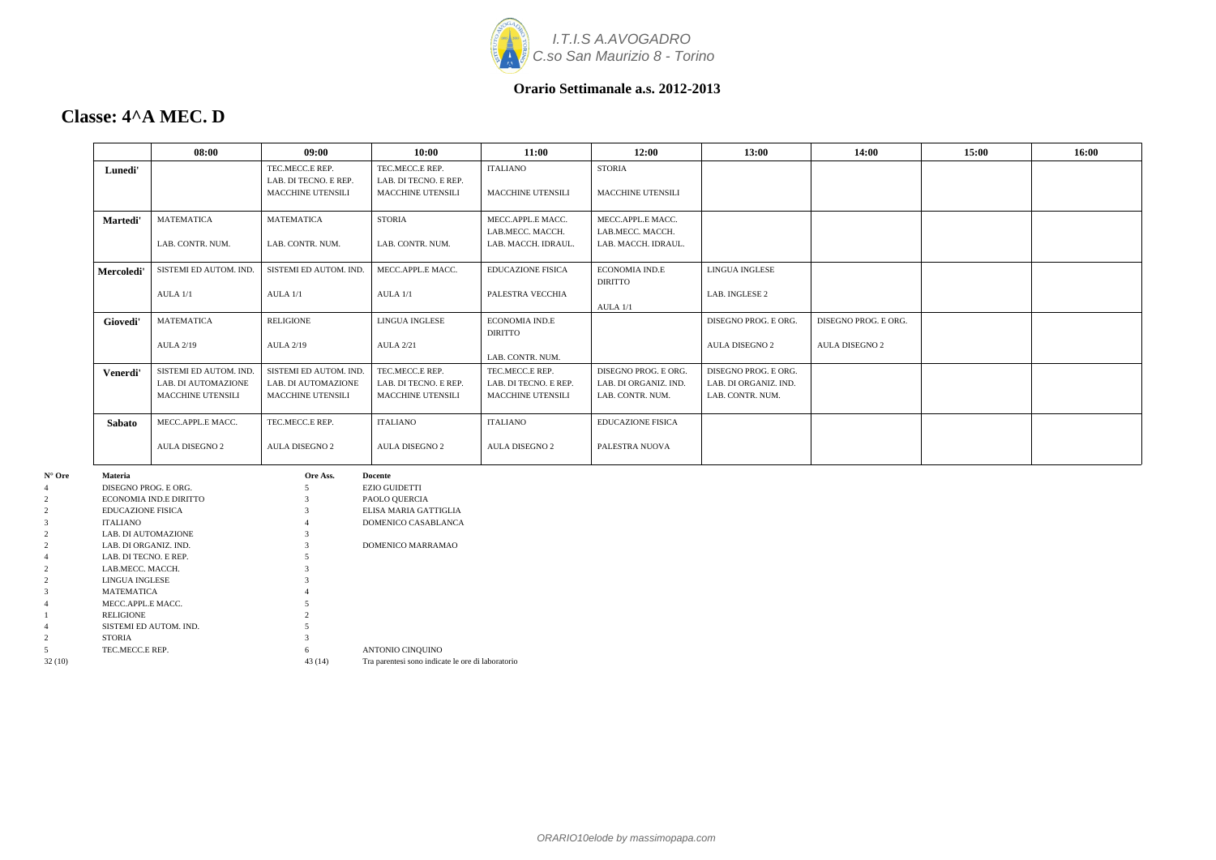

### **Classe: 4^A MEC. D**

|                 |                      | 08:00                  | 09:00                    | 10:00                    | 11:00                    | 12:00                    | 13:00                 | 14:00                 | 15:00 | 16:00 |
|-----------------|----------------------|------------------------|--------------------------|--------------------------|--------------------------|--------------------------|-----------------------|-----------------------|-------|-------|
|                 | Lunedi'              |                        | TEC.MECC.E REP.          | TEC.MECC.E REP.          | <b>ITALIANO</b>          | <b>STORIA</b>            |                       |                       |       |       |
|                 |                      |                        | LAB. DI TECNO. E REP.    | LAB. DI TECNO. E REP.    |                          |                          |                       |                       |       |       |
|                 |                      |                        | <b>MACCHINE UTENSILI</b> | <b>MACCHINE UTENSILI</b> | <b>MACCHINE UTENSILI</b> | <b>MACCHINE UTENSILI</b> |                       |                       |       |       |
|                 | Martedi'             | <b>MATEMATICA</b>      | <b>MATEMATICA</b>        | <b>STORIA</b>            | MECC.APPL.E MACC.        | MECC.APPL.E MACC.        |                       |                       |       |       |
|                 |                      |                        |                          |                          | LAB.MECC. MACCH.         | LAB.MECC. MACCH.         |                       |                       |       |       |
|                 |                      | LAB. CONTR. NUM.       | LAB. CONTR. NUM.         | LAB. CONTR. NUM.         | LAB. MACCH. IDRAUL.      | LAB. MACCH. IDRAUL.      |                       |                       |       |       |
|                 | Mercoledi            | SISTEMI ED AUTOM. IND. | SISTEMI ED AUTOM. IND.   | MECC.APPL.E MACC.        | <b>EDUCAZIONE FISICA</b> | <b>ECONOMIA IND.E</b>    | <b>LINGUA INGLESE</b> |                       |       |       |
|                 |                      |                        |                          |                          |                          | <b>DIRITTO</b>           |                       |                       |       |       |
|                 |                      | AULA 1/1               | AULA 1/1                 | AULA 1/1                 | PALESTRA VECCHIA         |                          | LAB. INGLESE 2        |                       |       |       |
|                 |                      |                        |                          |                          |                          | AULA 1/1                 |                       |                       |       |       |
|                 | Giovedi'             | <b>MATEMATICA</b>      | <b>RELIGIONE</b>         | <b>LINGUA INGLESE</b>    | ECONOMIA IND.E           |                          | DISEGNO PROG. E ORG.  | DISEGNO PROG. E ORG.  |       |       |
|                 |                      |                        |                          |                          | <b>DIRITTO</b>           |                          |                       |                       |       |       |
|                 |                      | <b>AULA 2/19</b>       | <b>AULA 2/19</b>         | <b>AULA 2/21</b>         |                          |                          | <b>AULA DISEGNO 2</b> | <b>AULA DISEGNO 2</b> |       |       |
|                 |                      |                        |                          |                          | LAB. CONTR. NUM.         |                          |                       |                       |       |       |
|                 | Venerdi'             | SISTEMI ED AUTOM. IND. | SISTEMI ED AUTOM. IND.   | TEC.MECC.E REP.          | TEC.MECC.E REP.          | DISEGNO PROG. E ORG.     | DISEGNO PROG. E ORG.  |                       |       |       |
|                 |                      | LAB. DI AUTOMAZIONE    | LAB. DI AUTOMAZIONE      | LAB. DI TECNO. E REP.    | LAB. DI TECNO. E REP.    | LAB. DI ORGANIZ. IND.    | LAB. DI ORGANIZ. IND. |                       |       |       |
|                 |                      | MACCHINE UTENSILI      | MACCHINE UTENSILI        | MACCHINE UTENSILI        | MACCHINE UTENSILI        | LAB. CONTR. NUM.         | LAB. CONTR. NUM.      |                       |       |       |
|                 | <b>Sabato</b>        | MECC.APPL.E MACC.      | TEC.MECC.E REP.          | <b>ITALIANO</b>          | <b>ITALIANO</b>          | <b>EDUCAZIONE FISICA</b> |                       |                       |       |       |
|                 |                      | <b>AULA DISEGNO 2</b>  | <b>AULA DISEGNO 2</b>    | <b>AULA DISEGNO 2</b>    | <b>AULA DISEGNO 2</b>    | PALESTRA NUOVA           |                       |                       |       |       |
| $N^{\circ}$ Ore | Materia              |                        | Ore Ass.                 | <b>Docente</b>           |                          |                          |                       |                       |       |       |
|                 | DISEGNO PROG. E ORG. |                        |                          | <b>EZIO GUIDETTI</b>     |                          |                          |                       |                       |       |       |
| 2               |                      | ECONOMIA IND.E DIRITTO |                          | PAOLO QUERCIA            |                          |                          |                       |                       |       |       |
|                 | EDUCAZIONE FISICA    |                        |                          | ELISA MARIA GATTIGLIA    |                          |                          |                       |                       |       |       |
|                 | <b>ITALIANO</b>      |                        |                          | DOMENICO CASABLANCA      |                          |                          |                       |                       |       |       |
| 2               | LAB. DI AUTOMAZIONE  |                        |                          |                          |                          |                          |                       |                       |       |       |

2 LAB. DI ORGANIZ. IND. 3 DOMENICO MARRAMAO

| 4       | LAB. DI TECNO. E REP.  |        |                                                   |
|---------|------------------------|--------|---------------------------------------------------|
|         | LAB.MECC. MACCH.       | 3      |                                                   |
|         | LINGUA INGLESE         | 3      |                                                   |
|         | <b>MATEMATICA</b>      | 4      |                                                   |
| 4       | MECC.APPL.E MACC.      |        |                                                   |
|         | <b>RELIGIONE</b>       |        |                                                   |
| 4       | SISTEMI ED AUTOM. IND. |        |                                                   |
|         | <b>STORIA</b>          | 3      |                                                   |
|         | TEC.MECC.E REP.        | 6      | ANTONIO CINQUINO                                  |
| 32 (10) |                        | 43(14) | Tra parentesi sono indicate le ore di laboratorio |
|         |                        |        |                                                   |
|         |                        |        |                                                   |
|         |                        |        |                                                   |
|         |                        |        |                                                   |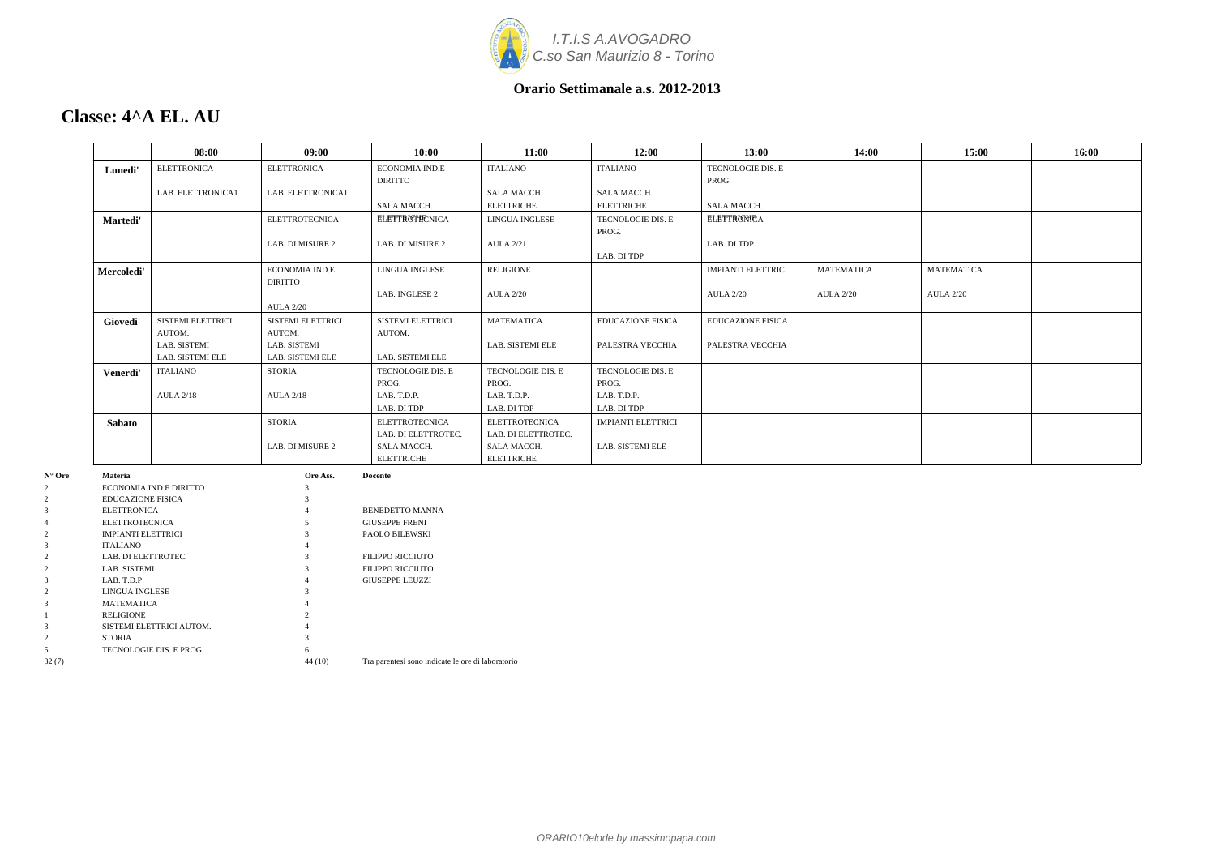

### **Classe: 4^A EL. AU**

|            | 08:00                            | 09:00                 | 10:00                    | 11:00                 | 12:00                     | 13:00                     | 14:00             | 15:00             | 16:00 |
|------------|----------------------------------|-----------------------|--------------------------|-----------------------|---------------------------|---------------------------|-------------------|-------------------|-------|
| Lunedi'    | <b>ELETTRONICA</b>               | <b>ELETTRONICA</b>    | <b>ECONOMIA IND.E</b>    | <b>ITALIANO</b>       | <b>ITALIANO</b>           | TECNOLOGIE DIS. E         |                   |                   |       |
|            |                                  |                       | <b>DIRITTO</b>           |                       |                           | PROG.                     |                   |                   |       |
|            | LAB. ELETTRONICA1                | LAB. ELETTRONICA1     |                          | SALA MACCH.           | <b>SALA MACCH.</b>        |                           |                   |                   |       |
|            |                                  |                       | <b>SALA MACCH.</b>       | <b>ELETTRICHE</b>     | <b>ELETTRICHE</b>         | SALA MACCH.               |                   |                   |       |
| Martedi'   |                                  | <b>ELETTROTECNICA</b> | <b>ELETTROTECNICA</b>    | LINGUA INGLESE        | TECNOLOGIE DIS. E         | <b>ELETTRONICA</b>        |                   |                   |       |
|            |                                  |                       |                          |                       | PROG.                     |                           |                   |                   |       |
|            |                                  | LAB. DI MISURE 2      | LAB. DI MISURE 2         | <b>AULA 2/21</b>      |                           | LAB. DI TDP               |                   |                   |       |
|            |                                  |                       |                          |                       | LAB. DI TDP               |                           |                   |                   |       |
| Mercoledi' |                                  | <b>ECONOMIA IND.E</b> | <b>LINGUA INGLESE</b>    | <b>RELIGIONE</b>      |                           | <b>IMPIANTI ELETTRICI</b> | <b>MATEMATICA</b> | <b>MATEMATICA</b> |       |
|            |                                  | <b>DIRITTO</b>        |                          |                       |                           |                           |                   |                   |       |
|            |                                  |                       | LAB. INGLESE 2           | <b>AULA 2/20</b>      |                           | <b>AULA 2/20</b>          | <b>AULA 2/20</b>  | <b>AULA 2/20</b>  |       |
|            |                                  | <b>AULA 2/20</b>      |                          |                       |                           |                           |                   |                   |       |
| Giovedi'   | <b>SISTEMI ELETTRICI</b>         | SISTEMI ELETTRICI     | <b>SISTEMI ELETTRICI</b> | <b>MATEMATICA</b>     | <b>EDUCAZIONE FISICA</b>  | <b>EDUCAZIONE FISICA</b>  |                   |                   |       |
|            | AUTOM.                           | AUTOM.                | AUTOM.                   |                       |                           |                           |                   |                   |       |
|            | LAB. SISTEMI                     | LAB. SISTEMI          |                          | LAB. SISTEMI ELE      | PALESTRA VECCHIA          | PALESTRA VECCHIA          |                   |                   |       |
|            | <b>LAB. SISTEMI ELE</b>          | LAB. SISTEMI ELE      | LAB. SISTEMI ELE         |                       |                           |                           |                   |                   |       |
| Venerdi'   | <b>ITALIANO</b>                  | <b>STORIA</b>         | TECNOLOGIE DIS. E        | TECNOLOGIE DIS. E     | <b>TECNOLOGIE DIS. E</b>  |                           |                   |                   |       |
|            |                                  |                       | PROG.                    | PROG.                 | PROG.                     |                           |                   |                   |       |
|            | <b>AULA 2/18</b>                 | <b>AULA 2/18</b>      | LAB. T.D.P.              | LAB. T.D.P.           | LAB. T.D.P.               |                           |                   |                   |       |
|            |                                  |                       | LAB. DI TDP              | LAB. DI TDP           | LAB. DI TDP               |                           |                   |                   |       |
| Sabato     |                                  | <b>STORIA</b>         | <b>ELETTROTECNICA</b>    | <b>ELETTROTECNICA</b> | <b>IMPIANTI ELETTRICI</b> |                           |                   |                   |       |
|            |                                  |                       | LAB. DI ELETTROTEC.      | LAB. DI ELETTROTEC.   |                           |                           |                   |                   |       |
|            |                                  | LAB. DI MISURE 2      | <b>SALA MACCH.</b>       | SALA MACCH.           | LAB. SISTEMI ELE          |                           |                   |                   |       |
|            |                                  |                       | <b>ELETTRICHE</b>        | <b>ELETTRICHE</b>     |                           |                           |                   |                   |       |
| Materia    |                                  | Ore Ass.              | <b>Docente</b>           |                       |                           |                           |                   |                   |       |
|            | $E$ <i>CONOMIA IND E DIBITTO</i> |                       |                          |                       |                           |                           |                   |                   |       |

| $N^{\circ}$ Ore | <b>Materia</b>            | Ore Ass. | <b>Docente</b>                                    |
|-----------------|---------------------------|----------|---------------------------------------------------|
| $\overline{c}$  | ECONOMIA IND.E DIRITTO    | 3        |                                                   |
| 2               | <b>EDUCAZIONE FISICA</b>  |          |                                                   |
| 3               | <b>ELETTRONICA</b>        |          | <b>BENEDETTO MANNA</b>                            |
| 4               | <b>ELETTROTECNICA</b>     |          | <b>GIUSEPPE FRENI</b>                             |
| 2               | <b>IMPIANTI ELETTRICI</b> |          | <b>PAOLO BILEWSKI</b>                             |
| 3               | <b>ITALIANO</b>           |          |                                                   |
| 2               | LAB. DI ELETTROTEC.       |          | <b>FILIPPO RICCIUTO</b>                           |
| $\overline{c}$  | LAB. SISTEMI              |          | <b>FILIPPO RICCIUTO</b>                           |
| 3               | LAB. T.D.P.               |          | <b>GIUSEPPE LEUZZI</b>                            |
| $\overline{c}$  | LINGUA INGLESE            |          |                                                   |
| 3               | <b>MATEMATICA</b>         |          |                                                   |
|                 | <b>RELIGIONE</b>          |          |                                                   |
| 3               | SISTEMI ELETTRICI AUTOM.  |          |                                                   |
| $\overline{c}$  | <b>STORIA</b>             | 3        |                                                   |
| 5               | TECNOLOGIE DIS. E PROG.   | 6        |                                                   |
| 32(7)           |                           | 44(10)   | Tra parentesi sono indicate le ore di laboratorio |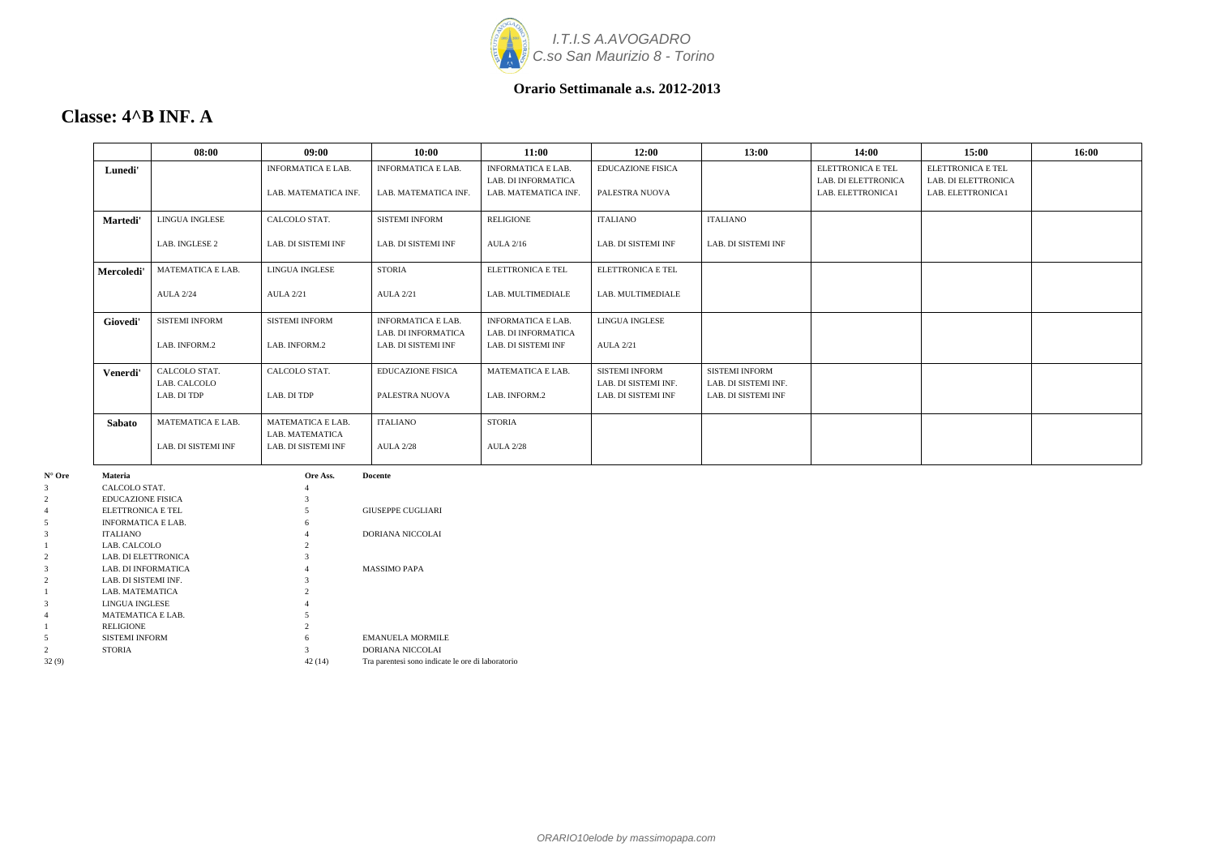

### **Classe: 4^B INF. A**

|               | 08:00                 | 09:00                     | 10:00                                      | 11:00                                      | 12:00                    | 13:00                 | 14:00               | 15:00               | 16:00 |
|---------------|-----------------------|---------------------------|--------------------------------------------|--------------------------------------------|--------------------------|-----------------------|---------------------|---------------------|-------|
| Lunedi'       |                       | <b>INFORMATICA E LAB.</b> | <b>INFORMATICA E LAB.</b>                  | <b>INFORMATICA E LAB.</b>                  | <b>EDUCAZIONE FISICA</b> |                       | ELETTRONICA E TEL   | ELETTRONICA E TEL   |       |
|               |                       |                           |                                            | LAB. DI INFORMATICA                        |                          |                       | LAB. DI ELETTRONICA | LAB. DI ELETTRONICA |       |
|               |                       | LAB. MATEMATICA INF.      | LAB. MATEMATICA INF.                       | LAB. MATEMATICA INF.                       | PALESTRA NUOVA           |                       | LAB. ELETTRONICA1   | LAB. ELETTRONICA1   |       |
| Martedi'      | <b>LINGUA INGLESE</b> | CALCOLO STAT.             | <b>SISTEMI INFORM</b>                      | <b>RELIGIONE</b>                           | <b>ITALIANO</b>          | <b>ITALIANO</b>       |                     |                     |       |
|               | LAB. INGLESE 2        | LAB. DI SISTEMI INF       | LAB. DI SISTEMI INF                        | <b>AULA 2/16</b>                           | LAB. DI SISTEMI INF      | LAB. DI SISTEMI INF   |                     |                     |       |
| Mercoledi'    | MATEMATICA E LAB.     | LINGUA INGLESE            | <b>STORIA</b>                              | <b>ELETTRONICA E TEL</b>                   | <b>ELETTRONICA E TEL</b> |                       |                     |                     |       |
|               | <b>AULA 2/24</b>      | <b>AULA 2/21</b>          | <b>AULA 2/21</b>                           | LAB. MULTIMEDIALE                          | LAB. MULTIMEDIALE        |                       |                     |                     |       |
| Giovedi'      | <b>SISTEMI INFORM</b> | <b>SISTEMI INFORM</b>     | <b>INFORMATICA E LAB.</b>                  | <b>INFORMATICA E LAB.</b>                  | LINGUA INGLESE           |                       |                     |                     |       |
|               | LAB. INFORM.2         | LAB. INFORM.2             | LAB. DI INFORMATICA<br>LAB. DI SISTEMI INF | LAB. DI INFORMATICA<br>LAB. DI SISTEMI INF | <b>AULA 2/21</b>         |                       |                     |                     |       |
| Venerdi'      | CALCOLO STAT.         | CALCOLO STAT.             | <b>EDUCAZIONE FISICA</b>                   | MATEMATICA E LAB.                          | <b>SISTEMI INFORM</b>    | <b>SISTEMI INFORM</b> |                     |                     |       |
|               | LAB. CALCOLO          |                           |                                            |                                            | LAB. DI SISTEMI INF.     | LAB. DI SISTEMI INF.  |                     |                     |       |
|               | LAB. DI TDP           | LAB. DI TDP               | PALESTRA NUOVA                             | LAB. INFORM.2                              | LAB. DI SISTEMI INF      | LAB. DI SISTEMI INF   |                     |                     |       |
| Sabato        | MATEMATICA E LAB.     | <b>MATEMATICA E LAB.</b>  | <b>ITALIANO</b>                            | <b>STORIA</b>                              |                          |                       |                     |                     |       |
|               |                       | LAB. MATEMATICA           |                                            |                                            |                          |                       |                     |                     |       |
|               | LAB. DI SISTEMI INF   | LAB. DI SISTEMI INF       | <b>AULA 2/28</b>                           | <b>AULA 2/28</b>                           |                          |                       |                     |                     |       |
| Materia       |                       | Ore Ass.                  | <b>Docente</b>                             |                                            |                          |                       |                     |                     |       |
| CALCOLO STAT. |                       |                           |                                            |                                            |                          |                       |                     |                     |       |

| $N^{\circ}$ Ore | <b>Materia</b>            | Ore Ass.       | <b>Docente</b>                                    |
|-----------------|---------------------------|----------------|---------------------------------------------------|
| 3               | CALCOLO STAT.             | 4              |                                                   |
| $\overline{c}$  | <b>EDUCAZIONE FISICA</b>  | 3              |                                                   |
| 4               | ELETTRONICA E TEL         |                | <b>GIUSEPPE CUGLIARI</b>                          |
| 5               | <b>INFORMATICA E LAB.</b> | 6              |                                                   |
| 3               | <b>ITALIANO</b>           |                | <b>DORIANA NICCOLAI</b>                           |
|                 | LAB. CALCOLO              | $\mathfrak{D}$ |                                                   |
| $\overline{c}$  | LAB. DI ELETTRONICA       | 3              |                                                   |
| 3               | LAB. DI INFORMATICA       |                | <b>MASSIMO PAPA</b>                               |
| $\overline{c}$  | LAB. DI SISTEMI INF.      | 3              |                                                   |
|                 | LAB. MATEMATICA           | $\mathfrak{D}$ |                                                   |
| 3               | LINGUA INGLESE            |                |                                                   |
| 4               | <b>MATEMATICA E LAB.</b>  |                |                                                   |
|                 | <b>RELIGIONE</b>          | $\mathfrak{D}$ |                                                   |
| 5               | <b>SISTEMI INFORM</b>     | 6              | <b>EMANUELA MORMILE</b>                           |
| $\overline{c}$  | <b>STORIA</b>             | 3              | DORIANA NICCOLAI                                  |
| 32(9)           |                           | 42 (14)        | Tra parentesi sono indicate le ore di laboratorio |
|                 |                           |                |                                                   |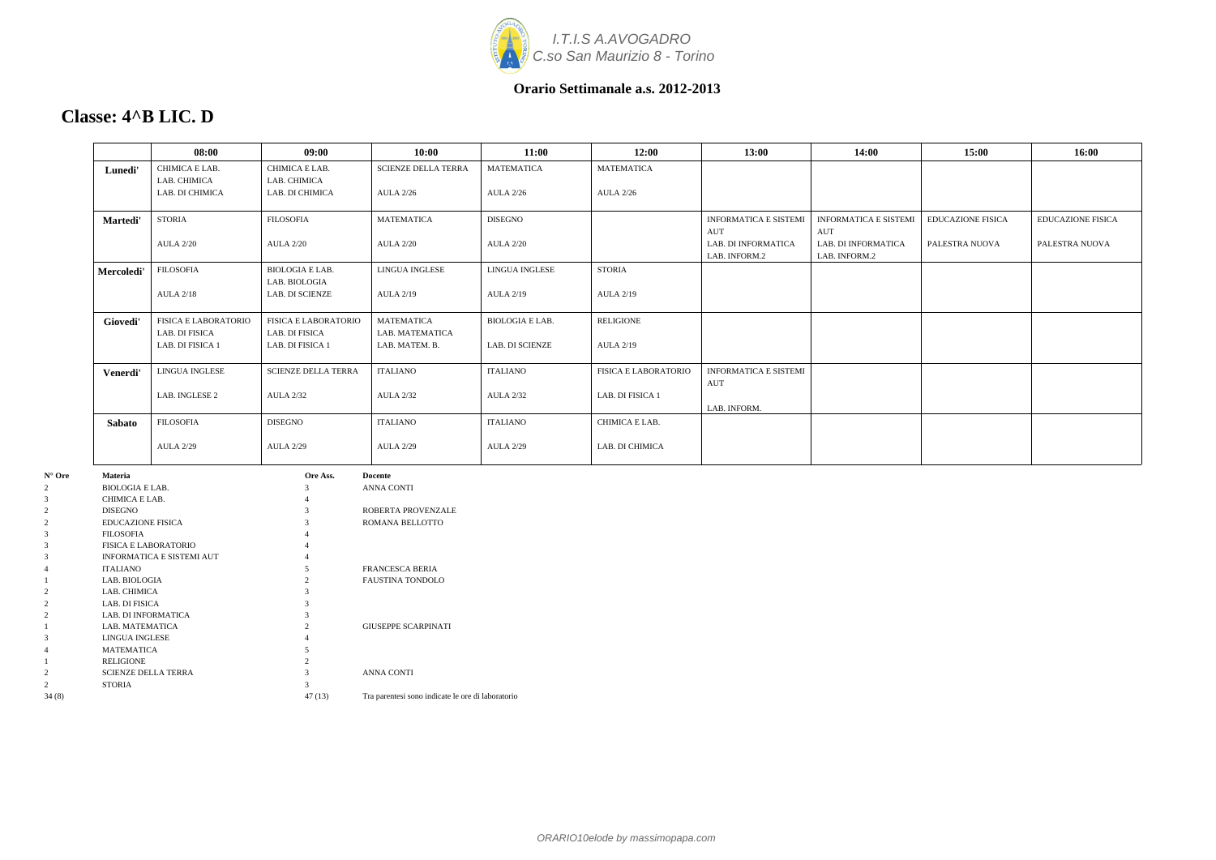

**Classe: 4^B LIC. D**

| 15:00                    | 16:00                    |
|--------------------------|--------------------------|
|                          |                          |
|                          |                          |
| <b>EDUCAZIONE FISICA</b> | <b>EDUCAZIONE FISICA</b> |
| PALESTRA NUOVA           | PALESTRA NUOVA           |
|                          |                          |
|                          |                          |
|                          |                          |
|                          |                          |
|                          |                          |
|                          |                          |
|                          |                          |
|                          |                          |

#### **08:00 09:00 10:00 11:00 12:00 13:00 14:00 15:00 16:00 Lunedi'** CHIMICA E LAB. LAB. CHIMICA LAB. DI CHIMICA CHIMICA E LAB. LAB. CHIMICA LAB. DI CHIMICA SCIENZE DELLA TERRA AULA 2/26 MATEMATICA AULA 2/26 MATEMATICA AULA 2/26 **Martedi'** STORIA AULA 2/20 FILOSOFIA AULA 2/20 MATEMATICA AULA 2/20 DISEGNO AULA 2/20 INFORMATICA E SISTEMI AUT LAB. DI INFORMATICA LAB. INFORM.2 INFORMATICA E SISTEMI AUT LAB. DI INFORMATICA LAB. INFORM.2 **Mercoledi'** FILOSOFIA AULA 2/18 BIOLOGIA E LAB. LAB. BIOLOGIA LAB. DI SCIENZE LINGUA INGLESE AULA 2/19 LINGUA INGLESE AULA 2/19 STORIA AULA 2/19 **Giovedi'** FISICA E LABORATORIO LAB. DI FISICA LAB. DI FISICA 1 FISICA E LABORATORIO LAB. DI FISICA LAB. DI FISICA 1 MATEMATICA LAB. MATEMATICA LAB. MATEM. B. BIOLOGIA E LAB. LAB. DI SCIENZE RELIGIONE AULA 2/19 **Venerdi'** LINGUA INGLESE LAB. INGLESE 2 SCIENZE DELLA TERRA AULA 2/32 ITALIANO AULA 2/32 ITALIANO AULA 2/32 FISICA E LABORATORIO LAB. DI FISICA 1 INFORMATICA E SISTEMI AUT LAB. INFORM. **Sabato** FILOSOFIA AULA 2/29 DISEGNO AULA 2/29 ITALIANO AULA 2/29 ITALIANO AULA 2/29 CHIMICA E LAB. LAB. DI CHIMICA **N° Ore Materia Ore Ass. Docente**

| $\overline{c}$ | <b>BIOLOGIA E LAB.</b>           | $\mathcal{R}$ | <b>ANNA CONTI</b>                                 |
|----------------|----------------------------------|---------------|---------------------------------------------------|
| 3              | CHIMICA E LAB.                   |               |                                                   |
| 2              | <b>DISEGNO</b>                   | $\mathcal{R}$ | ROBERTA PROVENZALE                                |
| 2              | <b>EDUCAZIONE FISICA</b>         |               | ROMANA BELLOTTO                                   |
| 3              | <b>FILOSOFIA</b>                 |               |                                                   |
| 3              | <b>FISICA E LABORATORIO</b>      |               |                                                   |
| 3              | <b>INFORMATICA E SISTEMI AUT</b> |               |                                                   |
| 4              | <b>ITALIANO</b>                  |               | <b>FRANCESCA BERIA</b>                            |
|                | LAB. BIOLOGIA                    | 2             | <b>FAUSTINA TONDOLO</b>                           |
| 2              | LAB. CHIMICA                     |               |                                                   |
| 2              | LAB. DI FISICA                   |               |                                                   |
| 2              | LAB. DI INFORMATICA              |               |                                                   |
|                | LAB. MATEMATICA                  | 2.            | <b>GIUSEPPE SCARPINATI</b>                        |
| 3              | LINGUA INGLESE                   |               |                                                   |
| 4              | <b>MATEMATICA</b>                |               |                                                   |
|                | <b>RELIGIONE</b>                 |               |                                                   |
| 2              | <b>SCIENZE DELLA TERRA</b>       |               | <b>ANNA CONTI</b>                                 |
| 2              | <b>STORIA</b>                    | 3             |                                                   |
| 34(8)          |                                  | 47 (13)       | Tra parentesi sono indicate le ore di laboratorio |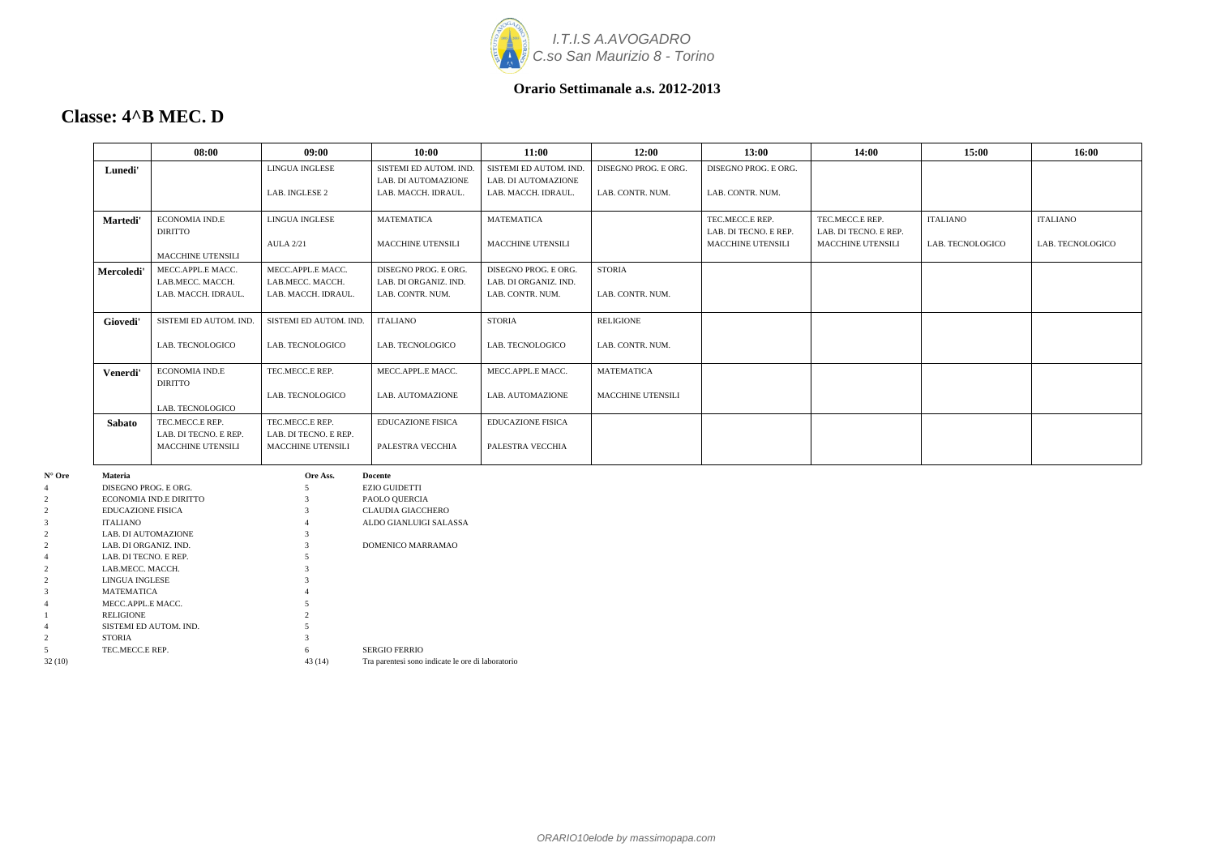

### **Classe: 4^B MEC. D**

|        |                                        | 08:00                                   | 09:00                                   | 10:00                                     | 11:00                                     | 12:00                    | 13:00                                      | 14:00                                      | 15:00            | 16:00            |
|--------|----------------------------------------|-----------------------------------------|-----------------------------------------|-------------------------------------------|-------------------------------------------|--------------------------|--------------------------------------------|--------------------------------------------|------------------|------------------|
|        | Lunedi'                                |                                         | LINGUA INGLESE                          | SISTEMI ED AUTOM. IND.                    | SISTEMI ED AUTOM. IND.                    | DISEGNO PROG. E ORG.     | DISEGNO PROG. E ORG.                       |                                            |                  |                  |
|        |                                        |                                         |                                         | LAB. DI AUTOMAZIONE                       | LAB. DI AUTOMAZIONE                       |                          |                                            |                                            |                  |                  |
|        |                                        |                                         | LAB. INGLESE 2                          | LAB. MACCH. IDRAUL.                       | LAB. MACCH. IDRAUL.                       | LAB. CONTR. NUM.         | LAB. CONTR. NUM.                           |                                            |                  |                  |
|        |                                        |                                         |                                         |                                           |                                           |                          |                                            |                                            |                  |                  |
|        | <b>Martedi'</b>                        | ECONOMIA IND.E                          | LINGUA INGLESE                          | <b>MATEMATICA</b>                         | <b>MATEMATICA</b>                         |                          | TEC.MECC.E REP.                            | TEC.MECC.E REP.                            | <b>ITALIANO</b>  | <b>ITALIANO</b>  |
|        |                                        | <b>DIRITTO</b>                          | <b>AULA 2/21</b>                        | MACCHINE UTENSILI                         | MACCHINE UTENSILI                         |                          | LAB. DI TECNO. E REP.<br>MACCHINE UTENSILI | LAB. DI TECNO. E REP.<br>MACCHINE UTENSILI | LAB. TECNOLOGICO | LAB. TECNOLOGICO |
|        |                                        | <b>MACCHINE UTENSILI</b>                |                                         |                                           |                                           |                          |                                            |                                            |                  |                  |
|        |                                        |                                         | MECC.APPL.E MACC.                       |                                           | DISEGNO PROG. E ORG.                      | <b>STORIA</b>            |                                            |                                            |                  |                  |
|        | Mercoledi'                             | MECC.APPL.E MACC.                       |                                         | DISEGNO PROG. E ORG.                      |                                           |                          |                                            |                                            |                  |                  |
|        |                                        | LAB.MECC. MACCH.<br>LAB. MACCH. IDRAUL. | LAB.MECC. MACCH.<br>LAB. MACCH. IDRAUL. | LAB. DI ORGANIZ. IND.<br>LAB. CONTR. NUM. | LAB. DI ORGANIZ. IND.<br>LAB. CONTR. NUM. | LAB. CONTR. NUM.         |                                            |                                            |                  |                  |
|        |                                        |                                         |                                         |                                           |                                           |                          |                                            |                                            |                  |                  |
|        | Giovedi'                               | SISTEMI ED AUTOM. IND.                  | SISTEMI ED AUTOM. IND.                  | <b>ITALIANO</b>                           | <b>STORIA</b>                             | RELIGIONE                |                                            |                                            |                  |                  |
|        |                                        |                                         |                                         |                                           |                                           |                          |                                            |                                            |                  |                  |
|        |                                        | LAB. TECNOLOGICO                        | LAB. TECNOLOGICO                        | LAB. TECNOLOGICO                          | LAB. TECNOLOGICO                          | LAB. CONTR. NUM.         |                                            |                                            |                  |                  |
|        |                                        |                                         |                                         |                                           |                                           |                          |                                            |                                            |                  |                  |
|        | Venerdi'                               | ECONOMIA IND.E                          | TEC.MECC.E REP.                         | MECC.APPL.E MACC.                         | MECC.APPL.E MACC.                         | <b>MATEMATICA</b>        |                                            |                                            |                  |                  |
|        |                                        | <b>DIRITTO</b>                          |                                         |                                           |                                           |                          |                                            |                                            |                  |                  |
|        |                                        |                                         | LAB. TECNOLOGICO                        | LAB. AUTOMAZIONE                          | LAB. AUTOMAZIONE                          | <b>MACCHINE UTENSILI</b> |                                            |                                            |                  |                  |
|        |                                        | LAB. TECNOLOGICO                        |                                         |                                           |                                           |                          |                                            |                                            |                  |                  |
|        | <b>Sabato</b>                          | TEC.MECC.E REP.                         | TEC.MECC.E REP.                         | <b>EDUCAZIONE FISICA</b>                  | <b>EDUCAZIONE FISICA</b>                  |                          |                                            |                                            |                  |                  |
|        |                                        | LAB. DI TECNO. E REP.                   | LAB. DI TECNO. E REP.                   |                                           |                                           |                          |                                            |                                            |                  |                  |
|        |                                        | <b>MACCHINE UTENSILI</b>                | MACCHINE UTENSILI                       | PALESTRA VECCHIA                          | PALESTRA VECCHIA                          |                          |                                            |                                            |                  |                  |
| N° Ore | Materia                                |                                         | Ore Ass.                                | Docente                                   |                                           |                          |                                            |                                            |                  |                  |
|        | DISEGNO PROG. E ORG.                   |                                         |                                         | <b>EZIO GUIDETTI</b>                      |                                           |                          |                                            |                                            |                  |                  |
|        |                                        | ECONOMIA IND.E DIRITTO                  |                                         | PAOLO QUERCIA                             |                                           |                          |                                            |                                            |                  |                  |
|        | <b>EDUCAZIONE FISICA</b>               |                                         | $\mathcal{R}$                           | <b>CLAUDIA GIACCHERO</b>                  |                                           |                          |                                            |                                            |                  |                  |
|        | <b>ITALIANO</b>                        |                                         |                                         | ALDO GIANLUIGI SALASSA                    |                                           |                          |                                            |                                            |                  |                  |
|        | LAB. DI AUTOMAZIONE                    |                                         | $\mathcal{R}$                           |                                           |                                           |                          |                                            |                                            |                  |                  |
|        | LAB. DI ORGANIZ. IND.                  |                                         | 3                                       | DOMENICO MARRAMAO                         |                                           |                          |                                            |                                            |                  |                  |
|        | LAB. DI TECNO. E REP.                  |                                         | 5                                       |                                           |                                           |                          |                                            |                                            |                  |                  |
|        | LAB.MECC. MACCH.                       |                                         |                                         |                                           |                                           |                          |                                            |                                            |                  |                  |
|        | LINGUA INGLESE                         |                                         |                                         |                                           |                                           |                          |                                            |                                            |                  |                  |
|        | <b>MATEMATICA</b><br>MECC.APPL.E MACC. |                                         |                                         |                                           |                                           |                          |                                            |                                            |                  |                  |
|        | <b>RELIGIONE</b>                       |                                         |                                         |                                           |                                           |                          |                                            |                                            |                  |                  |
|        |                                        | SISTEMI ED AUTOM. IND.                  |                                         |                                           |                                           |                          |                                            |                                            |                  |                  |
|        | <b>STORIA</b>                          |                                         |                                         |                                           |                                           |                          |                                            |                                            |                  |                  |
|        | TEC.MECC.E REP.                        |                                         | 6                                       | <b>SERGIO FERRIO</b>                      |                                           |                          |                                            |                                            |                  |                  |

32 (10) 43 (14) Tra parentesi sono indicate le ore di laboratorio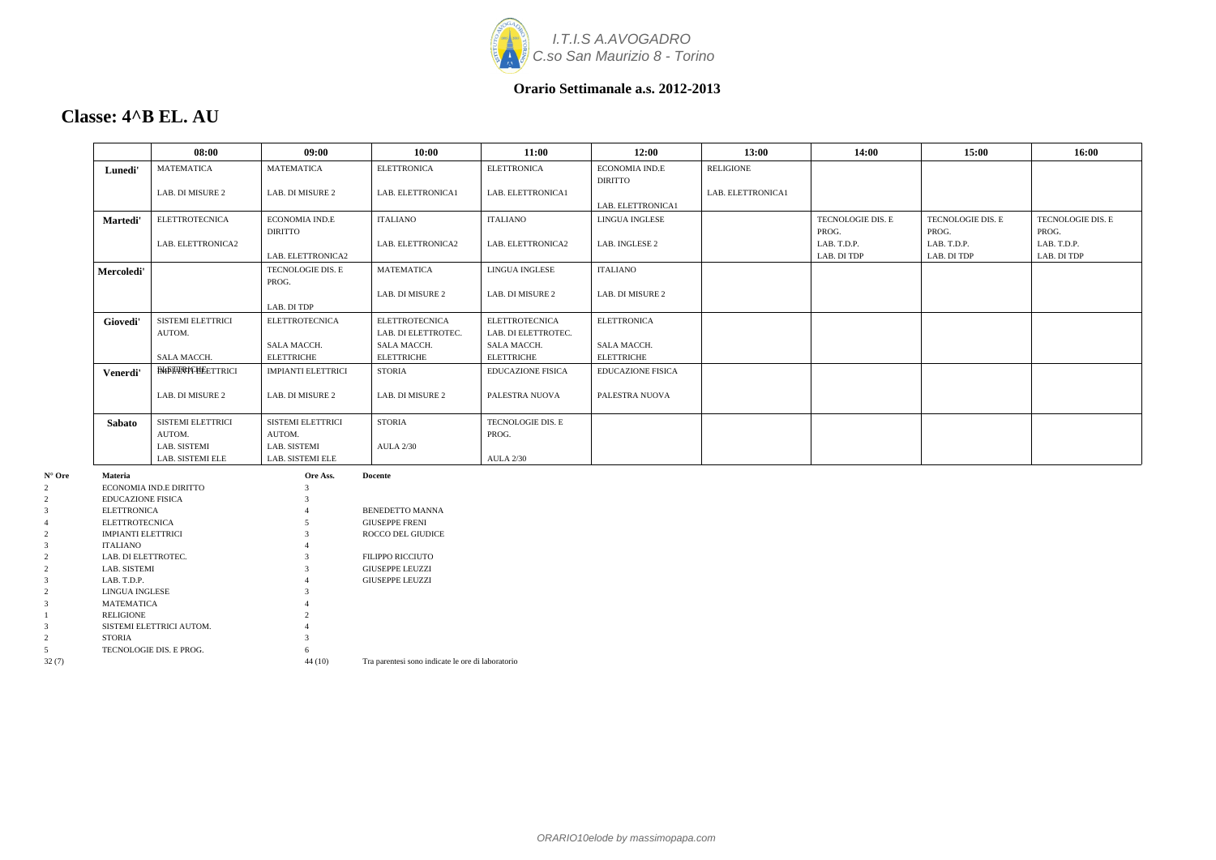

### **Classe: 4^B EL. AU**

|                   |                                              | 08:00                    | 09:00                     | 10:00                                             | 11:00                    | 12:00                    | 13:00             | 14:00             | 15:00             | 16:00             |
|-------------------|----------------------------------------------|--------------------------|---------------------------|---------------------------------------------------|--------------------------|--------------------------|-------------------|-------------------|-------------------|-------------------|
|                   | Lunedi'                                      | MATEMATICA               | <b>MATEMATICA</b>         | <b>ELETTRONICA</b>                                | <b>ELETTRONICA</b>       | ECONOMIA IND.E           | <b>RELIGIONE</b>  |                   |                   |                   |
|                   |                                              |                          |                           |                                                   |                          | <b>DIRITTO</b>           |                   |                   |                   |                   |
|                   |                                              | LAB. DI MISURE 2         | LAB. DI MISURE 2          | LAB. ELETTRONICA1                                 | LAB. ELETTRONICA1        |                          | LAB. ELETTRONICA1 |                   |                   |                   |
|                   |                                              |                          |                           |                                                   |                          | LAB. ELETTRONICA1        |                   |                   |                   |                   |
|                   | Martedi'                                     | <b>ELETTROTECNICA</b>    | ECONOMIA IND.E            | <b>ITALIANO</b>                                   | <b>ITALIANO</b>          | LINGUA INGLESE           |                   | TECNOLOGIE DIS. E | TECNOLOGIE DIS. E | TECNOLOGIE DIS. E |
|                   |                                              |                          | DIRITTO                   |                                                   |                          |                          |                   | PROG.             | PROG.             | PROG.             |
|                   |                                              | LAB. ELETTRONICA2        |                           | LAB. ELETTRONICA2                                 | LAB. ELETTRONICA2        | LAB. INGLESE 2           |                   | LAB. T.D.P.       | LAB. T.D.P.       | LAB. T.D.P.       |
|                   |                                              |                          | LAB. ELETTRONICA2         |                                                   |                          |                          |                   | LAB. DI TDP       | LAB. DI TDP       | LAB. DI TDP       |
|                   | Mercoledi'                                   |                          | TECNOLOGIE DIS. E         | <b>MATEMATICA</b>                                 | LINGUA INGLESE           | <b>ITALIANO</b>          |                   |                   |                   |                   |
|                   |                                              |                          | PROG.                     |                                                   |                          |                          |                   |                   |                   |                   |
|                   |                                              |                          |                           | LAB. DI MISURE 2                                  | LAB. DI MISURE 2         | LAB. DI MISURE 2         |                   |                   |                   |                   |
|                   |                                              |                          | LAB. DI TDP               |                                                   |                          |                          |                   |                   |                   |                   |
|                   | Giovedi'                                     | SISTEMI ELETTRICI        | <b>ELETTROTECNICA</b>     | <b>ELETTROTECNICA</b>                             | <b>ELETTROTECNICA</b>    | <b>ELETTRONICA</b>       |                   |                   |                   |                   |
|                   |                                              | AUTOM.                   |                           | LAB. DI ELETTROTEC.                               | LAB. DI ELETTROTEC.      |                          |                   |                   |                   |                   |
|                   |                                              |                          | SALA MACCH.               | SALA MACCH.                                       | SALA MACCH.              | SALA MACCH.              |                   |                   |                   |                   |
|                   |                                              | SALA MACCH.              | <b>ELETTRICHE</b>         | <b>ELETTRICHE</b>                                 | <b>ELETTRICHE</b>        | <b>ELETTRICHE</b>        |                   |                   |                   |                   |
|                   | Venerdi'                                     | <b>EMPTARICHEETTRICI</b> | <b>IMPIANTI ELETTRICI</b> | <b>STORIA</b>                                     | <b>EDUCAZIONE FISICA</b> | <b>EDUCAZIONE FISICA</b> |                   |                   |                   |                   |
|                   |                                              |                          |                           | LAB. DI MISURE 2                                  |                          |                          |                   |                   |                   |                   |
|                   |                                              | LAB. DI MISURE 2         | LAB. DI MISURE 2          |                                                   | PALESTRA NUOVA           | PALESTRA NUOVA           |                   |                   |                   |                   |
|                   | Sabato                                       | SISTEMI ELETTRICI        | SISTEMI ELETTRICI         | <b>STORIA</b>                                     | TECNOLOGIE DIS. E        |                          |                   |                   |                   |                   |
|                   |                                              | AUTOM.                   | AUTOM.                    |                                                   | PROG.                    |                          |                   |                   |                   |                   |
|                   |                                              | LAB. SISTEMI             | LAB. SISTEMI              | <b>AULA 2/30</b>                                  |                          |                          |                   |                   |                   |                   |
|                   |                                              | LAB. SISTEMI ELE         | LAB. SISTEMI ELE          |                                                   | <b>AULA 2/30</b>         |                          |                   |                   |                   |                   |
| $N^{\circ}$ Ore   | Materia                                      |                          | Ore Ass.                  | <b>Docente</b>                                    |                          |                          |                   |                   |                   |                   |
| 2                 |                                              | ECONOMIA IND.E DIRITTO   |                           |                                                   |                          |                          |                   |                   |                   |                   |
| 2                 | <b>EDUCAZIONE FISICA</b>                     |                          |                           |                                                   |                          |                          |                   |                   |                   |                   |
| $\mathbf{3}$      | <b>ELETTRONICA</b>                           |                          |                           | BENEDETTO MANNA                                   |                          |                          |                   |                   |                   |                   |
| $\overline{4}$    | <b>ELETTROTECNICA</b>                        |                          | $\sim$                    | <b>GIUSEPPE FRENI</b>                             |                          |                          |                   |                   |                   |                   |
| 2<br>$\mathbf{3}$ | <b>IMPIANTI ELETTRICI</b><br><b>ITALIANO</b> |                          |                           | ROCCO DEL GIUDICE                                 |                          |                          |                   |                   |                   |                   |
| 2                 | LAB. DI ELETTROTEC.                          |                          | $\mathcal{R}$             | <b>FILIPPO RICCIUTO</b>                           |                          |                          |                   |                   |                   |                   |
| 2                 | LAB. SISTEMI                                 |                          |                           | GIUSEPPE LEUZZI                                   |                          |                          |                   |                   |                   |                   |
| $\mathbf{3}$      | LAB. T.D.P.                                  |                          |                           | <b>GIUSEPPE LEUZZI</b>                            |                          |                          |                   |                   |                   |                   |
| 2                 | LINGUA INGLESE                               |                          |                           |                                                   |                          |                          |                   |                   |                   |                   |
| $\mathbf{3}$      | <b>MATEMATICA</b>                            |                          |                           |                                                   |                          |                          |                   |                   |                   |                   |
|                   | <b>RELIGIONE</b>                             |                          |                           |                                                   |                          |                          |                   |                   |                   |                   |
| $\mathbf{3}$      |                                              | SISTEMI ELETTRICI AUTOM. |                           |                                                   |                          |                          |                   |                   |                   |                   |
| 2                 | STORIA                                       |                          |                           |                                                   |                          |                          |                   |                   |                   |                   |
| 5 <sup>5</sup>    |                                              | TECNOLOGIE DIS. E PROG.  |                           |                                                   |                          |                          |                   |                   |                   |                   |
| 32(7)             |                                              |                          | 44 (10)                   | Tra parentesi sono indicate le ore di laboratorio |                          |                          |                   |                   |                   |                   |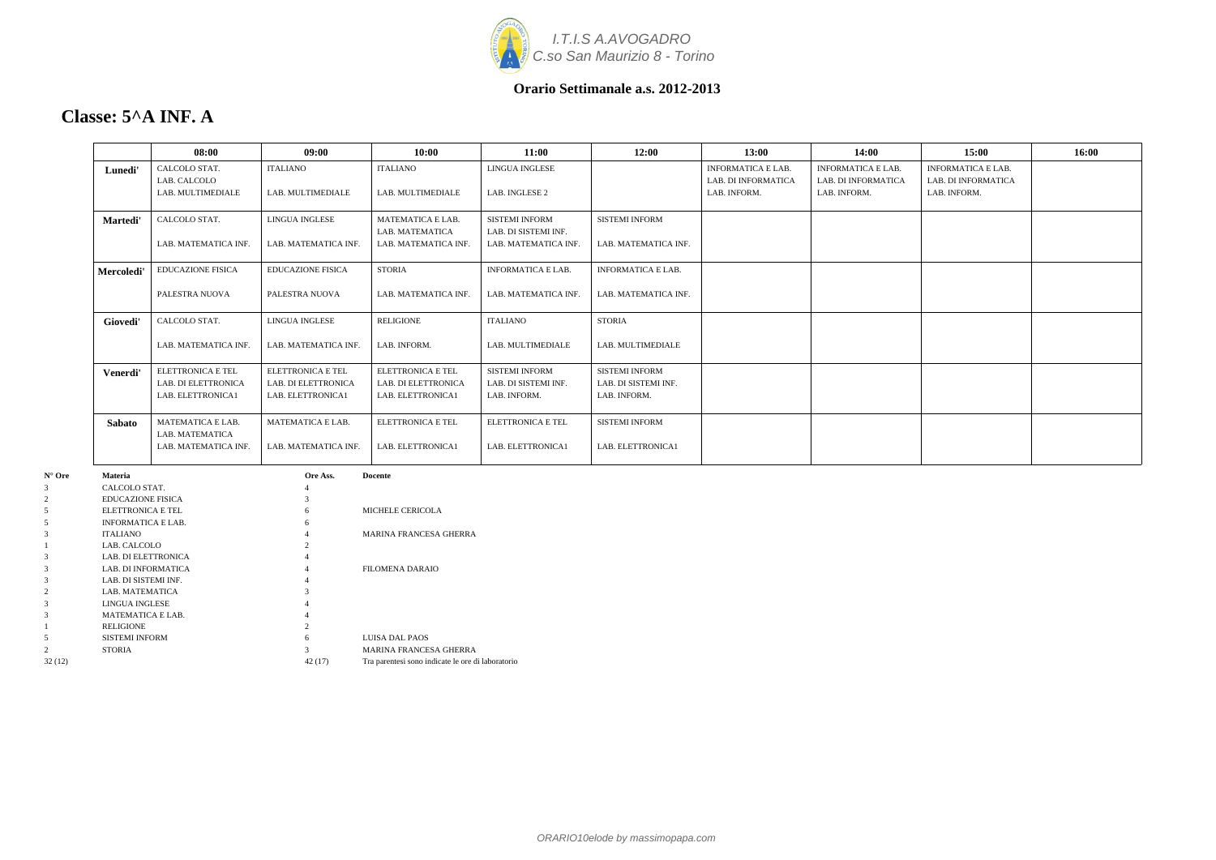

### **Classe: 5^A INF. A**

|               | 08:00                                           | 09:00                                    | 10:00                                    | 11:00                                         | 12:00                                         | 13:00                                            | 14:00                                                   | 15:00                                            | 16:00 |
|---------------|-------------------------------------------------|------------------------------------------|------------------------------------------|-----------------------------------------------|-----------------------------------------------|--------------------------------------------------|---------------------------------------------------------|--------------------------------------------------|-------|
| Lunedi'       | CALCOLO STAT.<br>LAB. CALCOLO                   | <b>ITALIANO</b>                          | <b>ITALIANO</b>                          | <b>LINGUA INGLESE</b>                         |                                               | <b>INFORMATICA E LAB.</b><br>LAB. DI INFORMATICA | <b>INFORMATICA E LAB.</b><br><b>LAB. DI INFORMATICA</b> | <b>INFORMATICA E LAB.</b><br>LAB. DI INFORMATICA |       |
|               | LAB. MULTIMEDIALE                               | LAB. MULTIMEDIALE                        | LAB. MULTIMEDIALE                        | LAB. INGLESE 2                                |                                               | LAB. INFORM.                                     | LAB. INFORM.                                            | LAB. INFORM.                                     |       |
| Martedi'      | CALCOLO STAT.                                   | LINGUA INGLESE                           | MATEMATICA E LAB.<br>LAB. MATEMATICA     | <b>SISTEMI INFORM</b><br>LAB. DI SISTEMI INF. | <b>SISTEMI INFORM</b>                         |                                                  |                                                         |                                                  |       |
|               | LAB. MATEMATICA INF.                            | LAB. MATEMATICA INF.                     | LAB. MATEMATICA INF                      | LAB. MATEMATICA INF.                          | LAB. MATEMATICA INF.                          |                                                  |                                                         |                                                  |       |
| Mercoledi'    | <b>EDUCAZIONE FISICA</b>                        | <b>EDUCAZIONE FISICA</b>                 | <b>STORIA</b>                            | <b>INFORMATICA E LAB.</b>                     | <b>INFORMATICA E LAB.</b>                     |                                                  |                                                         |                                                  |       |
|               | PALESTRA NUOVA                                  | PALESTRA NUOVA                           | LAB. MATEMATICA INF.                     | LAB. MATEMATICA INF.                          | LAB. MATEMATICA INF.                          |                                                  |                                                         |                                                  |       |
| Giovedi'      | CALCOLO STAT.                                   | LINGUA INGLESE                           | <b>RELIGIONE</b>                         | <b>ITALIANO</b>                               | <b>STORIA</b>                                 |                                                  |                                                         |                                                  |       |
|               | LAB. MATEMATICA INF.                            | LAB. MATEMATICA INF.                     | LAB. INFORM.                             | LAB. MULTIMEDIALE                             | LAB. MULTIMEDIALE                             |                                                  |                                                         |                                                  |       |
| Venerdi'      | <b>ELETTRONICA E TEL</b><br>LAB. DI ELETTRONICA | ELETTRONICA E TEL<br>LAB. DI ELETTRONICA | ELETTRONICA E TEL<br>LAB. DI ELETTRONICA | <b>SISTEMI INFORM</b><br>LAB. DI SISTEMI INF. | <b>SISTEMI INFORM</b><br>LAB. DI SISTEMI INF. |                                                  |                                                         |                                                  |       |
|               | LAB. ELETTRONICA1                               | LAB. ELETTRONICA1                        | LAB. ELETTRONICA1                        | LAB. INFORM.                                  | LAB. INFORM.                                  |                                                  |                                                         |                                                  |       |
| <b>Sabato</b> | MATEMATICA E LAB.<br>LAB. MATEMATICA            | MATEMATICA E LAB.                        | ELETTRONICA E TEL                        | <b>ELETTRONICA E TEL</b>                      | <b>SISTEMI INFORM</b>                         |                                                  |                                                         |                                                  |       |
|               | LAB. MATEMATICA INF.                            | LAB. MATEMATICA INF.                     | LAB. ELETTRONICA1                        | LAB. ELETTRONICA1                             | LAB. ELETTRONICA1                             |                                                  |                                                         |                                                  |       |

| $N^{\circ}$ Ore | <b>Materia</b>            | Ore Ass.       | <b>Docente</b>                                    |
|-----------------|---------------------------|----------------|---------------------------------------------------|
| 3               | CALCOLO STAT.             | 4              |                                                   |
| 2               | <b>EDUCAZIONE FISICA</b>  | 3              |                                                   |
| 5               | ELETTRONICA E TEL         | 6              | MICHELE CERICOLA                                  |
| 5               | <b>INFORMATICA E LAB.</b> | 6              |                                                   |
| 3               | <b>ITALIANO</b>           |                | <b>MARINA FRANCESA GHERRA</b>                     |
|                 | LAB. CALCOLO              | $\mathfrak{D}$ |                                                   |
| 3               | LAB. DI ELETTRONICA       |                |                                                   |
| 3               | LAB. DI INFORMATICA       | 4              | <b>FILOMENA DARAIO</b>                            |
| 3               | LAB. DI SISTEMI INF.      | 4              |                                                   |
| $\overline{c}$  | LAB. MATEMATICA           | 3              |                                                   |
| 3               | LINGUA INGLESE            |                |                                                   |
| 3               | <b>MATEMATICA E LAB.</b>  |                |                                                   |
|                 | <b>RELIGIONE</b>          | 2              |                                                   |
| 5               | <b>SISTEMI INFORM</b>     | 6              | LUISA DAL PAOS                                    |
|                 | <b>STORIA</b>             | $\mathcal{R}$  | <b>MARINA FRANCESA GHERRA</b>                     |
| 32(12)          |                           | 42(17)         | Tra parentesi sono indicate le ore di laboratorio |
|                 |                           |                |                                                   |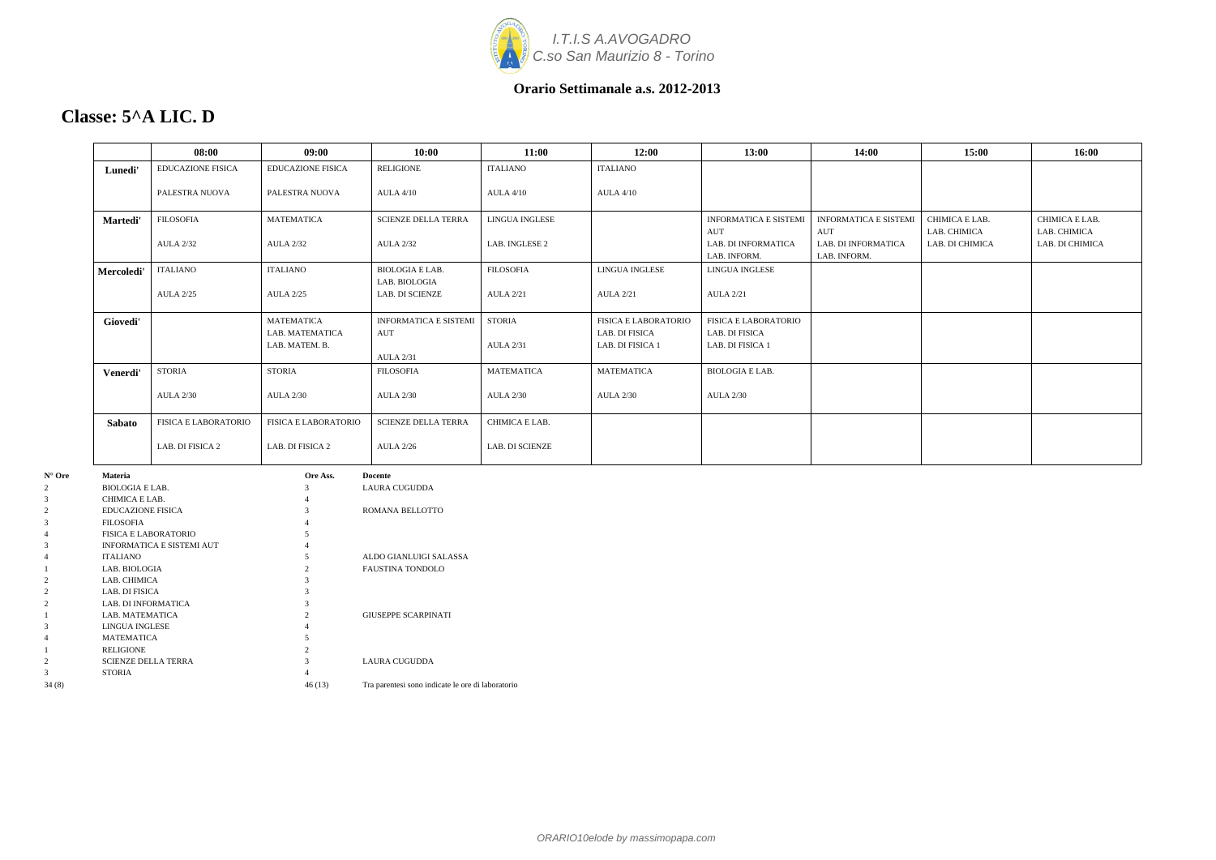

## **Classe: 5^A LIC. D**

|                                                     | 08:00                    | 09:00                                | 10:00                                   | 11:00             | 12:00                                  | 13:00                                         | 14:00                                      | 15:00                           | 16:00                           |
|-----------------------------------------------------|--------------------------|--------------------------------------|-----------------------------------------|-------------------|----------------------------------------|-----------------------------------------------|--------------------------------------------|---------------------------------|---------------------------------|
| Lunedi'                                             | <b>EDUCAZIONE FISICA</b> | <b>EDUCAZIONE FISICA</b>             | <b>RELIGIONE</b>                        | <b>ITALIANO</b>   | <b>ITALIANO</b>                        |                                               |                                            |                                 |                                 |
|                                                     | PALESTRA NUOVA           | PALESTRA NUOVA                       | <b>AULA 4/10</b>                        | <b>AULA 4/10</b>  | <b>AULA 4/10</b>                       |                                               |                                            |                                 |                                 |
| Martedi'                                            | <b>FILOSOFIA</b>         | <b>MATEMATICA</b>                    | <b>SCIENZE DELLA TERRA</b>              | LINGUA INGLESE    |                                        | <b>INFORMATICA E SISTEMI</b>                  | <b>INFORMATICA E SISTEMI</b>               | CHIMICA E LAB.                  | CHIMICA E LAB.                  |
|                                                     | <b>AULA 2/32</b>         | <b>AULA 2/32</b>                     | <b>AULA 2/32</b>                        | LAB. INGLESE 2    |                                        | AUT<br>LAB. DI INFORMATICA<br>LAB. INFORM.    | AUT<br>LAB. DI INFORMATICA<br>LAB. INFORM. | LAB. CHIMICA<br>LAB. DI CHIMICA | LAB. CHIMICA<br>LAB. DI CHIMICA |
| Mercoledi'                                          | ITALIANO                 | <b>ITALIANO</b>                      | <b>BIOLOGIA E LAB.</b><br>LAB. BIOLOGIA | <b>FILOSOFIA</b>  | LINGUA INGLESE                         | LINGUA INGLESE                                |                                            |                                 |                                 |
|                                                     | <b>AULA 2/25</b>         | <b>AULA 2/25</b>                     | <b>LAB. DI SCIENZE</b>                  | <b>AULA 2/21</b>  | <b>AULA 2/21</b>                       | <b>AULA 2/21</b>                              |                                            |                                 |                                 |
| Giovedi'                                            |                          | <b>MATEMATICA</b><br>LAB. MATEMATICA | <b>INFORMATICA E SISTEMI</b><br>AUT     | <b>STORIA</b>     | FISICA E LABORATORIO<br>LAB. DI FISICA | <b>FISICA E LABORATORIO</b><br>LAB. DI FISICA |                                            |                                 |                                 |
|                                                     |                          | LAB. MATEM. B.                       | <b>AULA 2/31</b>                        | <b>AULA 2/31</b>  | LAB. DI FISICA 1                       | LAB. DI FISICA 1                              |                                            |                                 |                                 |
| Venerdi'                                            | <b>STORIA</b>            | <b>STORIA</b>                        | <b>FILOSOFIA</b>                        | <b>MATEMATICA</b> | <b>MATEMATICA</b>                      | <b>BIOLOGIA E LAB.</b>                        |                                            |                                 |                                 |
|                                                     | <b>AULA 2/30</b>         | <b>AULA 2/30</b>                     | <b>AULA 2/30</b>                        | <b>AULA 2/30</b>  | <b>AULA 2/30</b>                       | <b>AULA 2/30</b>                              |                                            |                                 |                                 |
| Sabato                                              | FISICA E LABORATORIO     | FISICA E LABORATORIO                 | <b>SCIENZE DELLA TERRA</b>              | CHIMICA E LAB.    |                                        |                                               |                                            |                                 |                                 |
|                                                     | LAB. DI FISICA 2         | LAB. DI FISICA 2                     | <b>AULA 2/26</b>                        | LAB. DI SCIENZE   |                                        |                                               |                                            |                                 |                                 |
| Materia<br><b>BIOLOGIA E LAB.</b><br>CHIMICA E LAB. |                          | Ore Ass.                             | Docente<br>LAURA CUGUDDA                |                   |                                        |                                               |                                            |                                 |                                 |

| $N^{\circ}$ Ore | <b>Materia</b>                   | Ore Ass.       | <b>Docente</b>                                    |
|-----------------|----------------------------------|----------------|---------------------------------------------------|
| $\overline{2}$  | <b>BIOLOGIA E LAB.</b>           | 3              | LAURA CUGUDDA                                     |
| 3               | CHIMICA E LAB.                   | 4              |                                                   |
| $\overline{2}$  | <b>EDUCAZIONE FISICA</b>         | 3              | ROMANA BELLOTTO                                   |
| 3               | <b>FILOSOFIA</b>                 |                |                                                   |
| 4               | <b>FISICA E LABORATORIO</b>      |                |                                                   |
| 3               | <b>INFORMATICA E SISTEMI AUT</b> |                |                                                   |
| 4               | <b>ITALIANO</b>                  | 5              | ALDO GIANLUIGI SALASSA                            |
|                 | LAB. BIOLOGIA                    |                | <b>FAUSTINA TONDOLO</b>                           |
| $\overline{2}$  | LAB. CHIMICA                     |                |                                                   |
| $\overline{2}$  | LAB. DI FISICA                   |                |                                                   |
| $\overline{2}$  | <b>LAB. DI INFORMATICA</b>       |                |                                                   |
|                 | LAB. MATEMATICA                  | $\mathfrak{D}$ | <b>GIUSEPPE SCARPINATI</b>                        |
| 3               | LINGUA INGLESE                   |                |                                                   |
| 4               | <b>MATEMATICA</b>                |                |                                                   |
|                 | <b>RELIGIONE</b>                 | $\mathfrak{D}$ |                                                   |
| $\overline{2}$  | <b>SCIENZE DELLA TERRA</b>       |                | <b>LAURA CUGUDDA</b>                              |
| 3               | <b>STORIA</b>                    |                |                                                   |
| 34(8)           |                                  | 46(13)         | Tra parentesi sono indicate le ore di laboratorio |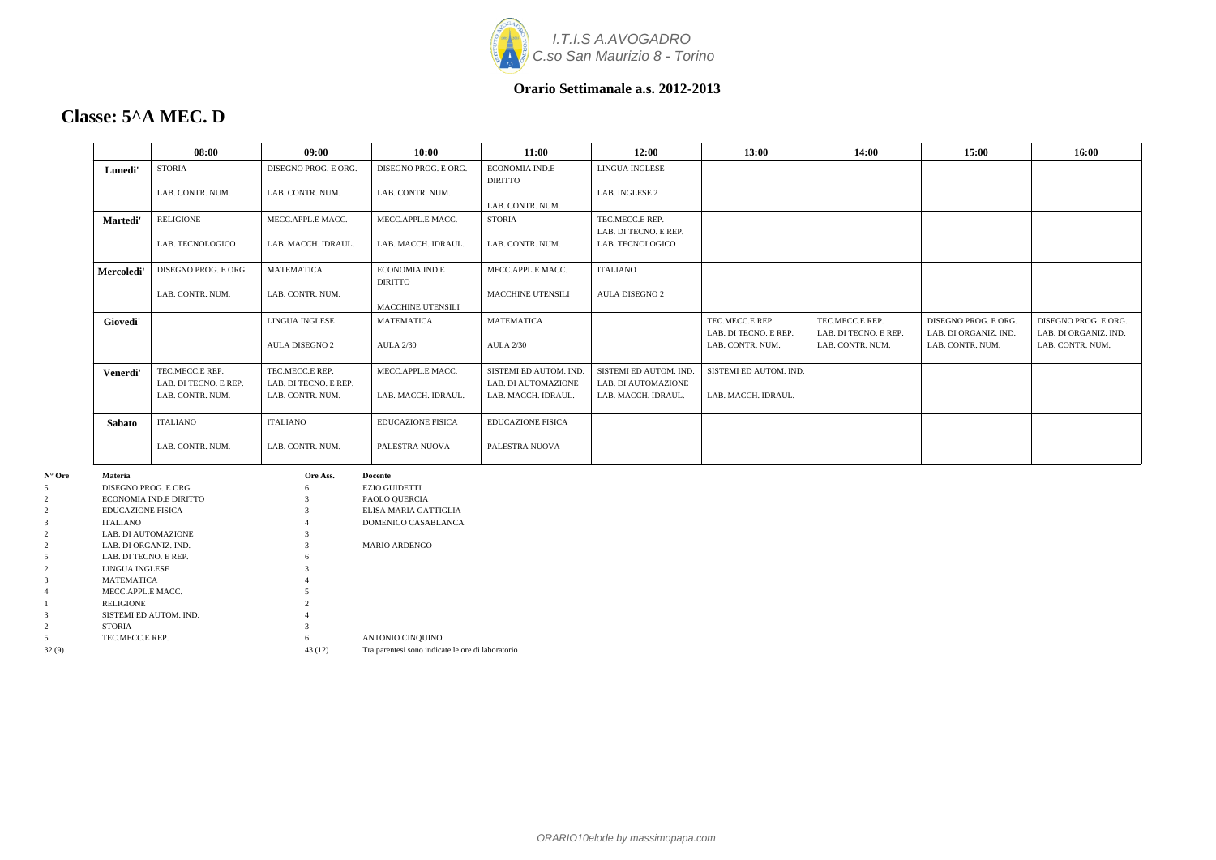

### **Classe: 5^A MEC. D**

|                  |                          | 08:00                  | 09:00                 | 10:00                    | 11:00                    | 12:00                  | 13:00                  | 14:00                 | 15:00                 | 16:00                 |
|------------------|--------------------------|------------------------|-----------------------|--------------------------|--------------------------|------------------------|------------------------|-----------------------|-----------------------|-----------------------|
|                  | Lunedi'                  | <b>STORIA</b>          | DISEGNO PROG. E ORG.  | DISEGNO PROG. E ORG.     | ECONOMIA IND.E           | LINGUA INGLESE         |                        |                       |                       |                       |
|                  |                          |                        |                       |                          | <b>DIRITTO</b>           |                        |                        |                       |                       |                       |
|                  |                          | LAB. CONTR. NUM.       | LAB. CONTR. NUM.      | LAB. CONTR. NUM.         |                          | LAB. INGLESE 2         |                        |                       |                       |                       |
|                  |                          |                        |                       |                          | LAB. CONTR. NUM.         |                        |                        |                       |                       |                       |
|                  | Martedi'                 | RELIGIONE              | MECC.APPL.E MACC.     | MECC.APPL.E MACC.        | <b>STORIA</b>            | TEC.MECC.E REP.        |                        |                       |                       |                       |
|                  |                          |                        |                       |                          |                          | LAB. DI TECNO. E REP.  |                        |                       |                       |                       |
|                  |                          | LAB. TECNOLOGICO       | LAB. MACCH. IDRAUL.   | LAB. MACCH. IDRAUL.      | LAB. CONTR. NUM.         | LAB. TECNOLOGICO       |                        |                       |                       |                       |
|                  | Mercoledi'               | DISEGNO PROG. E ORG.   | <b>MATEMATICA</b>     | <b>ECONOMIA IND.E</b>    | MECC.APPL.E MACC.        | <b>ITALIANO</b>        |                        |                       |                       |                       |
|                  |                          |                        |                       | <b>DIRITTO</b>           |                          |                        |                        |                       |                       |                       |
|                  |                          | LAB. CONTR. NUM.       | LAB. CONTR. NUM.      |                          | MACCHINE UTENSILI        | AULA DISEGNO 2         |                        |                       |                       |                       |
|                  |                          |                        |                       | MACCHINE UTENSILI        |                          |                        |                        |                       |                       |                       |
|                  | Giovedi'                 |                        | LINGUA INGLESE        | <b>MATEMATICA</b>        | <b>MATEMATICA</b>        |                        | TEC.MECC.E REP.        | TEC.MECC.E REP.       | DISEGNO PROG. E ORG.  | DISEGNO PROG. E ORG.  |
|                  |                          |                        |                       |                          |                          |                        | LAB. DI TECNO. E REP.  | LAB. DI TECNO. E REP. | LAB. DI ORGANIZ. IND. | LAB. DI ORGANIZ. IND. |
|                  |                          |                        | AULA DISEGNO 2        | <b>AULA 2/30</b>         | <b>AULA 2/30</b>         |                        | LAB. CONTR. NUM.       | LAB. CONTR. NUM.      | LAB. CONTR. NUM.      | LAB. CONTR. NUM.      |
|                  | Venerdi'                 | TEC.MECC.E REP.        | TEC.MECC.E REP.       | MECC.APPL.E MACC.        | SISTEMI ED AUTOM. IND.   | SISTEMI ED AUTOM. IND. | SISTEMI ED AUTOM. IND. |                       |                       |                       |
|                  |                          | LAB. DI TECNO. E REP.  | LAB. DI TECNO. E REP. |                          | LAB. DI AUTOMAZIONE      | LAB. DI AUTOMAZIONE    |                        |                       |                       |                       |
|                  |                          | LAB. CONTR. NUM.       | LAB. CONTR. NUM.      | LAB. MACCH. IDRAUL.      | LAB. MACCH. IDRAUL.      | LAB. MACCH. IDRAUL.    | LAB. MACCH. IDRAUL.    |                       |                       |                       |
|                  | Sabato                   | <b>ITALIANO</b>        | <b>ITALIANO</b>       | <b>EDUCAZIONE FISICA</b> | <b>EDUCAZIONE FISICA</b> |                        |                        |                       |                       |                       |
|                  |                          | LAB. CONTR. NUM.       | LAB. CONTR. NUM.      | PALESTRA NUOVA           | PALESTRA NUOVA           |                        |                        |                       |                       |                       |
| $N^{\circ}$ Ore  | Materia                  |                        | Ore Ass.              | <b>Docente</b>           |                          |                        |                        |                       |                       |                       |
| 5                | DISEGNO PROG. E ORG.     |                        |                       | <b>EZIO GUIDETTI</b>     |                          |                        |                        |                       |                       |                       |
| $\boldsymbol{2}$ |                          | ECONOMIA IND.E DIRITTO |                       | PAOLO QUERCIA            |                          |                        |                        |                       |                       |                       |
| $\mathfrak{2}$   | <b>EDUCAZIONE FISICA</b> |                        |                       | ELISA MARIA GATTIGLIA    |                          |                        |                        |                       |                       |                       |
| 3                | <b>ITALIANO</b>          |                        |                       | DOMENICO CASABLANCA      |                          |                        |                        |                       |                       |                       |
| $\mathfrak{2}$   | LAB. DI AUTOMAZIONE      |                        |                       |                          |                          |                        |                        |                       |                       |                       |
| $\overline{2}$   | LAB. DI ORGANIZ. IND.    |                        |                       | MARIO ARDENGO            |                          |                        |                        |                       |                       |                       |
| 5                | LAB. DI TECNO. E REP.    |                        |                       |                          |                          |                        |                        |                       |                       |                       |
| $\overline{c}$   | LINGUA INGLESE           |                        |                       |                          |                          |                        |                        |                       |                       |                       |
| 3                | MATEMATICA               |                        |                       |                          |                          |                        |                        |                       |                       |                       |
| 4                | MECC.APPL.E MACC.        |                        |                       |                          |                          |                        |                        |                       |                       |                       |
|                  | RELIGIONE                |                        |                       |                          |                          |                        |                        |                       |                       |                       |
| $\mathcal{R}$    | SISTEMI ED AUTOM. IND.   |                        |                       |                          |                          |                        |                        |                       |                       |                       |

2 STORIA 3

5 TEC.MECC.E REP. 6 ANTONIO CINQUINO 32 (9) 43 (12) Tra parentesi sono indicate le ore di laboratorio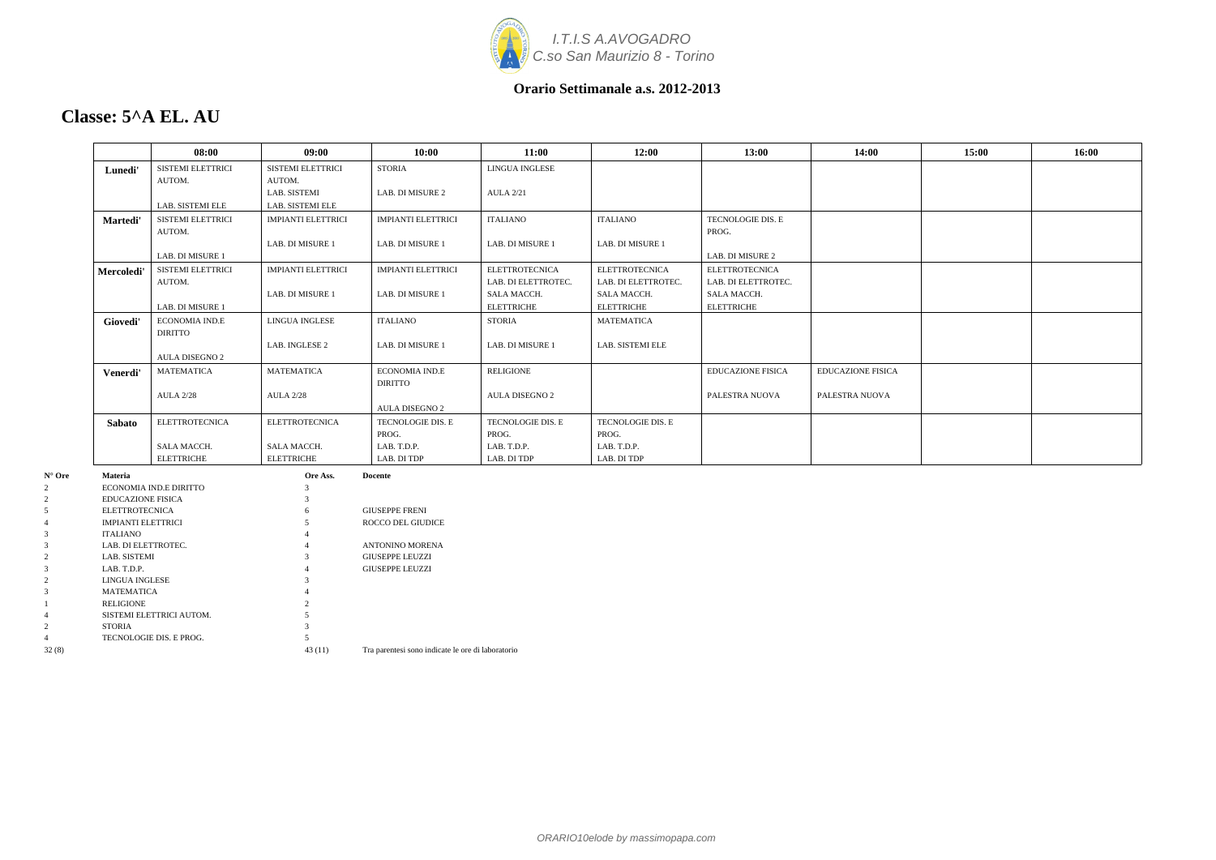

### **Classe: 5^A EL. AU**

3 MATEMATICA 4 1 RELIGIONE 2<br>4 SISTEMI ELETTRICI AUTOM. 5

2 STORIA 3 4 TECNOLOGIE DIS. E PROG. 5

|         |                           | 08:00                    | 09:00                     | 10:00                     | 11:00                 | 12:00                 | 13:00                    | 14:00                    | 15:00 | 16:00 |
|---------|---------------------------|--------------------------|---------------------------|---------------------------|-----------------------|-----------------------|--------------------------|--------------------------|-------|-------|
|         | Lunedi'                   | <b>SISTEMI ELETTRICI</b> | <b>SISTEMI ELETTRICI</b>  | <b>STORIA</b>             | <b>LINGUA INGLESE</b> |                       |                          |                          |       |       |
|         |                           | AUTOM.                   | AUTOM.                    |                           |                       |                       |                          |                          |       |       |
|         |                           |                          | LAB. SISTEMI              | LAB. DI MISURE 2          | <b>AULA 2/21</b>      |                       |                          |                          |       |       |
|         |                           | LAB. SISTEMI ELE         | LAB. SISTEMI ELE          |                           |                       |                       |                          |                          |       |       |
|         | Martedi'                  | SISTEMI ELETTRICI        | <b>IMPIANTI ELETTRICI</b> | <b>IMPIANTI ELETTRICI</b> | <b>ITALIANO</b>       | <b>ITALIANO</b>       | TECNOLOGIE DIS. E        |                          |       |       |
|         |                           | AUTOM.                   |                           |                           |                       |                       | PROG.                    |                          |       |       |
|         |                           |                          | LAB. DI MISURE 1          | LAB. DI MISURE 1          | LAB. DI MISURE 1      | LAB. DI MISURE 1      |                          |                          |       |       |
|         |                           | LAB. DI MISURE 1         |                           |                           |                       |                       | LAB. DI MISURE 2         |                          |       |       |
|         | Mercoledi'                | SISTEMI ELETTRICI        | <b>IMPIANTI ELETTRICI</b> | <b>IMPIANTI ELETTRICI</b> | <b>ELETTROTECNICA</b> | <b>ELETTROTECNICA</b> | <b>ELETTROTECNICA</b>    |                          |       |       |
|         |                           | AUTOM.                   |                           |                           | LAB. DI ELETTROTEC.   | LAB. DI ELETTROTEC.   | LAB. DI ELETTROTEC.      |                          |       |       |
|         |                           |                          | LAB. DI MISURE 1          | LAB. DI MISURE 1          | SALA MACCH.           | SALA MACCH.           | SALA MACCH.              |                          |       |       |
|         |                           | LAB. DI MISURE 1         |                           |                           | <b>ELETTRICHE</b>     | <b>ELETTRICHE</b>     | <b>ELETTRICHE</b>        |                          |       |       |
|         | Giovedi'                  | <b>ECONOMIA IND.E</b>    | LINGUA INGLESE            | ITALIANO                  | <b>STORIA</b>         | MATEMATICA            |                          |                          |       |       |
|         |                           | <b>DIRITTO</b>           |                           |                           |                       |                       |                          |                          |       |       |
|         |                           |                          | LAB. INGLESE 2            | LAB. DI MISURE 1          | LAB. DI MISURE 1      | LAB. SISTEMI ELE      |                          |                          |       |       |
|         |                           | AULA DISEGNO 2           |                           |                           |                       |                       |                          |                          |       |       |
|         |                           | <b>MATEMATICA</b>        | <b>MATEMATICA</b>         | ECONOMIA IND.E            | <b>RELIGIONE</b>      |                       | <b>EDUCAZIONE FISICA</b> | <b>EDUCAZIONE FISICA</b> |       |       |
|         | Venerdi'                  |                          |                           | <b>DIRITTO</b>            |                       |                       |                          |                          |       |       |
|         |                           | <b>AULA 2/28</b>         | <b>AULA 2/28</b>          |                           | AULA DISEGNO 2        |                       | PALESTRA NUOVA           | PALESTRA NUOVA           |       |       |
|         |                           |                          |                           | AULA DISEGNO 2            |                       |                       |                          |                          |       |       |
|         | <b>Sabato</b>             | <b>ELETTROTECNICA</b>    | <b>ELETTROTECNICA</b>     | TECNOLOGIE DIS. E         | TECNOLOGIE DIS. E     | TECNOLOGIE DIS. E     |                          |                          |       |       |
|         |                           |                          |                           | PROG.                     | PROG.                 | PROG.                 |                          |                          |       |       |
|         |                           | SALA MACCH.              | SALA MACCH.               | LAB. T.D.P.               | LAB. T.D.P.           | LAB. T.D.P.           |                          |                          |       |       |
|         |                           | <b>ELETTRICHE</b>        | <b>ELETTRICHE</b>         | LAB. DI TDP               | LAB. DI TDP           | LAB. DI TDP           |                          |                          |       |       |
| Materia |                           |                          | Ore Ass.                  | <b>Docente</b>            |                       |                       |                          |                          |       |       |
|         |                           | ECONOMIA IND.E DIRITTO   | 3                         |                           |                       |                       |                          |                          |       |       |
|         | <b>EDUCAZIONE FISICA</b>  |                          |                           |                           |                       |                       |                          |                          |       |       |
|         | <b>ELETTROTECNICA</b>     |                          |                           | <b>GIUSEPPE FRENI</b>     |                       |                       |                          |                          |       |       |
|         | <b>IMPIANTI ELETTRICI</b> |                          | $\sim$                    | <b>ROCCO DEL GIUDICE</b>  |                       |                       |                          |                          |       |       |
|         | <b>ITALIANO</b>           |                          |                           |                           |                       |                       |                          |                          |       |       |
|         | LAB. DI ELETTROTEC.       |                          |                           | ANTONINO MORENA           |                       |                       |                          |                          |       |       |
|         | LAB. SISTEMI              |                          |                           | <b>GIUSEPPE LEUZZI</b>    |                       |                       |                          |                          |       |       |
|         | LAB. T.D.P.               |                          |                           | <b>GIUSEPPE LEUZZI</b>    |                       |                       |                          |                          |       |       |
|         | LINGUA INGLESE            |                          |                           |                           |                       |                       |                          |                          |       |       |
|         | <b>MATEMATICA</b>         |                          | $\overline{4}$            |                           |                       |                       |                          |                          |       |       |

4 SISTEMI ELETTRICI AUTOM. 5

32 (8) 43 (11) Tra parentesi sono indicate le ore di laboratorio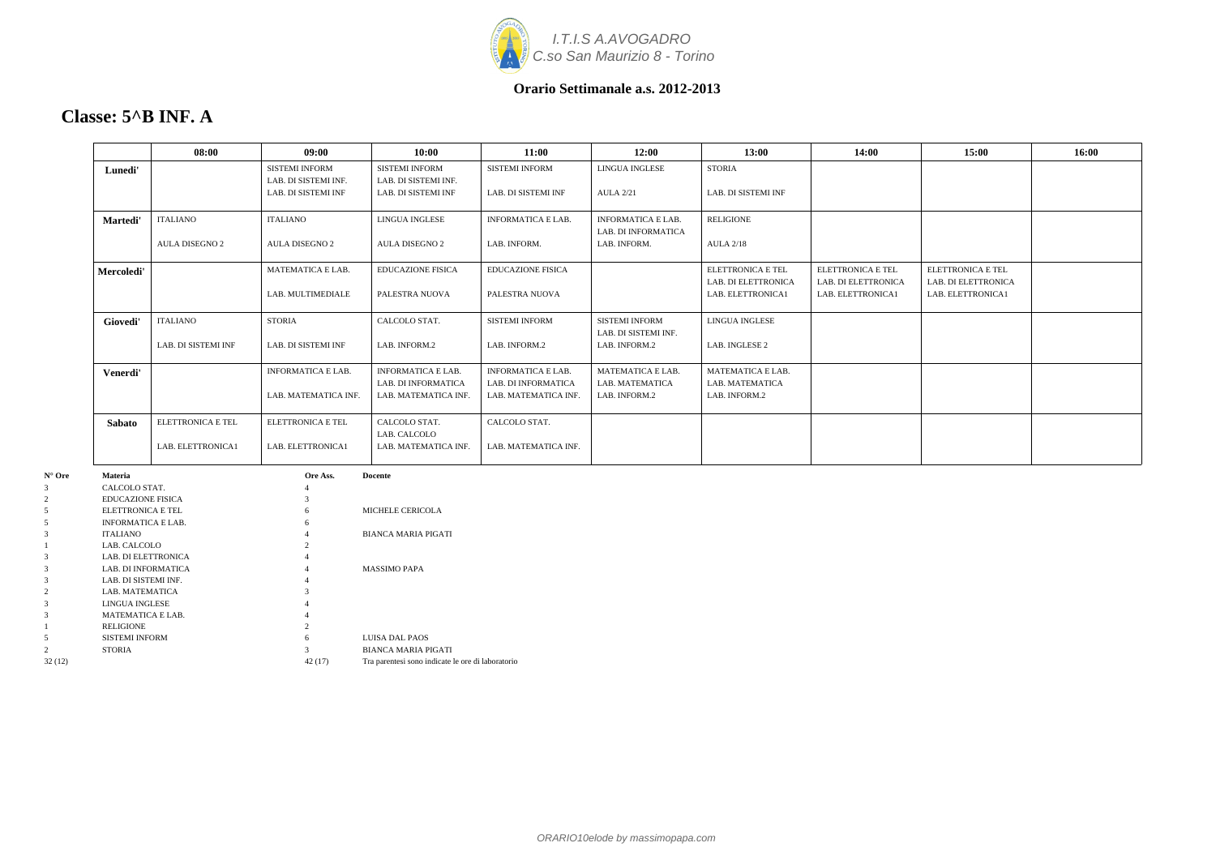

### **Classe: 5^B INF. A**

|                | 08:00                    | 09:00                                         | 10:00                                            | 11:00                                            | 12:00                                            | 13:00                                    | 14:00                                                  | 15:00                                                  | 16:00 |
|----------------|--------------------------|-----------------------------------------------|--------------------------------------------------|--------------------------------------------------|--------------------------------------------------|------------------------------------------|--------------------------------------------------------|--------------------------------------------------------|-------|
| Lunedi'        |                          | <b>SISTEMI INFORM</b><br>LAB. DI SISTEMI INF. | <b>SISTEMI INFORM</b><br>LAB. DI SISTEMI INF.    | <b>SISTEMI INFORM</b>                            | LINGUA INGLESE                                   | <b>STORIA</b>                            |                                                        |                                                        |       |
|                |                          | LAB. DI SISTEMI INF                           | LAB. DI SISTEMI INF                              | LAB. DI SISTEMI INF                              | <b>AULA 2/21</b>                                 | LAB. DI SISTEMI INF                      |                                                        |                                                        |       |
| Martedi'       | <b>ITALIANO</b>          | <b>ITALIANO</b>                               | LINGUA INGLESE                                   | <b>INFORMATICA E LAB.</b>                        | <b>INFORMATICA E LAB.</b><br>LAB. DI INFORMATICA | <b>RELIGIONE</b>                         |                                                        |                                                        |       |
|                | <b>AULA DISEGNO 2</b>    | <b>AULA DISEGNO 2</b>                         | <b>AULA DISEGNO 2</b>                            | LAB. INFORM.                                     | LAB. INFORM.                                     | <b>AULA 2/18</b>                         |                                                        |                                                        |       |
| Mercoledi'     |                          | <b>MATEMATICA E LAB.</b>                      | <b>EDUCAZIONE FISICA</b>                         | <b>EDUCAZIONE FISICA</b>                         |                                                  | ELETTRONICA E TEL<br>LAB. DI ELETTRONICA | <b>ELETTRONICA E TEL</b><br><b>LAB. DI ELETTRONICA</b> | <b>ELETTRONICA E TEL</b><br><b>LAB. DI ELETTRONICA</b> |       |
|                |                          | LAB. MULTIMEDIALE                             | PALESTRA NUOVA                                   | PALESTRA NUOVA                                   |                                                  | LAB. ELETTRONICA1                        | LAB. ELETTRONICA1                                      | LAB. ELETTRONICA1                                      |       |
| Giovedi'       | <b>ITALIANO</b>          | <b>STORIA</b>                                 | CALCOLO STAT.                                    | <b>SISTEMI INFORM</b>                            | <b>SISTEMI INFORM</b><br>LAB. DI SISTEMI INF.    | LINGUA INGLESE                           |                                                        |                                                        |       |
|                | LAB. DI SISTEMI INF      | LAB. DI SISTEMI INF                           | LAB. INFORM.2                                    | LAB. INFORM.2                                    | LAB. INFORM.2                                    | LAB. INGLESE 2                           |                                                        |                                                        |       |
| Venerdi'       |                          | <b>INFORMATICA E LAB.</b>                     | <b>INFORMATICA E LAB.</b><br>LAB. DI INFORMATICA | <b>INFORMATICA E LAB.</b><br>LAB. DI INFORMATICA | <b>MATEMATICA E LAB.</b><br>LAB. MATEMATICA      | MATEMATICA E LAB.<br>LAB. MATEMATICA     |                                                        |                                                        |       |
|                |                          | LAB. MATEMATICA INF.                          | LAB. MATEMATICA INF.                             | LAB. MATEMATICA INF.                             | LAB. INFORM.2                                    | LAB. INFORM.2                            |                                                        |                                                        |       |
| Sabato         | <b>ELETTRONICA E TEL</b> | <b>ELETTRONICA E TEL</b>                      | CALCOLO STAT.<br>LAB. CALCOLO                    | CALCOLO STAT.                                    |                                                  |                                          |                                                        |                                                        |       |
|                | LAB. ELETTRONICA1        | LAB. ELETTRONICA1                             | LAB. MATEMATICA INF.                             | LAB. MATEMATICA INF.                             |                                                  |                                          |                                                        |                                                        |       |
| <b>Materia</b> |                          | Ore Ass.                                      | <b>Docente</b>                                   |                                                  |                                                  |                                          |                                                        |                                                        |       |

| $N^{\circ}$ Ore | <b>Materia</b>             | Ore Ass.       | <b>Docente</b>                                    |
|-----------------|----------------------------|----------------|---------------------------------------------------|
| 3               | CALCOLO STAT.              | 4              |                                                   |
| 2               | <b>EDUCAZIONE FISICA</b>   | 3              |                                                   |
| 5               | ELETTRONICA E TEL          | 6              | MICHELE CERICOLA                                  |
| 5               | <b>INFORMATICA E LAB.</b>  | 6              |                                                   |
| 3               | <b>ITALIANO</b>            | 4              | <b>BIANCA MARIA PIGATI</b>                        |
|                 | LAB. CALCOLO               | $\mathfrak{D}$ |                                                   |
| 3               | LAB. DI ELETTRONICA        | 4              |                                                   |
| 3               | <b>LAB. DI INFORMATICA</b> | 4              | <b>MASSIMO PAPA</b>                               |
| 3               | LAB. DI SISTEMI INF.       | 4              |                                                   |
| 2               | LAB. MATEMATICA            | 3              |                                                   |
| 3               | LINGUA INGLESE             | 4              |                                                   |
| 3               | <b>MATEMATICA E LAB.</b>   | 4              |                                                   |
|                 | <b>RELIGIONE</b>           | $\mathfrak{D}$ |                                                   |
| 5               | <b>SISTEMI INFORM</b>      | 6              | <b>LUISA DAL PAOS</b>                             |
| 2               | <b>STORIA</b>              | 3              | <b>BIANCA MARIA PIGATI</b>                        |
| 32(12)          |                            | 42 (17)        | Tra parentesi sono indicate le ore di laboratorio |
|                 |                            |                |                                                   |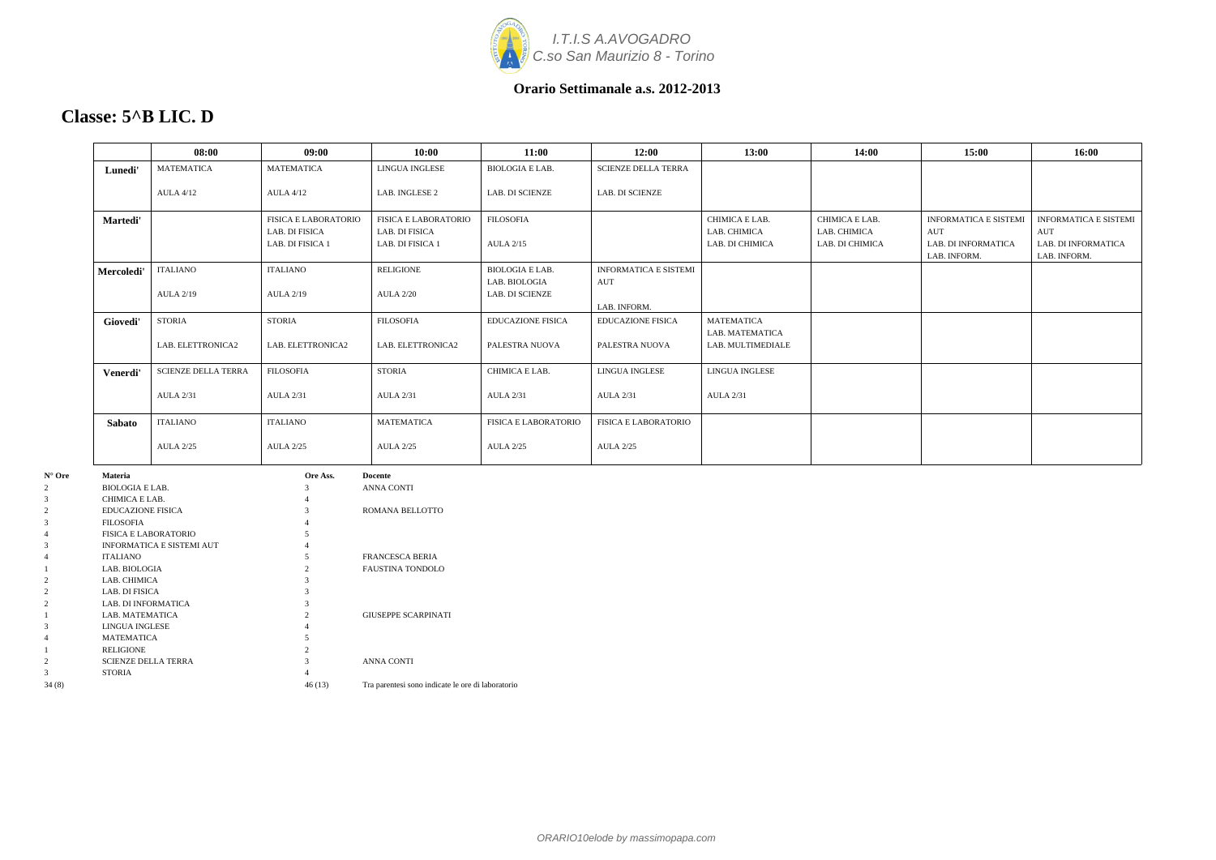

### **Classe: 5^B LIC. D**

|                                |                                              | 08:00                      | 09:00                                                             | 10:00                                                      | 11:00                                | 12:00                        | 13:00                                             | 14:00                                             | 15:00                                                                      | 16:00                                                                      |
|--------------------------------|----------------------------------------------|----------------------------|-------------------------------------------------------------------|------------------------------------------------------------|--------------------------------------|------------------------------|---------------------------------------------------|---------------------------------------------------|----------------------------------------------------------------------------|----------------------------------------------------------------------------|
|                                | Lunedi'                                      | <b>MATEMATICA</b>          | <b>MATEMATICA</b>                                                 | LINGUA INGLESE                                             | <b>BIOLOGIA E LAB.</b>               | <b>SCIENZE DELLA TERRA</b>   |                                                   |                                                   |                                                                            |                                                                            |
|                                |                                              | <b>AULA 4/12</b>           | <b>AULA 4/12</b>                                                  | LAB. INGLESE 2                                             | LAB. DI SCIENZE                      | LAB. DI SCIENZE              |                                                   |                                                   |                                                                            |                                                                            |
|                                | Martedi'                                     |                            | <b>FISICA E LABORATORIO</b><br>LAB. DI FISICA<br>LAB. DI FISICA 1 | FISICA E LABORATORIO<br>LAB. DI FISICA<br>LAB. DI FISICA 1 | <b>FILOSOFIA</b><br><b>AULA 2/15</b> |                              | CHIMICA E LAB.<br>LAB. CHIMICA<br>LAB. DI CHIMICA | CHIMICA E LAB.<br>LAB. CHIMICA<br>LAB. DI CHIMICA | <b>INFORMATICA E SISTEMI</b><br>AUT<br>LAB. DI INFORMATICA<br>LAB. INFORM. | <b>INFORMATICA E SISTEMI</b><br>AUT<br>LAB. DI INFORMATICA<br>LAB. INFORM. |
|                                | Mercoledi'                                   | <b>ITALIANO</b>            | <b>ITALIANO</b>                                                   | RELIGIONE                                                  | <b>BIOLOGIA E LAB.</b>               | <b>INFORMATICA E SISTEMI</b> |                                                   |                                                   |                                                                            |                                                                            |
|                                |                                              | <b>AULA 2/19</b>           | <b>AULA 2/19</b>                                                  | <b>AULA 2/20</b>                                           | LAB. BIOLOGIA<br>LAB. DI SCIENZE     | AUT<br>LAB. INFORM.          |                                                   |                                                   |                                                                            |                                                                            |
|                                | Giovedi'                                     | <b>STORIA</b>              | <b>STORIA</b>                                                     | <b>FILOSOFIA</b>                                           | EDUCAZIONE FISICA                    | <b>EDUCAZIONE FISICA</b>     | <b>MATEMATICA</b>                                 |                                                   |                                                                            |                                                                            |
|                                |                                              | LAB. ELETTRONICA2          | LAB. ELETTRONICA2                                                 | LAB. ELETTRONICA2                                          | PALESTRA NUOVA                       | PALESTRA NUOVA               | LAB. MATEMATICA<br>LAB. MULTIMEDIALE              |                                                   |                                                                            |                                                                            |
|                                | Venerdi'                                     | <b>SCIENZE DELLA TERRA</b> | <b>FILOSOFIA</b>                                                  | <b>STORIA</b>                                              | CHIMICA E LAB.                       | LINGUA INGLESE               | LINGUA INGLESE                                    |                                                   |                                                                            |                                                                            |
|                                |                                              | <b>AULA 2/31</b>           | <b>AULA 2/31</b>                                                  | <b>AULA 2/31</b>                                           | <b>AULA 2/31</b>                     | <b>AULA 2/31</b>             | <b>AULA 2/31</b>                                  |                                                   |                                                                            |                                                                            |
|                                | Sabato                                       | <b>ITALIANO</b>            | <b>ITALIANO</b>                                                   | <b>MATEMATICA</b>                                          | FISICA E LABORATORIO                 | <b>FISICA E LABORATORIO</b>  |                                                   |                                                   |                                                                            |                                                                            |
|                                |                                              | <b>AULA 2/25</b>           | <b>AULA 2/25</b>                                                  | <b>AULA 2/25</b>                                           | <b>AULA 2/25</b>                     | <b>AULA 2/25</b>             |                                                   |                                                   |                                                                            |                                                                            |
| $N^{\circ}$ Ore                | Materia                                      |                            | Ore Ass.                                                          | <b>Docente</b>                                             |                                      |                              |                                                   |                                                   |                                                                            |                                                                            |
|                                | <b>BIOLOGIA E LAB.</b>                       |                            |                                                                   | ANNA CONTI                                                 |                                      |                              |                                                   |                                                   |                                                                            |                                                                            |
| 3                              | CHIMICA E LAB.                               |                            |                                                                   |                                                            |                                      |                              |                                                   |                                                   |                                                                            |                                                                            |
| $\overline{2}$<br>$\mathbf{3}$ | <b>EDUCAZIONE FISICA</b><br><b>FILOSOFIA</b> |                            |                                                                   | ROMANA BELLOTTO                                            |                                      |                              |                                                   |                                                   |                                                                            |                                                                            |
|                                |                                              | FISICA E LABORATORIO       |                                                                   |                                                            |                                      |                              |                                                   |                                                   |                                                                            |                                                                            |
| $\mathbf{3}$                   |                                              | INFORMATICA E SISTEMI AUT  |                                                                   |                                                            |                                      |                              |                                                   |                                                   |                                                                            |                                                                            |
|                                | ITALIANO                                     |                            | $\overline{5}$                                                    | <b>FRANCESCA BERIA</b>                                     |                                      |                              |                                                   |                                                   |                                                                            |                                                                            |

4 MATEMATICA 5 1 RELIGIONE 2

1 LAB. BIOLOGIA 2 FAUSTINA TONDOLO

2 LAB. CHIMICA 3 2 LAB. DI FISICA 3 2 LAB. DI INFORMATICA 3

1 LAB. MATEMATICA 2 GIUSEPPE SCARPINATI

2 SCIENZE DELLA TERRA 3 ANNA CONTI

3 STORIA 4

3 LINGUA INGLESE

34 (8) 46 (13) Tra parentesi sono indicate le ore di laboratorio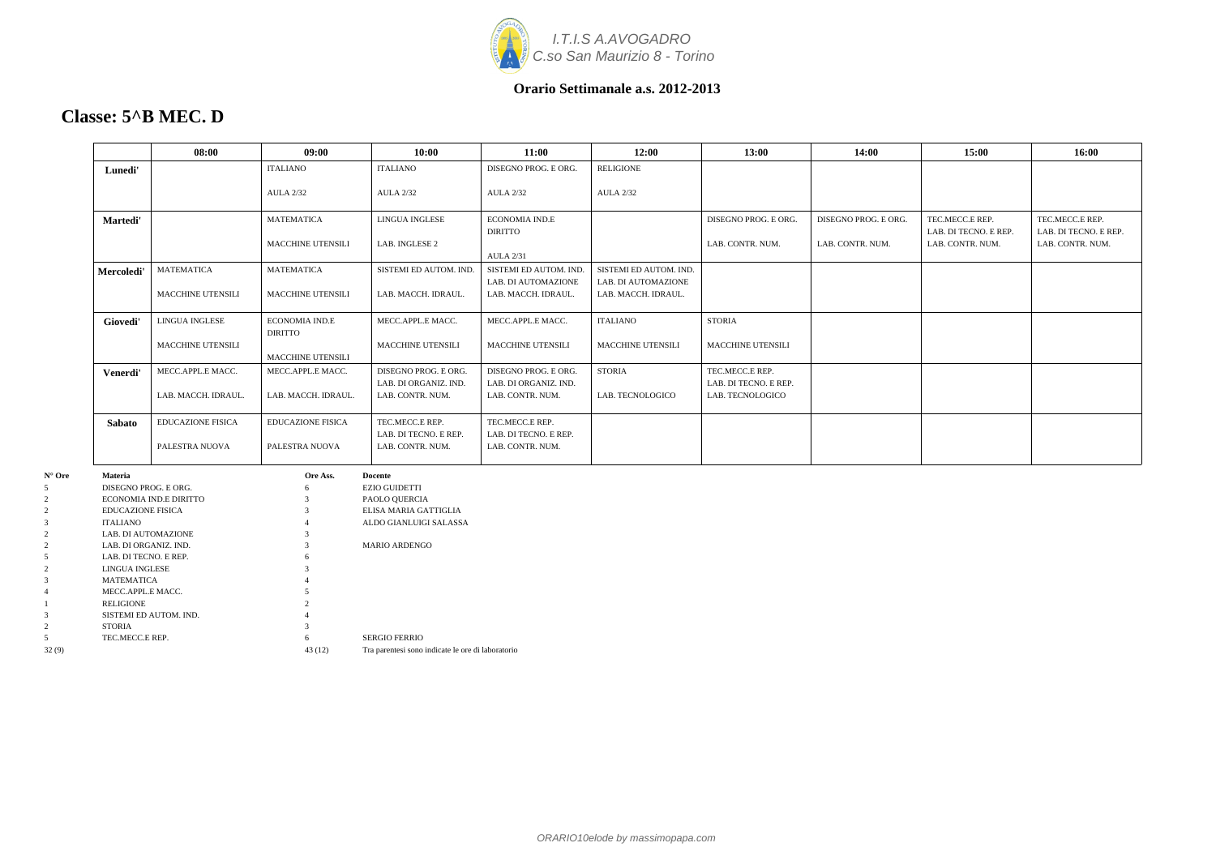

### **Classe: 5^B MEC. D**

|                        |                          | 08:00                    | 09:00                    | 10:00                  | 11:00                  | 12:00                    | 13:00                    | 14:00                | 15:00                 | 16:00                 |
|------------------------|--------------------------|--------------------------|--------------------------|------------------------|------------------------|--------------------------|--------------------------|----------------------|-----------------------|-----------------------|
|                        | Lunedi'                  |                          | <b>ITALIANO</b>          | <b>ITALIANO</b>        | DISEGNO PROG. E ORG.   | RELIGIONE                |                          |                      |                       |                       |
|                        |                          |                          |                          |                        |                        |                          |                          |                      |                       |                       |
|                        |                          |                          | <b>AULA 2/32</b>         | <b>AULA 2/32</b>       | <b>AULA 2/32</b>       | <b>AULA 2/32</b>         |                          |                      |                       |                       |
|                        |                          |                          | <b>MATEMATICA</b>        | LINGUA INGLESE         | <b>ECONOMIA IND.E</b>  |                          | DISEGNO PROG. E ORG.     | DISEGNO PROG. E ORG. | TEC.MECC.E REP.       | TEC.MECC.E REP.       |
|                        | Martedi'                 |                          |                          |                        | <b>DIRITTO</b>         |                          |                          |                      | LAB. DI TECNO. E REP. | LAB. DI TECNO. E REP. |
|                        |                          |                          | MACCHINE UTENSILI        | LAB. INGLESE 2         |                        |                          | LAB. CONTR. NUM.         | LAB. CONTR. NUM.     | LAB. CONTR. NUM.      | LAB. CONTR. NUM.      |
|                        |                          |                          |                          |                        | <b>AULA 2/31</b>       |                          |                          |                      |                       |                       |
|                        | Mercoledi'               | MATEMATICA               | <b>MATEMATICA</b>        | SISTEMI ED AUTOM. IND. | SISTEMI ED AUTOM. IND. | SISTEMI ED AUTOM. IND.   |                          |                      |                       |                       |
|                        |                          |                          |                          |                        | LAB. DI AUTOMAZIONE    | LAB. DI AUTOMAZIONE      |                          |                      |                       |                       |
|                        |                          | <b>MACCHINE UTENSILI</b> | <b>MACCHINE UTENSILI</b> | LAB. MACCH. IDRAUL.    | LAB. MACCH. IDRAUL.    | LAB. MACCH. IDRAUL.      |                          |                      |                       |                       |
|                        |                          |                          |                          |                        |                        |                          |                          |                      |                       |                       |
|                        | Giovedi'                 | LINGUA INGLESE           | <b>ECONOMIA IND.E</b>    | MECC.APPL.E MACC.      | MECC.APPL.E MACC.      | <b>ITALIANO</b>          | <b>STORIA</b>            |                      |                       |                       |
|                        |                          |                          | DIRITTO                  |                        |                        |                          |                          |                      |                       |                       |
|                        |                          | MACCHINE UTENSILI        |                          | MACCHINE UTENSILI      | MACCHINE UTENSILI      | <b>MACCHINE UTENSILI</b> | <b>MACCHINE UTENSILI</b> |                      |                       |                       |
|                        |                          |                          | <b>MACCHINE UTENSILI</b> |                        |                        |                          |                          |                      |                       |                       |
|                        | Venerdi'                 | MECC.APPL.E MACC.        | MECC.APPL.E MACC.        | DISEGNO PROG. E ORG.   | DISEGNO PROG. E ORG.   | <b>STORIA</b>            | TEC.MECC.E REP.          |                      |                       |                       |
|                        |                          |                          |                          | LAB. DI ORGANIZ. IND.  | LAB. DI ORGANIZ. IND.  |                          | LAB. DI TECNO. E REP.    |                      |                       |                       |
|                        |                          | LAB. MACCH. IDRAUL.      | LAB. MACCH. IDRAUL.      | LAB. CONTR. NUM.       | LAB. CONTR. NUM.       | LAB. TECNOLOGICO         | LAB. TECNOLOGICO         |                      |                       |                       |
|                        |                          |                          |                          |                        |                        |                          |                          |                      |                       |                       |
|                        | <b>Sabato</b>            | <b>EDUCAZIONE FISICA</b> | <b>EDUCAZIONE FISICA</b> | TEC.MECC.E REP.        | TEC.MECC.E REP.        |                          |                          |                      |                       |                       |
|                        |                          |                          |                          | LAB. DI TECNO. E REP.  | LAB. DI TECNO. E REP.  |                          |                          |                      |                       |                       |
|                        |                          | PALESTRA NUOVA           | PALESTRA NUOVA           | LAB. CONTR. NUM.       | LAB. CONTR. NUM.       |                          |                          |                      |                       |                       |
| $\mathbf{N}^\circ$ Ore | Materia                  |                          | Ore Ass.                 | Docente                |                        |                          |                          |                      |                       |                       |
| 5                      | DISEGNO PROG. E ORG.     |                          |                          | <b>EZIO GUIDETTI</b>   |                        |                          |                          |                      |                       |                       |
| $\boldsymbol{2}$       |                          | ECONOMIA IND.E DIRITTO   |                          | PAOLO QUERCIA          |                        |                          |                          |                      |                       |                       |
| $\sqrt{2}$             | <b>EDUCAZIONE FISICA</b> |                          |                          | ELISA MARIA GATTIGLIA  |                        |                          |                          |                      |                       |                       |
| 3                      | ITALIANO                 |                          |                          | ALDO GIANLUIGI SALASSA |                        |                          |                          |                      |                       |                       |
| $\overline{2}$         | LAB. DI AUTOMAZIONE      |                          |                          |                        |                        |                          |                          |                      |                       |                       |
| $\overline{2}$         | LAB. DI ORGANIZ. IND.    |                          |                          | MARIO ARDENGO          |                        |                          |                          |                      |                       |                       |
| 5                      | LAB. DI TECNO. E REP.    |                          |                          |                        |                        |                          |                          |                      |                       |                       |
| $\overline{2}$         | LINGUA INGLESE           |                          |                          |                        |                        |                          |                          |                      |                       |                       |
| 3                      | MATEMATICA               |                          |                          |                        |                        |                          |                          |                      |                       |                       |
| 4                      | MECC.APPL.E MACC.        |                          |                          |                        |                        |                          |                          |                      |                       |                       |
|                        | RELIGIONE                |                          |                          |                        |                        |                          |                          |                      |                       |                       |
| $\mathcal{R}$          |                          | SISTEMI ED AUTOM. IND.   |                          |                        |                        |                          |                          |                      |                       |                       |

2 STORIA 3

5 TEC.MECC.E REP. 6 SERGIO FERRIO 32 (9) 43 (12) Tra parentesi sono indicate le ore di laboratorio